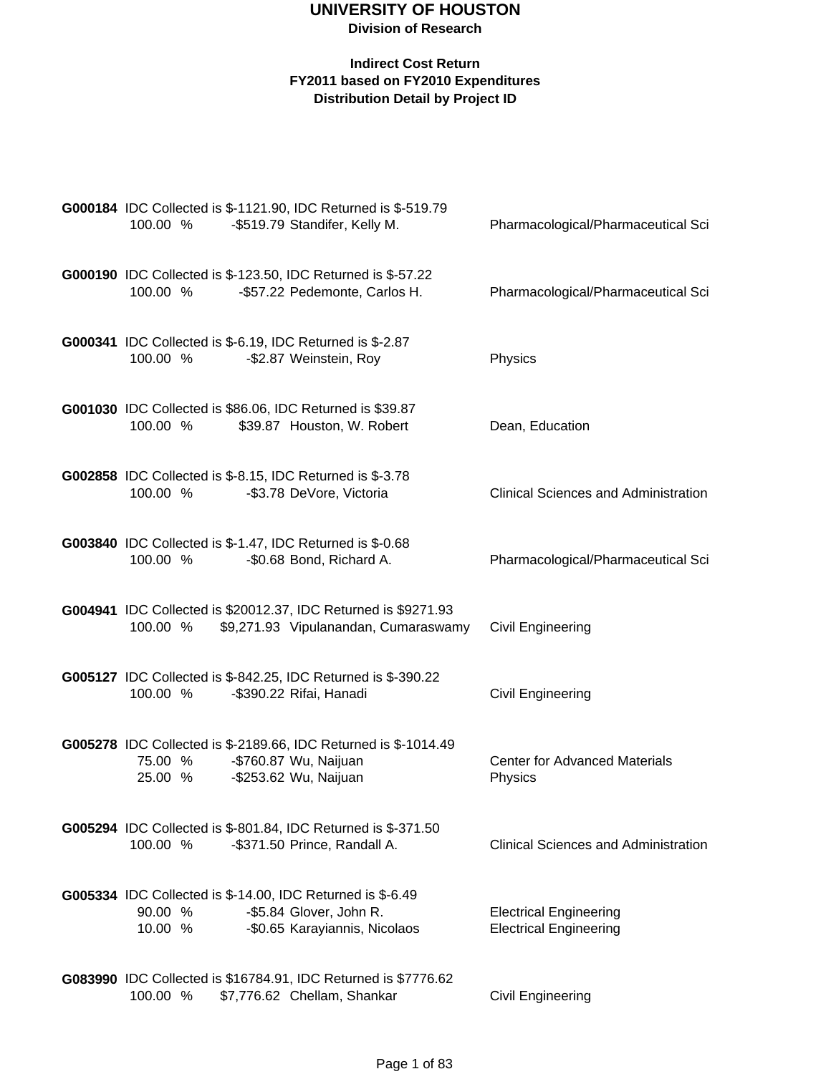| G000184 IDC Collected is \$-1121.90, IDC Returned is \$-519.79<br>-\$519.79 Standifer, Kelly M.<br>100.00 %                                         | Pharmacological/Pharmaceutical Sci                             |
|-----------------------------------------------------------------------------------------------------------------------------------------------------|----------------------------------------------------------------|
| G000190 IDC Collected is \$-123.50, IDC Returned is \$-57.22<br>100.00 %<br>-\$57.22 Pedemonte, Carlos H.                                           | Pharmacological/Pharmaceutical Sci                             |
| <b>G000341</b> IDC Collected is \$-6.19, IDC Returned is \$-2.87<br>100.00 %<br>-\$2.87 Weinstein, Roy                                              | Physics                                                        |
| G001030 IDC Collected is \$86.06, IDC Returned is \$39.87<br>100.00 %<br>\$39.87 Houston, W. Robert                                                 | Dean, Education                                                |
| G002858 IDC Collected is \$-8.15, IDC Returned is \$-3.78<br>100.00 %<br>-\$3.78 DeVore, Victoria                                                   | <b>Clinical Sciences and Administration</b>                    |
| G003840 IDC Collected is \$-1.47, IDC Returned is \$-0.68<br>100.00 %<br>-\$0.68 Bond, Richard A.                                                   | Pharmacological/Pharmaceutical Sci                             |
| G004941 IDC Collected is \$20012.37, IDC Returned is \$9271.93<br>100.00 %<br>\$9,271.93 Vipulanandan, Cumaraswamy                                  | Civil Engineering                                              |
| <b>G005127</b> IDC Collected is \$-842.25, IDC Returned is \$-390.22<br>100.00 %<br>-\$390.22 Rifai, Hanadi                                         | <b>Civil Engineering</b>                                       |
| G005278 IDC Collected is \$-2189.66, IDC Returned is \$-1014.49<br>-\$760.87 Wu, Naijuan<br>75.00 %<br>-\$253.62 Wu, Naijuan<br>25.00 %             | <b>Center for Advanced Materials</b><br>Physics                |
| G005294 IDC Collected is \$-801.84, IDC Returned is \$-371.50<br>100.00 %<br>-\$371.50 Prince, Randall A.                                           | <b>Clinical Sciences and Administration</b>                    |
| <b>G005334</b> IDC Collected is \$-14.00, IDC Returned is \$-6.49<br>90.00 %<br>-\$5.84 Glover, John R.<br>-\$0.65 Karayiannis, Nicolaos<br>10.00 % | <b>Electrical Engineering</b><br><b>Electrical Engineering</b> |
| G083990 IDC Collected is \$16784.91, IDC Returned is \$7776.62<br>100.00 %<br>\$7,776.62 Chellam, Shankar                                           | Civil Engineering                                              |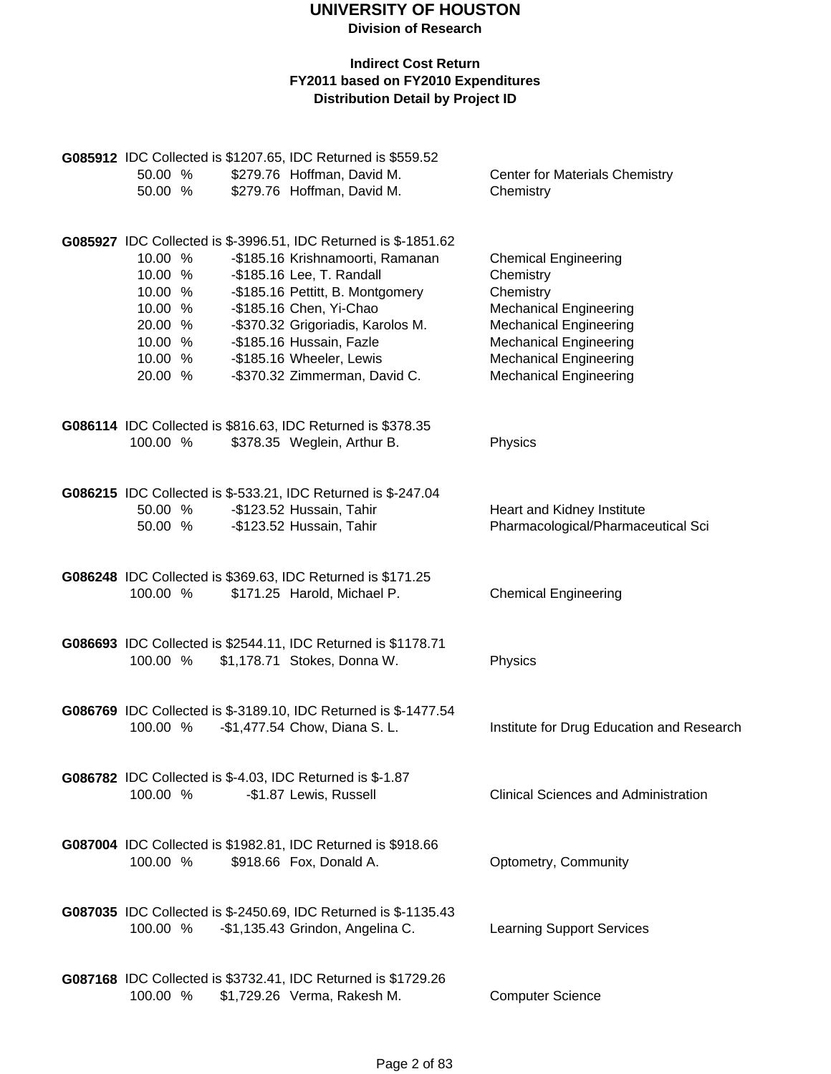| 50.00 %<br>50.00 %                                                                   | G085912 IDC Collected is \$1207.65, IDC Returned is \$559.52<br>\$279.76 Hoffman, David M.<br>\$279.76 Hoffman, David M.                                                                                                                                                                                                      | <b>Center for Materials Chemistry</b><br>Chemistry                                                                                                                                                                         |
|--------------------------------------------------------------------------------------|-------------------------------------------------------------------------------------------------------------------------------------------------------------------------------------------------------------------------------------------------------------------------------------------------------------------------------|----------------------------------------------------------------------------------------------------------------------------------------------------------------------------------------------------------------------------|
| 10.00 %<br>10.00 %<br>10.00 %<br>10.00 %<br>20.00 %<br>10.00 %<br>10.00 %<br>20.00 % | G085927 IDC Collected is \$-3996.51, IDC Returned is \$-1851.62<br>-\$185.16 Krishnamoorti, Ramanan<br>-\$185.16 Lee, T. Randall<br>-\$185.16 Pettitt, B. Montgomery<br>-\$185.16 Chen, Yi-Chao<br>-\$370.32 Grigoriadis, Karolos M.<br>-\$185.16 Hussain, Fazle<br>-\$185.16 Wheeler, Lewis<br>-\$370.32 Zimmerman, David C. | <b>Chemical Engineering</b><br>Chemistry<br>Chemistry<br><b>Mechanical Engineering</b><br><b>Mechanical Engineering</b><br><b>Mechanical Engineering</b><br><b>Mechanical Engineering</b><br><b>Mechanical Engineering</b> |
| 100.00 %                                                                             | G086114 IDC Collected is \$816.63, IDC Returned is \$378.35<br>\$378.35 Weglein, Arthur B.                                                                                                                                                                                                                                    | Physics                                                                                                                                                                                                                    |
| 50.00 %<br>50.00 %                                                                   | G086215 IDC Collected is \$-533.21, IDC Returned is \$-247.04<br>-\$123.52 Hussain, Tahir<br>-\$123.52 Hussain, Tahir                                                                                                                                                                                                         | Heart and Kidney Institute<br>Pharmacological/Pharmaceutical Sci                                                                                                                                                           |
| 100.00 %                                                                             | G086248 IDC Collected is \$369.63, IDC Returned is \$171.25<br>\$171.25 Harold, Michael P.                                                                                                                                                                                                                                    | <b>Chemical Engineering</b>                                                                                                                                                                                                |
| 100.00 %                                                                             | G086693 IDC Collected is \$2544.11, IDC Returned is \$1178.71<br>\$1,178.71 Stokes, Donna W.                                                                                                                                                                                                                                  | Physics                                                                                                                                                                                                                    |
| 100.00 %                                                                             | G086769 IDC Collected is \$-3189.10, IDC Returned is \$-1477.54<br>-\$1,477.54 Chow, Diana S. L.                                                                                                                                                                                                                              | Institute for Drug Education and Research                                                                                                                                                                                  |
| 100.00 %                                                                             | <b>G086782</b> IDC Collected is \$-4.03, IDC Returned is \$-1.87<br>-\$1.87 Lewis, Russell                                                                                                                                                                                                                                    | <b>Clinical Sciences and Administration</b>                                                                                                                                                                                |
| 100.00 %                                                                             | G087004 IDC Collected is \$1982.81, IDC Returned is \$918.66<br>\$918.66 Fox, Donald A.                                                                                                                                                                                                                                       | Optometry, Community                                                                                                                                                                                                       |
| 100.00 %                                                                             | G087035 IDC Collected is \$-2450.69, IDC Returned is \$-1135.43<br>-\$1,135.43 Grindon, Angelina C.                                                                                                                                                                                                                           | <b>Learning Support Services</b>                                                                                                                                                                                           |
| 100.00 %                                                                             | <b>G087168</b> IDC Collected is \$3732.41, IDC Returned is \$1729.26<br>\$1,729.26 Verma, Rakesh M.                                                                                                                                                                                                                           | <b>Computer Science</b>                                                                                                                                                                                                    |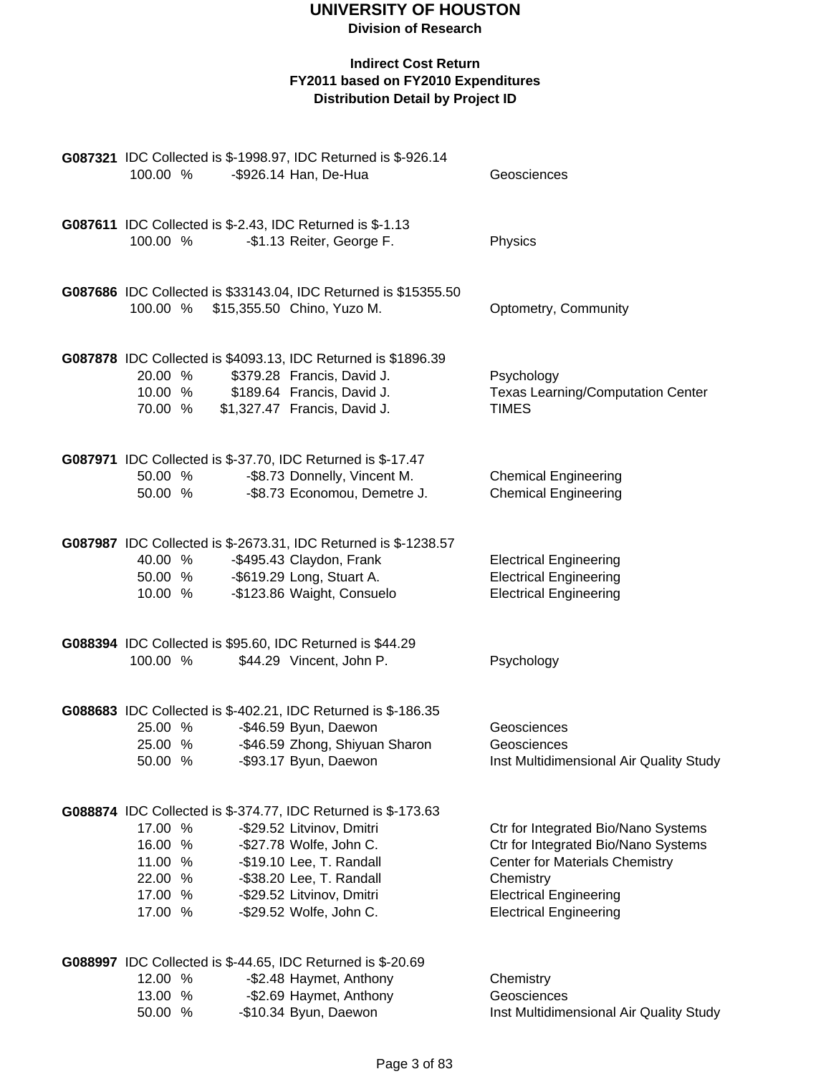**Division of Research**

| 100.00 %                                                       |                    | G087321 IDC Collected is \$-1998.97, IDC Returned is \$-926.14<br>-\$926.14 Han, De-Hua                                                                                                                                               | Geosciences                                                                                                                                                                                        |
|----------------------------------------------------------------|--------------------|---------------------------------------------------------------------------------------------------------------------------------------------------------------------------------------------------------------------------------------|----------------------------------------------------------------------------------------------------------------------------------------------------------------------------------------------------|
|                                                                |                    |                                                                                                                                                                                                                                       |                                                                                                                                                                                                    |
| 100.00 %                                                       |                    | G087611 IDC Collected is \$-2.43, IDC Returned is \$-1.13<br>-\$1.13 Reiter, George F.                                                                                                                                                | Physics                                                                                                                                                                                            |
|                                                                |                    | G087686 IDC Collected is \$33143.04, IDC Returned is \$15355.50<br>100.00 % \$15,355.50 Chino, Yuzo M.                                                                                                                                | Optometry, Community                                                                                                                                                                               |
| 20.00 %<br>70.00 %                                             | 10.00 %            | G087878 IDC Collected is \$4093.13, IDC Returned is \$1896.39<br>\$379.28 Francis, David J.<br>\$189.64 Francis, David J.<br>\$1,327.47 Francis, David J.                                                                             | Psychology<br><b>Texas Learning/Computation Center</b><br><b>TIMES</b>                                                                                                                             |
| 50.00 %                                                        | 50.00 %            | G087971 IDC Collected is \$-37.70, IDC Returned is \$-17.47<br>-\$8.73 Donnelly, Vincent M.<br>-\$8.73 Economou, Demetre J.                                                                                                           | <b>Chemical Engineering</b><br><b>Chemical Engineering</b>                                                                                                                                         |
| 10.00 %                                                        | 40.00 %<br>50.00 % | G087987 IDC Collected is \$-2673.31, IDC Returned is \$-1238.57<br>-\$495.43 Claydon, Frank<br>-\$619.29 Long, Stuart A.<br>-\$123.86 Waight, Consuelo                                                                                | <b>Electrical Engineering</b><br><b>Electrical Engineering</b><br><b>Electrical Engineering</b>                                                                                                    |
| 100.00 %                                                       |                    | G088394 IDC Collected is \$95.60, IDC Returned is \$44.29<br>\$44.29 Vincent, John P.                                                                                                                                                 | Psychology                                                                                                                                                                                         |
| 25.00 %<br>25.00 %<br>50.00 %                                  |                    | G088683 IDC Collected is \$-402.21, IDC Returned is \$-186.35<br>-\$46.59 Byun, Daewon<br>-\$46.59 Zhong, Shiyuan Sharon<br>-\$93.17 Byun, Daewon                                                                                     | Geosciences<br>Geosciences<br>Inst Multidimensional Air Quality Study                                                                                                                              |
| 17.00 %<br>16.00 %<br>11.00 %<br>22.00 %<br>17.00 %<br>17.00 % |                    | G088874 IDC Collected is \$-374.77, IDC Returned is \$-173.63<br>-\$29.52 Litvinov, Dmitri<br>-\$27.78 Wolfe, John C.<br>-\$19.10 Lee, T. Randall<br>-\$38.20 Lee, T. Randall<br>-\$29.52 Litvinov, Dmitri<br>-\$29.52 Wolfe, John C. | Ctr for Integrated Bio/Nano Systems<br>Ctr for Integrated Bio/Nano Systems<br><b>Center for Materials Chemistry</b><br>Chemistry<br><b>Electrical Engineering</b><br><b>Electrical Engineering</b> |
| 12.00 %<br>13.00 %<br>50.00 %                                  |                    | G088997 IDC Collected is \$-44.65, IDC Returned is \$-20.69<br>-\$2.48 Haymet, Anthony<br>-\$2.69 Haymet, Anthony<br>-\$10.34 Byun, Daewon                                                                                            | Chemistry<br>Geosciences<br>Inst Multidimensional Air Quality Study                                                                                                                                |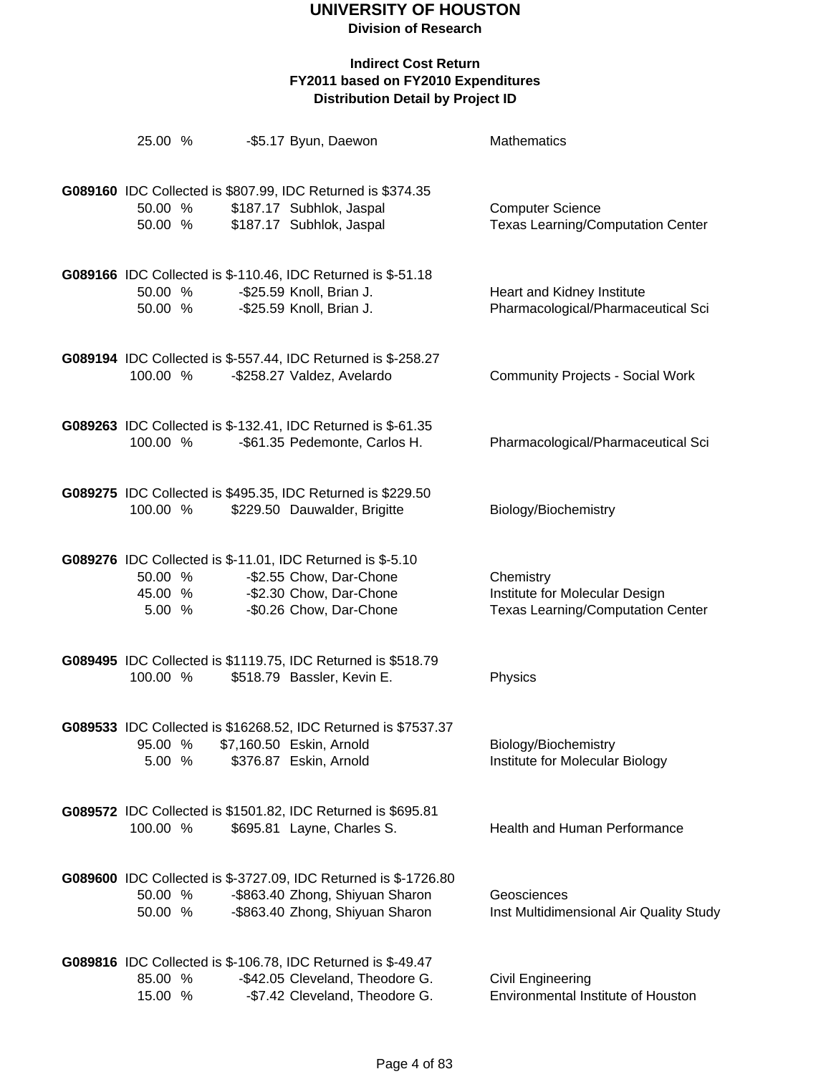**Division of Research**

| 25.00 %                      |  | -\$5.17 Byun, Daewon                                                                                                                        | <b>Mathematics</b>                                                                      |
|------------------------------|--|---------------------------------------------------------------------------------------------------------------------------------------------|-----------------------------------------------------------------------------------------|
| 50.00 %<br>50.00 %           |  | G089160 IDC Collected is \$807.99, IDC Returned is \$374.35<br>\$187.17 Subhlok, Jaspal<br>\$187.17 Subhlok, Jaspal                         | <b>Computer Science</b><br><b>Texas Learning/Computation Center</b>                     |
| 50.00 %<br>50.00 %           |  | G089166 IDC Collected is \$-110.46, IDC Returned is \$-51.18<br>-\$25.59 Knoll, Brian J.<br>-\$25.59 Knoll, Brian J.                        | Heart and Kidney Institute<br>Pharmacological/Pharmaceutical Sci                        |
| 100.00 %                     |  | G089194 IDC Collected is \$-557.44, IDC Returned is \$-258.27<br>-\$258.27 Valdez, Avelardo                                                 | <b>Community Projects - Social Work</b>                                                 |
| 100.00 %                     |  | G089263 IDC Collected is \$-132.41, IDC Returned is \$-61.35<br>-\$61.35 Pedemonte, Carlos H.                                               | Pharmacological/Pharmaceutical Sci                                                      |
| 100.00 %                     |  | G089275 IDC Collected is \$495.35, IDC Returned is \$229.50<br>\$229.50 Dauwalder, Brigitte                                                 | Biology/Biochemistry                                                                    |
| 50.00 %<br>45.00 %<br>5.00 % |  | G089276 IDC Collected is \$-11.01, IDC Returned is \$-5.10<br>-\$2.55 Chow, Dar-Chone<br>-\$2.30 Chow, Dar-Chone<br>-\$0.26 Chow, Dar-Chone | Chemistry<br>Institute for Molecular Design<br><b>Texas Learning/Computation Center</b> |
| 100.00 %                     |  | G089495 IDC Collected is \$1119.75, IDC Returned is \$518.79<br>\$518.79 Bassler, Kevin E.                                                  | Physics                                                                                 |
| 95.00 %<br>5.00 %            |  | G089533 IDC Collected is \$16268.52, IDC Returned is \$7537.37<br>\$7,160.50 Eskin, Arnold<br>\$376.87 Eskin, Arnold                        | Biology/Biochemistry<br>Institute for Molecular Biology                                 |
| 100.00 %                     |  | G089572 IDC Collected is \$1501.82, IDC Returned is \$695.81<br>\$695.81 Layne, Charles S.                                                  | <b>Health and Human Performance</b>                                                     |
| 50.00 %<br>50.00 %           |  | G089600 IDC Collected is \$-3727.09, IDC Returned is \$-1726.80<br>-\$863.40 Zhong, Shiyuan Sharon<br>-\$863.40 Zhong, Shiyuan Sharon       | Geosciences<br>Inst Multidimensional Air Quality Study                                  |
| 85.00 %<br>15.00 %           |  | G089816 IDC Collected is \$-106.78, IDC Returned is \$-49.47<br>-\$42.05 Cleveland, Theodore G.<br>-\$7.42 Cleveland, Theodore G.           | Civil Engineering<br>Environmental Institute of Houston                                 |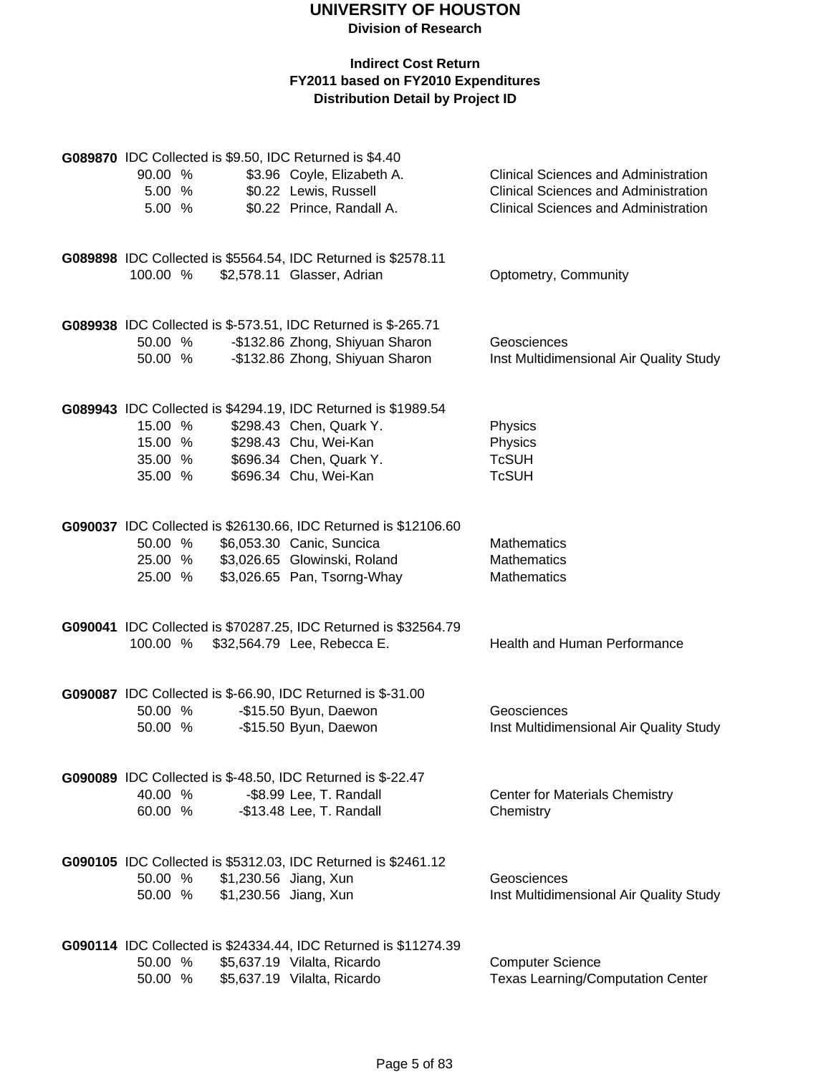| G089870 IDC Collected is \$9.50, IDC Returned is \$4.40 |  |                       |                                                                 |                                             |  |
|---------------------------------------------------------|--|-----------------------|-----------------------------------------------------------------|---------------------------------------------|--|
| 90.00 %                                                 |  |                       | \$3.96 Coyle, Elizabeth A.                                      | <b>Clinical Sciences and Administration</b> |  |
| 5.00 %                                                  |  |                       | \$0.22 Lewis, Russell                                           | <b>Clinical Sciences and Administration</b> |  |
| 5.00 %                                                  |  |                       | \$0.22 Prince, Randall A.                                       | <b>Clinical Sciences and Administration</b> |  |
|                                                         |  |                       |                                                                 |                                             |  |
|                                                         |  |                       |                                                                 |                                             |  |
|                                                         |  |                       | G089898 IDC Collected is \$5564.54, IDC Returned is \$2578.11   |                                             |  |
| 100.00 %                                                |  |                       | \$2,578.11 Glasser, Adrian                                      | Optometry, Community                        |  |
|                                                         |  |                       |                                                                 |                                             |  |
|                                                         |  |                       |                                                                 |                                             |  |
|                                                         |  |                       | G089938 IDC Collected is \$-573.51, IDC Returned is \$-265.71   |                                             |  |
| 50.00 %                                                 |  |                       | -\$132.86 Zhong, Shiyuan Sharon                                 | Geosciences                                 |  |
| 50.00 %                                                 |  |                       | -\$132.86 Zhong, Shiyuan Sharon                                 | Inst Multidimensional Air Quality Study     |  |
|                                                         |  |                       |                                                                 |                                             |  |
|                                                         |  |                       |                                                                 |                                             |  |
|                                                         |  |                       | G089943 IDC Collected is \$4294.19, IDC Returned is \$1989.54   |                                             |  |
| 15.00 %                                                 |  |                       | \$298.43 Chen, Quark Y.                                         | Physics                                     |  |
| 15.00 %                                                 |  |                       | \$298.43 Chu, Wei-Kan                                           | Physics                                     |  |
| 35.00 %                                                 |  |                       | \$696.34 Chen, Quark Y.                                         | <b>TcSUH</b>                                |  |
|                                                         |  |                       |                                                                 | <b>TcSUH</b>                                |  |
| 35.00 %                                                 |  |                       | \$696.34 Chu, Wei-Kan                                           |                                             |  |
|                                                         |  |                       |                                                                 |                                             |  |
|                                                         |  |                       |                                                                 |                                             |  |
|                                                         |  |                       | G090037 IDC Collected is \$26130.66, IDC Returned is \$12106.60 |                                             |  |
| 50.00 %                                                 |  |                       | \$6,053.30 Canic, Suncica                                       | <b>Mathematics</b>                          |  |
| 25.00 %                                                 |  |                       | \$3,026.65 Glowinski, Roland                                    | Mathematics                                 |  |
| 25.00 %                                                 |  |                       | \$3,026.65 Pan, Tsorng-Whay                                     | Mathematics                                 |  |
|                                                         |  |                       |                                                                 |                                             |  |
|                                                         |  |                       | G090041 IDC Collected is \$70287.25, IDC Returned is \$32564.79 |                                             |  |
| 100.00 %                                                |  |                       | \$32,564.79 Lee, Rebecca E.                                     | Health and Human Performance                |  |
|                                                         |  |                       |                                                                 |                                             |  |
|                                                         |  |                       |                                                                 |                                             |  |
|                                                         |  |                       | G090087 IDC Collected is \$-66.90, IDC Returned is \$-31.00     |                                             |  |
| 50.00 %                                                 |  |                       | -\$15.50 Byun, Daewon                                           | Geosciences                                 |  |
| 50.00 %                                                 |  |                       |                                                                 |                                             |  |
|                                                         |  |                       | -\$15.50 Byun, Daewon                                           | Inst Multidimensional Air Quality Study     |  |
|                                                         |  |                       |                                                                 |                                             |  |
|                                                         |  |                       | G090089 IDC Collected is \$-48.50, IDC Returned is \$-22.47     |                                             |  |
| 40.00 %                                                 |  |                       | -\$8.99 Lee, T. Randall                                         | <b>Center for Materials Chemistry</b>       |  |
|                                                         |  |                       |                                                                 |                                             |  |
| 60.00 %                                                 |  |                       | -\$13.48 Lee, T. Randall                                        | Chemistry                                   |  |
|                                                         |  |                       |                                                                 |                                             |  |
|                                                         |  |                       |                                                                 |                                             |  |
|                                                         |  |                       | G090105 IDC Collected is \$5312.03, IDC Returned is \$2461.12   |                                             |  |
| 50.00 %                                                 |  | \$1,230.56 Jiang, Xun |                                                                 | Geosciences                                 |  |
| 50.00 %                                                 |  | \$1,230.56 Jiang, Xun |                                                                 | Inst Multidimensional Air Quality Study     |  |
|                                                         |  |                       |                                                                 |                                             |  |
|                                                         |  |                       |                                                                 |                                             |  |
|                                                         |  |                       | G090114 IDC Collected is \$24334.44, IDC Returned is \$11274.39 |                                             |  |
| 50.00 %                                                 |  |                       | \$5,637.19 Vilalta, Ricardo                                     | <b>Computer Science</b>                     |  |
| 50.00 %                                                 |  |                       | \$5,637.19 Vilalta, Ricardo                                     | <b>Texas Learning/Computation Center</b>    |  |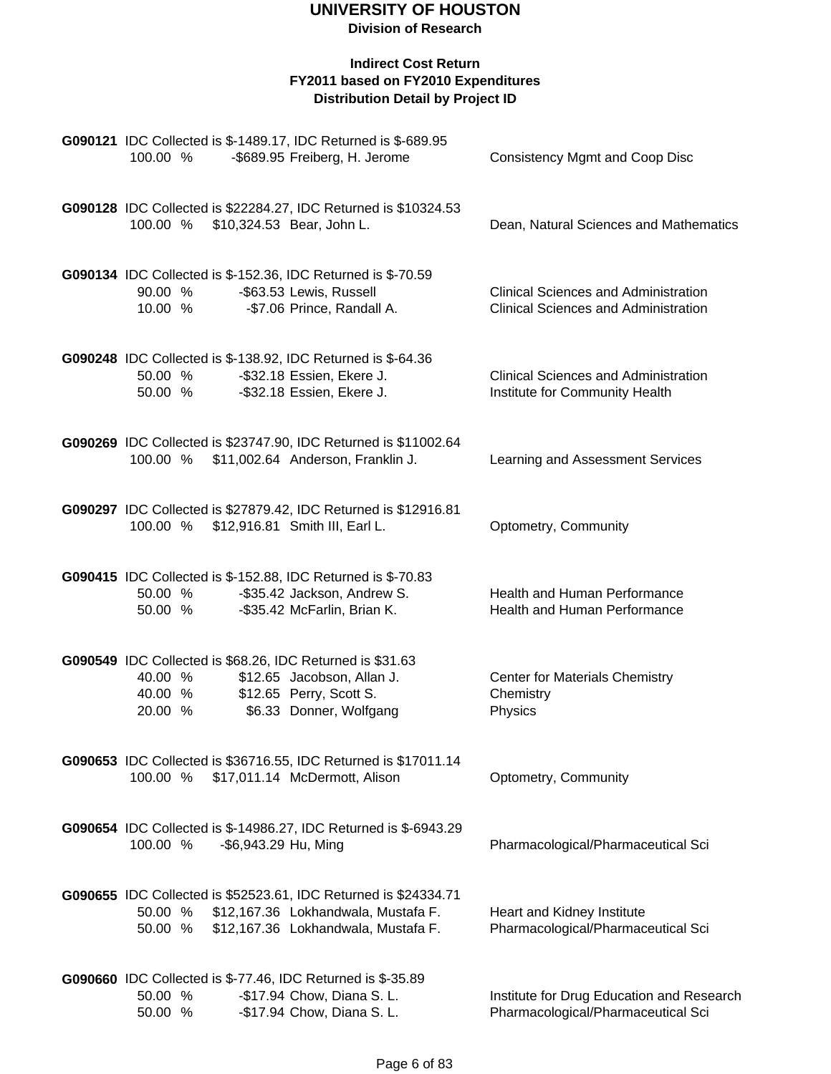| G090121 IDC Collected is \$-1489.17, IDC Returned is \$-689.95<br>100.00 %<br>-\$689.95 Freiberg, H. Jerome                                                                    | <b>Consistency Mgmt and Coop Disc</b>                                                      |
|--------------------------------------------------------------------------------------------------------------------------------------------------------------------------------|--------------------------------------------------------------------------------------------|
| G090128 IDC Collected is \$22284.27, IDC Returned is \$10324.53<br>100.00 % \$10,324.53 Bear, John L.                                                                          | Dean, Natural Sciences and Mathematics                                                     |
| G090134 IDC Collected is \$-152.36, IDC Returned is \$-70.59<br>90.00 %<br>-\$63.53 Lewis, Russell<br>10.00 %<br>-\$7.06 Prince, Randall A.                                    | <b>Clinical Sciences and Administration</b><br><b>Clinical Sciences and Administration</b> |
| G090248 IDC Collected is \$-138.92, IDC Returned is \$-64.36<br>50.00 %<br>-\$32.18 Essien, Ekere J.<br>50.00 %<br>-\$32.18 Essien, Ekere J.                                   | <b>Clinical Sciences and Administration</b><br>Institute for Community Health              |
| G090269 IDC Collected is \$23747.90, IDC Returned is \$11002.64<br>100.00 %<br>\$11,002.64 Anderson, Franklin J.                                                               | Learning and Assessment Services                                                           |
| G090297 IDC Collected is \$27879.42, IDC Returned is \$12916.81<br>100.00 % \$12,916.81 Smith III, Earl L.                                                                     | Optometry, Community                                                                       |
| G090415 IDC Collected is \$-152.88, IDC Returned is \$-70.83<br>50.00 %<br>-\$35.42 Jackson, Andrew S.<br>50.00 %<br>-\$35.42 McFarlin, Brian K.                               | <b>Health and Human Performance</b><br>Health and Human Performance                        |
| G090549 IDC Collected is \$68.26, IDC Returned is \$31.63<br>\$12.65 Jacobson, Allan J.<br>40.00 %<br>\$12.65 Perry, Scott S.<br>40.00 %<br>\$6.33 Donner, Wolfgang<br>20.00 % | <b>Center for Materials Chemistry</b><br>Chemistry<br>Physics                              |
| G090653 IDC Collected is \$36716.55, IDC Returned is \$17011.14<br>\$17,011.14 McDermott, Alison<br>100.00 %                                                                   | Optometry, Community                                                                       |
| G090654 IDC Collected is \$-14986.27, IDC Returned is \$-6943.29<br>-\$6,943.29 Hu, Ming<br>100.00 %                                                                           | Pharmacological/Pharmaceutical Sci                                                         |
| G090655 IDC Collected is \$52523.61, IDC Returned is \$24334.71<br>50.00 %<br>\$12,167.36 Lokhandwala, Mustafa F.<br>\$12,167.36 Lokhandwala, Mustafa F.<br>50.00 %            | Heart and Kidney Institute<br>Pharmacological/Pharmaceutical Sci                           |
| <b>G090660</b> IDC Collected is \$-77.46, IDC Returned is \$-35.89<br>50.00 %<br>-\$17.94 Chow, Diana S. L.<br>50.00 %<br>-\$17.94 Chow, Diana S. L.                           | Institute for Drug Education and Research<br>Pharmacological/Pharmaceutical Sci            |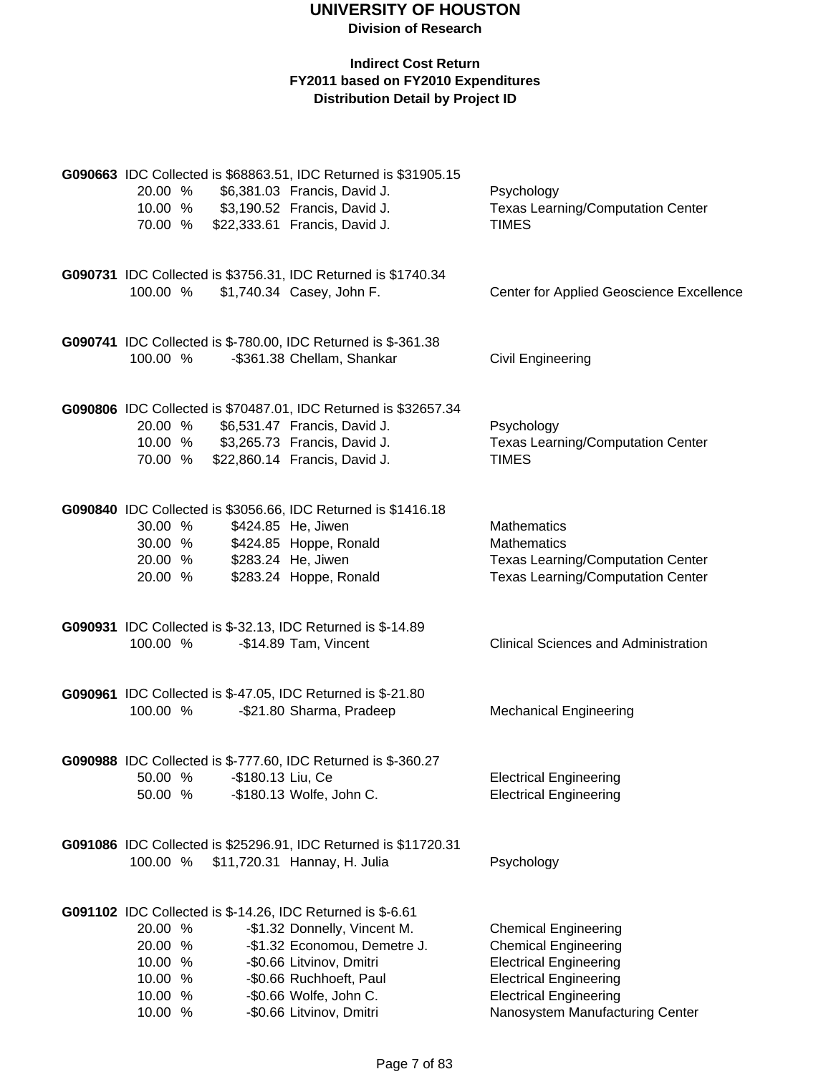| 20.00 %<br>10.00 % \$3,190.52 Francis, David J.<br>70.00 % \$22,333.61 Francis, David J.                                            | G090663 IDC Collected is \$68863.51, IDC Returned is \$31905.15<br>\$6,381.03 Francis, David J.                                                                           | Psychology<br><b>Texas Learning/Computation Center</b><br><b>TIMES</b>                                                                                                                           |
|-------------------------------------------------------------------------------------------------------------------------------------|---------------------------------------------------------------------------------------------------------------------------------------------------------------------------|--------------------------------------------------------------------------------------------------------------------------------------------------------------------------------------------------|
| 100.00 %                                                                                                                            | G090731 IDC Collected is \$3756.31, IDC Returned is \$1740.34<br>\$1,740.34 Casey, John F.                                                                                | Center for Applied Geoscience Excellence                                                                                                                                                         |
| G090741 IDC Collected is \$-780.00, IDC Returned is \$-361.38<br>100.00 %                                                           | -\$361.38 Chellam, Shankar                                                                                                                                                | Civil Engineering                                                                                                                                                                                |
| 20.00 %<br>10.00 % \$3,265.73 Francis, David J.<br>70.00 % \$22,860.14 Francis, David J.                                            | G090806 IDC Collected is \$70487.01, IDC Returned is \$32657.34<br>\$6,531.47 Francis, David J.                                                                           | Psychology<br><b>Texas Learning/Computation Center</b><br><b>TIMES</b>                                                                                                                           |
| 30.00 %<br>30.00 %<br>20.00 %<br>20.00 %                                                                                            | G090840 IDC Collected is \$3056.66, IDC Returned is \$1416.18<br>\$424.85 He, Jiwen<br>\$424.85 Hoppe, Ronald<br>\$283.24 He, Jiwen<br>\$283.24 Hoppe, Ronald             | Mathematics<br><b>Mathematics</b><br><b>Texas Learning/Computation Center</b><br><b>Texas Learning/Computation Center</b>                                                                        |
| G090931 IDC Collected is \$-32.13, IDC Returned is \$-14.89<br>100.00 %                                                             | -\$14.89 Tam, Vincent                                                                                                                                                     | <b>Clinical Sciences and Administration</b>                                                                                                                                                      |
| <b>G090961</b> IDC Collected is \$-47.05, IDC Returned is \$-21.80<br>100.00 %                                                      | -\$21.80 Sharma, Pradeep                                                                                                                                                  | <b>Mechanical Engineering</b>                                                                                                                                                                    |
| G090988 IDC Collected is \$-777.60, IDC Returned is \$-360.27<br>50.00 %<br>50.00 %                                                 | -\$180.13 Liu, Ce<br>-\$180.13 Wolfe, John C.                                                                                                                             | <b>Electrical Engineering</b><br><b>Electrical Engineering</b>                                                                                                                                   |
| 100.00 %                                                                                                                            | G091086 IDC Collected is \$25296.91, IDC Returned is \$11720.31<br>\$11,720.31 Hannay, H. Julia                                                                           | Psychology                                                                                                                                                                                       |
| <b>G091102</b> IDC Collected is \$-14.26, IDC Returned is \$-6.61<br>20.00 %<br>20.00 %<br>10.00 %<br>10.00 %<br>10.00 %<br>10.00 % | -\$1.32 Donnelly, Vincent M.<br>-\$1.32 Economou, Demetre J.<br>-\$0.66 Litvinov, Dmitri<br>-\$0.66 Ruchhoeft, Paul<br>-\$0.66 Wolfe, John C.<br>-\$0.66 Litvinov, Dmitri | <b>Chemical Engineering</b><br><b>Chemical Engineering</b><br><b>Electrical Engineering</b><br><b>Electrical Engineering</b><br><b>Electrical Engineering</b><br>Nanosystem Manufacturing Center |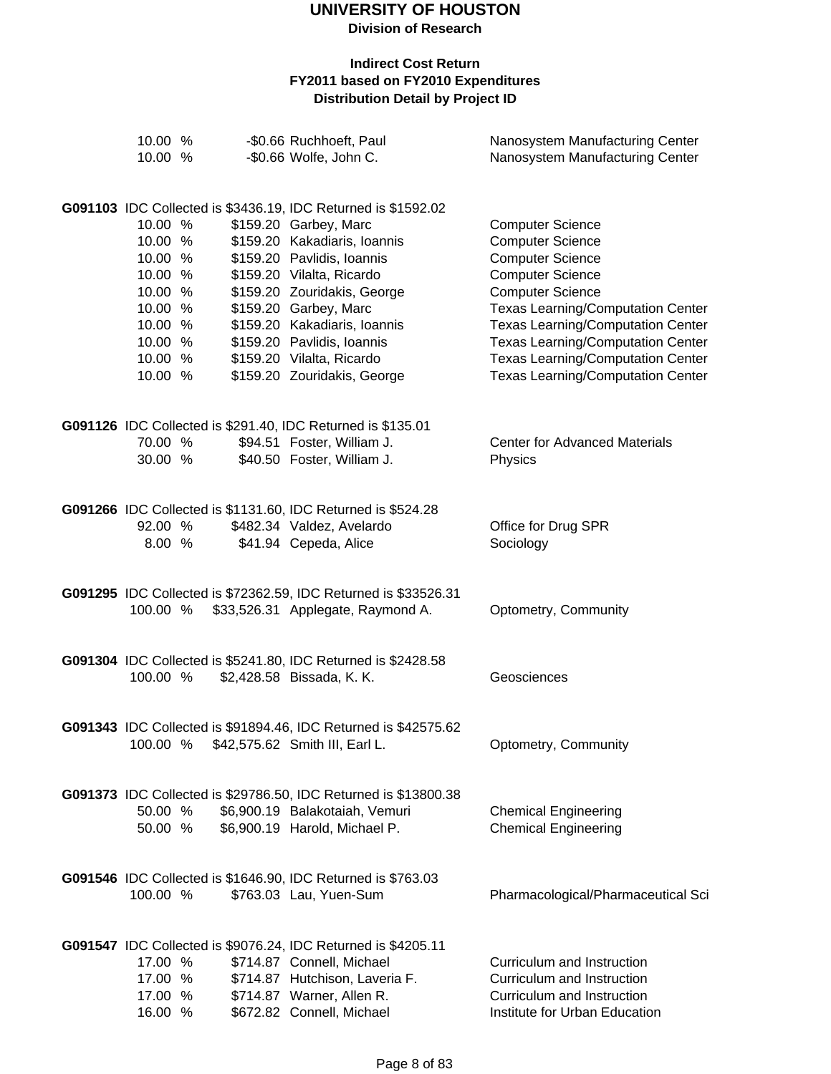| 10.00 %<br>10.00 % |  | -\$0.66 Ruchhoeft, Paul<br>-\$0.66 Wolfe, John C.               | Nanosystem Manufacturing Center<br>Nanosystem Manufacturing Center |
|--------------------|--|-----------------------------------------------------------------|--------------------------------------------------------------------|
|                    |  |                                                                 |                                                                    |
|                    |  | G091103 IDC Collected is \$3436.19, IDC Returned is \$1592.02   |                                                                    |
| 10.00 %            |  | \$159.20 Garbey, Marc                                           | <b>Computer Science</b>                                            |
| 10.00 %            |  | \$159.20 Kakadiaris, Ioannis                                    | <b>Computer Science</b>                                            |
| 10.00 %            |  | \$159.20 Pavlidis, Ioannis                                      | <b>Computer Science</b>                                            |
| 10.00 %            |  | \$159.20 Vilalta, Ricardo                                       | <b>Computer Science</b>                                            |
| 10.00 %            |  | \$159.20 Zouridakis, George                                     | <b>Computer Science</b>                                            |
| 10.00 %            |  | \$159.20 Garbey, Marc                                           | Texas Learning/Computation Center                                  |
| 10.00 %            |  | \$159.20 Kakadiaris, Ioannis                                    | Texas Learning/Computation Center                                  |
| 10.00 %            |  | \$159.20 Pavlidis, Ioannis                                      | <b>Texas Learning/Computation Center</b>                           |
| 10.00 %            |  | \$159.20 Vilalta, Ricardo                                       | <b>Texas Learning/Computation Center</b>                           |
| 10.00 %            |  | \$159.20 Zouridakis, George                                     | <b>Texas Learning/Computation Center</b>                           |
|                    |  |                                                                 |                                                                    |
|                    |  | G091126 IDC Collected is \$291.40, IDC Returned is \$135.01     |                                                                    |
| 70.00 %            |  | \$94.51 Foster, William J.                                      | <b>Center for Advanced Materials</b>                               |
| 30.00 %            |  | \$40.50 Foster, William J.                                      | Physics                                                            |
|                    |  | G091266 IDC Collected is \$1131.60, IDC Returned is \$524.28    |                                                                    |
| 92.00 %            |  | \$482.34 Valdez, Avelardo                                       | Office for Drug SPR                                                |
| 8.00 %             |  | \$41.94 Cepeda, Alice                                           | Sociology                                                          |
|                    |  |                                                                 |                                                                    |
|                    |  | G091295 IDC Collected is \$72362.59, IDC Returned is \$33526.31 |                                                                    |
| 100.00 %           |  | \$33,526.31 Applegate, Raymond A.                               | Optometry, Community                                               |
|                    |  |                                                                 |                                                                    |
|                    |  | G091304 IDC Collected is \$5241.80, IDC Returned is \$2428.58   |                                                                    |
| 100.00 %           |  | \$2,428.58 Bissada, K. K.                                       | Geosciences                                                        |
|                    |  |                                                                 |                                                                    |
|                    |  | G091343 IDC Collected is \$91894.46, IDC Returned is \$42575.62 |                                                                    |
| 100.00 %           |  | \$42,575.62 Smith III, Earl L.                                  | Optometry, Community                                               |
|                    |  |                                                                 |                                                                    |
|                    |  | G091373 IDC Collected is \$29786.50, IDC Returned is \$13800.38 |                                                                    |
| 50.00 %            |  | \$6,900.19 Balakotaiah, Vemuri                                  | <b>Chemical Engineering</b>                                        |
| 50.00 %            |  | \$6,900.19 Harold, Michael P.                                   | <b>Chemical Engineering</b>                                        |
|                    |  |                                                                 |                                                                    |
|                    |  | G091546 IDC Collected is \$1646.90, IDC Returned is \$763.03    |                                                                    |
| 100.00 %           |  | \$763.03 Lau, Yuen-Sum                                          | Pharmacological/Pharmaceutical Sci                                 |
|                    |  |                                                                 |                                                                    |
|                    |  | G091547 IDC Collected is \$9076.24, IDC Returned is \$4205.11   |                                                                    |
| 17.00 %            |  | \$714.87 Connell, Michael                                       | Curriculum and Instruction                                         |
| 17.00 %            |  | \$714.87 Hutchison, Laveria F.                                  | Curriculum and Instruction                                         |
| 17.00 %            |  | \$714.87 Warner, Allen R.                                       | Curriculum and Instruction                                         |
| 16.00 %            |  | \$672.82 Connell, Michael                                       | Institute for Urban Education                                      |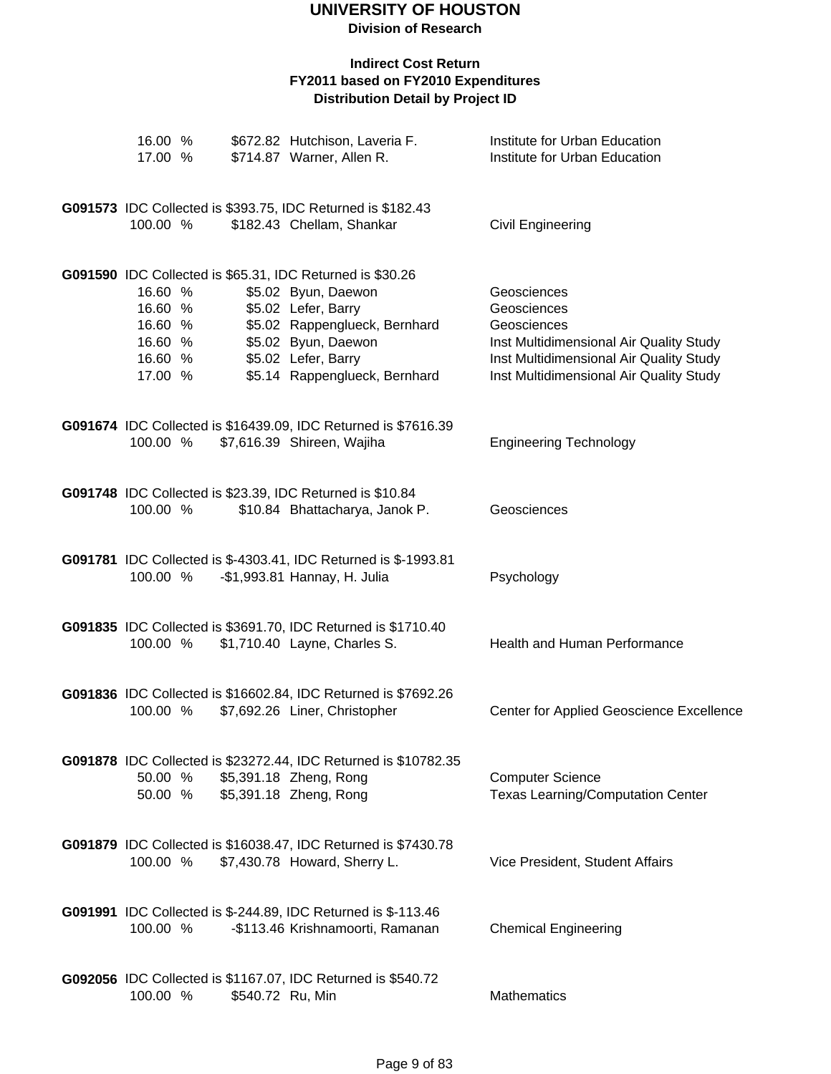**Division of Research**

| 16.00 %<br>17.00 %                                             |                  | \$672.82 Hutchison, Laveria F.<br>\$714.87 Warner, Allen R.                                                                                                                                                             | Institute for Urban Education<br>Institute for Urban Education                                                                                                             |
|----------------------------------------------------------------|------------------|-------------------------------------------------------------------------------------------------------------------------------------------------------------------------------------------------------------------------|----------------------------------------------------------------------------------------------------------------------------------------------------------------------------|
| 100.00 %                                                       |                  | G091573 IDC Collected is \$393.75, IDC Returned is \$182.43<br>\$182.43 Chellam, Shankar                                                                                                                                | Civil Engineering                                                                                                                                                          |
| 16.60 %<br>16.60 %<br>16.60 %<br>16.60 %<br>16.60 %<br>17.00 % |                  | G091590 IDC Collected is \$65.31, IDC Returned is \$30.26<br>\$5.02 Byun, Daewon<br>\$5.02 Lefer, Barry<br>\$5.02 Rappenglueck, Bernhard<br>\$5.02 Byun, Daewon<br>\$5.02 Lefer, Barry<br>\$5.14 Rappenglueck, Bernhard | Geosciences<br>Geosciences<br>Geosciences<br>Inst Multidimensional Air Quality Study<br>Inst Multidimensional Air Quality Study<br>Inst Multidimensional Air Quality Study |
| 100.00 %                                                       |                  | G091674 IDC Collected is \$16439.09, IDC Returned is \$7616.39<br>\$7,616.39 Shireen, Wajiha                                                                                                                            | <b>Engineering Technology</b>                                                                                                                                              |
| 100.00 %                                                       |                  | G091748 IDC Collected is \$23.39, IDC Returned is \$10.84<br>\$10.84 Bhattacharya, Janok P.                                                                                                                             | Geosciences                                                                                                                                                                |
| 100.00 %                                                       |                  | G091781 IDC Collected is \$-4303.41, IDC Returned is \$-1993.81<br>-\$1,993.81 Hannay, H. Julia                                                                                                                         | Psychology                                                                                                                                                                 |
| 100.00 %                                                       |                  | G091835 IDC Collected is \$3691.70, IDC Returned is \$1710.40<br>\$1,710.40 Layne, Charles S.                                                                                                                           | Health and Human Performance                                                                                                                                               |
| 100.00 %                                                       |                  | G091836 IDC Collected is \$16602.84, IDC Returned is \$7692.26<br>\$7,692.26 Liner, Christopher                                                                                                                         | Center for Applied Geoscience Excellence                                                                                                                                   |
| 50.00 %                                                        |                  | G091878 IDC Collected is \$23272.44, IDC Returned is \$10782.35<br>\$5,391.18 Zheng, Rong<br>50.00 % \$5,391.18 Zheng, Rong                                                                                             | <b>Computer Science</b><br><b>Texas Learning/Computation Center</b>                                                                                                        |
| 100.00 %                                                       |                  | G091879 IDC Collected is \$16038.47, IDC Returned is \$7430.78<br>\$7,430.78 Howard, Sherry L.                                                                                                                          | Vice President, Student Affairs                                                                                                                                            |
| 100.00 %                                                       |                  | G091991 IDC Collected is \$-244.89, IDC Returned is \$-113.46<br>-\$113.46 Krishnamoorti, Ramanan                                                                                                                       | <b>Chemical Engineering</b>                                                                                                                                                |
| 100.00 %                                                       | \$540.72 Ru, Min | G092056 IDC Collected is \$1167.07, IDC Returned is \$540.72                                                                                                                                                            | Mathematics                                                                                                                                                                |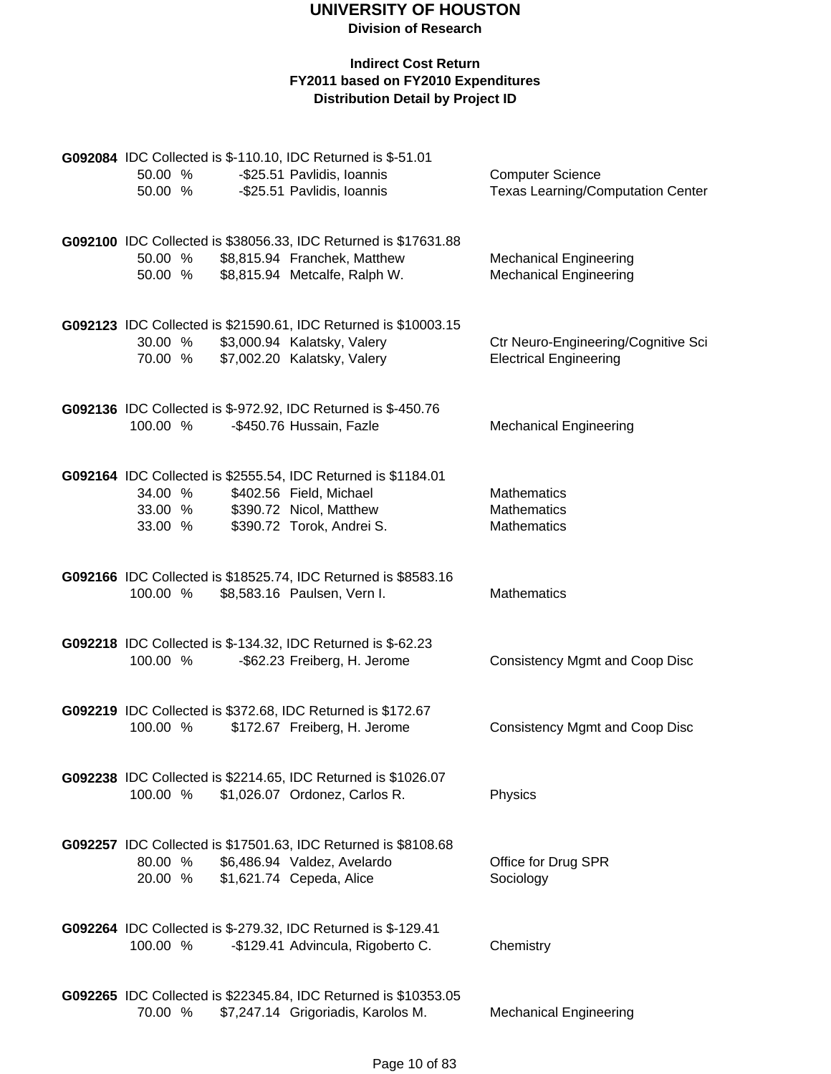| 50.00 %<br>50.00 %            |  | G092084 IDC Collected is \$-110.10, IDC Returned is \$-51.01<br>-\$25.51 Pavlidis, Ioannis<br>-\$25.51 Pavlidis, Ioannis                         | <b>Computer Science</b><br><b>Texas Learning/Computation Center</b>  |
|-------------------------------|--|--------------------------------------------------------------------------------------------------------------------------------------------------|----------------------------------------------------------------------|
| 50.00 %<br>50.00 %            |  | G092100 IDC Collected is \$38056.33, IDC Returned is \$17631.88<br>\$8,815.94 Franchek, Matthew<br>\$8,815.94 Metcalfe, Ralph W.                 | <b>Mechanical Engineering</b><br><b>Mechanical Engineering</b>       |
| 30.00 %<br>70.00 %            |  | G092123 IDC Collected is \$21590.61, IDC Returned is \$10003.15<br>\$3,000.94 Kalatsky, Valery<br>\$7,002.20 Kalatsky, Valery                    | Ctr Neuro-Engineering/Cognitive Sci<br><b>Electrical Engineering</b> |
| 100.00 %                      |  | G092136 IDC Collected is \$-972.92, IDC Returned is \$-450.76<br>-\$450.76 Hussain, Fazle                                                        | <b>Mechanical Engineering</b>                                        |
| 34.00 %<br>33.00 %<br>33.00 % |  | G092164 IDC Collected is \$2555.54, IDC Returned is \$1184.01<br>\$402.56 Field, Michael<br>\$390.72 Nicol, Matthew<br>\$390.72 Torok, Andrei S. | <b>Mathematics</b><br><b>Mathematics</b><br><b>Mathematics</b>       |
| 100.00 %                      |  | G092166 IDC Collected is \$18525.74, IDC Returned is \$8583.16<br>\$8,583.16 Paulsen, Vern I.                                                    | <b>Mathematics</b>                                                   |
| 100.00 %                      |  | G092218 IDC Collected is \$-134.32, IDC Returned is \$-62.23<br>-\$62.23 Freiberg, H. Jerome                                                     | <b>Consistency Mgmt and Coop Disc</b>                                |
| 100.00 %                      |  | G092219 IDC Collected is \$372.68, IDC Returned is \$172.67<br>\$172.67 Freiberg, H. Jerome                                                      | <b>Consistency Mgmt and Coop Disc</b>                                |
| 100.00 %                      |  | G092238 IDC Collected is \$2214.65, IDC Returned is \$1026.07<br>\$1,026.07 Ordonez, Carlos R.                                                   | Physics                                                              |
| 80.00 %<br>20.00 %            |  | G092257 IDC Collected is \$17501.63, IDC Returned is \$8108.68<br>\$6,486.94 Valdez, Avelardo<br>\$1,621.74 Cepeda, Alice                        | Office for Drug SPR<br>Sociology                                     |
| 100.00 %                      |  | G092264 IDC Collected is \$-279.32, IDC Returned is \$-129.41<br>-\$129.41 Advincula, Rigoberto C.                                               | Chemistry                                                            |
| 70.00 %                       |  | G092265 IDC Collected is \$22345.84, IDC Returned is \$10353.05<br>\$7,247.14 Grigoriadis, Karolos M.                                            | <b>Mechanical Engineering</b>                                        |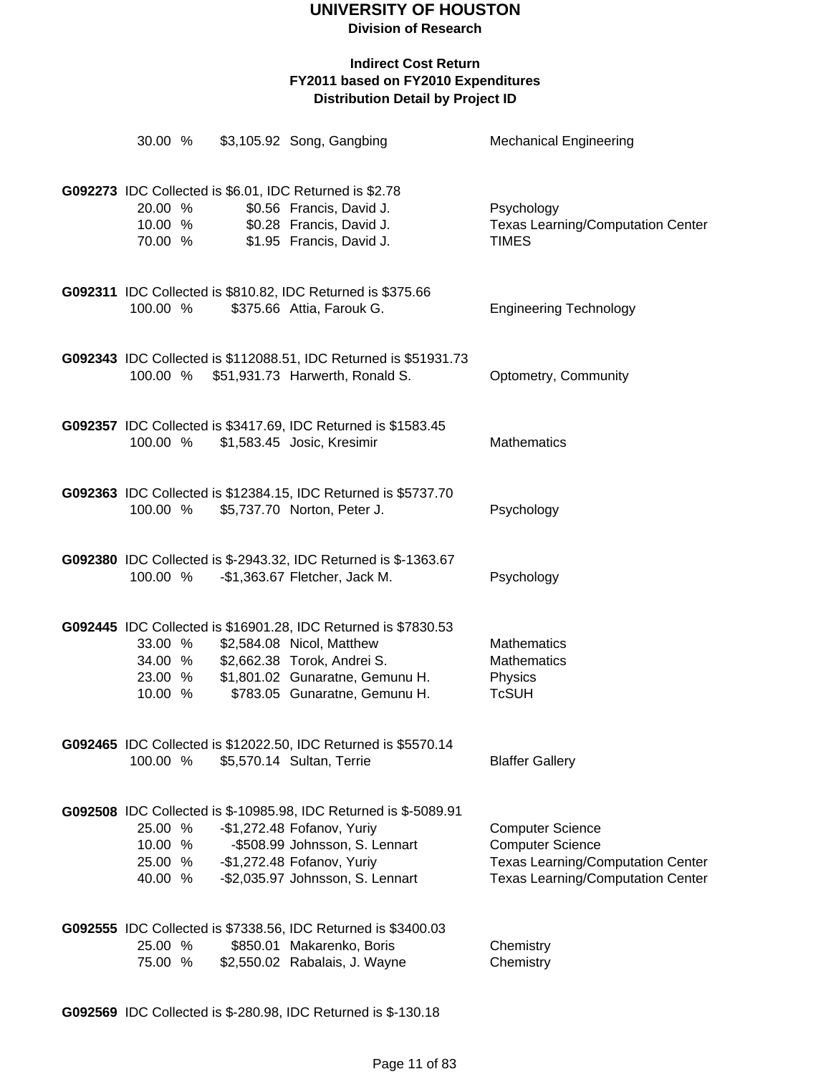**Division of Research**

### **Indirect Cost Return FY2011 based on FY2010 Expenditures Distribution Detail by Project ID**

| 30.00 %                                  |  | \$3,105.92 Song, Gangbing                                                                                                                                                                          | <b>Mechanical Engineering</b>                                                                                                              |
|------------------------------------------|--|----------------------------------------------------------------------------------------------------------------------------------------------------------------------------------------------------|--------------------------------------------------------------------------------------------------------------------------------------------|
| 20.00 %<br>10.00 %<br>70.00 %            |  | G092273 IDC Collected is \$6.01, IDC Returned is \$2.78<br>\$0.56 Francis, David J.<br>\$0.28 Francis, David J.<br>\$1.95 Francis, David J.                                                        | Psychology<br><b>Texas Learning/Computation Center</b><br><b>TIMES</b>                                                                     |
| 100.00 %                                 |  | G092311 IDC Collected is \$810.82, IDC Returned is \$375.66<br>\$375.66 Attia, Farouk G.                                                                                                           | <b>Engineering Technology</b>                                                                                                              |
|                                          |  | G092343 IDC Collected is \$112088.51, IDC Returned is \$51931.73<br>100.00 % \$51,931.73 Harwerth, Ronald S.                                                                                       | Optometry, Community                                                                                                                       |
| 100.00 %                                 |  | G092357 IDC Collected is \$3417.69, IDC Returned is \$1583.45<br>\$1,583.45 Josic, Kresimir                                                                                                        | <b>Mathematics</b>                                                                                                                         |
| 100.00 %                                 |  | G092363 IDC Collected is \$12384.15, IDC Returned is \$5737.70<br>\$5,737.70 Norton, Peter J.                                                                                                      | Psychology                                                                                                                                 |
| 100.00 %                                 |  | G092380 IDC Collected is \$-2943.32, IDC Returned is \$-1363.67<br>-\$1,363.67 Fletcher, Jack M.                                                                                                   | Psychology                                                                                                                                 |
| 33.00 %<br>34.00 %<br>23.00 %<br>10.00 % |  | G092445 IDC Collected is \$16901.28, IDC Returned is \$7830.53<br>\$2,584.08 Nicol, Matthew<br>\$2,662.38 Torok, Andrei S.<br>\$1,801.02 Gunaratne, Gemunu H.<br>\$783.05 Gunaratne, Gemunu H.     | <b>Mathematics</b><br>Mathematics<br>Physics<br><b>TcSUH</b>                                                                               |
| 100.00 %                                 |  | G092465 IDC Collected is \$12022.50, IDC Returned is \$5570.14<br>\$5,570.14 Sultan, Terrie                                                                                                        | <b>Blaffer Gallery</b>                                                                                                                     |
| 25.00 %<br>10.00 %<br>25.00 %<br>40.00 % |  | G092508 IDC Collected is \$-10985.98, IDC Returned is \$-5089.91<br>-\$1,272.48 Fofanov, Yuriy<br>-\$508.99 Johnsson, S. Lennart<br>-\$1,272.48 Fofanov, Yuriy<br>-\$2,035.97 Johnsson, S. Lennart | <b>Computer Science</b><br><b>Computer Science</b><br><b>Texas Learning/Computation Center</b><br><b>Texas Learning/Computation Center</b> |
| 25.00 %<br>75.00 %                       |  | G092555 IDC Collected is \$7338.56, IDC Returned is \$3400.03<br>\$850.01 Makarenko, Boris<br>\$2,550.02 Rabalais, J. Wayne                                                                        | Chemistry<br>Chemistry                                                                                                                     |

**G092569** IDC Collected is \$-280.98, IDC Returned is \$-130.18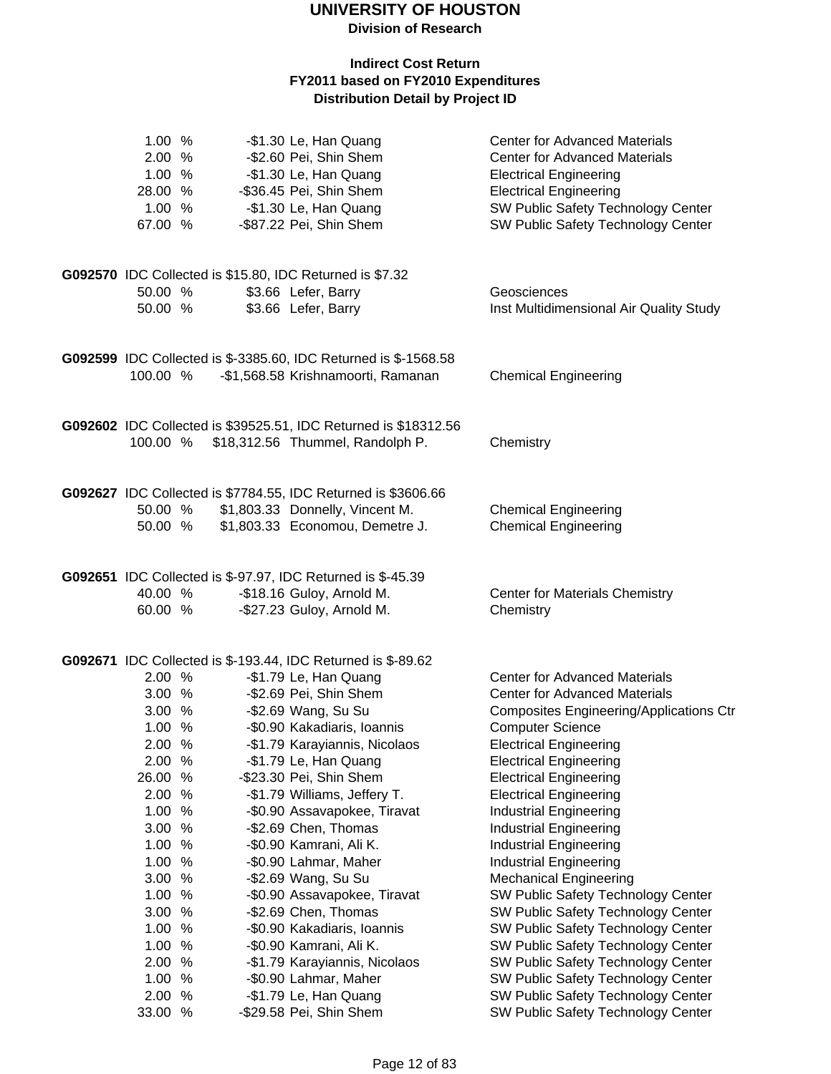**Division of Research**

| 1.00 %<br>2.00 %<br>1.00 %<br>28.00 %<br>1.00 %<br>67.00 %                                                                                                                               | -\$1.30 Le, Han Quang<br>-\$2.60 Pei, Shin Shem<br>-\$1.30 Le, Han Quang<br>-\$36.45 Pei, Shin Shem<br>-\$1.30 Le, Han Quang<br>-\$87.22 Pei, Shin Shem                                                                                                                                                                                                                                                                                                                                                                                                                                                   | <b>Center for Advanced Materials</b><br><b>Center for Advanced Materials</b><br><b>Electrical Engineering</b><br><b>Electrical Engineering</b><br>SW Public Safety Technology Center<br>SW Public Safety Technology Center                                                                                                                                                                                                                                                                                                                                                                                                                                                                             |
|------------------------------------------------------------------------------------------------------------------------------------------------------------------------------------------|-----------------------------------------------------------------------------------------------------------------------------------------------------------------------------------------------------------------------------------------------------------------------------------------------------------------------------------------------------------------------------------------------------------------------------------------------------------------------------------------------------------------------------------------------------------------------------------------------------------|--------------------------------------------------------------------------------------------------------------------------------------------------------------------------------------------------------------------------------------------------------------------------------------------------------------------------------------------------------------------------------------------------------------------------------------------------------------------------------------------------------------------------------------------------------------------------------------------------------------------------------------------------------------------------------------------------------|
| 50.00 %<br>50.00 %                                                                                                                                                                       | G092570 IDC Collected is \$15.80, IDC Returned is \$7.32<br>\$3.66 Lefer, Barry<br>\$3.66 Lefer, Barry                                                                                                                                                                                                                                                                                                                                                                                                                                                                                                    | Geosciences<br>Inst Multidimensional Air Quality Study                                                                                                                                                                                                                                                                                                                                                                                                                                                                                                                                                                                                                                                 |
| 100.00 %                                                                                                                                                                                 | G092599 IDC Collected is \$-3385.60, IDC Returned is \$-1568.58<br>-\$1,568.58 Krishnamoorti, Ramanan                                                                                                                                                                                                                                                                                                                                                                                                                                                                                                     | <b>Chemical Engineering</b>                                                                                                                                                                                                                                                                                                                                                                                                                                                                                                                                                                                                                                                                            |
| 100.00 %                                                                                                                                                                                 | G092602 IDC Collected is \$39525.51, IDC Returned is \$18312.56<br>\$18,312.56 Thummel, Randolph P.                                                                                                                                                                                                                                                                                                                                                                                                                                                                                                       | Chemistry                                                                                                                                                                                                                                                                                                                                                                                                                                                                                                                                                                                                                                                                                              |
| 50.00 %<br>50.00 %                                                                                                                                                                       | G092627 IDC Collected is \$7784.55, IDC Returned is \$3606.66<br>\$1,803.33 Donnelly, Vincent M.<br>\$1,803.33 Economou, Demetre J.                                                                                                                                                                                                                                                                                                                                                                                                                                                                       | <b>Chemical Engineering</b><br><b>Chemical Engineering</b>                                                                                                                                                                                                                                                                                                                                                                                                                                                                                                                                                                                                                                             |
| 40.00 %<br>60.00 %                                                                                                                                                                       | G092651 IDC Collected is \$-97.97, IDC Returned is \$-45.39<br>-\$18.16 Guloy, Arnold M.<br>-\$27.23 Guloy, Arnold M.                                                                                                                                                                                                                                                                                                                                                                                                                                                                                     | <b>Center for Materials Chemistry</b><br>Chemistry                                                                                                                                                                                                                                                                                                                                                                                                                                                                                                                                                                                                                                                     |
| 2.00%<br>3.00%<br>3.00%<br>1.00 %<br>2.00 %<br>2.00 %<br>26.00 %<br>2.00 %<br>1.00 %<br>3.00 %<br>1.00 %<br>1.00 %<br>3.00 %<br>1.00 %<br>3.00 %<br>1.00 %<br>1.00 %<br>2.00 %<br>1.00 % | G092671 IDC Collected is \$-193.44, IDC Returned is \$-89.62<br>-\$1.79 Le, Han Quang<br>-\$2.69 Pei, Shin Shem<br>-\$2.69 Wang, Su Su<br>-\$0.90 Kakadiaris, Ioannis<br>-\$1.79 Karayiannis, Nicolaos<br>-\$1.79 Le, Han Quang<br>-\$23.30 Pei, Shin Shem<br>-\$1.79 Williams, Jeffery T.<br>-\$0.90 Assavapokee, Tiravat<br>-\$2.69 Chen, Thomas<br>-\$0.90 Kamrani, Ali K.<br>-\$0.90 Lahmar, Maher<br>-\$2.69 Wang, Su Su<br>-\$0.90 Assavapokee, Tiravat<br>-\$2.69 Chen, Thomas<br>-\$0.90 Kakadiaris, Ioannis<br>-\$0.90 Kamrani, Ali K.<br>-\$1.79 Karayiannis, Nicolaos<br>-\$0.90 Lahmar, Maher | <b>Center for Advanced Materials</b><br><b>Center for Advanced Materials</b><br><b>Composites Engineering/Applications Ctr</b><br><b>Computer Science</b><br><b>Electrical Engineering</b><br><b>Electrical Engineering</b><br><b>Electrical Engineering</b><br><b>Electrical Engineering</b><br><b>Industrial Engineering</b><br><b>Industrial Engineering</b><br><b>Industrial Engineering</b><br><b>Industrial Engineering</b><br><b>Mechanical Engineering</b><br>SW Public Safety Technology Center<br>SW Public Safety Technology Center<br>SW Public Safety Technology Center<br>SW Public Safety Technology Center<br>SW Public Safety Technology Center<br>SW Public Safety Technology Center |
| 2.00 %<br>33.00 %                                                                                                                                                                        | -\$1.79 Le, Han Quang<br>-\$29.58 Pei, Shin Shem                                                                                                                                                                                                                                                                                                                                                                                                                                                                                                                                                          | SW Public Safety Technology Center<br>SW Public Safety Technology Center                                                                                                                                                                                                                                                                                                                                                                                                                                                                                                                                                                                                                               |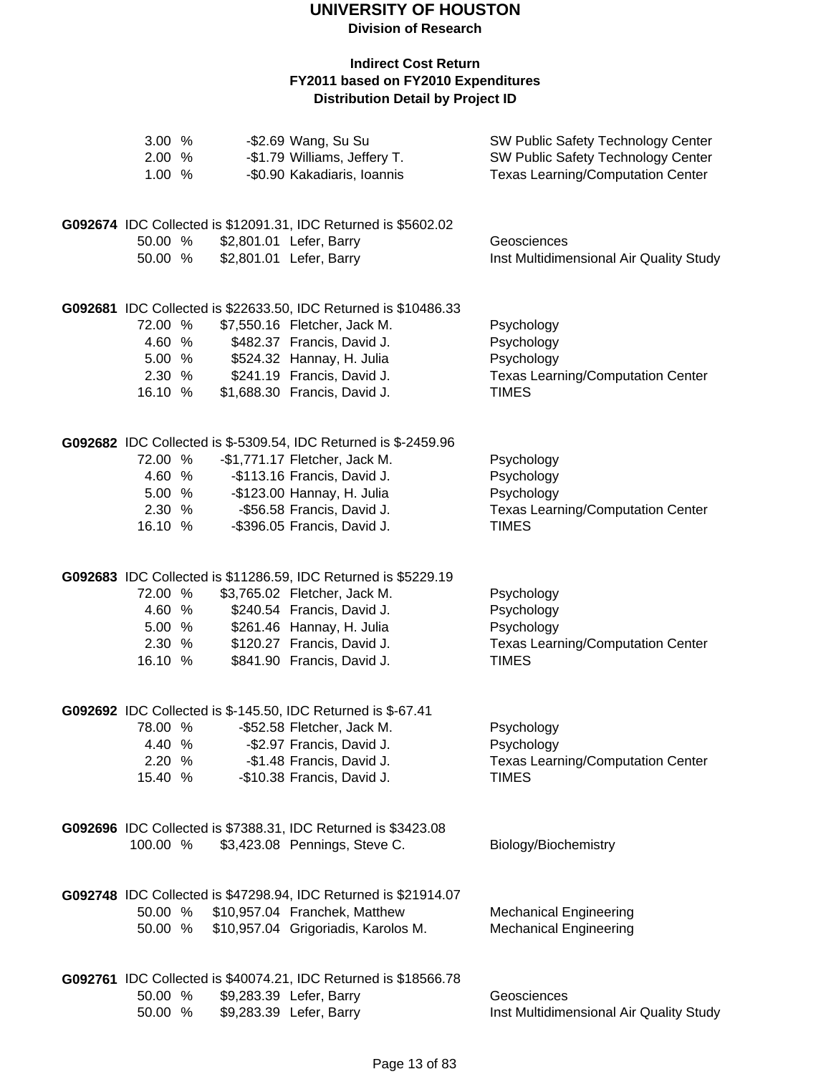**Division of Research**

| 3.00 %<br>2.00 %<br>1.00 %                       |  | -\$2.69 Wang, Su Su<br>-\$1.79 Williams, Jeffery T.<br>-\$0.90 Kakadiaris, Ioannis                                                                                                                                         | SW Public Safety Technology Center<br>SW Public Safety Technology Center<br><b>Texas Learning/Computation Center</b> |
|--------------------------------------------------|--|----------------------------------------------------------------------------------------------------------------------------------------------------------------------------------------------------------------------------|----------------------------------------------------------------------------------------------------------------------|
| 50.00 %<br>50.00 %                               |  | G092674 IDC Collected is \$12091.31, IDC Returned is \$5602.02<br>\$2,801.01 Lefer, Barry<br>\$2,801.01 Lefer, Barry                                                                                                       | Geosciences<br>Inst Multidimensional Air Quality Study                                                               |
| 72.00 %<br>4.60 %<br>5.00 %<br>2.30 %<br>16.10 % |  | G092681 IDC Collected is \$22633.50, IDC Returned is \$10486.33<br>\$7,550.16 Fletcher, Jack M.<br>\$482.37 Francis, David J.<br>\$524.32 Hannay, H. Julia<br>\$241.19 Francis, David J.<br>\$1,688.30 Francis, David J.   | Psychology<br>Psychology<br>Psychology<br><b>Texas Learning/Computation Center</b><br><b>TIMES</b>                   |
| 72.00 %<br>4.60 %<br>5.00 %<br>2.30 %<br>16.10 % |  | G092682 IDC Collected is \$-5309.54, IDC Returned is \$-2459.96<br>-\$1,771.17 Fletcher, Jack M.<br>-\$113.16 Francis, David J.<br>-\$123.00 Hannay, H. Julia<br>-\$56.58 Francis, David J.<br>-\$396.05 Francis, David J. | Psychology<br>Psychology<br>Psychology<br><b>Texas Learning/Computation Center</b><br><b>TIMES</b>                   |
| 72.00 %<br>4.60 %<br>5.00 %<br>2.30 %<br>16.10 % |  | G092683 IDC Collected is \$11286.59, IDC Returned is \$5229.19<br>\$3,765.02 Fletcher, Jack M.<br>\$240.54 Francis, David J.<br>\$261.46 Hannay, H. Julia<br>\$120.27 Francis, David J.<br>\$841.90 Francis, David J.      | Psychology<br>Psychology<br>Psychology<br><b>Texas Learning/Computation Center</b><br><b>TIMES</b>                   |
| 78.00 %<br>4.40 %<br>2.20 %<br>15.40 %           |  | G092692 IDC Collected is \$-145.50, IDC Returned is \$-67.41<br>-\$52.58 Fletcher, Jack M.<br>-\$2.97 Francis, David J.<br>-\$1.48 Francis, David J.<br>-\$10.38 Francis, David J.                                         | Psychology<br>Psychology<br><b>Texas Learning/Computation Center</b><br><b>TIMES</b>                                 |
| 100.00 %                                         |  | G092696 IDC Collected is \$7388.31, IDC Returned is \$3423.08<br>\$3,423.08 Pennings, Steve C.                                                                                                                             | Biology/Biochemistry                                                                                                 |
| 50.00 %                                          |  | G092748 IDC Collected is \$47298.94, IDC Returned is \$21914.07<br>50.00 % \$10,957.04 Franchek, Matthew<br>\$10,957.04 Grigoriadis, Karolos M.                                                                            | <b>Mechanical Engineering</b><br><b>Mechanical Engineering</b>                                                       |
| 50.00 %<br>50.00 %                               |  | G092761 IDC Collected is \$40074.21, IDC Returned is \$18566.78<br>\$9,283.39 Lefer, Barry<br>\$9,283.39 Lefer, Barry                                                                                                      | Geosciences<br>Inst Multidimensional Air Quality Study                                                               |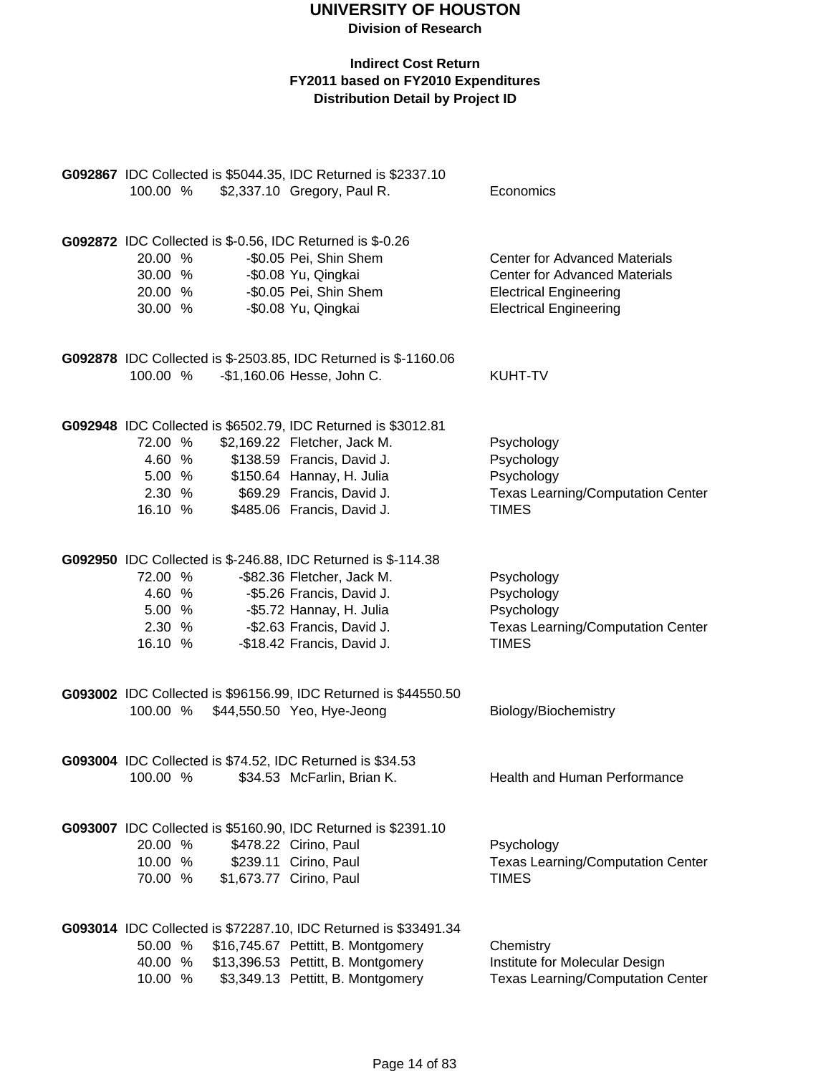| 100.00 %                                 |                            | G092867 IDC Collected is \$5044.35, IDC Returned is \$2337.10<br>\$2,337.10 Gregory, Paul R.                                                                                                                        | Economics                                                                                                                                      |
|------------------------------------------|----------------------------|---------------------------------------------------------------------------------------------------------------------------------------------------------------------------------------------------------------------|------------------------------------------------------------------------------------------------------------------------------------------------|
| 20.00 %<br>30.00 %<br>20.00 %<br>30.00 % |                            | <b>G092872</b> IDC Collected is \$-0.56, IDC Returned is \$-0.26<br>-\$0.05 Pei, Shin Shem<br>-\$0.08 Yu, Qingkai<br>-\$0.05 Pei, Shin Shem<br>-\$0.08 Yu, Qingkai                                                  | <b>Center for Advanced Materials</b><br><b>Center for Advanced Materials</b><br><b>Electrical Engineering</b><br><b>Electrical Engineering</b> |
| 100.00 %                                 |                            | G092878 IDC Collected is \$-2503.85, IDC Returned is \$-1160.06<br>-\$1,160.06 Hesse, John C.                                                                                                                       | KUHT-TV                                                                                                                                        |
| 72.00 %<br>16.10 %                       | 4.60 %<br>5.00 %<br>2.30 % | G092948 IDC Collected is \$6502.79, IDC Returned is \$3012.81<br>\$2,169.22 Fletcher, Jack M.<br>\$138.59 Francis, David J.<br>\$150.64 Hannay, H. Julia<br>\$69.29 Francis, David J.<br>\$485.06 Francis, David J. | Psychology<br>Psychology<br>Psychology<br><b>Texas Learning/Computation Center</b><br><b>TIMES</b>                                             |
| 72.00 %<br>16.10 %                       | 4.60 %<br>5.00 %<br>2.30 % | G092950 IDC Collected is \$-246.88, IDC Returned is \$-114.38<br>-\$82.36 Fletcher, Jack M.<br>-\$5.26 Francis, David J.<br>-\$5.72 Hannay, H. Julia<br>-\$2.63 Francis, David J.<br>-\$18.42 Francis, David J.     | Psychology<br>Psychology<br>Psychology<br><b>Texas Learning/Computation Center</b><br><b>TIMES</b>                                             |
| 100.00 %                                 |                            | G093002 IDC Collected is \$96156.99, IDC Returned is \$44550.50<br>\$44,550.50 Yeo, Hye-Jeong                                                                                                                       | Biology/Biochemistry                                                                                                                           |
| 100.00 %                                 |                            | G093004 IDC Collected is \$74.52, IDC Returned is \$34.53<br>\$34.53 McFarlin, Brian K.                                                                                                                             | Health and Human Performance                                                                                                                   |
| 20.00 %<br>10.00 %<br>70.00 %            |                            | G093007 IDC Collected is \$5160.90, IDC Returned is \$2391.10<br>\$478.22 Cirino, Paul<br>\$239.11 Cirino, Paul<br>\$1,673.77 Cirino, Paul                                                                          | Psychology<br><b>Texas Learning/Computation Center</b><br><b>TIMES</b>                                                                         |
| 50.00 %<br>40.00 %<br>10.00 %            |                            | G093014 IDC Collected is \$72287.10, IDC Returned is \$33491.34<br>\$16,745.67 Pettitt, B. Montgomery<br>\$13,396.53 Pettitt, B. Montgomery<br>\$3,349.13 Pettitt, B. Montgomery                                    | Chemistry<br>Institute for Molecular Design<br><b>Texas Learning/Computation Center</b>                                                        |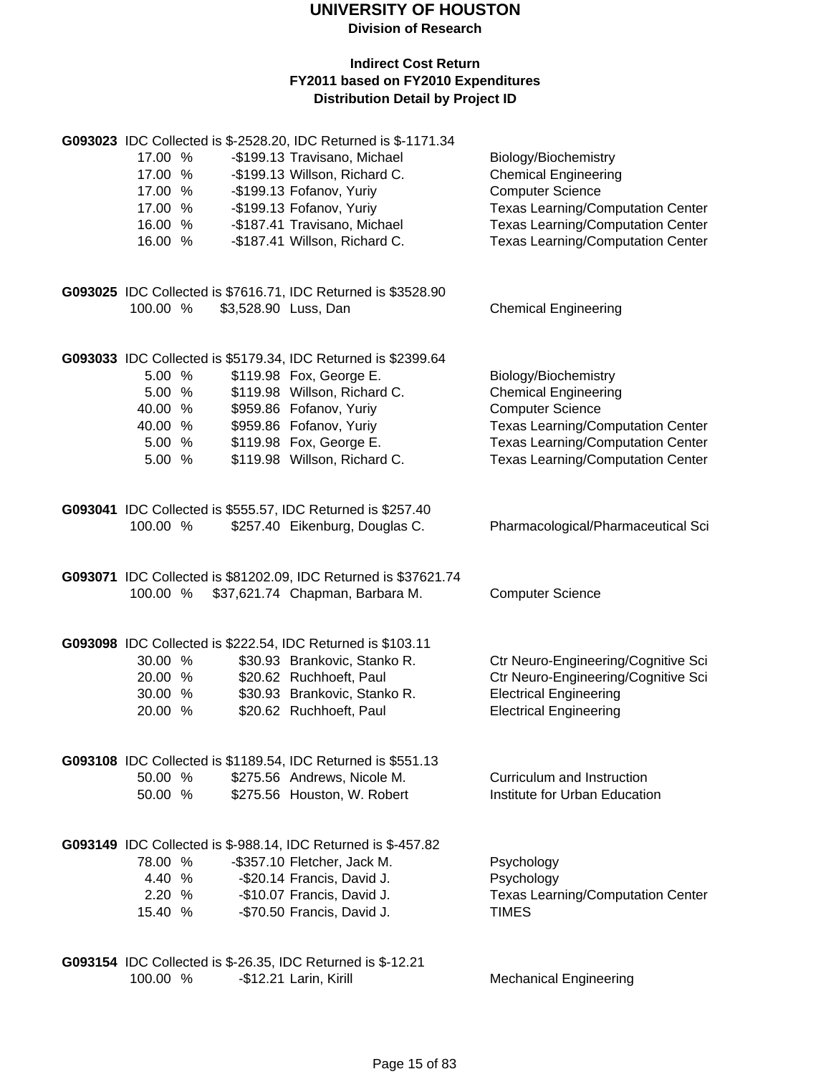**Division of Research**

|          |                      | G093023 IDC Collected is \$-2528.20, IDC Returned is \$-1171.34                              |                                          |
|----------|----------------------|----------------------------------------------------------------------------------------------|------------------------------------------|
| 17.00 %  |                      | -\$199.13 Travisano, Michael                                                                 | Biology/Biochemistry                     |
| 17.00 %  |                      | -\$199.13 Willson, Richard C.                                                                | <b>Chemical Engineering</b>              |
| 17.00 %  |                      | -\$199.13 Fofanov, Yuriy                                                                     | <b>Computer Science</b>                  |
| 17.00 %  |                      | -\$199.13 Fofanov, Yuriy                                                                     | <b>Texas Learning/Computation Center</b> |
| 16.00 %  |                      | -\$187.41 Travisano, Michael                                                                 | <b>Texas Learning/Computation Center</b> |
| 16.00 %  |                      | -\$187.41 Willson, Richard C.                                                                | <b>Texas Learning/Computation Center</b> |
|          |                      |                                                                                              |                                          |
|          |                      |                                                                                              |                                          |
| 100.00 % | \$3,528.90 Luss, Dan | G093025 IDC Collected is \$7616.71, IDC Returned is \$3528.90                                |                                          |
|          |                      |                                                                                              | <b>Chemical Engineering</b>              |
|          |                      |                                                                                              |                                          |
|          |                      | G093033 IDC Collected is \$5179.34, IDC Returned is \$2399.64                                |                                          |
| 5.00 %   |                      | \$119.98 Fox, George E.                                                                      | Biology/Biochemistry                     |
| 5.00 %   |                      | \$119.98 Willson, Richard C.                                                                 | <b>Chemical Engineering</b>              |
| 40.00 %  |                      | \$959.86 Fofanov, Yuriy                                                                      | <b>Computer Science</b>                  |
| 40.00 %  |                      | \$959.86 Fofanov, Yuriy                                                                      | <b>Texas Learning/Computation Center</b> |
| 5.00 %   |                      | \$119.98 Fox, George E.                                                                      | <b>Texas Learning/Computation Center</b> |
| 5.00 %   |                      | \$119.98 Willson, Richard C.                                                                 | <b>Texas Learning/Computation Center</b> |
|          |                      |                                                                                              |                                          |
|          |                      | G093041 IDC Collected is \$555.57, IDC Returned is \$257.40                                  |                                          |
| 100.00 % |                      | \$257.40 Eikenburg, Douglas C.                                                               | Pharmacological/Pharmaceutical Sci       |
|          |                      |                                                                                              |                                          |
|          |                      |                                                                                              |                                          |
|          |                      | G093071 IDC Collected is \$81202.09, IDC Returned is \$37621.74                              |                                          |
|          |                      |                                                                                              |                                          |
| 100.00 % |                      | \$37,621.74 Chapman, Barbara M.                                                              | <b>Computer Science</b>                  |
|          |                      |                                                                                              |                                          |
|          |                      |                                                                                              |                                          |
|          |                      | G093098 IDC Collected is \$222.54, IDC Returned is \$103.11                                  |                                          |
| 30.00 %  |                      | \$30.93 Brankovic, Stanko R.                                                                 | Ctr Neuro-Engineering/Cognitive Sci      |
| 20.00 %  |                      | \$20.62 Ruchhoeft, Paul                                                                      | Ctr Neuro-Engineering/Cognitive Sci      |
| 30.00 %  |                      | \$30.93 Brankovic, Stanko R.                                                                 | <b>Electrical Engineering</b>            |
| 20.00 %  |                      | \$20.62 Ruchhoeft, Paul                                                                      | <b>Electrical Engineering</b>            |
|          |                      |                                                                                              |                                          |
|          |                      | G093108 IDC Collected is \$1189.54, IDC Returned is \$551.13                                 |                                          |
| 50.00 %  |                      | \$275.56 Andrews, Nicole M.                                                                  | Curriculum and Instruction               |
| 50.00 %  |                      | \$275.56 Houston, W. Robert                                                                  | Institute for Urban Education            |
|          |                      |                                                                                              |                                          |
|          |                      |                                                                                              |                                          |
| 78.00 %  |                      | G093149 IDC Collected is \$-988.14, IDC Returned is \$-457.82<br>-\$357.10 Fletcher, Jack M. | Psychology                               |
| 4.40 %   |                      | -\$20.14 Francis, David J.                                                                   | Psychology                               |
| 2.20%    |                      | -\$10.07 Francis, David J.                                                                   | <b>Texas Learning/Computation Center</b> |
| 15.40 %  |                      | -\$70.50 Francis, David J.                                                                   | <b>TIMES</b>                             |
|          |                      |                                                                                              |                                          |
|          |                      |                                                                                              |                                          |
| 100.00 % |                      | G093154 IDC Collected is \$-26.35, IDC Returned is \$-12.21<br>-\$12.21 Larin, Kirill        | <b>Mechanical Engineering</b>            |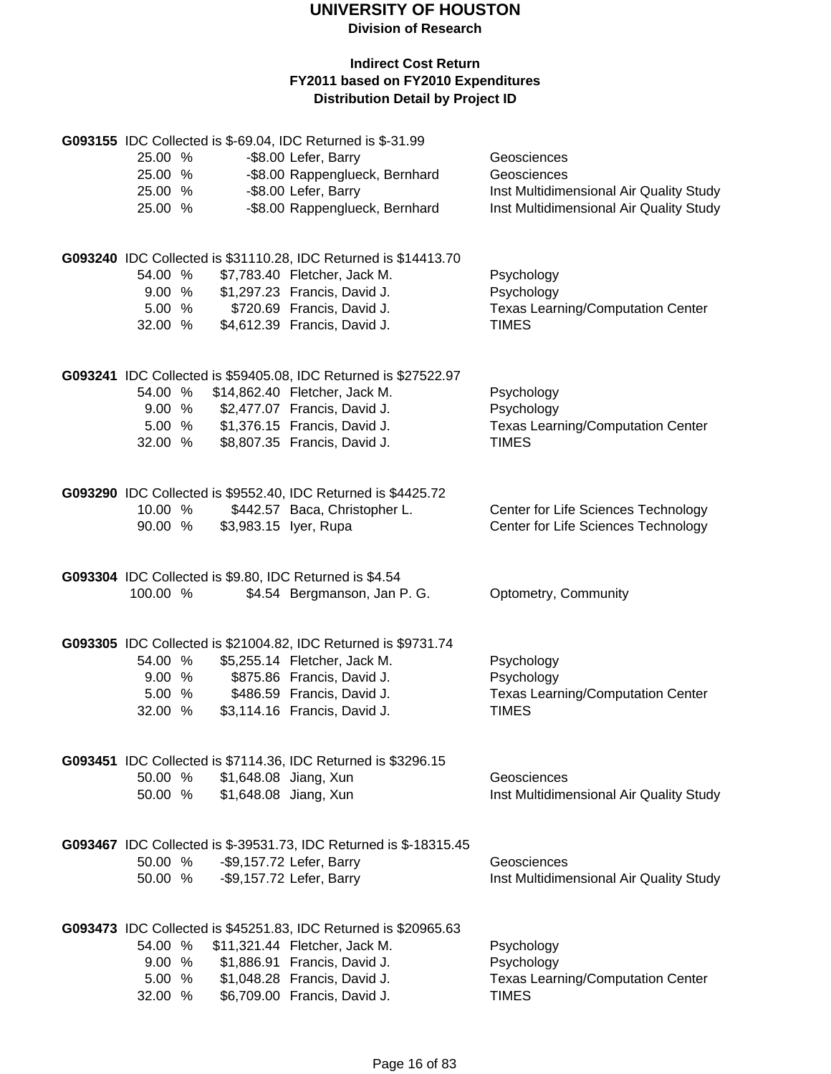**Division of Research**

|          |        |                       | G093155 IDC Collected is \$-69.04, IDC Returned is \$-31.99       |                                                          |
|----------|--------|-----------------------|-------------------------------------------------------------------|----------------------------------------------------------|
| 25.00 %  |        |                       | -\$8.00 Lefer, Barry                                              | Geosciences                                              |
| 25.00 %  |        |                       | -\$8.00 Rappenglueck, Bernhard                                    | Geosciences                                              |
| 25.00 %  |        |                       | -\$8.00 Lefer, Barry                                              | Inst Multidimensional Air Quality Study                  |
| 25.00 %  |        |                       | -\$8.00 Rappenglueck, Bernhard                                    | Inst Multidimensional Air Quality Study                  |
|          |        |                       |                                                                   |                                                          |
|          |        |                       | G093240 IDC Collected is \$31110.28, IDC Returned is \$14413.70   |                                                          |
| 54.00 %  |        |                       | \$7,783.40 Fletcher, Jack M.                                      | Psychology                                               |
|          | 9.00%  |                       | \$1,297.23 Francis, David J.                                      | Psychology                                               |
|          | 5.00 % |                       | \$720.69 Francis, David J.                                        | <b>Texas Learning/Computation Center</b>                 |
| 32.00 %  |        |                       | \$4,612.39 Francis, David J.                                      | <b>TIMES</b>                                             |
|          |        |                       |                                                                   |                                                          |
|          |        |                       | G093241 IDC Collected is \$59405.08, IDC Returned is \$27522.97   |                                                          |
| 54.00 %  |        |                       | \$14,862.40 Fletcher, Jack M.                                     | Psychology                                               |
|          |        |                       | 9.00 % \$2,477.07 Francis, David J.                               | Psychology                                               |
|          |        |                       | 5.00 % \$1,376.15 Francis, David J.                               | <b>Texas Learning/Computation Center</b>                 |
| 32.00 %  |        |                       | \$8,807.35 Francis, David J.                                      | <b>TIMES</b>                                             |
|          |        |                       |                                                                   |                                                          |
|          |        |                       | G093290 IDC Collected is \$9552.40, IDC Returned is \$4425.72     |                                                          |
| 10.00 %  |        |                       | \$442.57 Baca, Christopher L.                                     | Center for Life Sciences Technology                      |
| 90.00 %  |        | \$3,983.15 lyer, Rupa |                                                                   | Center for Life Sciences Technology                      |
|          |        |                       |                                                                   |                                                          |
|          |        |                       | G093304 IDC Collected is \$9.80, IDC Returned is \$4.54           |                                                          |
| 100.00 % |        |                       | \$4.54 Bergmanson, Jan P. G.                                      | Optometry, Community                                     |
|          |        |                       |                                                                   |                                                          |
|          |        |                       | G093305 IDC Collected is \$21004.82, IDC Returned is \$9731.74    |                                                          |
| 54.00 %  |        |                       | \$5,255.14 Fletcher, Jack M.                                      | Psychology                                               |
| 9.00%    |        |                       | \$875.86 Francis, David J.                                        | Psychology                                               |
| 5.00 %   |        |                       | \$486.59 Francis, David J.                                        | <b>Texas Learning/Computation Center</b>                 |
| 32.00 %  |        |                       | \$3,114.16 Francis, David J.                                      | <b>TIMES</b>                                             |
|          |        |                       |                                                                   |                                                          |
|          |        |                       | G093451 IDC Collected is \$7114.36, IDC Returned is \$3296.15     |                                                          |
| 50.00 %  |        | \$1,648.08 Jiang, Xun |                                                                   | Geosciences                                              |
| 50.00 %  |        | \$1,648.08 Jiang, Xun |                                                                   | Inst Multidimensional Air Quality Study                  |
|          |        |                       |                                                                   |                                                          |
|          |        |                       | G093467 IDC Collected is \$-39531.73, IDC Returned is \$-18315.45 |                                                          |
| 50.00 %  |        |                       | -\$9,157.72 Lefer, Barry                                          | Geosciences                                              |
| 50.00 %  |        |                       | -\$9,157.72 Lefer, Barry                                          | Inst Multidimensional Air Quality Study                  |
|          |        |                       |                                                                   |                                                          |
|          |        |                       | G093473 IDC Collected is \$45251.83, IDC Returned is \$20965.63   |                                                          |
|          |        |                       | 54.00 % \$11,321.44 Fletcher, Jack M.                             | Psychology                                               |
|          | 9.00 % |                       | \$1,886.91 Francis, David J.                                      | Psychology                                               |
| 32.00 %  | 5.00 % |                       | \$1,048.28 Francis, David J.<br>\$6,709.00 Francis, David J.      | <b>Texas Learning/Computation Center</b><br><b>TIMES</b> |
|          |        |                       |                                                                   |                                                          |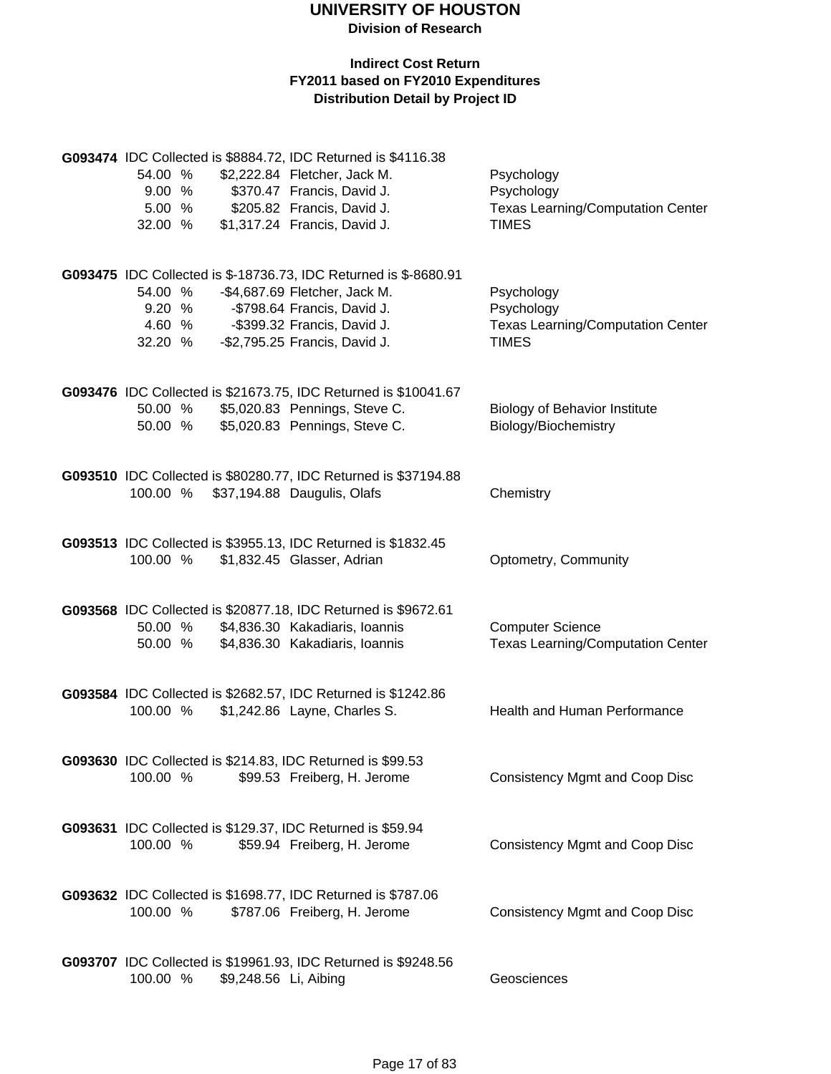|          |        |                       | G093474 IDC Collected is \$8884.72, IDC Returned is \$4116.38    |                                          |
|----------|--------|-----------------------|------------------------------------------------------------------|------------------------------------------|
| 54.00 %  |        |                       | \$2,222.84 Fletcher, Jack M.                                     | Psychology                               |
| 9.00%    |        |                       | \$370.47 Francis, David J.                                       | Psychology                               |
| 5.00 %   |        |                       | \$205.82 Francis, David J.                                       | <b>Texas Learning/Computation Center</b> |
| 32.00 %  |        |                       | \$1,317.24 Francis, David J.                                     | <b>TIMES</b>                             |
|          |        |                       |                                                                  |                                          |
|          |        |                       | G093475 IDC Collected is \$-18736.73, IDC Returned is \$-8680.91 |                                          |
| 54.00 %  |        |                       | -\$4,687.69 Fletcher, Jack M.                                    | Psychology                               |
| 9.20 %   |        |                       | -\$798.64 Francis, David J.                                      | Psychology                               |
|          | 4.60 % |                       | -\$399.32 Francis, David J.                                      | <b>Texas Learning/Computation Center</b> |
| 32.20 %  |        |                       | -\$2,795.25 Francis, David J.                                    | <b>TIMES</b>                             |
|          |        |                       |                                                                  |                                          |
|          |        |                       | G093476 IDC Collected is \$21673.75, IDC Returned is \$10041.67  |                                          |
| 50.00 %  |        |                       | \$5,020.83 Pennings, Steve C.                                    | <b>Biology of Behavior Institute</b>     |
| 50.00 %  |        |                       | \$5,020.83 Pennings, Steve C.                                    | Biology/Biochemistry                     |
|          |        |                       |                                                                  |                                          |
|          |        |                       | G093510 IDC Collected is \$80280.77, IDC Returned is \$37194.88  |                                          |
| 100.00 % |        |                       | \$37,194.88 Daugulis, Olafs                                      | Chemistry                                |
|          |        |                       |                                                                  |                                          |
|          |        |                       | G093513 IDC Collected is \$3955.13, IDC Returned is \$1832.45    |                                          |
| 100.00 % |        |                       | \$1,832.45 Glasser, Adrian                                       | Optometry, Community                     |
|          |        |                       |                                                                  |                                          |
|          |        |                       | G093568 IDC Collected is \$20877.18, IDC Returned is \$9672.61   |                                          |
| 50.00 %  |        |                       | \$4,836.30 Kakadiaris, Ioannis                                   | <b>Computer Science</b>                  |
| 50.00 %  |        |                       | \$4,836.30 Kakadiaris, Ioannis                                   | <b>Texas Learning/Computation Center</b> |
|          |        |                       |                                                                  |                                          |
|          |        |                       | G093584 IDC Collected is \$2682.57, IDC Returned is \$1242.86    |                                          |
| 100.00 % |        |                       | \$1,242.86 Layne, Charles S.                                     | Health and Human Performance             |
|          |        |                       |                                                                  |                                          |
|          |        |                       | G093630 IDC Collected is \$214.83, IDC Returned is \$99.53       |                                          |
| 100.00 % |        |                       | \$99.53 Freiberg, H. Jerome                                      | <b>Consistency Mgmt and Coop Disc</b>    |
|          |        |                       |                                                                  |                                          |
|          |        |                       | G093631 IDC Collected is \$129.37, IDC Returned is \$59.94       |                                          |
| 100.00 % |        |                       | \$59.94 Freiberg, H. Jerome                                      | <b>Consistency Mgmt and Coop Disc</b>    |
|          |        |                       |                                                                  |                                          |
|          |        |                       | G093632 IDC Collected is \$1698.77, IDC Returned is \$787.06     |                                          |
| 100.00 % |        |                       | \$787.06 Freiberg, H. Jerome                                     | <b>Consistency Mgmt and Coop Disc</b>    |
|          |        |                       |                                                                  |                                          |
|          |        |                       | G093707 IDC Collected is \$19961.93, IDC Returned is \$9248.56   |                                          |
| 100.00 % |        | \$9,248.56 Li, Aibing |                                                                  | Geosciences                              |
|          |        |                       |                                                                  |                                          |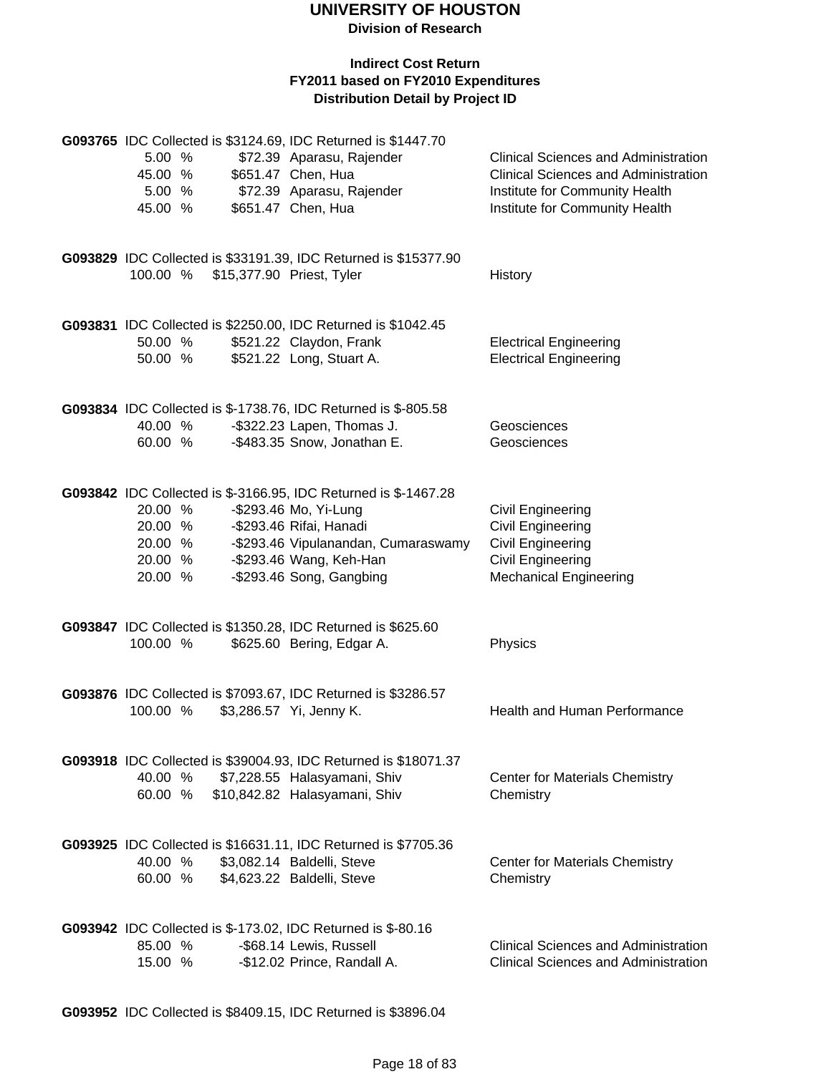#### **Indirect Cost Return FY2011 based on FY2010 Expenditures Distribution Detail by Project ID**

|          |        |                           | G093765 IDC Collected is \$3124.69, IDC Returned is \$1447.70                            |                                             |
|----------|--------|---------------------------|------------------------------------------------------------------------------------------|---------------------------------------------|
| 5.00 %   |        |                           | \$72.39 Aparasu, Rajender                                                                | Clinical Sciences and Administration        |
| 45.00 %  |        |                           | \$651.47 Chen, Hua                                                                       | <b>Clinical Sciences and Administration</b> |
|          | 5.00 % |                           | \$72.39 Aparasu, Rajender                                                                | Institute for Community Health              |
| 45.00 %  |        |                           | \$651.47 Chen, Hua                                                                       | Institute for Community Health              |
|          |        |                           |                                                                                          |                                             |
|          |        |                           |                                                                                          |                                             |
|          |        |                           | G093829 IDC Collected is \$33191.39, IDC Returned is \$15377.90                          |                                             |
| 100.00 % |        | \$15,377.90 Priest, Tyler |                                                                                          | History                                     |
|          |        |                           |                                                                                          |                                             |
|          |        |                           | G093831 IDC Collected is \$2250.00, IDC Returned is \$1042.45                            |                                             |
| 50.00 %  |        |                           | \$521.22 Claydon, Frank                                                                  | <b>Electrical Engineering</b>               |
| 50.00 %  |        |                           | \$521.22 Long, Stuart A.                                                                 | <b>Electrical Engineering</b>               |
|          |        |                           |                                                                                          |                                             |
|          |        |                           |                                                                                          |                                             |
|          |        |                           | G093834 IDC Collected is \$-1738.76, IDC Returned is \$-805.58                           |                                             |
| 40.00 %  |        |                           | -\$322.23 Lapen, Thomas J.                                                               | Geosciences                                 |
| 60.00 %  |        |                           | -\$483.35 Snow, Jonathan E.                                                              | Geosciences                                 |
|          |        |                           |                                                                                          |                                             |
|          |        |                           | G093842 IDC Collected is \$-3166.95, IDC Returned is \$-1467.28                          |                                             |
| 20.00 %  |        |                           | -\$293.46 Mo, Yi-Lung                                                                    | Civil Engineering                           |
| 20.00 %  |        |                           | -\$293.46 Rifai, Hanadi                                                                  | Civil Engineering                           |
| 20.00 %  |        |                           | -\$293.46 Vipulanandan, Cumaraswamy                                                      | Civil Engineering                           |
| 20.00 %  |        |                           | -\$293.46 Wang, Keh-Han                                                                  | Civil Engineering                           |
| 20.00 %  |        |                           | -\$293.46 Song, Gangbing                                                                 | <b>Mechanical Engineering</b>               |
|          |        |                           |                                                                                          |                                             |
|          |        |                           |                                                                                          |                                             |
|          |        |                           | G093847 IDC Collected is \$1350.28, IDC Returned is \$625.60                             |                                             |
| 100.00 % |        |                           | \$625.60 Bering, Edgar A.                                                                | Physics                                     |
|          |        |                           |                                                                                          |                                             |
|          |        |                           |                                                                                          |                                             |
| 100.00 % |        |                           | G093876 IDC Collected is \$7093.67, IDC Returned is \$3286.57<br>\$3,286.57 Yi, Jenny K. | Health and Human Performance                |
|          |        |                           |                                                                                          |                                             |
|          |        |                           |                                                                                          |                                             |
|          |        |                           | G093918 IDC Collected is \$39004.93, IDC Returned is \$18071.37                          |                                             |
| 40.00 %  |        |                           | \$7,228.55 Halasyamani, Shiv                                                             | <b>Center for Materials Chemistry</b>       |
| 60.00 %  |        |                           | \$10,842.82 Halasyamani, Shiv                                                            | Chemistry                                   |
|          |        |                           |                                                                                          |                                             |
|          |        |                           |                                                                                          |                                             |
|          |        |                           | G093925 IDC Collected is \$16631.11, IDC Returned is \$7705.36                           |                                             |
| 40.00 %  |        |                           | \$3,082.14 Baldelli, Steve                                                               | <b>Center for Materials Chemistry</b>       |
| 60.00 %  |        |                           | \$4,623.22 Baldelli, Steve                                                               | Chemistry                                   |
|          |        |                           |                                                                                          |                                             |
|          |        |                           | G093942 IDC Collected is \$-173.02, IDC Returned is \$-80.16                             |                                             |
| 85.00 %  |        |                           | -\$68.14 Lewis, Russell                                                                  | <b>Clinical Sciences and Administration</b> |
| 15.00 %  |        |                           | -\$12.02 Prince, Randall A.                                                              | <b>Clinical Sciences and Administration</b> |

**G093952** IDC Collected is \$8409.15, IDC Returned is \$3896.04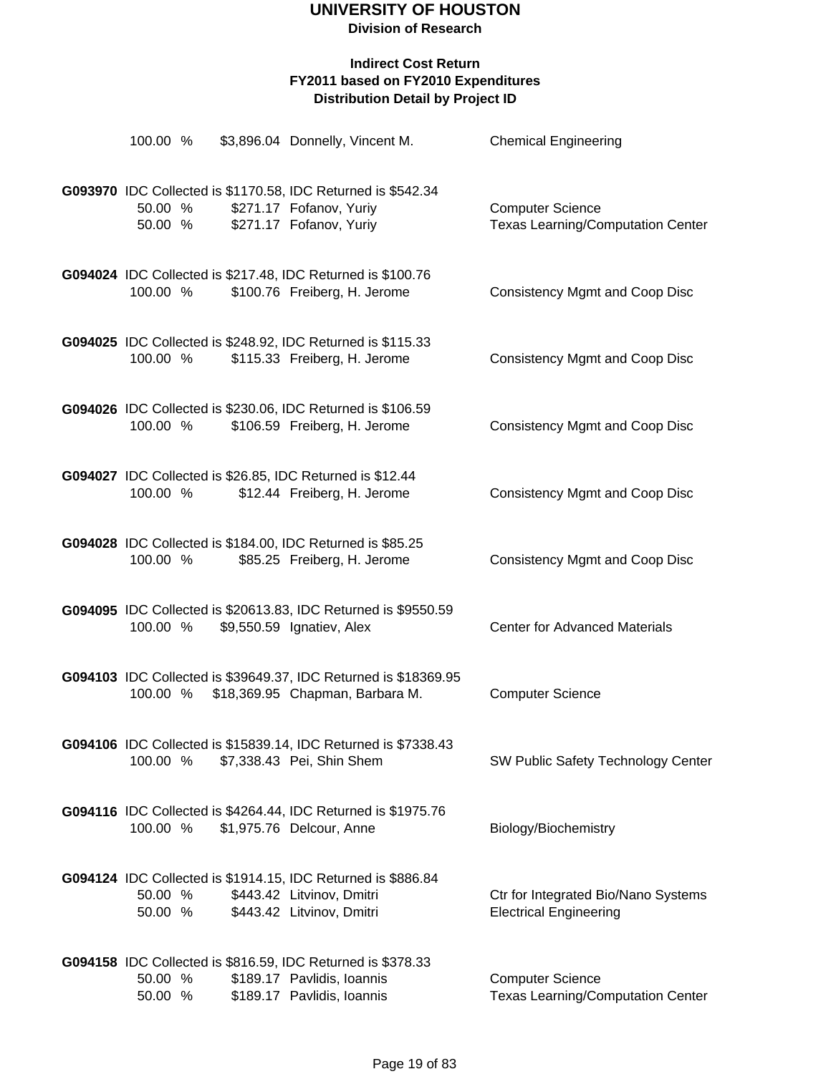| 100.00 %           |  | \$3,896.04 Donnelly, Vincent M.                                                                                         | <b>Chemical Engineering</b>                                          |
|--------------------|--|-------------------------------------------------------------------------------------------------------------------------|----------------------------------------------------------------------|
| 50.00 %<br>50.00 % |  | G093970 IDC Collected is \$1170.58, IDC Returned is \$542.34<br>\$271.17 Fofanov, Yuriy<br>\$271.17 Fofanov, Yuriy      | <b>Computer Science</b><br><b>Texas Learning/Computation Center</b>  |
| 100.00 %           |  | G094024 IDC Collected is \$217.48, IDC Returned is \$100.76<br>\$100.76 Freiberg, H. Jerome                             | <b>Consistency Mgmt and Coop Disc</b>                                |
| 100.00 %           |  | G094025 IDC Collected is \$248.92, IDC Returned is \$115.33<br>\$115.33 Freiberg, H. Jerome                             | <b>Consistency Mgmt and Coop Disc</b>                                |
| 100.00 %           |  | G094026 IDC Collected is \$230.06, IDC Returned is \$106.59<br>\$106.59 Freiberg, H. Jerome                             | <b>Consistency Mgmt and Coop Disc</b>                                |
| 100.00 %           |  | G094027 IDC Collected is \$26.85, IDC Returned is \$12.44<br>\$12.44 Freiberg, H. Jerome                                | <b>Consistency Mgmt and Coop Disc</b>                                |
| 100.00 %           |  | G094028 IDC Collected is \$184.00, IDC Returned is \$85.25<br>\$85.25 Freiberg, H. Jerome                               | <b>Consistency Mgmt and Coop Disc</b>                                |
| 100.00 %           |  | G094095 IDC Collected is \$20613.83, IDC Returned is \$9550.59<br>\$9,550.59 Ignatiev, Alex                             | <b>Center for Advanced Materials</b>                                 |
| 100.00 %           |  | G094103 IDC Collected is \$39649.37, IDC Returned is \$18369.95<br>\$18,369.95 Chapman, Barbara M.                      | <b>Computer Science</b>                                              |
| 100.00 %           |  | G094106 IDC Collected is \$15839.14, IDC Returned is \$7338.43<br>\$7,338.43 Pei, Shin Shem                             | SW Public Safety Technology Center                                   |
| 100.00 %           |  | <b>G094116</b> IDC Collected is \$4264.44, IDC Returned is \$1975.76<br>\$1,975.76 Delcour, Anne                        | Biology/Biochemistry                                                 |
| 50.00 %<br>50.00 % |  | G094124 IDC Collected is \$1914.15, IDC Returned is \$886.84<br>\$443.42 Litvinov, Dmitri<br>\$443.42 Litvinov, Dmitri  | Ctr for Integrated Bio/Nano Systems<br><b>Electrical Engineering</b> |
| 50.00 %<br>50.00 % |  | G094158 IDC Collected is \$816.59, IDC Returned is \$378.33<br>\$189.17 Pavlidis, Ioannis<br>\$189.17 Pavlidis, Ioannis | <b>Computer Science</b><br><b>Texas Learning/Computation Center</b>  |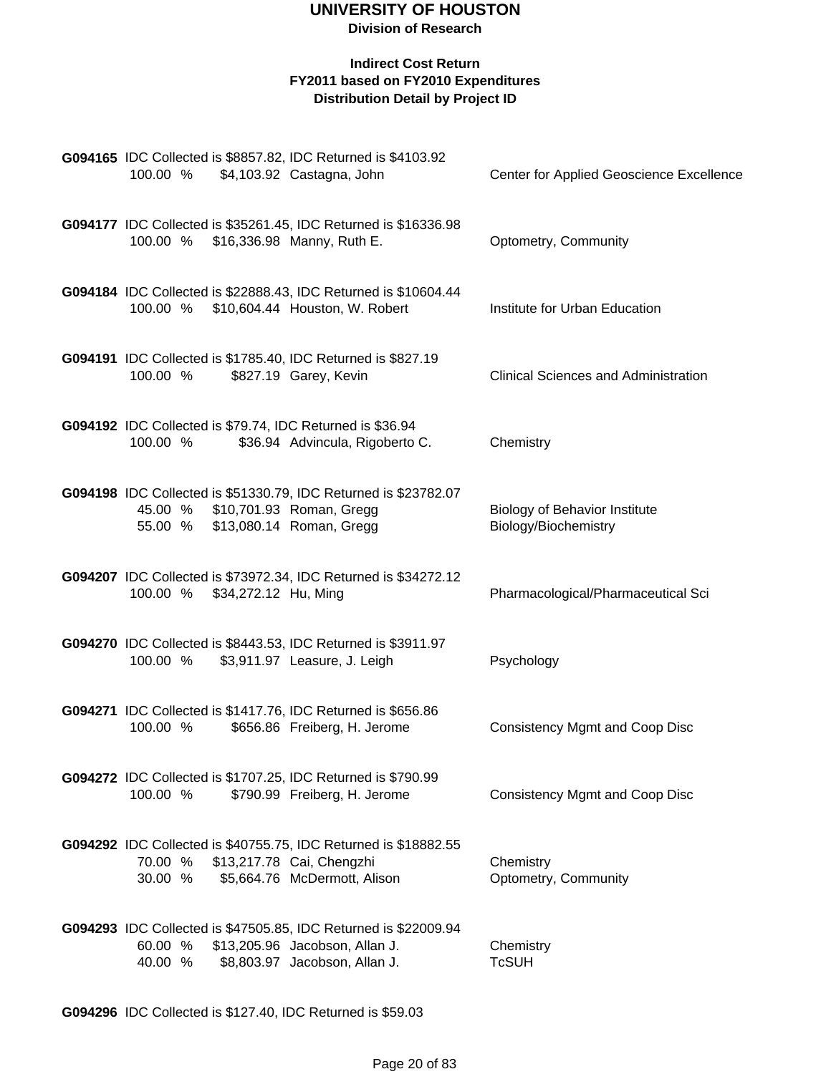#### **Indirect Cost Return FY2011 based on FY2010 Expenditures Distribution Detail by Project ID**

| G094165 IDC Collected is \$8857.82, IDC Returned is \$4103.92<br>100.00 %<br>\$4,103.92 Castagna, John                                  |                                                                 | Center for Applied Geoscience Excellence                     |
|-----------------------------------------------------------------------------------------------------------------------------------------|-----------------------------------------------------------------|--------------------------------------------------------------|
| G094177 IDC Collected is \$35261.45, IDC Returned is \$16336.98<br>100.00 % \$16,336.98 Manny, Ruth E.                                  |                                                                 | Optometry, Community                                         |
| G094184 IDC Collected is \$22888.43, IDC Returned is \$10604.44<br>100.00 % \$10,604.44 Houston, W. Robert                              |                                                                 | Institute for Urban Education                                |
| G094191 IDC Collected is \$1785.40, IDC Returned is \$827.19<br>100.00 %                                                                | \$827.19 Garey, Kevin                                           | <b>Clinical Sciences and Administration</b>                  |
| G094192 IDC Collected is \$79.74, IDC Returned is \$36.94<br>100.00 %                                                                   | \$36.94 Advincula, Rigoberto C.                                 | Chemistry                                                    |
| G094198 IDC Collected is \$51330.79, IDC Returned is \$23782.07<br>45.00 % \$10,701.93 Roman, Gregg<br>55.00 % \$13,080.14 Roman, Gregg |                                                                 | <b>Biology of Behavior Institute</b><br>Biology/Biochemistry |
| G094207 IDC Collected is \$73972.34, IDC Returned is \$34272.12<br>100.00 % \$34,272.12 Hu, Ming                                        |                                                                 | Pharmacological/Pharmaceutical Sci                           |
| G094270 IDC Collected is \$8443.53, IDC Returned is \$3911.97<br>100.00 %                                                               | \$3,911.97 Leasure, J. Leigh                                    | Psychology                                                   |
| G094271 IDC Collected is \$1417.76, IDC Returned is \$656.86<br>100.00 %                                                                | \$656.86 Freiberg, H. Jerome                                    | <b>Consistency Mgmt and Coop Disc</b>                        |
| G094272 IDC Collected is \$1707.25, IDC Returned is \$790.99<br>100.00 %                                                                | \$790.99 Freiberg, H. Jerome                                    | <b>Consistency Mgmt and Coop Disc</b>                        |
| G094292 IDC Collected is \$40755.75, IDC Returned is \$18882.55<br>70.00 % \$13,217.78 Cai, Chengzhi<br>30.00 %                         | \$5,664.76 McDermott, Alison                                    | Chemistry<br>Optometry, Community                            |
| G094293 IDC Collected is \$47505.85, IDC Returned is \$22009.94<br>60.00 %<br>40.00 %                                                   | \$13,205.96 Jacobson, Allan J.<br>\$8,803.97 Jacobson, Allan J. | Chemistry<br><b>TcSUH</b>                                    |

**G094296** IDC Collected is \$127.40, IDC Returned is \$59.03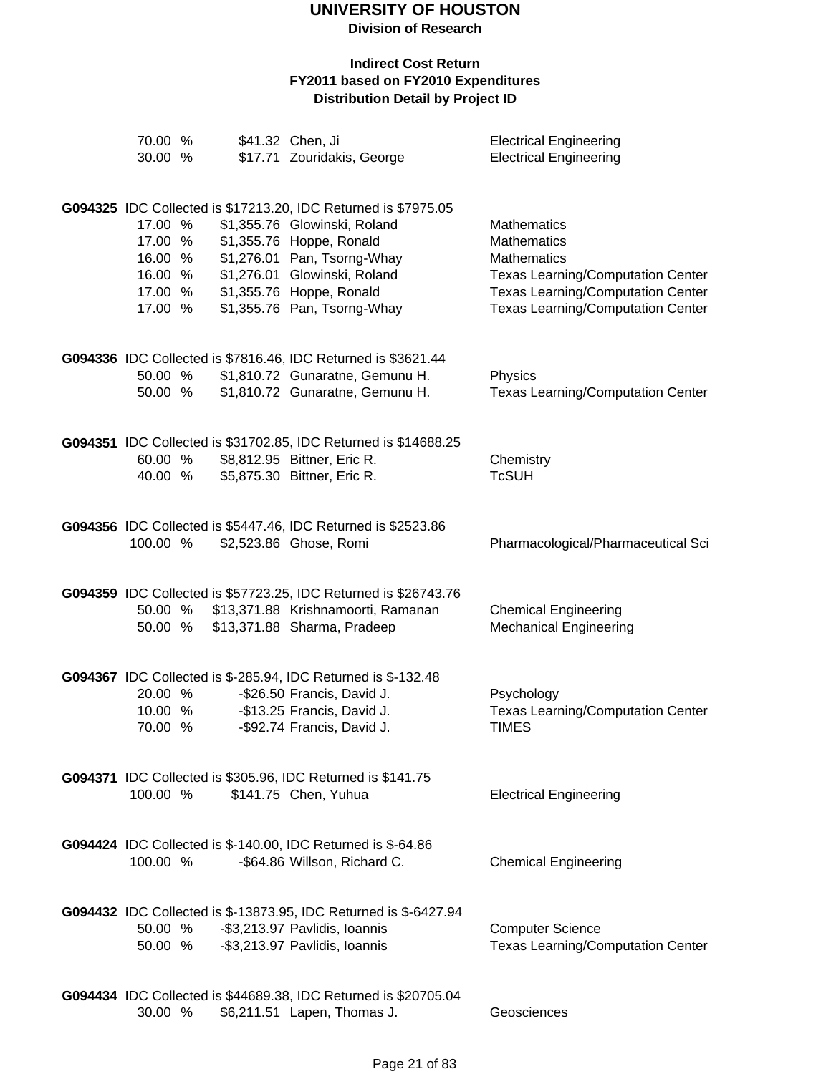**Division of Research**

| 70.00 %<br>30.00 % |  | \$41.32 Chen, Ji<br>\$17.71 Zouridakis, George                                               | <b>Electrical Engineering</b><br><b>Electrical Engineering</b> |
|--------------------|--|----------------------------------------------------------------------------------------------|----------------------------------------------------------------|
|                    |  | G094325 IDC Collected is \$17213.20, IDC Returned is \$7975.05                               |                                                                |
| 17.00 %            |  | \$1,355.76 Glowinski, Roland                                                                 | Mathematics                                                    |
| 17.00 %            |  | \$1,355.76 Hoppe, Ronald                                                                     | Mathematics                                                    |
| 16.00 %            |  | \$1,276.01 Pan, Tsorng-Whay                                                                  | <b>Mathematics</b>                                             |
| 16.00 %            |  | \$1,276.01 Glowinski, Roland                                                                 | <b>Texas Learning/Computation Center</b>                       |
| 17.00 %            |  | \$1,355.76 Hoppe, Ronald                                                                     | <b>Texas Learning/Computation Center</b>                       |
| 17.00 %            |  | \$1,355.76 Pan, Tsorng-Whay                                                                  | <b>Texas Learning/Computation Center</b>                       |
|                    |  | G094336 IDC Collected is \$7816.46, IDC Returned is \$3621.44                                |                                                                |
| 50.00 %            |  | \$1,810.72 Gunaratne, Gemunu H.                                                              | Physics                                                        |
| 50.00 %            |  | \$1,810.72 Gunaratne, Gemunu H.                                                              | <b>Texas Learning/Computation Center</b>                       |
|                    |  | G094351 IDC Collected is \$31702.85, IDC Returned is \$14688.25                              |                                                                |
| 60.00 %            |  | \$8,812.95 Bittner, Eric R.                                                                  | Chemistry                                                      |
| 40.00 %            |  | \$5,875.30 Bittner, Eric R.                                                                  | <b>TcSUH</b>                                                   |
|                    |  | G094356 IDC Collected is \$5447.46, IDC Returned is \$2523.86                                |                                                                |
| 100.00 %           |  | \$2,523.86 Ghose, Romi                                                                       | Pharmacological/Pharmaceutical Sci                             |
|                    |  | G094359 IDC Collected is \$57723.25, IDC Returned is \$26743.76                              |                                                                |
| 50.00 %            |  | \$13,371.88 Krishnamoorti, Ramanan                                                           | <b>Chemical Engineering</b>                                    |
| 50.00 %            |  | \$13,371.88 Sharma, Pradeep                                                                  | <b>Mechanical Engineering</b>                                  |
|                    |  |                                                                                              |                                                                |
|                    |  | G094367 IDC Collected is \$-285.94, IDC Returned is \$-132.48                                |                                                                |
| 20.00 %            |  | -\$26.50 Francis, David J.                                                                   | Psychology                                                     |
| 10.00 %            |  | -\$13.25 Francis, David J.                                                                   | <b>Texas Learning/Computation Center</b>                       |
| 70.00 %            |  | -\$92.74 Francis, David J.                                                                   | <b>TIMES</b>                                                   |
|                    |  | G094371 IDC Collected is \$305.96, IDC Returned is \$141.75                                  |                                                                |
| 100.00 %           |  | \$141.75 Chen, Yuhua                                                                         | <b>Electrical Engineering</b>                                  |
|                    |  |                                                                                              |                                                                |
| 100.00 %           |  | G094424 IDC Collected is \$-140.00, IDC Returned is \$-64.86<br>-\$64.86 Willson, Richard C. | <b>Chemical Engineering</b>                                    |
|                    |  |                                                                                              |                                                                |
|                    |  | G094432 IDC Collected is \$-13873.95, IDC Returned is \$-6427.94                             |                                                                |
| 50.00 %            |  | -\$3,213.97 Pavlidis, Ioannis                                                                | <b>Computer Science</b>                                        |
| 50.00 %            |  | -\$3,213.97 Pavlidis, Ioannis                                                                | <b>Texas Learning/Computation Center</b>                       |
|                    |  | G094434 IDC Collected is \$44689.38, IDC Returned is \$20705.04                              |                                                                |
| 30.00 %            |  | \$6,211.51 Lapen, Thomas J.                                                                  | Geosciences                                                    |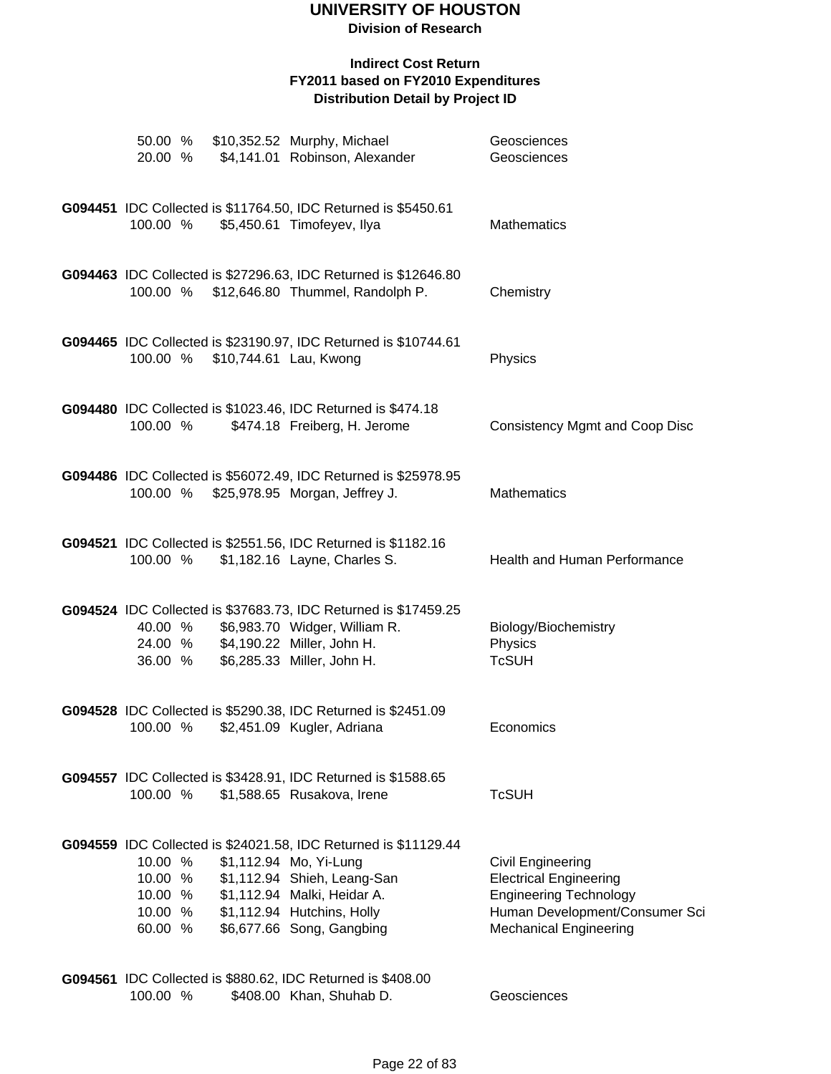#### **Indirect Cost Return FY2011 based on FY2010 Expenditures Distribution Detail by Project ID**

| 50.00 %<br>20.00 %                       |                                 | \$10,352.52 Murphy, Michael<br>\$4,141.01 Robinson, Alexander                                                                                                                                                              | Geosciences<br>Geosciences                                                                                                                                    |
|------------------------------------------|---------------------------------|----------------------------------------------------------------------------------------------------------------------------------------------------------------------------------------------------------------------------|---------------------------------------------------------------------------------------------------------------------------------------------------------------|
| 100.00 %                                 |                                 | G094451 IDC Collected is \$11764.50, IDC Returned is \$5450.61<br>\$5,450.61 Timofeyev, Ilya                                                                                                                               | <b>Mathematics</b>                                                                                                                                            |
| 100.00 %                                 |                                 | G094463 IDC Collected is \$27296.63, IDC Returned is \$12646.80<br>\$12,646.80 Thummel, Randolph P.                                                                                                                        | Chemistry                                                                                                                                                     |
|                                          | 100.00 % \$10,744.61 Lau, Kwong | G094465 IDC Collected is \$23190.97, IDC Returned is \$10744.61                                                                                                                                                            | Physics                                                                                                                                                       |
| 100.00 %                                 |                                 | G094480 IDC Collected is \$1023.46, IDC Returned is \$474.18<br>\$474.18 Freiberg, H. Jerome                                                                                                                               | <b>Consistency Mgmt and Coop Disc</b>                                                                                                                         |
| 100.00 %                                 |                                 | G094486 IDC Collected is \$56072.49, IDC Returned is \$25978.95<br>\$25,978.95 Morgan, Jeffrey J.                                                                                                                          | Mathematics                                                                                                                                                   |
| 100.00 %                                 |                                 | G094521 IDC Collected is \$2551.56, IDC Returned is \$1182.16<br>\$1,182.16 Layne, Charles S.                                                                                                                              | Health and Human Performance                                                                                                                                  |
| 40.00 %<br>24.00 %<br>36.00 %            |                                 | G094524 IDC Collected is \$37683.73, IDC Returned is \$17459.25<br>\$6,983.70 Widger, William R.<br>\$4,190.22 Miller, John H.<br>\$6,285.33 Miller, John H.                                                               | Biology/Biochemistry<br>Physics<br><b>TcSUH</b>                                                                                                               |
| 100.00 %                                 |                                 | G094528 IDC Collected is \$5290.38, IDC Returned is \$2451.09<br>\$2,451.09 Kugler, Adriana                                                                                                                                | Economics                                                                                                                                                     |
| 100.00 %                                 |                                 | G094557 IDC Collected is \$3428.91, IDC Returned is \$1588.65<br>\$1,588.65 Rusakova, Irene                                                                                                                                | <b>TcSUH</b>                                                                                                                                                  |
| 10.00 %<br>10.00 %<br>10.00 %<br>60.00 % |                                 | G094559 IDC Collected is \$24021.58, IDC Returned is \$11129.44<br>\$1,112.94 Mo, Yi-Lung<br>\$1,112.94 Shieh, Leang-San<br>10.00 % \$1,112.94 Malki, Heidar A.<br>\$1,112.94 Hutchins, Holly<br>\$6,677.66 Song, Gangbing | <b>Civil Engineering</b><br><b>Electrical Engineering</b><br><b>Engineering Technology</b><br>Human Development/Consumer Sci<br><b>Mechanical Engineering</b> |
|                                          |                                 | G094561 IDC Collected is \$880.62, IDC Returned is \$408.00                                                                                                                                                                |                                                                                                                                                               |

100.00 % \$408.00 Khan, Shuhab D. Geosciences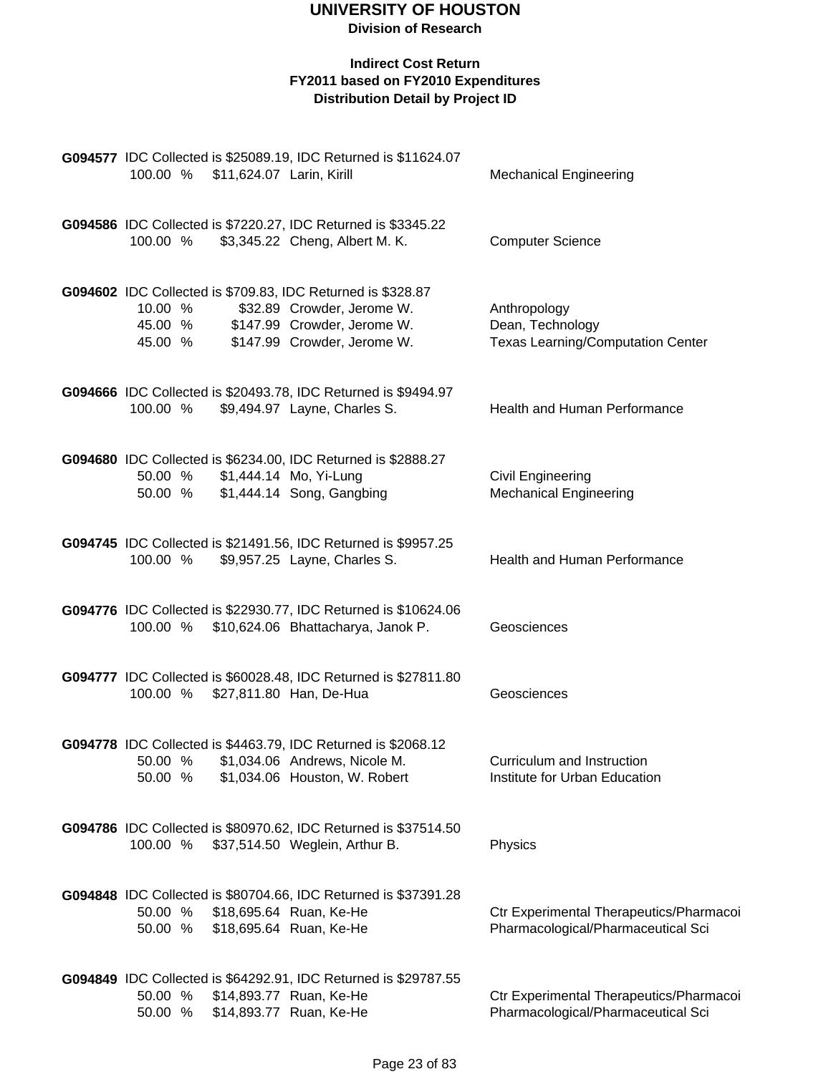| 100.00 % \$11,624.07 Larin, Kirill | G094577 IDC Collected is \$25089.19, IDC Returned is \$11624.07                                                                                                 | <b>Mechanical Engineering</b>                                                 |
|------------------------------------|-----------------------------------------------------------------------------------------------------------------------------------------------------------------|-------------------------------------------------------------------------------|
| 100.00 %                           | G094586 IDC Collected is \$7220.27, IDC Returned is \$3345.22<br>\$3,345.22 Cheng, Albert M. K.                                                                 | <b>Computer Science</b>                                                       |
| 10.00 %<br>45.00 %                 | G094602 IDC Collected is \$709.83, IDC Returned is \$328.87<br>\$32.89 Crowder, Jerome W.<br>45.00 % \$147.99 Crowder, Jerome W.<br>\$147.99 Crowder, Jerome W. | Anthropology<br>Dean, Technology<br><b>Texas Learning/Computation Center</b>  |
| 100.00 %                           | G094666 IDC Collected is \$20493.78, IDC Returned is \$9494.97<br>\$9,494.97 Layne, Charles S.                                                                  | Health and Human Performance                                                  |
| 50.00 %<br>50.00 %                 | G094680 IDC Collected is \$6234.00, IDC Returned is \$2888.27<br>\$1,444.14 Mo, Yi-Lung<br>\$1,444.14 Song, Gangbing                                            | <b>Civil Engineering</b><br><b>Mechanical Engineering</b>                     |
| 100.00 %                           | G094745 IDC Collected is \$21491.56, IDC Returned is \$9957.25<br>\$9,957.25 Layne, Charles S.                                                                  | Health and Human Performance                                                  |
| 100.00 %                           | G094776 IDC Collected is \$22930.77, IDC Returned is \$10624.06<br>\$10,624.06 Bhattacharya, Janok P.                                                           | Geosciences                                                                   |
| 100.00 %                           | G094777 IDC Collected is \$60028.48, IDC Returned is \$27811.80<br>\$27,811.80 Han, De-Hua                                                                      | Geosciences                                                                   |
| 50.00 %<br>50.00 %                 | G094778 IDC Collected is \$4463.79, IDC Returned is \$2068.12<br>\$1,034.06 Andrews, Nicole M.<br>\$1,034.06 Houston, W. Robert                                 | Curriculum and Instruction<br>Institute for Urban Education                   |
| 100.00 %                           | G094786 IDC Collected is \$80970.62, IDC Returned is \$37514.50<br>\$37,514.50 Weglein, Arthur B.                                                               | Physics                                                                       |
| 50.00 %<br>50.00 %                 | G094848 IDC Collected is \$80704.66, IDC Returned is \$37391.28<br>\$18,695.64 Ruan, Ke-He<br>\$18,695.64 Ruan, Ke-He                                           | Ctr Experimental Therapeutics/Pharmacoi<br>Pharmacological/Pharmaceutical Sci |
| 50.00 %<br>50.00 %                 | G094849 IDC Collected is \$64292.91, IDC Returned is \$29787.55<br>\$14,893.77 Ruan, Ke-He<br>\$14,893.77 Ruan, Ke-He                                           | Ctr Experimental Therapeutics/Pharmacoi<br>Pharmacological/Pharmaceutical Sci |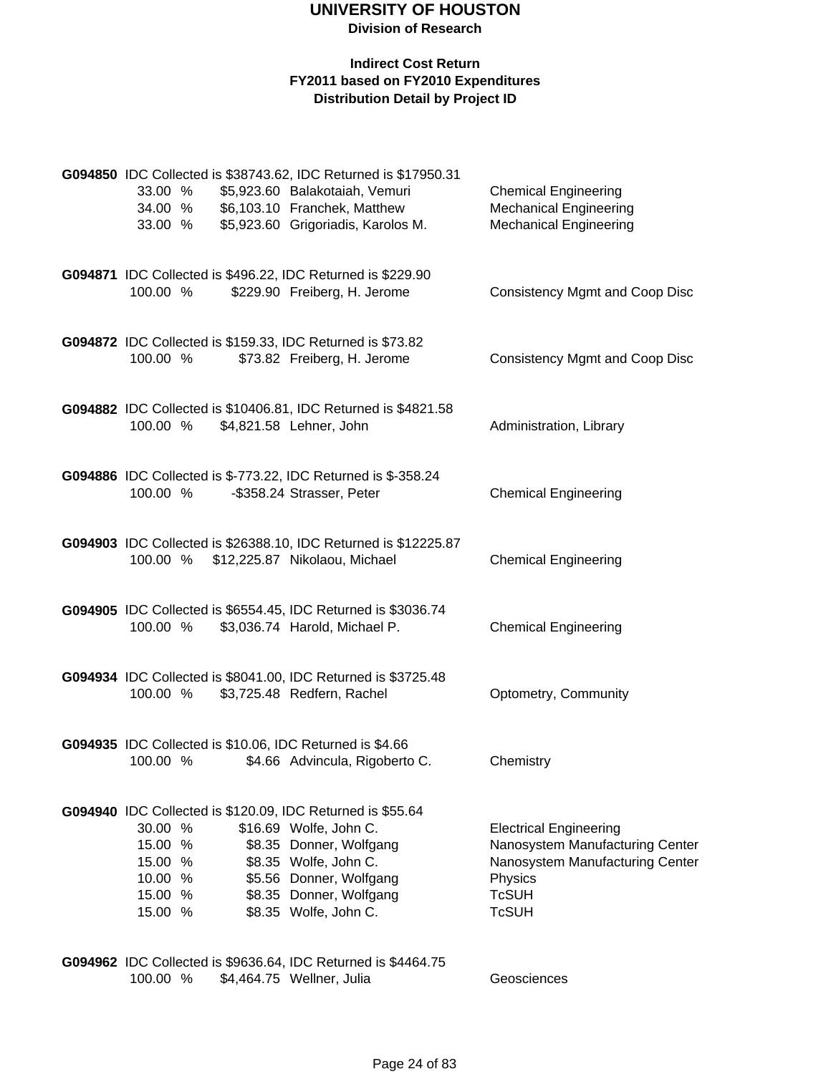#### **Indirect Cost Return FY2011 based on FY2010 Expenditures Distribution Detail by Project ID**

| 33.00 %<br>34.00 %<br>33.00 % |  | G094850 IDC Collected is \$38743.62, IDC Returned is \$17950.31<br>\$5,923.60 Balakotaiah, Vemuri<br>\$6,103.10 Franchek, Matthew<br>\$5,923.60 Grigoriadis, Karolos M. | <b>Chemical Engineering</b><br><b>Mechanical Engineering</b><br><b>Mechanical Engineering</b> |
|-------------------------------|--|-------------------------------------------------------------------------------------------------------------------------------------------------------------------------|-----------------------------------------------------------------------------------------------|
| 100.00 %                      |  | G094871 IDC Collected is \$496.22, IDC Returned is \$229.90<br>\$229.90 Freiberg, H. Jerome                                                                             | <b>Consistency Mgmt and Coop Disc</b>                                                         |
| 100.00 %                      |  | G094872 IDC Collected is \$159.33, IDC Returned is \$73.82<br>\$73.82 Freiberg, H. Jerome                                                                               | <b>Consistency Mgmt and Coop Disc</b>                                                         |
| 100.00 %                      |  | G094882 IDC Collected is \$10406.81, IDC Returned is \$4821.58<br>\$4,821.58 Lehner, John                                                                               | Administration, Library                                                                       |
| 100.00 %                      |  | G094886 IDC Collected is \$-773.22, IDC Returned is \$-358.24<br>-\$358.24 Strasser, Peter                                                                              | <b>Chemical Engineering</b>                                                                   |
| 100.00 %                      |  | G094903 IDC Collected is \$26388.10, IDC Returned is \$12225.87<br>\$12,225.87 Nikolaou, Michael                                                                        | <b>Chemical Engineering</b>                                                                   |
| 100.00 %                      |  | G094905 IDC Collected is \$6554.45, IDC Returned is \$3036.74<br>\$3,036.74 Harold, Michael P.                                                                          | <b>Chemical Engineering</b>                                                                   |
| 100.00 %                      |  | G094934 IDC Collected is \$8041.00, IDC Returned is \$3725.48<br>\$3,725.48 Redfern, Rachel                                                                             | Optometry, Community                                                                          |
| 100.00 %                      |  | G094935 IDC Collected is \$10.06, IDC Returned is \$4.66<br>\$4.66 Advincula, Rigoberto C.                                                                              | Chemistry                                                                                     |
|                               |  | G094940 IDC Collected is \$120.09, IDC Returned is \$55.64                                                                                                              |                                                                                               |
| 30.00 %                       |  | \$16.69 Wolfe, John C.                                                                                                                                                  | <b>Electrical Engineering</b>                                                                 |
| 15.00 %                       |  | \$8.35 Donner, Wolfgang                                                                                                                                                 | Nanosystem Manufacturing Center<br>Nanosystem Manufacturing Center                            |
| 15.00 %<br>10.00 %            |  | \$8.35 Wolfe, John C.<br>\$5.56 Donner, Wolfgang                                                                                                                        | Physics                                                                                       |
| 15.00 %                       |  | \$8.35 Donner, Wolfgang                                                                                                                                                 | <b>TcSUH</b>                                                                                  |
| 15.00 %                       |  | \$8.35 Wolfe, John C.                                                                                                                                                   | <b>TcSUH</b>                                                                                  |
|                               |  |                                                                                                                                                                         |                                                                                               |

**G094962** IDC Collected is \$9636.64, IDC Returned is \$4464.75 100.00 % \$4,464.75 Wellner, Julia Geosciences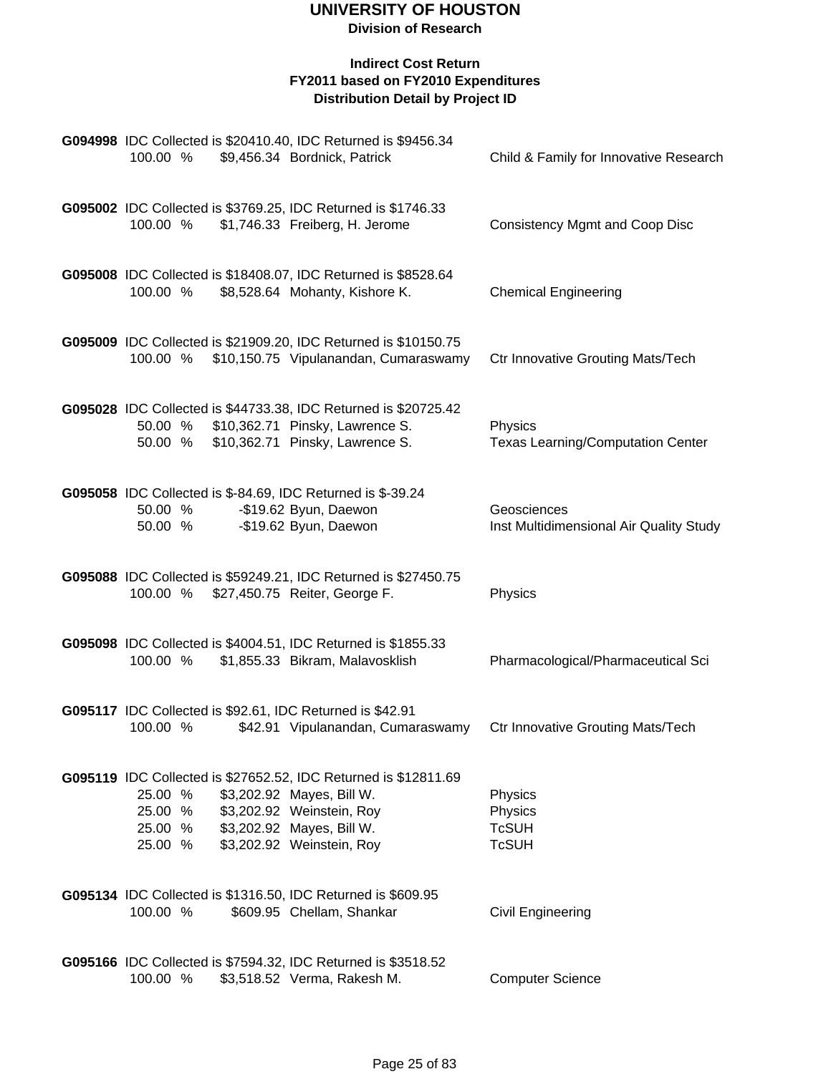| G094998 IDC Collected is \$20410.40, IDC Returned is \$9456.34<br>100.00 %<br>\$9,456.34 Bordnick, Patrick                                                                                                                      | Child & Family for Innovative Research                 |
|---------------------------------------------------------------------------------------------------------------------------------------------------------------------------------------------------------------------------------|--------------------------------------------------------|
| G095002 IDC Collected is \$3769.25, IDC Returned is \$1746.33<br>\$1,746.33 Freiberg, H. Jerome<br>100.00 %                                                                                                                     | <b>Consistency Mgmt and Coop Disc</b>                  |
| G095008 IDC Collected is \$18408.07, IDC Returned is \$8528.64<br>100.00 %<br>\$8,528.64 Mohanty, Kishore K.                                                                                                                    | <b>Chemical Engineering</b>                            |
| G095009 IDC Collected is \$21909.20, IDC Returned is \$10150.75<br>100.00 %<br>\$10,150.75 Vipulanandan, Cumaraswamy                                                                                                            | <b>Ctr Innovative Grouting Mats/Tech</b>               |
| G095028 IDC Collected is \$44733.38, IDC Returned is \$20725.42<br>50.00 % \$10,362.71 Pinsky, Lawrence S.<br>\$10,362.71 Pinsky, Lawrence S.<br>50.00 %                                                                        | Physics<br><b>Texas Learning/Computation Center</b>    |
| G095058 IDC Collected is \$-84.69, IDC Returned is \$-39.24<br>-\$19.62 Byun, Daewon<br>50.00 %<br>-\$19.62 Byun, Daewon<br>50.00 %                                                                                             | Geosciences<br>Inst Multidimensional Air Quality Study |
| G095088 IDC Collected is \$59249.21, IDC Returned is \$27450.75<br>\$27,450.75 Reiter, George F.<br>100.00 %                                                                                                                    | Physics                                                |
| G095098 IDC Collected is \$4004.51, IDC Returned is \$1855.33<br>100.00 %<br>\$1,855.33 Bikram, Malavosklish                                                                                                                    | Pharmacological/Pharmaceutical Sci                     |
| G095117 IDC Collected is \$92.61, IDC Returned is \$42.91<br>100.00 %<br>\$42.91 Vipulanandan, Cumaraswamy                                                                                                                      | <b>Ctr Innovative Grouting Mats/Tech</b>               |
| G095119 IDC Collected is \$27652.52, IDC Returned is \$12811.69<br>25.00 %<br>\$3,202.92 Mayes, Bill W.<br>25.00 %<br>\$3,202.92 Weinstein, Roy<br>25.00 %<br>\$3,202.92 Mayes, Bill W.<br>\$3,202.92 Weinstein, Roy<br>25.00 % | Physics<br>Physics<br><b>TcSUH</b><br><b>TcSUH</b>     |
| G095134 IDC Collected is \$1316.50, IDC Returned is \$609.95<br>100.00 %<br>\$609.95 Chellam, Shankar                                                                                                                           | Civil Engineering                                      |
| G095166 IDC Collected is \$7594.32, IDC Returned is \$3518.52<br>100.00 %<br>\$3,518.52 Verma, Rakesh M.                                                                                                                        | <b>Computer Science</b>                                |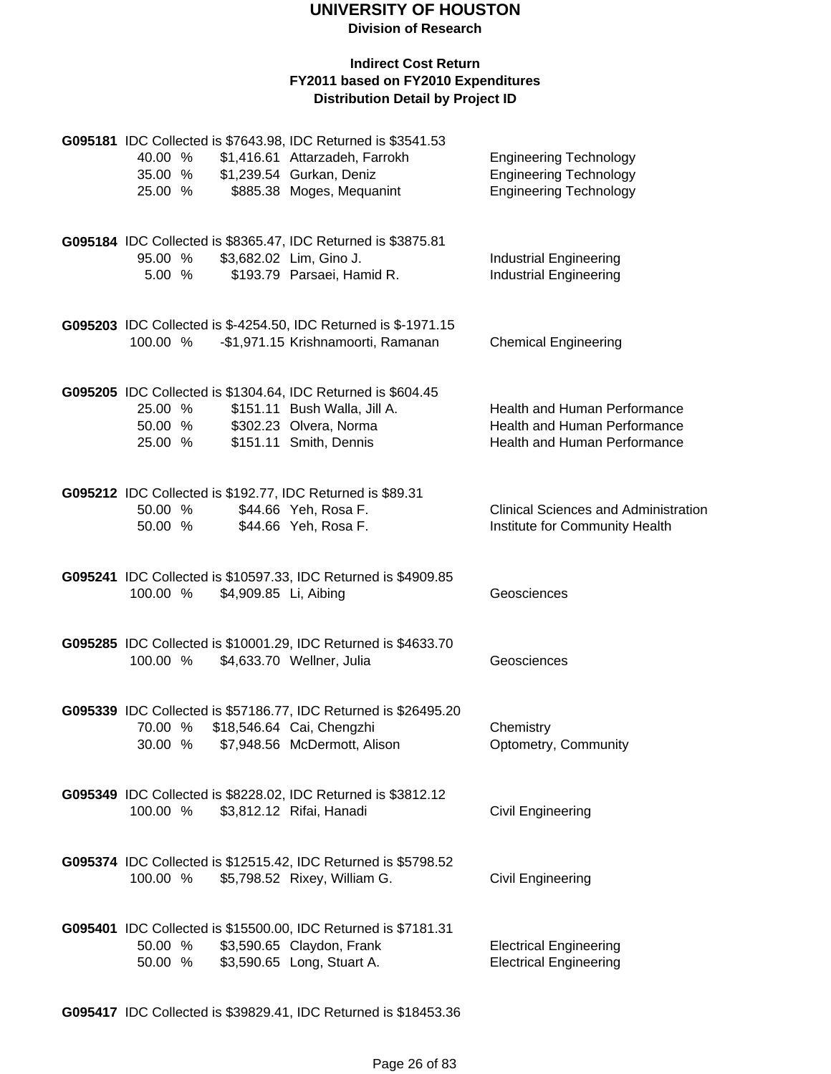#### **Indirect Cost Return FY2011 based on FY2010 Expenditures Distribution Detail by Project ID**

| 40.00 %<br>35.00 %<br>25.00 % |                       | G095181 IDC Collected is \$7643.98, IDC Returned is \$3541.53<br>\$1,416.61 Attarzadeh, Farrokh<br>\$1,239.54 Gurkan, Deniz<br>\$885.38 Moges, Mequanint | <b>Engineering Technology</b><br><b>Engineering Technology</b><br><b>Engineering Technology</b> |
|-------------------------------|-----------------------|----------------------------------------------------------------------------------------------------------------------------------------------------------|-------------------------------------------------------------------------------------------------|
| 95.00 %<br>5.00 %             |                       | G095184 IDC Collected is \$8365.47, IDC Returned is \$3875.81<br>\$3,682.02 Lim, Gino J.<br>\$193.79 Parsaei, Hamid R.                                   | <b>Industrial Engineering</b><br><b>Industrial Engineering</b>                                  |
| 100.00 %                      |                       | G095203 IDC Collected is \$-4254.50, IDC Returned is \$-1971.15<br>-\$1,971.15 Krishnamoorti, Ramanan                                                    | <b>Chemical Engineering</b>                                                                     |
| 25.00 %<br>50.00 %<br>25.00 % |                       | G095205 IDC Collected is \$1304.64, IDC Returned is \$604.45<br>\$151.11 Bush Walla, Jill A.<br>\$302.23 Olvera, Norma<br>\$151.11 Smith, Dennis         | Health and Human Performance<br>Health and Human Performance<br>Health and Human Performance    |
| 50.00 %<br>50.00 %            |                       | G095212 IDC Collected is \$192.77, IDC Returned is \$89.31<br>\$44.66 Yeh, Rosa F.<br>\$44.66 Yeh, Rosa F.                                               | <b>Clinical Sciences and Administration</b><br>Institute for Community Health                   |
| 100.00 %                      | \$4,909.85 Li, Aibing | G095241 IDC Collected is \$10597.33, IDC Returned is \$4909.85                                                                                           | Geosciences                                                                                     |
| 100.00 %                      |                       | G095285 IDC Collected is \$10001.29, IDC Returned is \$4633.70<br>\$4,633.70 Wellner, Julia                                                              | Geosciences                                                                                     |
| 70.00 %<br>30.00 %            |                       | G095339 IDC Collected is \$57186.77, IDC Returned is \$26495.20<br>\$18,546.64 Cai, Chengzhi<br>\$7,948.56 McDermott, Alison                             | Chemistry<br>Optometry, Community                                                               |
| 100.00 %                      |                       | G095349 IDC Collected is \$8228.02, IDC Returned is \$3812.12<br>\$3,812.12 Rifai, Hanadi                                                                | <b>Civil Engineering</b>                                                                        |
| 100.00 %                      |                       | G095374 IDC Collected is \$12515.42, IDC Returned is \$5798.52<br>\$5,798.52 Rixey, William G.                                                           | <b>Civil Engineering</b>                                                                        |
| 50.00 %<br>50.00 %            |                       | G095401 IDC Collected is \$15500.00, IDC Returned is \$7181.31<br>\$3,590.65 Claydon, Frank<br>\$3,590.65 Long, Stuart A.                                | <b>Electrical Engineering</b><br><b>Electrical Engineering</b>                                  |

**G095417** IDC Collected is \$39829.41, IDC Returned is \$18453.36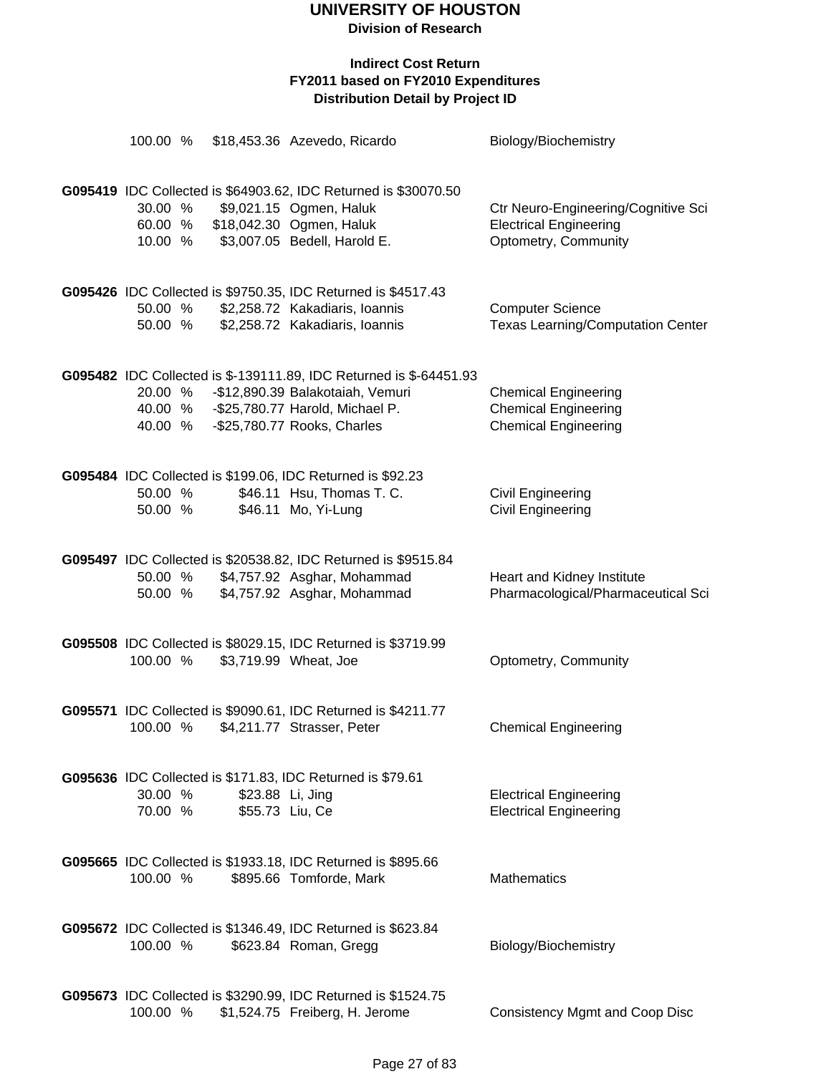**Division of Research**

| 100.00 %                      |                                     | \$18,453.36 Azevedo, Ricardo                                                                                                                                             | Biology/Biochemistry                                                                         |
|-------------------------------|-------------------------------------|--------------------------------------------------------------------------------------------------------------------------------------------------------------------------|----------------------------------------------------------------------------------------------|
| 30.00 %<br>60.00 %<br>10.00 % |                                     | G095419 IDC Collected is \$64903.62, IDC Returned is \$30070.50<br>\$9,021.15 Ogmen, Haluk<br>\$18,042.30 Ogmen, Haluk<br>\$3,007.05 Bedell, Harold E.                   | Ctr Neuro-Engineering/Cognitive Sci<br><b>Electrical Engineering</b><br>Optometry, Community |
| 50.00 %<br>50.00 %            |                                     | G095426 IDC Collected is \$9750.35, IDC Returned is \$4517.43<br>\$2,258.72 Kakadiaris, Ioannis<br>\$2,258.72 Kakadiaris, Ioannis                                        | <b>Computer Science</b><br><b>Texas Learning/Computation Center</b>                          |
| 20.00 %<br>40.00 %<br>40.00 % |                                     | G095482 IDC Collected is \$-139111.89, IDC Returned is \$-64451.93<br>-\$12,890.39 Balakotaiah, Vemuri<br>-\$25,780.77 Harold, Michael P.<br>-\$25,780.77 Rooks, Charles | <b>Chemical Engineering</b><br><b>Chemical Engineering</b><br><b>Chemical Engineering</b>    |
| 50.00 %<br>50.00 %            |                                     | G095484 IDC Collected is \$199.06, IDC Returned is \$92.23<br>\$46.11 Hsu, Thomas T. C.<br>\$46.11 Mo, Yi-Lung                                                           | <b>Civil Engineering</b><br><b>Civil Engineering</b>                                         |
| 50.00 %<br>50.00 %            |                                     | G095497 IDC Collected is \$20538.82, IDC Returned is \$9515.84<br>\$4,757.92 Asghar, Mohammad<br>\$4,757.92 Asghar, Mohammad                                             | Heart and Kidney Institute<br>Pharmacological/Pharmaceutical Sci                             |
| 100.00 %                      |                                     | G095508 IDC Collected is \$8029.15, IDC Returned is \$3719.99<br>\$3,719.99 Wheat, Joe                                                                                   | Optometry, Community                                                                         |
|                               |                                     | G095571 IDC Collected is \$9090.61, IDC Returned is \$4211.77<br>100.00 % \$4,211.77 Strasser, Peter                                                                     | <b>Chemical Engineering</b>                                                                  |
| 30.00 %<br>70.00 %            | \$23.88 Li, Jing<br>\$55.73 Liu, Ce | G095636 IDC Collected is \$171.83, IDC Returned is \$79.61                                                                                                               | <b>Electrical Engineering</b><br><b>Electrical Engineering</b>                               |
| 100.00 %                      |                                     | G095665 IDC Collected is \$1933.18, IDC Returned is \$895.66<br>\$895.66 Tomforde, Mark                                                                                  | Mathematics                                                                                  |
| 100.00 %                      |                                     | G095672 IDC Collected is \$1346.49, IDC Returned is \$623.84<br>\$623.84 Roman, Gregg                                                                                    | Biology/Biochemistry                                                                         |
| 100.00 %                      |                                     | G095673 IDC Collected is \$3290.99, IDC Returned is \$1524.75<br>\$1,524.75 Freiberg, H. Jerome                                                                          | <b>Consistency Mgmt and Coop Disc</b>                                                        |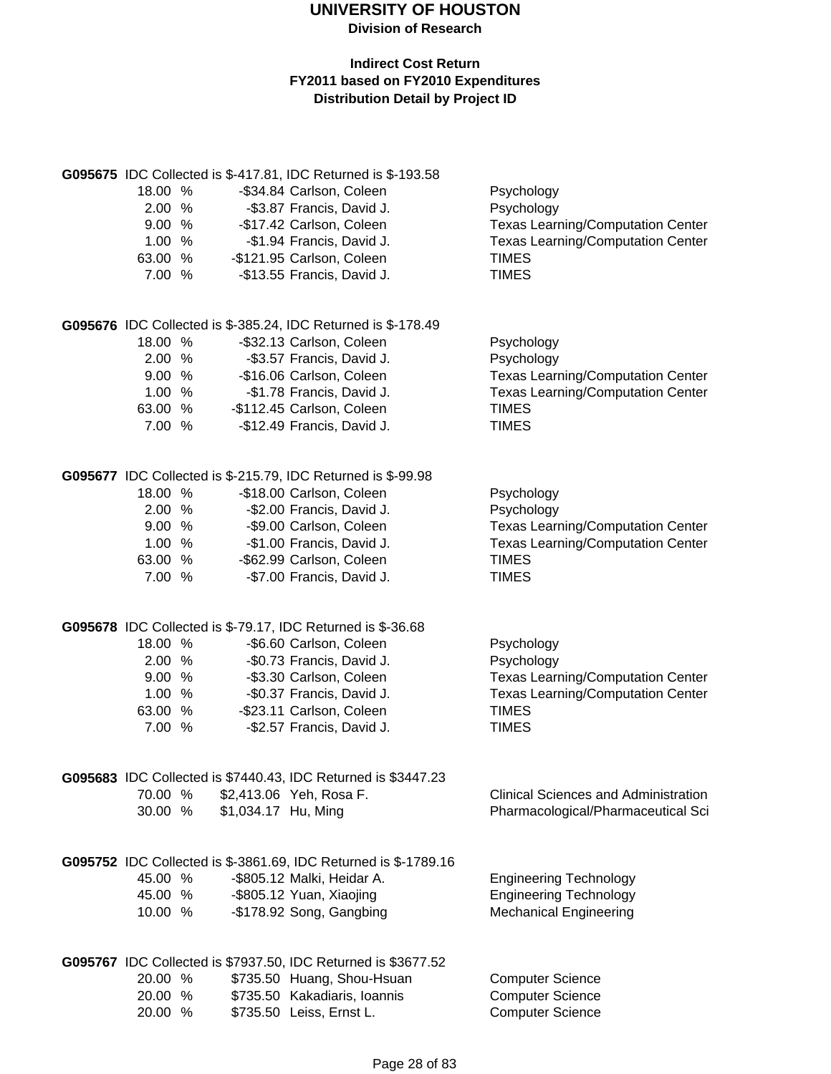|         |                            |                            | G095675 IDC Collected is \$-417.81, IDC Returned is \$-193.58   |                                             |
|---------|----------------------------|----------------------------|-----------------------------------------------------------------|---------------------------------------------|
| 18.00 % |                            | -\$34.84 Carlson, Coleen   |                                                                 | Psychology                                  |
| 2.00 %  |                            | -\$3.87 Francis, David J.  |                                                                 | Psychology                                  |
| 9.00 %  |                            | -\$17.42 Carlson, Coleen   |                                                                 | <b>Texas Learning/Computation Center</b>    |
| 1.00 %  |                            | -\$1.94 Francis, David J.  |                                                                 | <b>Texas Learning/Computation Center</b>    |
| 63.00 % | -\$121.95 Carlson, Coleen  |                            |                                                                 | <b>TIMES</b>                                |
| 7.00 %  |                            | -\$13.55 Francis, David J. |                                                                 | <b>TIMES</b>                                |
|         |                            |                            | G095676 IDC Collected is \$-385.24, IDC Returned is \$-178.49   |                                             |
| 18.00 % |                            | -\$32.13 Carlson, Coleen   |                                                                 | Psychology                                  |
| 2.00 %  |                            | -\$3.57 Francis, David J.  |                                                                 | Psychology                                  |
| 9.00%   |                            | -\$16.06 Carlson, Coleen   |                                                                 | <b>Texas Learning/Computation Center</b>    |
| 1.00%   |                            | -\$1.78 Francis, David J.  |                                                                 | <b>Texas Learning/Computation Center</b>    |
| 63.00 % | -\$112.45 Carlson, Coleen  |                            |                                                                 | <b>TIMES</b>                                |
| 7.00 %  |                            | -\$12.49 Francis, David J. |                                                                 | <b>TIMES</b>                                |
|         |                            |                            | G095677 IDC Collected is \$-215.79, IDC Returned is \$-99.98    |                                             |
| 18.00 % |                            | -\$18.00 Carlson, Coleen   |                                                                 |                                             |
|         |                            |                            |                                                                 | Psychology                                  |
| 2.00 %  |                            | -\$2.00 Francis, David J.  |                                                                 | Psychology                                  |
| 9.00 %  |                            | -\$9.00 Carlson, Coleen    |                                                                 | <b>Texas Learning/Computation Center</b>    |
| 1.00%   |                            | -\$1.00 Francis, David J.  |                                                                 | <b>Texas Learning/Computation Center</b>    |
| 63.00 % |                            | -\$62.99 Carlson, Coleen   |                                                                 | <b>TIMES</b>                                |
| 7.00 %  |                            | -\$7.00 Francis, David J.  |                                                                 | <b>TIMES</b>                                |
|         |                            |                            | G095678 IDC Collected is \$-79.17, IDC Returned is \$-36.68     |                                             |
| 18.00 % |                            | -\$6.60 Carlson, Coleen    |                                                                 | Psychology                                  |
| 2.00%   |                            | -\$0.73 Francis, David J.  |                                                                 | Psychology                                  |
| 9.00%   |                            | -\$3.30 Carlson, Coleen    |                                                                 | <b>Texas Learning/Computation Center</b>    |
| 1.00%   |                            |                            | -\$0.37 Francis, David J.                                       | <b>Texas Learning/Computation Center</b>    |
| 63.00 % |                            | -\$23.11 Carlson, Coleen   |                                                                 | <b>TIMES</b>                                |
| 7.00 %  |                            | -\$2.57 Francis, David J.  |                                                                 | <b>TIMES</b>                                |
|         |                            |                            | G095683 IDC Collected is \$7440.43, IDC Returned is \$3447.23   |                                             |
| 70.00 % | \$2,413.06 Yeh, Rosa F.    |                            |                                                                 | <b>Clinical Sciences and Administration</b> |
| 30.00 % | \$1,034.17 Hu, Ming        |                            |                                                                 | Pharmacological/Pharmaceutical Sci          |
|         |                            |                            | G095752 IDC Collected is \$-3861.69, IDC Returned is \$-1789.16 |                                             |
| 45.00 % | -\$805.12 Malki, Heidar A. |                            |                                                                 | <b>Engineering Technology</b>               |
| 45.00 % | -\$805.12 Yuan, Xiaojing   |                            |                                                                 | <b>Engineering Technology</b>               |
| 10.00 % | -\$178.92 Song, Gangbing   |                            |                                                                 | <b>Mechanical Engineering</b>               |
|         |                            |                            | G095767 IDC Collected is \$7937.50, IDC Returned is \$3677.52   |                                             |
| 20.00 % |                            |                            | \$735.50 Huang, Shou-Hsuan                                      | <b>Computer Science</b>                     |
| 20.00 % |                            |                            | \$735.50 Kakadiaris, Ioannis                                    | <b>Computer Science</b>                     |
| 20.00 % | \$735.50 Leiss, Ernst L.   |                            |                                                                 | <b>Computer Science</b>                     |
|         |                            |                            |                                                                 |                                             |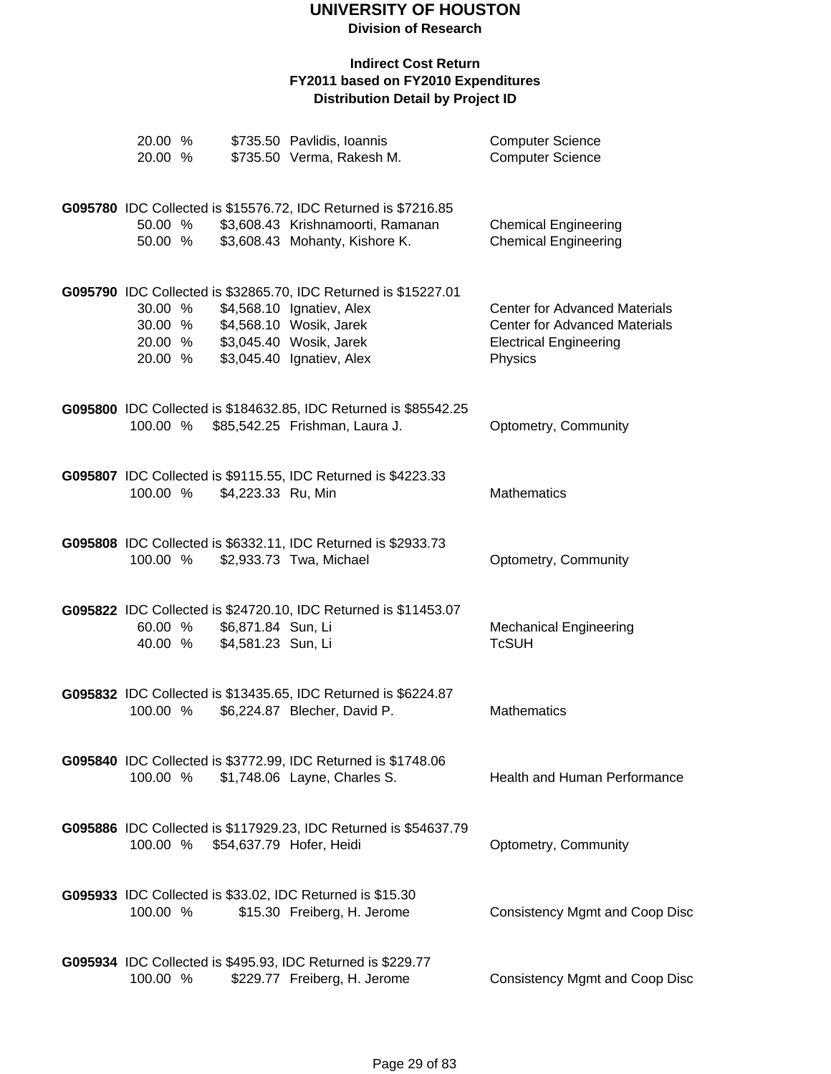**Division of Research**

| 20.00 %<br>20.00 % |                                          | \$735.50 Pavlidis, Ioannis<br>\$735.50 Verma, Rakesh M.                                            | <b>Computer Science</b><br><b>Computer Science</b>                           |
|--------------------|------------------------------------------|----------------------------------------------------------------------------------------------------|------------------------------------------------------------------------------|
|                    |                                          | G095780 IDC Collected is \$15576.72, IDC Returned is \$7216.85                                     |                                                                              |
| 50.00 %<br>50.00 % |                                          | \$3,608.43 Krishnamoorti, Ramanan<br>\$3,608.43 Mohanty, Kishore K.                                | <b>Chemical Engineering</b><br><b>Chemical Engineering</b>                   |
|                    |                                          | G095790 IDC Collected is \$32865.70, IDC Returned is \$15227.01                                    |                                                                              |
| 30.00 %<br>30.00 % |                                          | \$4,568.10 Ignatiev, Alex<br>\$4,568.10 Wosik, Jarek                                               | <b>Center for Advanced Materials</b><br><b>Center for Advanced Materials</b> |
| 20.00 %<br>20.00 % |                                          | \$3,045.40 Wosik, Jarek<br>\$3,045.40 Ignatiev, Alex                                               | <b>Electrical Engineering</b><br>Physics                                     |
| 100.00 %           |                                          | G095800 IDC Collected is \$184632.85, IDC Returned is \$85542.25<br>\$85,542.25 Frishman, Laura J. | Optometry, Community                                                         |
|                    |                                          |                                                                                                    |                                                                              |
| 100.00 %           | \$4,223.33 Ru, Min                       | G095807 IDC Collected is \$9115.55, IDC Returned is \$4223.33                                      | <b>Mathematics</b>                                                           |
|                    |                                          | G095808 IDC Collected is \$6332.11, IDC Returned is \$2933.73                                      |                                                                              |
| 100.00 %           |                                          | \$2,933.73 Twa, Michael                                                                            | Optometry, Community                                                         |
|                    |                                          | G095822 IDC Collected is \$24720.10, IDC Returned is \$11453.07                                    |                                                                              |
| 60.00 %<br>40.00 % | \$6,871.84 Sun, Li<br>\$4,581.23 Sun, Li |                                                                                                    | <b>Mechanical Engineering</b><br><b>TcSUH</b>                                |
|                    |                                          | G095832 IDC Collected is \$13435.65, IDC Returned is \$6224.87                                     |                                                                              |
| 100.00 %           |                                          | \$6,224.87 Blecher, David P.                                                                       | <b>Mathematics</b>                                                           |
| 100.00 %           |                                          | G095840 IDC Collected is \$3772.99, IDC Returned is \$1748.06<br>\$1,748.06 Layne, Charles S.      | Health and Human Performance                                                 |
|                    |                                          |                                                                                                    |                                                                              |
| 100.00 %           |                                          | G095886 IDC Collected is \$117929.23, IDC Returned is \$54637.79<br>\$54,637.79 Hofer, Heidi       | Optometry, Community                                                         |
|                    |                                          | G095933 IDC Collected is \$33.02, IDC Returned is \$15.30                                          |                                                                              |
| 100.00 %           |                                          | \$15.30 Freiberg, H. Jerome                                                                        | <b>Consistency Mgmt and Coop Disc</b>                                        |
| 100.00 %           |                                          | G095934 IDC Collected is \$495.93, IDC Returned is \$229.77<br>\$229.77 Freiberg, H. Jerome        | <b>Consistency Mgmt and Coop Disc</b>                                        |
|                    |                                          |                                                                                                    |                                                                              |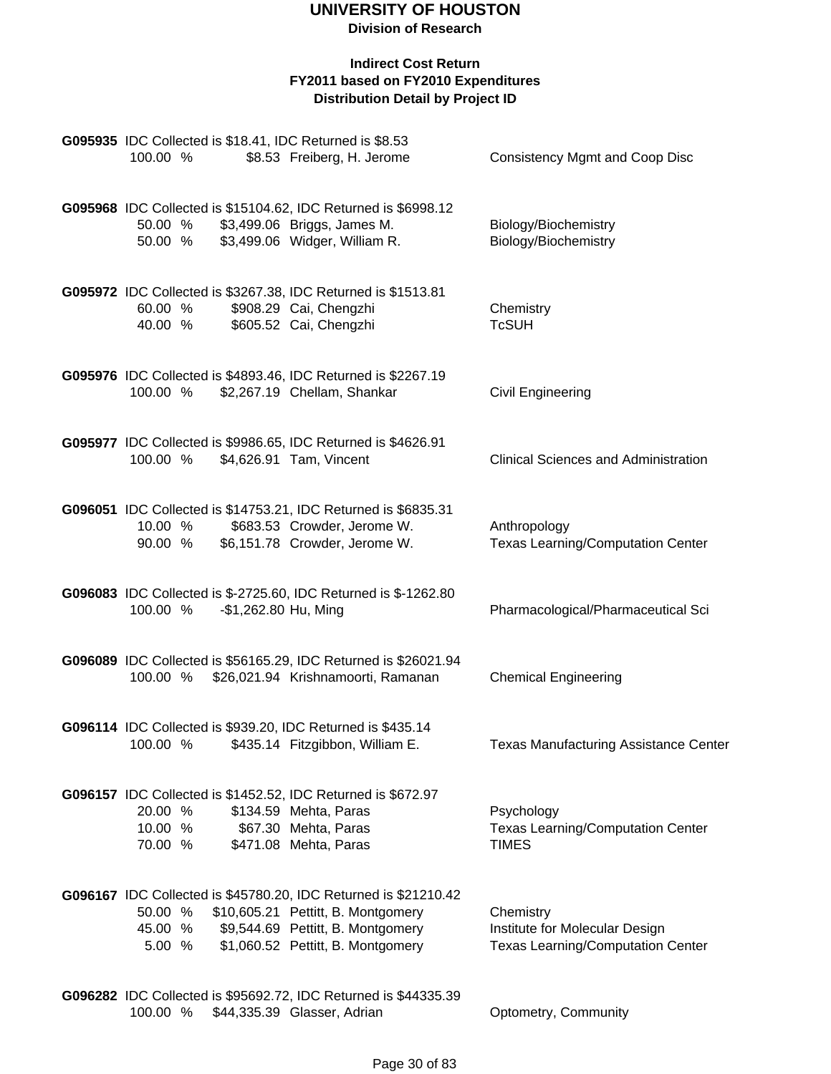| 100.00 %                      |                      | G095935 IDC Collected is \$18.41, IDC Returned is \$8.53<br>\$8.53 Freiberg, H. Jerome                                                                                          | <b>Consistency Mgmt and Coop Disc</b>                                                   |
|-------------------------------|----------------------|---------------------------------------------------------------------------------------------------------------------------------------------------------------------------------|-----------------------------------------------------------------------------------------|
| 50.00 %<br>50.00 %            |                      | G095968 IDC Collected is \$15104.62, IDC Returned is \$6998.12<br>\$3,499.06 Briggs, James M.<br>\$3,499.06 Widger, William R.                                                  | Biology/Biochemistry<br>Biology/Biochemistry                                            |
| 60.00 %<br>40.00 %            |                      | G095972 IDC Collected is \$3267.38, IDC Returned is \$1513.81<br>\$908.29 Cai, Chengzhi<br>\$605.52 Cai, Chengzhi                                                               | Chemistry<br><b>TcSUH</b>                                                               |
| 100.00 %                      |                      | G095976 IDC Collected is \$4893.46, IDC Returned is \$2267.19<br>\$2,267.19 Chellam, Shankar                                                                                    | Civil Engineering                                                                       |
| 100.00 %                      |                      | G095977 IDC Collected is \$9986.65, IDC Returned is \$4626.91<br>\$4,626.91 Tam, Vincent                                                                                        | <b>Clinical Sciences and Administration</b>                                             |
| 10.00 %<br>90.00 %            |                      | G096051 IDC Collected is \$14753.21, IDC Returned is \$6835.31<br>\$683.53 Crowder, Jerome W.<br>\$6,151.78 Crowder, Jerome W.                                                  | Anthropology<br><b>Texas Learning/Computation Center</b>                                |
| 100.00 %                      | -\$1,262.80 Hu, Ming | G096083 IDC Collected is \$-2725.60, IDC Returned is \$-1262.80                                                                                                                 | Pharmacological/Pharmaceutical Sci                                                      |
| 100.00 %                      |                      | G096089 IDC Collected is \$56165.29, IDC Returned is \$26021.94<br>\$26,021.94 Krishnamoorti, Ramanan                                                                           | <b>Chemical Engineering</b>                                                             |
| 100.00 %                      |                      | G096114 IDC Collected is \$939.20, IDC Returned is \$435.14<br>\$435.14 Fitzgibbon, William E.                                                                                  | Texas Manufacturing Assistance Center                                                   |
| 20.00 %<br>10.00 %<br>70.00 % |                      | G096157 IDC Collected is \$1452.52, IDC Returned is \$672.97<br>\$134.59 Mehta, Paras<br>\$67.30 Mehta, Paras<br>\$471.08 Mehta, Paras                                          | Psychology<br><b>Texas Learning/Computation Center</b><br><b>TIMES</b>                  |
| 50.00 %<br>45.00 %<br>5.00 %  |                      | G096167 IDC Collected is \$45780.20, IDC Returned is \$21210.42<br>\$10,605.21 Pettitt, B. Montgomery<br>\$9,544.69 Pettitt, B. Montgomery<br>\$1,060.52 Pettitt, B. Montgomery | Chemistry<br>Institute for Molecular Design<br><b>Texas Learning/Computation Center</b> |
| 100.00 %                      |                      | G096282 IDC Collected is \$95692.72, IDC Returned is \$44335.39<br>\$44,335.39 Glasser, Adrian                                                                                  | Optometry, Community                                                                    |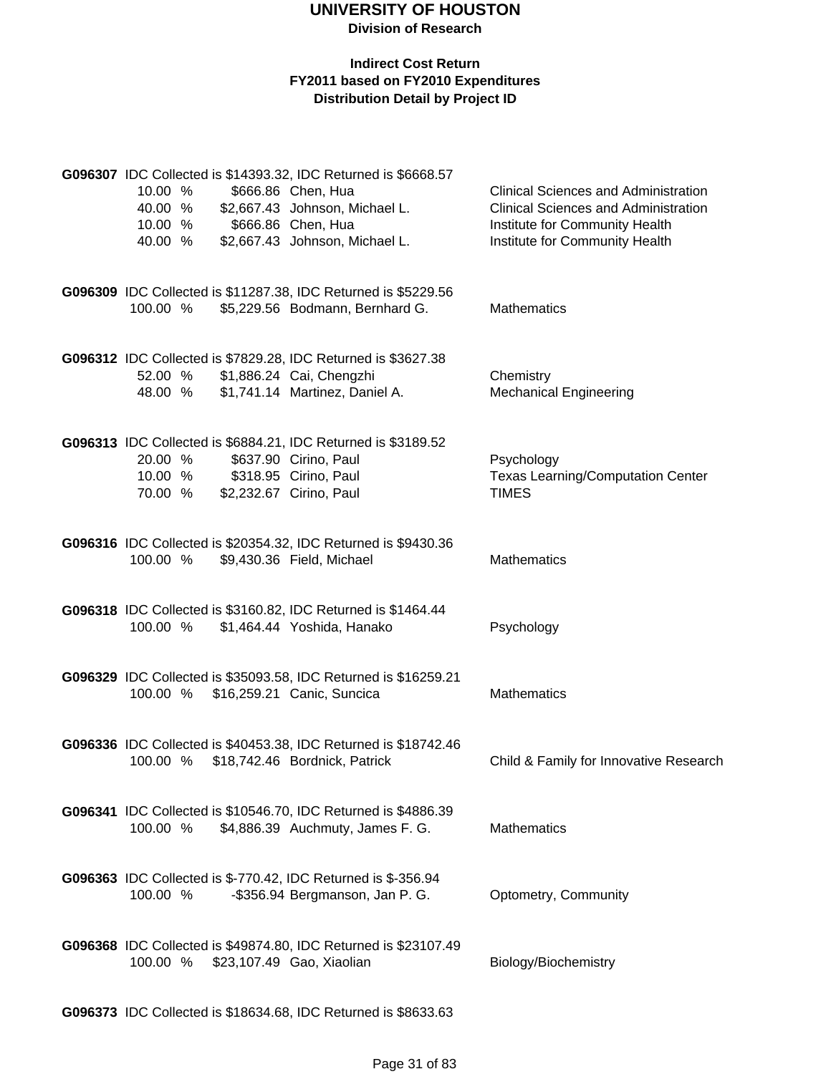#### **Indirect Cost Return FY2011 based on FY2010 Expenditures Distribution Detail by Project ID**

|          |  | G096307 IDC Collected is \$14393.32, IDC Returned is \$6668.57                                   |                                             |
|----------|--|--------------------------------------------------------------------------------------------------|---------------------------------------------|
| 10.00 %  |  | \$666.86 Chen, Hua                                                                               | <b>Clinical Sciences and Administration</b> |
| 40.00 %  |  | \$2,667.43 Johnson, Michael L.                                                                   | <b>Clinical Sciences and Administration</b> |
| 10.00 %  |  | \$666.86 Chen, Hua                                                                               | Institute for Community Health              |
| 40.00 %  |  | \$2,667.43 Johnson, Michael L.                                                                   | Institute for Community Health              |
|          |  |                                                                                                  |                                             |
|          |  | G096309 IDC Collected is \$11287.38, IDC Returned is \$5229.56                                   |                                             |
| 100.00 % |  | \$5,229.56 Bodmann, Bernhard G.                                                                  | Mathematics                                 |
|          |  |                                                                                                  |                                             |
|          |  | G096312 IDC Collected is \$7829.28, IDC Returned is \$3627.38                                    |                                             |
| 52.00 %  |  | \$1,886.24 Cai, Chengzhi                                                                         | Chemistry                                   |
| 48.00 %  |  | \$1,741.14 Martinez, Daniel A.                                                                   | <b>Mechanical Engineering</b>               |
|          |  |                                                                                                  |                                             |
|          |  | G096313 IDC Collected is \$6884.21, IDC Returned is \$3189.52                                    |                                             |
| 20.00 %  |  | \$637.90 Cirino, Paul                                                                            | Psychology                                  |
| 10.00 %  |  | \$318.95 Cirino, Paul                                                                            | <b>Texas Learning/Computation Center</b>    |
| 70.00 %  |  | \$2,232.67 Cirino, Paul                                                                          | <b>TIMES</b>                                |
|          |  |                                                                                                  |                                             |
|          |  | G096316 IDC Collected is \$20354.32, IDC Returned is \$9430.36                                   |                                             |
| 100.00 % |  | \$9,430.36 Field, Michael                                                                        | Mathematics                                 |
|          |  |                                                                                                  |                                             |
|          |  | G096318 IDC Collected is \$3160.82, IDC Returned is \$1464.44                                    |                                             |
| 100.00 % |  | \$1,464.44 Yoshida, Hanako                                                                       | Psychology                                  |
|          |  |                                                                                                  |                                             |
|          |  | G096329 IDC Collected is \$35093.58, IDC Returned is \$16259.21                                  |                                             |
| 100.00 % |  | \$16,259.21 Canic, Suncica                                                                       | <b>Mathematics</b>                          |
|          |  |                                                                                                  |                                             |
|          |  | G096336 IDC Collected is \$40453.38, IDC Returned is \$18742.46                                  |                                             |
| 100.00 % |  | \$18,742.46 Bordnick, Patrick                                                                    | Child & Family for Innovative Research      |
|          |  |                                                                                                  |                                             |
|          |  | G096341 IDC Collected is \$10546.70, IDC Returned is \$4886.39                                   |                                             |
| 100.00 % |  | \$4,886.39 Auchmuty, James F. G.                                                                 | <b>Mathematics</b>                          |
|          |  |                                                                                                  |                                             |
|          |  |                                                                                                  |                                             |
| 100.00 % |  | G096363 IDC Collected is \$-770.42, IDC Returned is \$-356.94<br>-\$356.94 Bergmanson, Jan P. G. | Optometry, Community                        |
|          |  |                                                                                                  |                                             |
|          |  |                                                                                                  |                                             |
|          |  | G096368 IDC Collected is \$49874.80, IDC Returned is \$23107.49                                  |                                             |
| 100.00 % |  | \$23,107.49 Gao, Xiaolian                                                                        | Biology/Biochemistry                        |
|          |  |                                                                                                  |                                             |

**G096373** IDC Collected is \$18634.68, IDC Returned is \$8633.63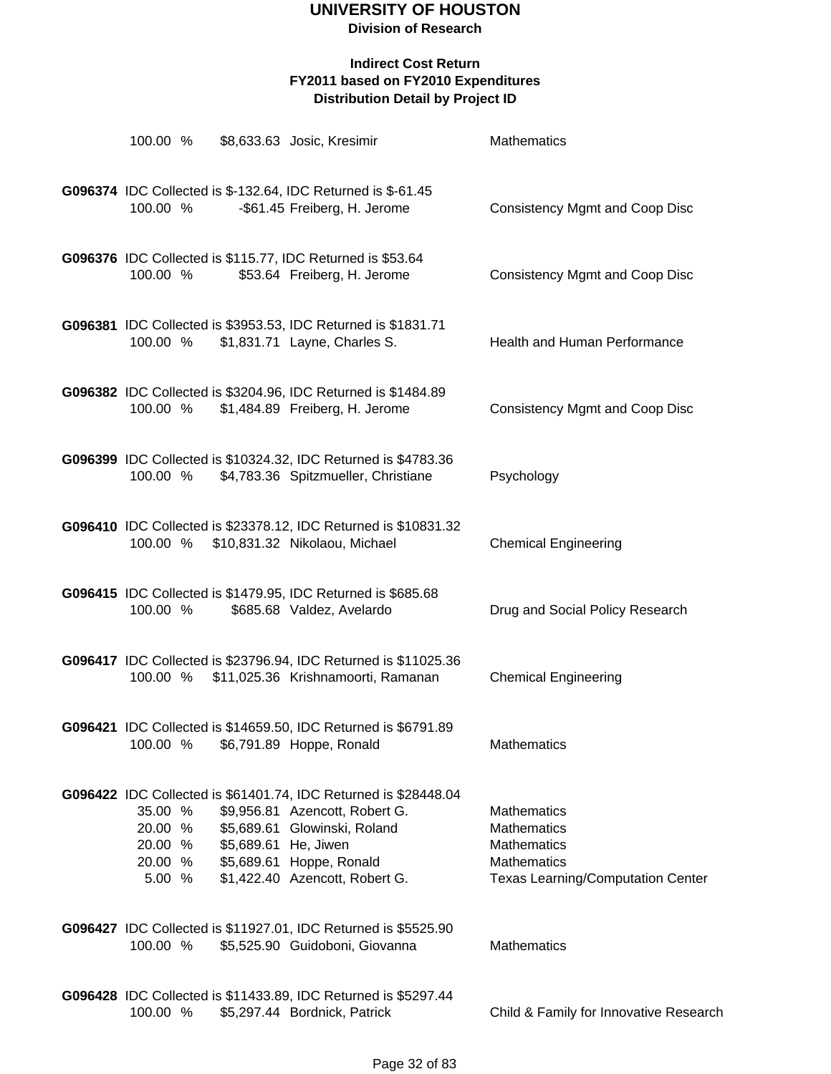| 100.00 %                                                                 | \$8,633.63 Josic, Kresimir                                                                                         |                                                                                                       | Mathematics                                                                                                               |
|--------------------------------------------------------------------------|--------------------------------------------------------------------------------------------------------------------|-------------------------------------------------------------------------------------------------------|---------------------------------------------------------------------------------------------------------------------------|
| G096374 IDC Collected is \$-132.64, IDC Returned is \$-61.45<br>100.00 % | -\$61.45 Freiberg, H. Jerome                                                                                       |                                                                                                       | <b>Consistency Mgmt and Coop Disc</b>                                                                                     |
| G096376 IDC Collected is \$115.77, IDC Returned is \$53.64<br>100.00 %   | \$53.64 Freiberg, H. Jerome                                                                                        |                                                                                                       | <b>Consistency Mgmt and Coop Disc</b>                                                                                     |
| 100.00 %                                                                 | \$1,831.71 Layne, Charles S.                                                                                       | G096381 IDC Collected is \$3953.53, IDC Returned is \$1831.71                                         | Health and Human Performance                                                                                              |
| 100.00 %                                                                 | \$1,484.89 Freiberg, H. Jerome                                                                                     | G096382 IDC Collected is \$3204.96, IDC Returned is \$1484.89                                         | <b>Consistency Mgmt and Coop Disc</b>                                                                                     |
| 100.00 %                                                                 |                                                                                                                    | G096399 IDC Collected is \$10324.32, IDC Returned is \$4783.36<br>\$4,783.36 Spitzmueller, Christiane | Psychology                                                                                                                |
| 100.00 % \$10,831.32 Nikolaou, Michael                                   |                                                                                                                    | G096410 IDC Collected is \$23378.12, IDC Returned is \$10831.32                                       | <b>Chemical Engineering</b>                                                                                               |
| G096415 IDC Collected is \$1479.95, IDC Returned is \$685.68<br>100.00 % | \$685.68 Valdez, Avelardo                                                                                          |                                                                                                       | Drug and Social Policy Research                                                                                           |
| 100.00 %                                                                 |                                                                                                                    | G096417 IDC Collected is \$23796.94, IDC Returned is \$11025.36<br>\$11,025.36 Krishnamoorti, Ramanan | <b>Chemical Engineering</b>                                                                                               |
| 100.00 %                                                                 | \$6,791.89 Hoppe, Ronald                                                                                           | G096421 IDC Collected is \$14659.50, IDC Returned is \$6791.89                                        | Mathematics                                                                                                               |
| 35.00 %<br>20.00 %<br>20.00 %<br>20.00 %<br>5.00 %                       | \$9,956.81 Azencott, Robert G.<br>\$5,689.61 Glowinski, Roland<br>\$5,689.61 He, Jiwen<br>\$5,689.61 Hoppe, Ronald | G096422 IDC Collected is \$61401.74, IDC Returned is \$28448.04<br>\$1,422.40 Azencott, Robert G.     | <b>Mathematics</b><br><b>Mathematics</b><br><b>Mathematics</b><br>Mathematics<br><b>Texas Learning/Computation Center</b> |
| 100.00 %                                                                 |                                                                                                                    | G096427 IDC Collected is \$11927.01, IDC Returned is \$5525.90<br>\$5,525.90 Guidoboni, Giovanna      | Mathematics                                                                                                               |
| 100.00 %                                                                 | \$5,297.44 Bordnick, Patrick                                                                                       | G096428 IDC Collected is \$11433.89, IDC Returned is \$5297.44                                        | Child & Family for Innovative Research                                                                                    |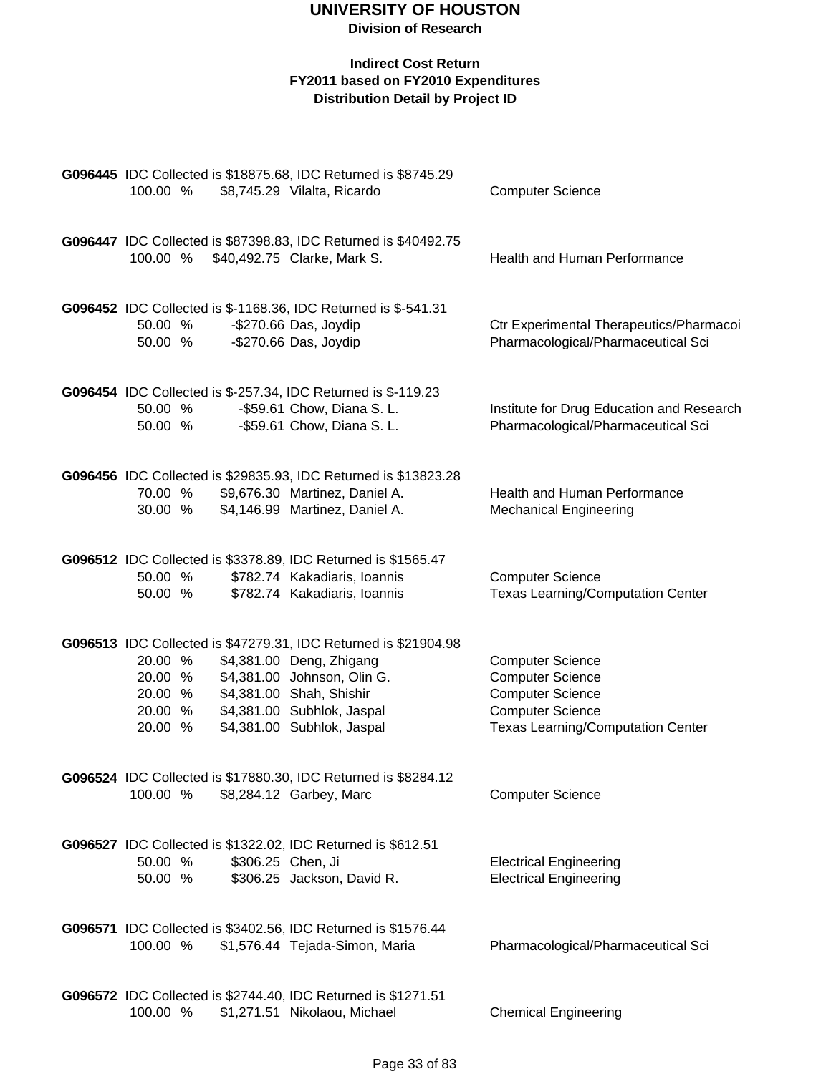| 100.00 %                                                                            | G096445 IDC Collected is \$18875.68, IDC Returned is \$8745.29<br>\$8,745.29 Vilalta, Ricardo                                                                                                                      | <b>Computer Science</b>                                                                                                                              |
|-------------------------------------------------------------------------------------|--------------------------------------------------------------------------------------------------------------------------------------------------------------------------------------------------------------------|------------------------------------------------------------------------------------------------------------------------------------------------------|
| 100.00 %                                                                            | G096447 IDC Collected is \$87398.83, IDC Returned is \$40492.75<br>\$40,492.75 Clarke, Mark S.                                                                                                                     | Health and Human Performance                                                                                                                         |
| 50.00 %<br>50.00 %                                                                  | G096452 IDC Collected is \$-1168.36, IDC Returned is \$-541.31<br>-\$270.66 Das, Joydip<br>-\$270.66 Das, Joydip                                                                                                   | Ctr Experimental Therapeutics/Pharmacoi<br>Pharmacological/Pharmaceutical Sci                                                                        |
| G096454 IDC Collected is \$-257.34, IDC Returned is \$-119.23<br>50.00 %<br>50.00 % | -\$59.61 Chow, Diana S. L.<br>-\$59.61 Chow, Diana S. L.                                                                                                                                                           | Institute for Drug Education and Research<br>Pharmacological/Pharmaceutical Sci                                                                      |
| 70.00 %<br>30.00 %                                                                  | G096456 IDC Collected is \$29835.93, IDC Returned is \$13823.28<br>\$9,676.30 Martinez, Daniel A.<br>\$4,146.99 Martinez, Daniel A.                                                                                | <b>Health and Human Performance</b><br><b>Mechanical Engineering</b>                                                                                 |
| 50.00 %<br>50.00 %                                                                  | G096512 IDC Collected is \$3378.89, IDC Returned is \$1565.47<br>\$782.74 Kakadiaris, Ioannis<br>\$782.74 Kakadiaris, Ioannis                                                                                      | <b>Computer Science</b><br><b>Texas Learning/Computation Center</b>                                                                                  |
| 20.00 %<br>20.00 %<br>20.00 %<br>20.00 %<br>20.00 %                                 | G096513 IDC Collected is \$47279.31, IDC Returned is \$21904.98<br>\$4,381.00 Deng, Zhigang<br>\$4,381.00 Johnson, Olin G.<br>\$4,381.00 Shah, Shishir<br>\$4,381.00 Subhlok, Jaspal<br>\$4,381.00 Subhlok, Jaspal | <b>Computer Science</b><br><b>Computer Science</b><br><b>Computer Science</b><br><b>Computer Science</b><br><b>Texas Learning/Computation Center</b> |
| 100.00 %                                                                            | G096524 IDC Collected is \$17880.30, IDC Returned is \$8284.12<br>\$8,284.12 Garbey, Marc                                                                                                                          | <b>Computer Science</b>                                                                                                                              |
| G096527 IDC Collected is \$1322.02, IDC Returned is \$612.51<br>50.00 %<br>50.00 %  | \$306.25 Chen, Ji<br>\$306.25 Jackson, David R.                                                                                                                                                                    | <b>Electrical Engineering</b><br><b>Electrical Engineering</b>                                                                                       |
| 100.00 %                                                                            | G096571 IDC Collected is \$3402.56, IDC Returned is \$1576.44<br>\$1,576.44 Tejada-Simon, Maria                                                                                                                    | Pharmacological/Pharmaceutical Sci                                                                                                                   |
| 100.00 %                                                                            | G096572 IDC Collected is \$2744.40, IDC Returned is \$1271.51<br>\$1,271.51 Nikolaou, Michael                                                                                                                      | <b>Chemical Engineering</b>                                                                                                                          |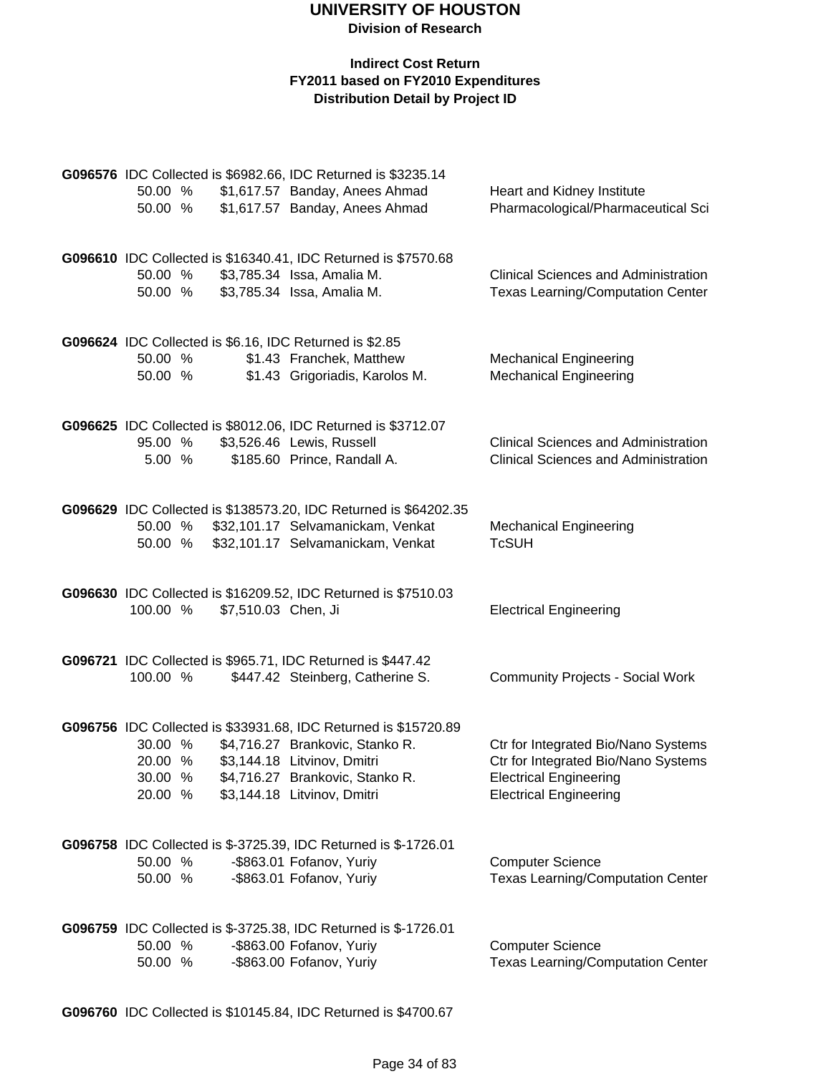#### **Indirect Cost Return FY2011 based on FY2010 Expenditures Distribution Detail by Project ID**

|          |                     | G096576 IDC Collected is \$6982.66, IDC Returned is \$3235.14                               |                                             |
|----------|---------------------|---------------------------------------------------------------------------------------------|---------------------------------------------|
| 50.00 %  |                     | \$1,617.57 Banday, Anees Ahmad                                                              | Heart and Kidney Institute                  |
| 50.00 %  |                     | \$1,617.57 Banday, Anees Ahmad                                                              | Pharmacological/Pharmaceutical Sci          |
|          |                     |                                                                                             |                                             |
|          |                     | G096610 IDC Collected is \$16340.41, IDC Returned is \$7570.68                              |                                             |
| 50.00 %  |                     | \$3,785.34 Issa, Amalia M.                                                                  | <b>Clinical Sciences and Administration</b> |
| 50.00 %  |                     | \$3,785.34 Issa, Amalia M.                                                                  | <b>Texas Learning/Computation Center</b>    |
|          |                     |                                                                                             |                                             |
|          |                     |                                                                                             |                                             |
| 50.00 %  |                     | G096624 IDC Collected is \$6.16, IDC Returned is \$2.85<br>\$1.43 Franchek, Matthew         | <b>Mechanical Engineering</b>               |
| 50.00 %  |                     | \$1.43 Grigoriadis, Karolos M.                                                              | <b>Mechanical Engineering</b>               |
|          |                     |                                                                                             |                                             |
|          |                     |                                                                                             |                                             |
|          |                     | G096625 IDC Collected is \$8012.06, IDC Returned is \$3712.07                               |                                             |
| 95.00 %  |                     | \$3,526.46 Lewis, Russell                                                                   | <b>Clinical Sciences and Administration</b> |
| 5.00%    |                     | \$185.60 Prince, Randall A.                                                                 | <b>Clinical Sciences and Administration</b> |
|          |                     |                                                                                             |                                             |
|          |                     | G096629 IDC Collected is \$138573.20, IDC Returned is \$64202.35                            |                                             |
| 50.00 %  |                     | \$32,101.17 Selvamanickam, Venkat                                                           | <b>Mechanical Engineering</b>               |
| 50.00 %  |                     | \$32,101.17 Selvamanickam, Venkat                                                           | <b>TcSUH</b>                                |
|          |                     |                                                                                             |                                             |
|          |                     | G096630 IDC Collected is \$16209.52, IDC Returned is \$7510.03                              |                                             |
| 100.00 % | \$7,510.03 Chen, Ji |                                                                                             | <b>Electrical Engineering</b>               |
|          |                     |                                                                                             |                                             |
|          |                     |                                                                                             |                                             |
|          |                     |                                                                                             |                                             |
|          |                     | G096721 IDC Collected is \$965.71, IDC Returned is \$447.42                                 |                                             |
| 100.00 % |                     | \$447.42 Steinberg, Catherine S.                                                            | <b>Community Projects - Social Work</b>     |
|          |                     |                                                                                             |                                             |
|          |                     | G096756 IDC Collected is \$33931.68, IDC Returned is \$15720.89                             |                                             |
| 30.00 %  |                     | \$4,716.27 Brankovic, Stanko R.                                                             | Ctr for Integrated Bio/Nano Systems         |
| 20.00 %  |                     | \$3,144.18 Litvinov, Dmitri                                                                 | Ctr for Integrated Bio/Nano Systems         |
| 30.00 %  |                     | \$4,716.27 Brankovic, Stanko R.                                                             | <b>Electrical Engineering</b>               |
| 20.00 %  |                     | \$3,144.18 Litvinov, Dmitri                                                                 | <b>Electrical Engineering</b>               |
|          |                     |                                                                                             |                                             |
|          |                     | G096758 IDC Collected is \$-3725.39, IDC Returned is \$-1726.01                             |                                             |
| 50.00 %  |                     | -\$863.01 Fofanov, Yuriy                                                                    | <b>Computer Science</b>                     |
| 50.00 %  |                     | -\$863.01 Fofanov, Yuriy                                                                    | <b>Texas Learning/Computation Center</b>    |
|          |                     |                                                                                             |                                             |
|          |                     |                                                                                             |                                             |
| 50.00 %  |                     | G096759 IDC Collected is \$-3725.38, IDC Returned is \$-1726.01<br>-\$863.00 Fofanov, Yuriy | <b>Computer Science</b>                     |
| 50.00 %  |                     | -\$863.00 Fofanov, Yuriy                                                                    | <b>Texas Learning/Computation Center</b>    |

**G096760** IDC Collected is \$10145.84, IDC Returned is \$4700.67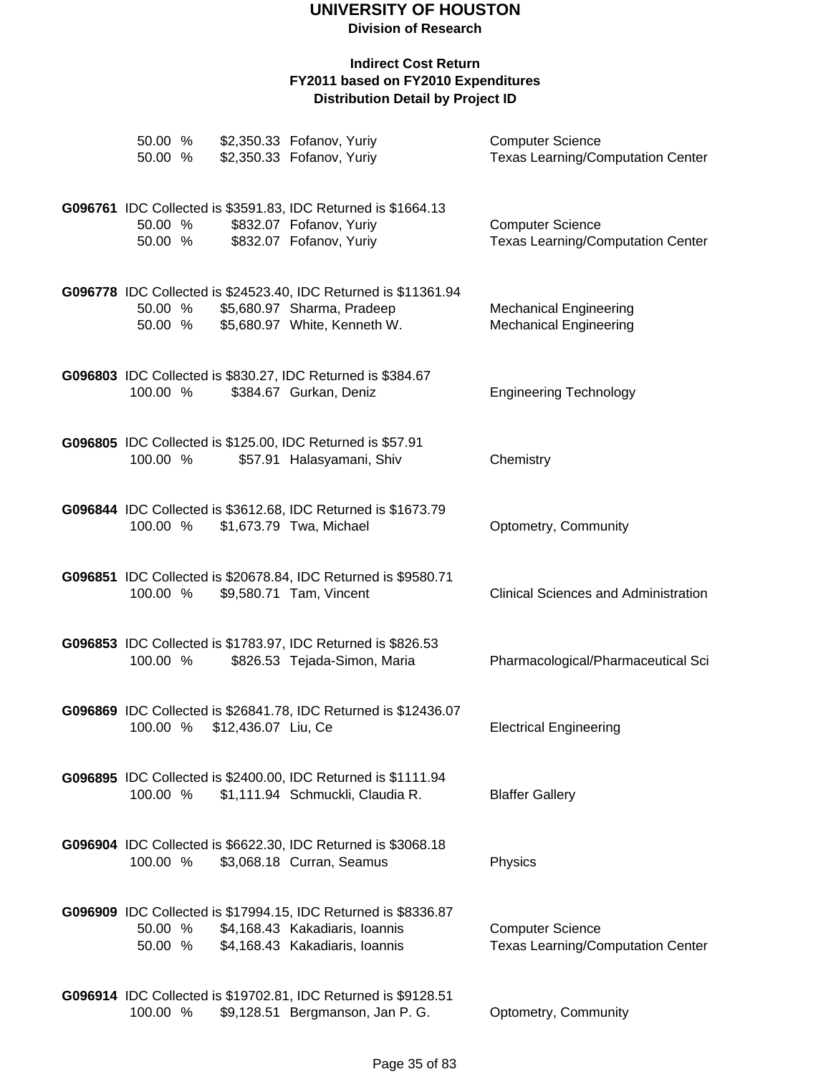**Division of Research**

| 50.00 %<br>50.00 % |                     | \$2,350.33 Fofanov, Yuriy<br>\$2,350.33 Fofanov, Yuriy                                                                             | <b>Computer Science</b><br><b>Texas Learning/Computation Center</b> |
|--------------------|---------------------|------------------------------------------------------------------------------------------------------------------------------------|---------------------------------------------------------------------|
| 50.00 %<br>50.00 % |                     | G096761 IDC Collected is \$3591.83, IDC Returned is \$1664.13<br>\$832.07 Fofanov, Yuriy<br>\$832.07 Fofanov, Yuriy                | <b>Computer Science</b><br><b>Texas Learning/Computation Center</b> |
| 50.00 %<br>50.00 % |                     | G096778 IDC Collected is \$24523.40, IDC Returned is \$11361.94<br>\$5,680.97 Sharma, Pradeep<br>\$5,680.97 White, Kenneth W.      | <b>Mechanical Engineering</b><br><b>Mechanical Engineering</b>      |
| 100.00 %           |                     | G096803 IDC Collected is \$830.27, IDC Returned is \$384.67<br>\$384.67 Gurkan, Deniz                                              | <b>Engineering Technology</b>                                       |
| 100.00 %           |                     | G096805 IDC Collected is \$125.00, IDC Returned is \$57.91<br>\$57.91 Halasyamani, Shiv                                            | Chemistry                                                           |
| 100.00 %           |                     | G096844 IDC Collected is \$3612.68, IDC Returned is \$1673.79<br>\$1,673.79 Twa, Michael                                           | Optometry, Community                                                |
| 100.00 %           |                     | G096851 IDC Collected is \$20678.84, IDC Returned is \$9580.71<br>\$9,580.71 Tam, Vincent                                          | <b>Clinical Sciences and Administration</b>                         |
| 100.00 %           |                     | G096853 IDC Collected is \$1783.97, IDC Returned is \$826.53<br>\$826.53 Tejada-Simon, Maria                                       | Pharmacological/Pharmaceutical Sci                                  |
| 100.00 %           | \$12,436.07 Liu, Ce | G096869 IDC Collected is \$26841.78, IDC Returned is \$12436.07                                                                    | <b>Electrical Engineering</b>                                       |
| 100.00 %           |                     | G096895 IDC Collected is \$2400.00, IDC Returned is \$1111.94<br>\$1,111.94 Schmuckli, Claudia R.                                  | <b>Blaffer Gallery</b>                                              |
| 100.00 %           |                     | G096904 IDC Collected is \$6622.30, IDC Returned is \$3068.18<br>\$3,068.18 Curran, Seamus                                         | Physics                                                             |
| 50.00 %<br>50.00 % |                     | G096909 IDC Collected is \$17994.15, IDC Returned is \$8336.87<br>\$4,168.43 Kakadiaris, Ioannis<br>\$4,168.43 Kakadiaris, Ioannis | <b>Computer Science</b><br><b>Texas Learning/Computation Center</b> |
| 100.00 %           |                     | G096914 IDC Collected is \$19702.81, IDC Returned is \$9128.51<br>\$9,128.51 Bergmanson, Jan P. G.                                 | Optometry, Community                                                |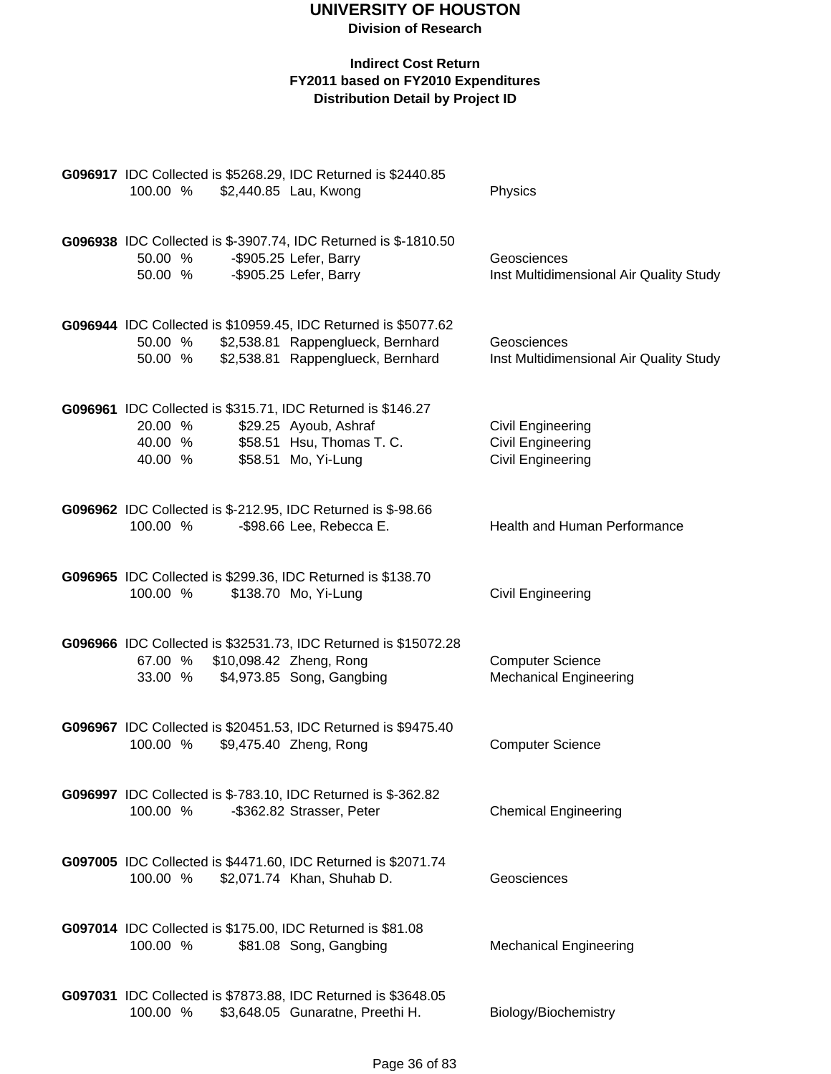| G096917 IDC Collected is \$5268.29, IDC Returned is \$2440.85<br>100.00 %<br>\$2,440.85 Lau, Kwong                                                                        | Physics                                                                          |
|---------------------------------------------------------------------------------------------------------------------------------------------------------------------------|----------------------------------------------------------------------------------|
| G096938 IDC Collected is \$-3907.74, IDC Returned is \$-1810.50<br>-\$905.25 Lefer, Barry<br>50.00 %<br>-\$905.25 Lefer, Barry<br>50.00 %                                 | Geosciences<br>Inst Multidimensional Air Quality Study                           |
| G096944 IDC Collected is \$10959.45, IDC Returned is \$5077.62<br>50.00 %<br>\$2,538.81 Rappenglueck, Bernhard<br>\$2,538.81 Rappenglueck, Bernhard<br>50.00 %            | Geosciences<br>Inst Multidimensional Air Quality Study                           |
| G096961 IDC Collected is \$315.71, IDC Returned is \$146.27<br>\$29.25 Ayoub, Ashraf<br>20.00 %<br>\$58.51 Hsu, Thomas T. C.<br>40.00 %<br>\$58.51 Mo, Yi-Lung<br>40.00 % | <b>Civil Engineering</b><br><b>Civil Engineering</b><br><b>Civil Engineering</b> |
| G096962 IDC Collected is \$-212.95, IDC Returned is \$-98.66<br>-\$98.66 Lee, Rebecca E.<br>100.00 %                                                                      | <b>Health and Human Performance</b>                                              |
| G096965 IDC Collected is \$299.36, IDC Returned is \$138.70<br>\$138.70 Mo, Yi-Lung<br>100.00 %                                                                           | Civil Engineering                                                                |
| G096966 IDC Collected is \$32531.73, IDC Returned is \$15072.28<br>67.00 % \$10,098.42 Zheng, Rong<br>33.00 % \$4,973.85 Song, Gangbing                                   | <b>Computer Science</b><br><b>Mechanical Engineering</b>                         |
| G096967 IDC Collected is \$20451.53, IDC Returned is \$9475.40<br>100.00 %<br>\$9,475.40 Zheng, Rong                                                                      | <b>Computer Science</b>                                                          |
| G096997 IDC Collected is \$-783.10, IDC Returned is \$-362.82<br>100.00 %<br>-\$362.82 Strasser, Peter                                                                    | <b>Chemical Engineering</b>                                                      |
| G097005 IDC Collected is \$4471.60, IDC Returned is \$2071.74<br>100.00 %<br>\$2,071.74 Khan, Shuhab D.                                                                   | Geosciences                                                                      |
| G097014 IDC Collected is \$175.00, IDC Returned is \$81.08<br>100.00 %<br>\$81.08 Song, Gangbing                                                                          | <b>Mechanical Engineering</b>                                                    |
| G097031 IDC Collected is \$7873.88, IDC Returned is \$3648.05<br>100.00 %<br>\$3,648.05 Gunaratne, Preethi H.                                                             | Biology/Biochemistry                                                             |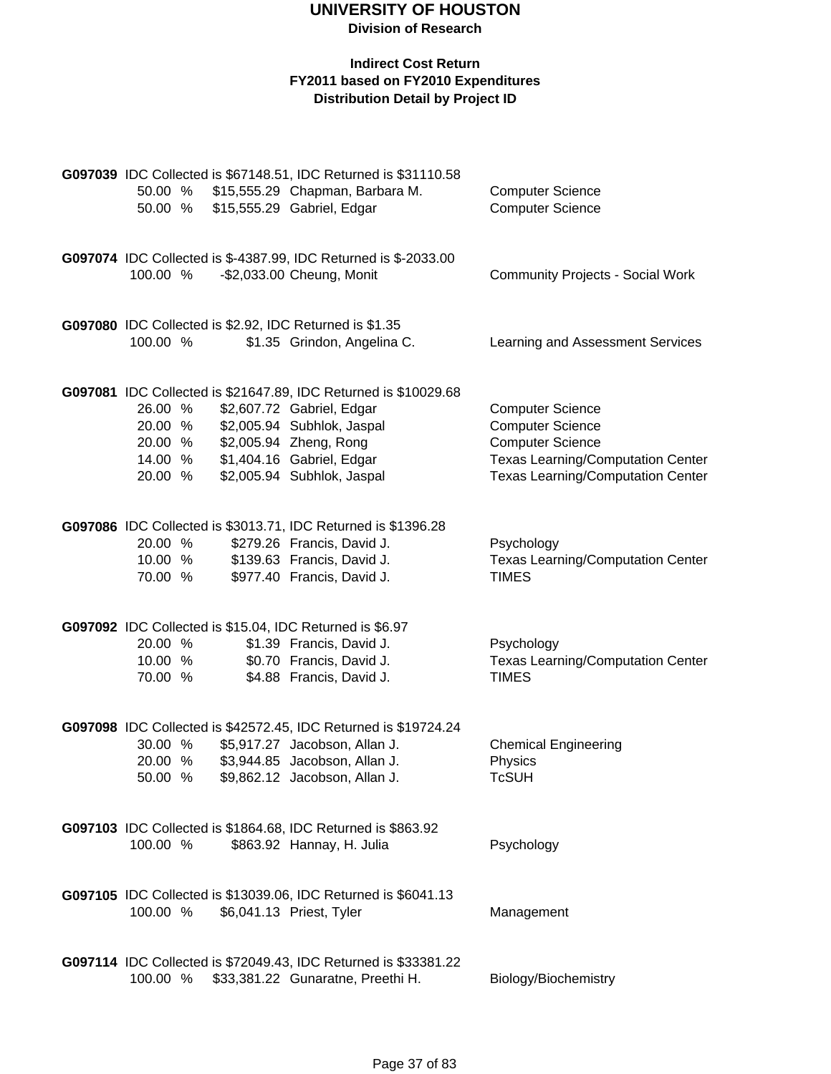|                    |  | G097039 IDC Collected is \$67148.51, IDC Returned is \$31110.58                                      |                                                          |
|--------------------|--|------------------------------------------------------------------------------------------------------|----------------------------------------------------------|
| 50.00 %            |  | \$15,555.29 Chapman, Barbara M.                                                                      | <b>Computer Science</b>                                  |
| 50.00 %            |  | \$15,555.29 Gabriel, Edgar                                                                           | <b>Computer Science</b>                                  |
|                    |  |                                                                                                      |                                                          |
|                    |  |                                                                                                      |                                                          |
|                    |  | G097074 IDC Collected is \$-4387.99, IDC Returned is \$-2033.00                                      |                                                          |
| 100.00 %           |  | -\$2,033.00 Cheung, Monit                                                                            | <b>Community Projects - Social Work</b>                  |
|                    |  |                                                                                                      |                                                          |
|                    |  | G097080 IDC Collected is \$2.92, IDC Returned is \$1.35                                              |                                                          |
| 100.00 %           |  | \$1.35 Grindon, Angelina C.                                                                          | Learning and Assessment Services                         |
|                    |  |                                                                                                      |                                                          |
|                    |  | G097081 IDC Collected is \$21647.89, IDC Returned is \$10029.68                                      |                                                          |
| 26.00 %            |  | \$2,607.72 Gabriel, Edgar                                                                            | <b>Computer Science</b>                                  |
| 20.00 %            |  | \$2,005.94 Subhlok, Jaspal                                                                           | <b>Computer Science</b>                                  |
| 20.00 %            |  | \$2,005.94 Zheng, Rong                                                                               | <b>Computer Science</b>                                  |
| 14.00 %            |  | \$1,404.16 Gabriel, Edgar                                                                            | <b>Texas Learning/Computation Center</b>                 |
| 20.00 %            |  | \$2,005.94 Subhlok, Jaspal                                                                           | <b>Texas Learning/Computation Center</b>                 |
|                    |  |                                                                                                      |                                                          |
|                    |  |                                                                                                      |                                                          |
|                    |  | G097086 IDC Collected is \$3013.71, IDC Returned is \$1396.28                                        |                                                          |
| 20.00 %<br>10.00 % |  | \$279.26 Francis, David J.                                                                           | Psychology                                               |
| 70.00 %            |  | \$139.63 Francis, David J.<br>\$977.40 Francis, David J.                                             | <b>Texas Learning/Computation Center</b><br><b>TIMES</b> |
|                    |  |                                                                                                      |                                                          |
|                    |  |                                                                                                      |                                                          |
|                    |  | G097092 IDC Collected is \$15.04, IDC Returned is \$6.97                                             |                                                          |
| 20.00 %            |  | \$1.39 Francis, David J.                                                                             | Psychology                                               |
| 10.00 %            |  | \$0.70 Francis, David J.                                                                             | <b>Texas Learning/Computation Center</b>                 |
| 70.00 %            |  | \$4.88 Francis, David J.                                                                             | <b>TIMES</b>                                             |
|                    |  |                                                                                                      |                                                          |
|                    |  |                                                                                                      |                                                          |
|                    |  | G097098 IDC Collected is \$42572.45, IDC Returned is \$19724.24                                      |                                                          |
| 30.00 %            |  | \$5,917.27 Jacobson, Allan J.                                                                        | <b>Chemical Engineering</b>                              |
| 20.00 %            |  | \$3,944.85 Jacobson, Allan J.                                                                        | Physics                                                  |
| 50.00 %            |  | \$9,862.12 Jacobson, Allan J.                                                                        | TcSUH                                                    |
|                    |  |                                                                                                      |                                                          |
|                    |  | G097103 IDC Collected is \$1864.68, IDC Returned is \$863.92                                         |                                                          |
| 100.00 %           |  | \$863.92 Hannay, H. Julia                                                                            | Psychology                                               |
|                    |  |                                                                                                      |                                                          |
|                    |  |                                                                                                      |                                                          |
|                    |  | G097105 IDC Collected is \$13039.06, IDC Returned is \$6041.13                                       |                                                          |
| 100.00 %           |  | \$6,041.13 Priest, Tyler                                                                             | Management                                               |
|                    |  |                                                                                                      |                                                          |
| 100.00 %           |  | G097114 IDC Collected is \$72049.43, IDC Returned is \$33381.22<br>\$33,381.22 Gunaratne, Preethi H. | Biology/Biochemistry                                     |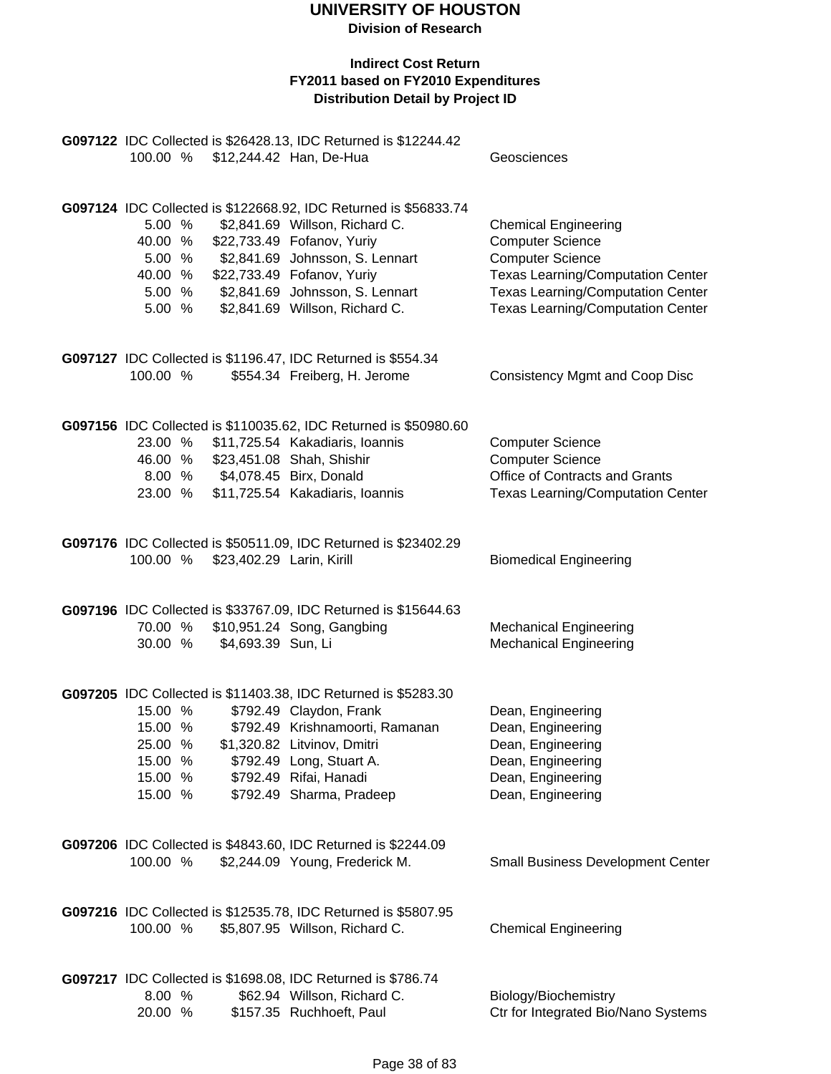**Division of Research**

|                                                                |                  |                           | G097122 IDC Collected is \$26428.13, IDC Returned is \$12244.42<br>100.00 % \$12,244.42 Han, De-Hua                                                                                                                                                                           | Geosciences                                                                                                                                                                                                           |
|----------------------------------------------------------------|------------------|---------------------------|-------------------------------------------------------------------------------------------------------------------------------------------------------------------------------------------------------------------------------------------------------------------------------|-----------------------------------------------------------------------------------------------------------------------------------------------------------------------------------------------------------------------|
| 40.00 %<br>5.00 %<br>40.00 %                                   | 5.00 %<br>5.00 % |                           | G097124 IDC Collected is \$122668.92, IDC Returned is \$56833.74<br>\$2,841.69 Willson, Richard C.<br>\$22,733.49 Fofanov, Yuriy<br>\$2,841.69 Johnsson, S. Lennart<br>\$22,733.49 Fofanov, Yuriy<br>5.00 % \$2,841.69 Johnsson, S. Lennart<br>\$2,841.69 Willson, Richard C. | <b>Chemical Engineering</b><br><b>Computer Science</b><br><b>Computer Science</b><br><b>Texas Learning/Computation Center</b><br><b>Texas Learning/Computation Center</b><br><b>Texas Learning/Computation Center</b> |
| 100.00 %                                                       |                  |                           | G097127 IDC Collected is \$1196.47, IDC Returned is \$554.34<br>\$554.34 Freiberg, H. Jerome                                                                                                                                                                                  | <b>Consistency Mgmt and Coop Disc</b>                                                                                                                                                                                 |
| 23.00 %<br>46.00 %<br>23.00 %                                  |                  |                           | G097156 IDC Collected is \$110035.62, IDC Returned is \$50980.60<br>\$11,725.54 Kakadiaris, Ioannis<br>\$23,451.08 Shah, Shishir<br>8.00 % \$4,078.45 Birx, Donald<br>\$11,725.54 Kakadiaris, Ioannis                                                                         | <b>Computer Science</b><br><b>Computer Science</b><br>Office of Contracts and Grants<br><b>Texas Learning/Computation Center</b>                                                                                      |
| 100.00 %                                                       |                  | \$23,402.29 Larin, Kirill | G097176 IDC Collected is \$50511.09, IDC Returned is \$23402.29                                                                                                                                                                                                               | <b>Biomedical Engineering</b>                                                                                                                                                                                         |
| 30.00 %                                                        |                  | \$4,693.39 Sun, Li        | G097196 IDC Collected is \$33767.09, IDC Returned is \$15644.63<br>70.00 % \$10,951.24 Song, Gangbing                                                                                                                                                                         | <b>Mechanical Engineering</b><br><b>Mechanical Engineering</b>                                                                                                                                                        |
| 15.00 %<br>15.00 %<br>25.00 %<br>15.00 %<br>15.00 %<br>15.00 % |                  |                           | G097205 IDC Collected is \$11403.38, IDC Returned is \$5283.30<br>\$792.49 Claydon, Frank<br>\$792.49 Krishnamoorti, Ramanan<br>\$1,320.82 Litvinov, Dmitri<br>\$792.49 Long, Stuart A.<br>\$792.49 Rifai, Hanadi<br>\$792.49 Sharma, Pradeep                                 | Dean, Engineering<br>Dean, Engineering<br>Dean, Engineering<br>Dean, Engineering<br>Dean, Engineering<br>Dean, Engineering                                                                                            |
| 100.00 %                                                       |                  |                           | G097206 IDC Collected is \$4843.60, IDC Returned is \$2244.09<br>\$2,244.09 Young, Frederick M.                                                                                                                                                                               | <b>Small Business Development Center</b>                                                                                                                                                                              |
| 100.00 %                                                       |                  |                           | G097216 IDC Collected is \$12535.78, IDC Returned is \$5807.95<br>\$5,807.95 Willson, Richard C.                                                                                                                                                                              | <b>Chemical Engineering</b>                                                                                                                                                                                           |
| 8.00 %<br>20.00 %                                              |                  |                           | G097217 IDC Collected is \$1698.08, IDC Returned is \$786.74<br>\$62.94 Willson, Richard C.<br>\$157.35 Ruchhoeft, Paul                                                                                                                                                       | Biology/Biochemistry<br>Ctr for Integrated Bio/Nano Systems                                                                                                                                                           |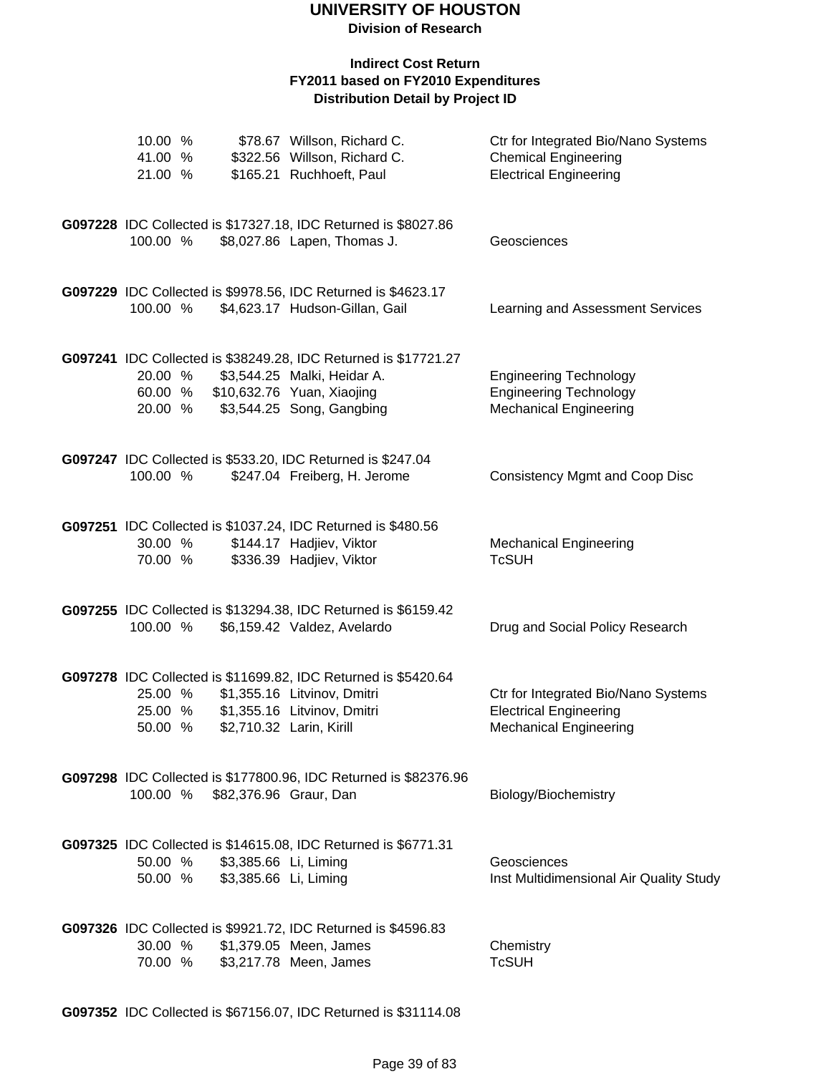#### **Indirect Cost Return FY2011 based on FY2010 Expenditures Distribution Detail by Project ID**

| 10.00 %<br>41.00 %<br>21.00 % |                                                                | \$78.67 Willson, Richard C.<br>\$322.56 Willson, Richard C.<br>\$165.21 Ruchhoeft, Paul                                                                           | Ctr for Integrated Bio/Nano Systems<br><b>Chemical Engineering</b><br><b>Electrical Engineering</b>   |
|-------------------------------|----------------------------------------------------------------|-------------------------------------------------------------------------------------------------------------------------------------------------------------------|-------------------------------------------------------------------------------------------------------|
| 100.00 %                      |                                                                | G097228 IDC Collected is \$17327.18, IDC Returned is \$8027.86<br>\$8,027.86 Lapen, Thomas J.                                                                     | Geosciences                                                                                           |
| 100.00 %                      |                                                                | G097229 IDC Collected is \$9978.56, IDC Returned is \$4623.17<br>\$4,623.17 Hudson-Gillan, Gail                                                                   | Learning and Assessment Services                                                                      |
| 20.00 %<br>20.00 %            |                                                                | G097241 IDC Collected is \$38249.28, IDC Returned is \$17721.27<br>\$3,544.25 Malki, Heidar A.<br>60.00 % \$10,632.76 Yuan, Xiaojing<br>\$3,544.25 Song, Gangbing | <b>Engineering Technology</b><br><b>Engineering Technology</b><br><b>Mechanical Engineering</b>       |
| 100.00 %                      |                                                                | G097247 IDC Collected is \$533.20, IDC Returned is \$247.04<br>\$247.04 Freiberg, H. Jerome                                                                       | <b>Consistency Mgmt and Coop Disc</b>                                                                 |
| 30.00 %<br>70.00 %            |                                                                | G097251 IDC Collected is \$1037.24, IDC Returned is \$480.56<br>\$144.17 Hadjiev, Viktor<br>\$336.39 Hadjiev, Viktor                                              | <b>Mechanical Engineering</b><br><b>TcSUH</b>                                                         |
| 100.00 %                      |                                                                | G097255 IDC Collected is \$13294.38, IDC Returned is \$6159.42<br>\$6,159.42 Valdez, Avelardo                                                                     | Drug and Social Policy Research                                                                       |
| 25.00 %<br>25.00 %<br>50.00 % |                                                                | G097278 IDC Collected is \$11699.82, IDC Returned is \$5420.64<br>\$1,355.16 Litvinov, Dmitri<br>\$1,355.16 Litvinov, Dmitri<br>\$2,710.32 Larin, Kirill          | Ctr for Integrated Bio/Nano Systems<br><b>Electrical Engineering</b><br><b>Mechanical Engineering</b> |
|                               | 100.00 % \$82,376.96 Graur, Dan                                | G097298 IDC Collected is \$177800.96, IDC Returned is \$82376.96                                                                                                  | Biology/Biochemistry                                                                                  |
|                               | 50.00 % \$3,385.66 Li, Liming<br>50.00 % \$3,385.66 Li, Liming | G097325 IDC Collected is \$14615.08, IDC Returned is \$6771.31                                                                                                    | Geosciences<br>Inst Multidimensional Air Quality Study                                                |
| 30.00 %<br>70.00 %            |                                                                | G097326 IDC Collected is \$9921.72, IDC Returned is \$4596.83<br>\$1,379.05 Meen, James<br>\$3,217.78 Meen, James                                                 | Chemistry<br><b>TcSUH</b>                                                                             |

**G097352** IDC Collected is \$67156.07, IDC Returned is \$31114.08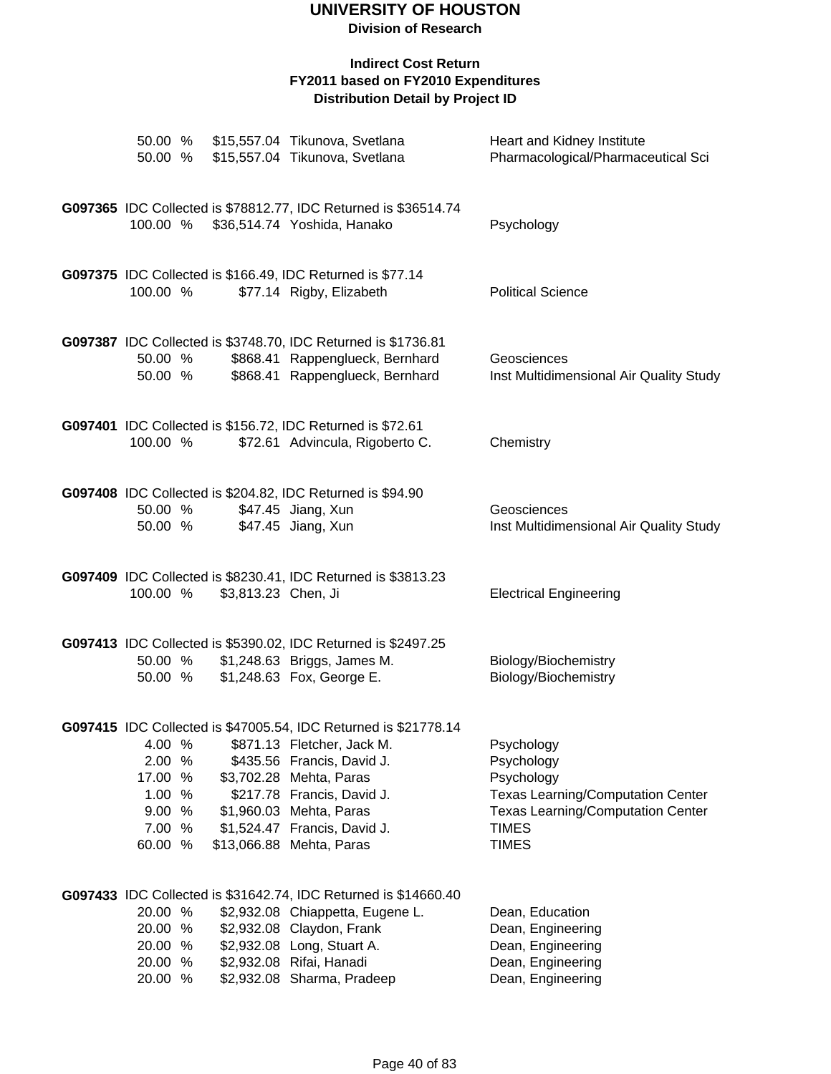**Division of Research**

| 50.00 %                                                              |                     | 50.00 % \$15,557.04 Tikunova, Svetlana<br>\$15,557.04 Tikunova, Svetlana                                                                                                                                                                                                    | Heart and Kidney Institute<br>Pharmacological/Pharmaceutical Sci                                                                                               |
|----------------------------------------------------------------------|---------------------|-----------------------------------------------------------------------------------------------------------------------------------------------------------------------------------------------------------------------------------------------------------------------------|----------------------------------------------------------------------------------------------------------------------------------------------------------------|
| 100.00 %                                                             |                     | G097365 IDC Collected is \$78812.77, IDC Returned is \$36514.74<br>\$36,514.74 Yoshida, Hanako                                                                                                                                                                              | Psychology                                                                                                                                                     |
| 100.00 %                                                             |                     | G097375 IDC Collected is \$166.49, IDC Returned is \$77.14<br>\$77.14 Rigby, Elizabeth                                                                                                                                                                                      | <b>Political Science</b>                                                                                                                                       |
| 50.00 %<br>50.00 %                                                   |                     | G097387 IDC Collected is \$3748.70, IDC Returned is \$1736.81<br>\$868.41 Rappenglueck, Bernhard<br>\$868.41 Rappenglueck, Bernhard                                                                                                                                         | Geosciences<br>Inst Multidimensional Air Quality Study                                                                                                         |
| 100.00 %                                                             |                     | G097401 IDC Collected is \$156.72, IDC Returned is \$72.61<br>\$72.61 Advincula, Rigoberto C.                                                                                                                                                                               | Chemistry                                                                                                                                                      |
| 50.00 %<br>50.00 %                                                   |                     | G097408 IDC Collected is \$204.82, IDC Returned is \$94.90<br>\$47.45 Jiang, Xun<br>\$47.45 Jiang, Xun                                                                                                                                                                      | Geosciences<br>Inst Multidimensional Air Quality Study                                                                                                         |
| 100.00 %                                                             | \$3,813.23 Chen, Ji | G097409 IDC Collected is \$8230.41, IDC Returned is \$3813.23                                                                                                                                                                                                               | <b>Electrical Engineering</b>                                                                                                                                  |
| 50.00 %<br>50.00 %                                                   |                     | G097413 IDC Collected is \$5390.02, IDC Returned is \$2497.25<br>\$1,248.63 Briggs, James M.<br>\$1,248.63 Fox, George E.                                                                                                                                                   | Biology/Biochemistry<br>Biology/Biochemistry                                                                                                                   |
| 4.00 %<br>2.00 %<br>17.00 %<br>1.00 %<br>9.00 %<br>7.00 %<br>60.00 % |                     | G097415 IDC Collected is \$47005.54, IDC Returned is \$21778.14<br>\$871.13 Fletcher, Jack M.<br>\$435.56 Francis, David J.<br>\$3,702.28 Mehta, Paras<br>\$217.78 Francis, David J.<br>\$1,960.03 Mehta, Paras<br>\$1,524.47 Francis, David J.<br>\$13,066.88 Mehta, Paras | Psychology<br>Psychology<br>Psychology<br><b>Texas Learning/Computation Center</b><br><b>Texas Learning/Computation Center</b><br><b>TIMES</b><br><b>TIMES</b> |
| 20.00 %<br>20.00 %<br>20.00 %<br>20.00 %<br>20.00 %                  |                     | G097433 IDC Collected is \$31642.74, IDC Returned is \$14660.40<br>\$2,932.08 Chiappetta, Eugene L.<br>\$2,932.08 Claydon, Frank<br>\$2,932.08 Long, Stuart A.<br>\$2,932.08 Rifai, Hanadi<br>\$2,932.08 Sharma, Pradeep                                                    | Dean, Education<br>Dean, Engineering<br>Dean, Engineering<br>Dean, Engineering<br>Dean, Engineering                                                            |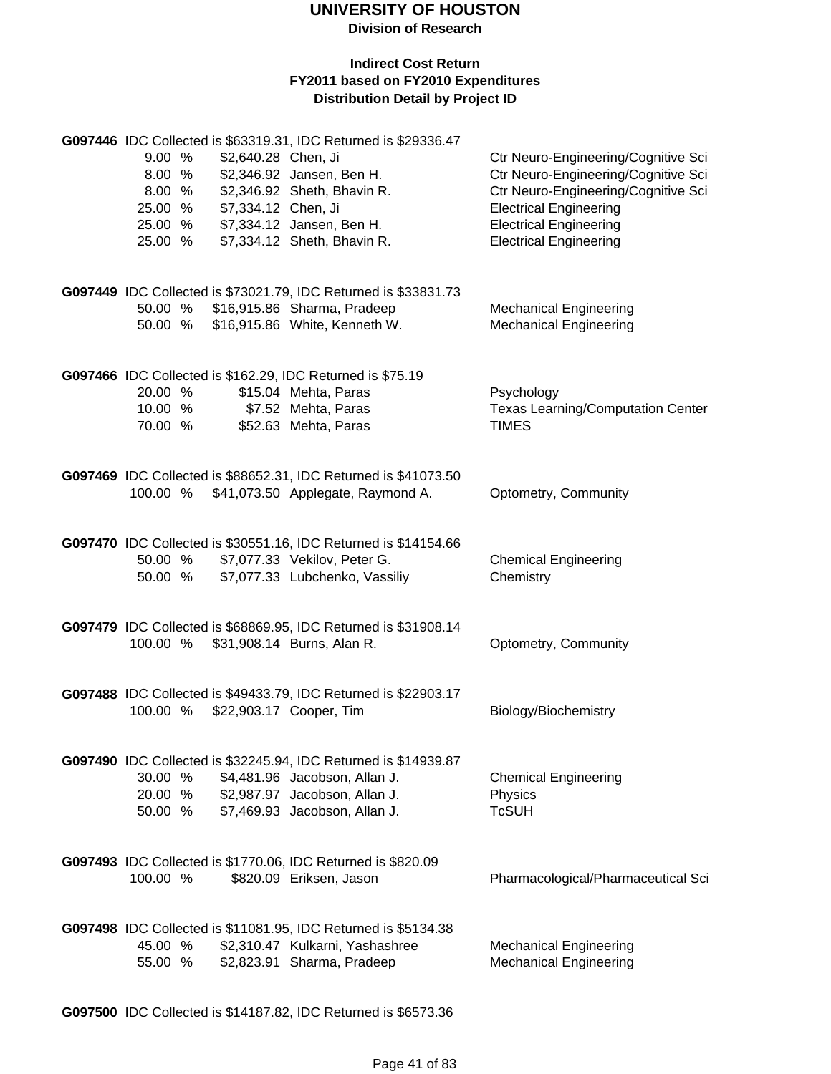**Division of Research**

#### **Indirect Cost Return FY2011 based on FY2010 Expenditures Distribution Detail by Project ID**

|          |        |                     | G097446 IDC Collected is \$63319.31, IDC Returned is \$29336.47                                        |                                          |
|----------|--------|---------------------|--------------------------------------------------------------------------------------------------------|------------------------------------------|
| 9.00 %   |        | \$2,640.28 Chen, Ji |                                                                                                        | Ctr Neuro-Engineering/Cognitive Sci      |
|          | 8.00 % |                     | \$2,346.92 Jansen, Ben H.                                                                              | Ctr Neuro-Engineering/Cognitive Sci      |
|          | 8.00 % |                     | \$2,346.92 Sheth, Bhavin R.                                                                            | Ctr Neuro-Engineering/Cognitive Sci      |
| 25.00 %  |        | \$7,334.12 Chen, Ji |                                                                                                        | <b>Electrical Engineering</b>            |
| 25.00 %  |        |                     | \$7,334.12 Jansen, Ben H.                                                                              | <b>Electrical Engineering</b>            |
| 25.00 %  |        |                     | \$7,334.12 Sheth, Bhavin R.                                                                            | <b>Electrical Engineering</b>            |
|          |        |                     |                                                                                                        |                                          |
|          |        |                     |                                                                                                        |                                          |
|          |        |                     | G097449 IDC Collected is \$73021.79, IDC Returned is \$33831.73<br>50.00 % \$16,915.86 Sharma, Pradeep | <b>Mechanical Engineering</b>            |
|          |        |                     | 50.00 % \$16,915.86 White, Kenneth W.                                                                  | <b>Mechanical Engineering</b>            |
|          |        |                     |                                                                                                        |                                          |
|          |        |                     | G097466 IDC Collected is \$162.29, IDC Returned is \$75.19                                             |                                          |
| 20.00 %  |        |                     | \$15.04 Mehta, Paras                                                                                   | Psychology                               |
| 10.00 %  |        |                     | \$7.52 Mehta, Paras                                                                                    | <b>Texas Learning/Computation Center</b> |
| 70.00 %  |        |                     |                                                                                                        | <b>TIMES</b>                             |
|          |        |                     | \$52.63 Mehta, Paras                                                                                   |                                          |
|          |        |                     | G097469 IDC Collected is \$88652.31, IDC Returned is \$41073.50                                        |                                          |
|          |        |                     | 100.00 % \$41,073.50 Applegate, Raymond A.                                                             | Optometry, Community                     |
|          |        |                     |                                                                                                        |                                          |
|          |        |                     | G097470 IDC Collected is \$30551.16, IDC Returned is \$14154.66                                        |                                          |
|          |        |                     | 50.00 % \$7,077.33 Vekilov, Peter G.                                                                   | <b>Chemical Engineering</b>              |
| 50.00 %  |        |                     | \$7,077.33 Lubchenko, Vassiliy                                                                         | Chemistry                                |
|          |        |                     |                                                                                                        |                                          |
|          |        |                     | G097479 IDC Collected is \$68869.95, IDC Returned is \$31908.14                                        |                                          |
|          |        |                     | 100.00 % \$31,908.14 Burns, Alan R.                                                                    | Optometry, Community                     |
|          |        |                     |                                                                                                        |                                          |
|          |        |                     | G097488 IDC Collected is \$49433.79, IDC Returned is \$22903.17                                        |                                          |
|          |        |                     | 100.00 % \$22,903.17 Cooper, Tim                                                                       | Biology/Biochemistry                     |
|          |        |                     |                                                                                                        |                                          |
|          |        |                     | G097490 IDC Collected is \$32245.94, IDC Returned is \$14939.87                                        |                                          |
| 30.00 %  |        |                     | \$4,481.96 Jacobson, Allan J.                                                                          | <b>Chemical Engineering</b>              |
| 20.00 %  |        |                     | \$2,987.97 Jacobson, Allan J.                                                                          | Physics                                  |
| 50.00 %  |        |                     | \$7,469.93 Jacobson, Allan J.                                                                          | <b>TcSUH</b>                             |
|          |        |                     |                                                                                                        |                                          |
|          |        |                     | G097493 IDC Collected is \$1770.06, IDC Returned is \$820.09                                           |                                          |
| 100.00 % |        |                     | \$820.09 Eriksen, Jason                                                                                | Pharmacological/Pharmaceutical Sci       |
|          |        |                     |                                                                                                        |                                          |
|          |        |                     | G097498 IDC Collected is \$11081.95, IDC Returned is \$5134.38                                         |                                          |
| 45.00 %  |        |                     | \$2,310.47 Kulkarni, Yashashree                                                                        | <b>Mechanical Engineering</b>            |
| 55.00 %  |        |                     | \$2,823.91 Sharma, Pradeep                                                                             | <b>Mechanical Engineering</b>            |
|          |        |                     |                                                                                                        |                                          |

**G097500** IDC Collected is \$14187.82, IDC Returned is \$6573.36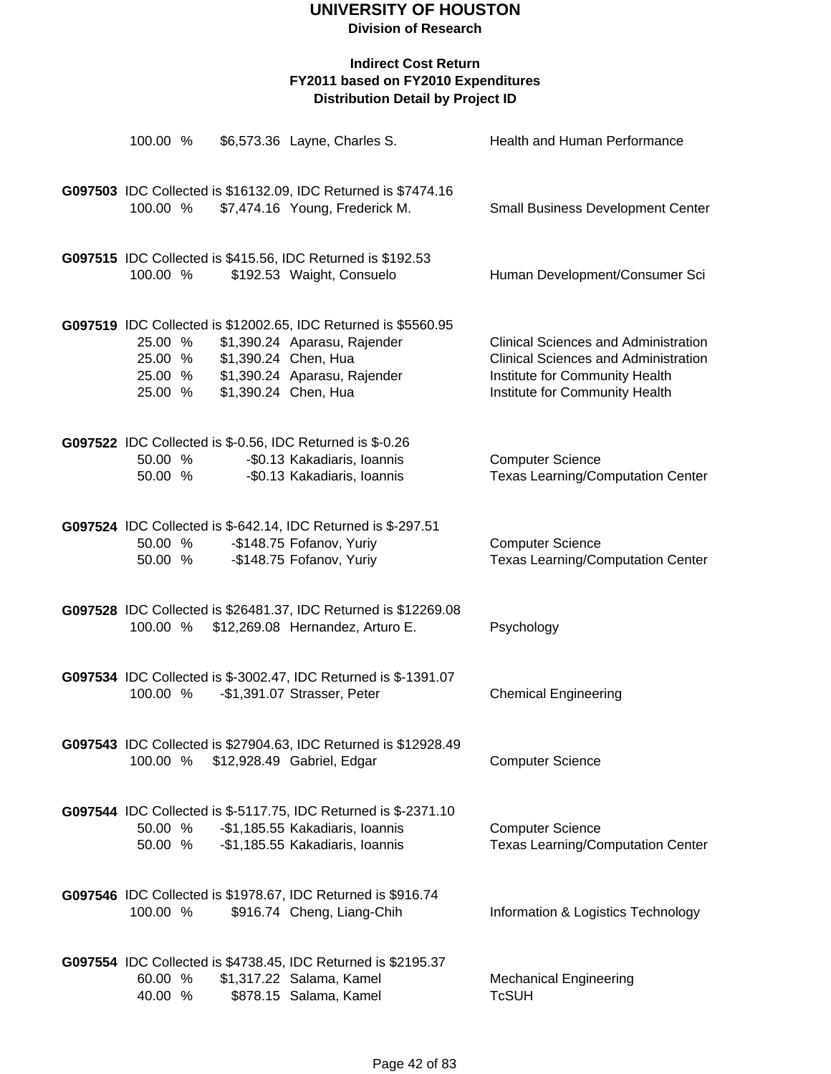| 100.00 %                                 |                      | \$6,573.36 Layne, Charles S.                                                                                                                           | Health and Human Performance                                                                                                                                   |
|------------------------------------------|----------------------|--------------------------------------------------------------------------------------------------------------------------------------------------------|----------------------------------------------------------------------------------------------------------------------------------------------------------------|
|                                          |                      |                                                                                                                                                        |                                                                                                                                                                |
| 100.00 %                                 |                      | G097503 IDC Collected is \$16132.09, IDC Returned is \$7474.16<br>\$7,474.16 Young, Frederick M.                                                       | <b>Small Business Development Center</b>                                                                                                                       |
| 100.00 %                                 |                      | G097515 IDC Collected is \$415.56, IDC Returned is \$192.53<br>\$192.53 Waight, Consuelo                                                               | Human Development/Consumer Sci                                                                                                                                 |
| 25.00 %<br>25.00 %<br>25.00 %<br>25.00 % | \$1,390.24 Chen, Hua | G097519 IDC Collected is \$12002.65, IDC Returned is \$5560.95<br>\$1,390.24 Aparasu, Rajender<br>\$1,390.24 Aparasu, Rajender<br>\$1,390.24 Chen, Hua | <b>Clinical Sciences and Administration</b><br><b>Clinical Sciences and Administration</b><br>Institute for Community Health<br>Institute for Community Health |
| 50.00 %<br>50.00 %                       |                      | G097522 IDC Collected is \$-0.56, IDC Returned is \$-0.26<br>-\$0.13 Kakadiaris, Ioannis<br>-\$0.13 Kakadiaris, Ioannis                                | <b>Computer Science</b><br><b>Texas Learning/Computation Center</b>                                                                                            |
| 50.00 %<br>50.00 %                       |                      | G097524 IDC Collected is \$-642.14, IDC Returned is \$-297.51<br>-\$148.75 Fofanov, Yuriy<br>-\$148.75 Fofanov, Yuriy                                  | <b>Computer Science</b><br><b>Texas Learning/Computation Center</b>                                                                                            |
| 100.00 %                                 |                      | G097528 IDC Collected is \$26481.37, IDC Returned is \$12269.08<br>\$12,269.08 Hernandez, Arturo E.                                                    | Psychology                                                                                                                                                     |
| 100.00 %                                 |                      | G097534 IDC Collected is \$-3002.47, IDC Returned is \$-1391.07<br>-\$1,391.07 Strasser, Peter                                                         | <b>Chemical Engineering</b>                                                                                                                                    |
| 100.00 %                                 |                      | G097543 IDC Collected is \$27904.63, IDC Returned is \$12928.49<br>\$12,928.49 Gabriel, Edgar                                                          | <b>Computer Science</b>                                                                                                                                        |
| 50.00 %<br>50.00 %                       |                      | G097544 IDC Collected is \$-5117.75, IDC Returned is \$-2371.10<br>-\$1,185.55 Kakadiaris, Ioannis<br>-\$1,185.55 Kakadiaris, Ioannis                  | <b>Computer Science</b><br><b>Texas Learning/Computation Center</b>                                                                                            |
| 100.00 %                                 |                      | G097546 IDC Collected is \$1978.67, IDC Returned is \$916.74<br>\$916.74 Cheng, Liang-Chih                                                             | Information & Logistics Technology                                                                                                                             |
| 60.00 %<br>40.00 %                       |                      | G097554 IDC Collected is \$4738.45, IDC Returned is \$2195.37<br>\$1,317.22 Salama, Kamel<br>\$878.15 Salama, Kamel                                    | <b>Mechanical Engineering</b><br><b>TcSUH</b>                                                                                                                  |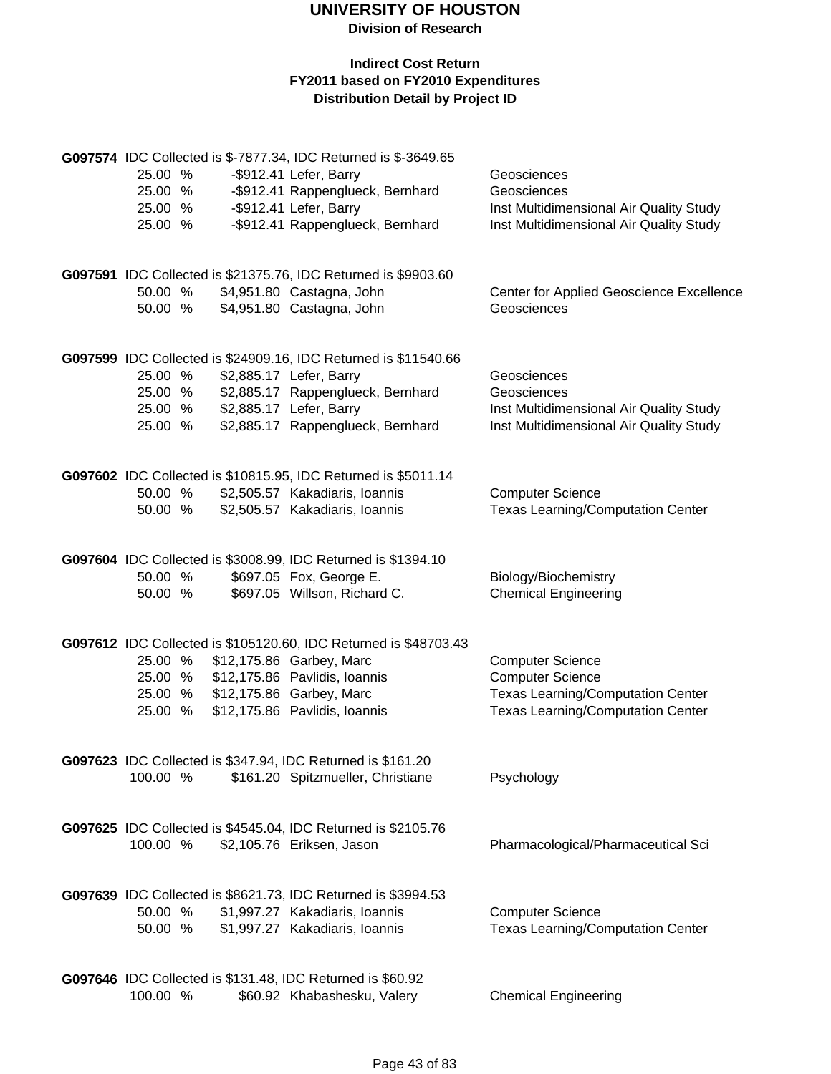| 25.00 %<br>25.00 %<br>25.00 %<br>25.00 % | G097574 IDC Collected is \$-7877.34, IDC Returned is \$-3649.65<br>-\$912.41 Lefer, Barry<br>-\$912.41 Rappenglueck, Bernhard<br>-\$912.41 Lefer, Barry<br>-\$912.41 Rappenglueck, Bernhard     | Geosciences<br>Geosciences<br>Inst Multidimensional Air Quality Study<br>Inst Multidimensional Air Quality Study                           |
|------------------------------------------|-------------------------------------------------------------------------------------------------------------------------------------------------------------------------------------------------|--------------------------------------------------------------------------------------------------------------------------------------------|
| 50.00 %<br>50.00 %                       | G097591 IDC Collected is \$21375.76, IDC Returned is \$9903.60<br>\$4,951.80 Castagna, John<br>\$4,951.80 Castagna, John                                                                        | Center for Applied Geoscience Excellence<br>Geosciences                                                                                    |
| 25.00 %<br>25.00 %<br>25.00 %<br>25.00 % | G097599 IDC Collected is \$24909.16, IDC Returned is \$11540.66<br>\$2,885.17 Lefer, Barry<br>\$2,885.17 Rappenglueck, Bernhard<br>\$2,885.17 Lefer, Barry<br>\$2,885.17 Rappenglueck, Bernhard | Geosciences<br>Geosciences<br>Inst Multidimensional Air Quality Study<br>Inst Multidimensional Air Quality Study                           |
| 50.00 %<br>50.00 %                       | G097602 IDC Collected is \$10815.95, IDC Returned is \$5011.14<br>\$2,505.57 Kakadiaris, Ioannis<br>\$2,505.57 Kakadiaris, Ioannis                                                              | <b>Computer Science</b><br><b>Texas Learning/Computation Center</b>                                                                        |
| 50.00 %<br>50.00 %                       | G097604 IDC Collected is \$3008.99, IDC Returned is \$1394.10<br>\$697.05 Fox, George E.<br>\$697.05 Willson, Richard C.                                                                        | Biology/Biochemistry<br><b>Chemical Engineering</b>                                                                                        |
| 25.00 %<br>25.00 %<br>25.00 %<br>25.00 % | G097612 IDC Collected is \$105120.60, IDC Returned is \$48703.43<br>\$12,175.86 Garbey, Marc<br>\$12,175.86 Pavlidis, Ioannis<br>\$12,175.86 Garbey, Marc<br>\$12,175.86 Pavlidis, Ioannis      | <b>Computer Science</b><br><b>Computer Science</b><br><b>Texas Learning/Computation Center</b><br><b>Texas Learning/Computation Center</b> |
| 100.00 %                                 | G097623 IDC Collected is \$347.94, IDC Returned is \$161.20<br>\$161.20 Spitzmueller, Christiane                                                                                                | Psychology                                                                                                                                 |
| 100.00 %                                 | G097625 IDC Collected is \$4545.04, IDC Returned is \$2105.76<br>\$2,105.76 Eriksen, Jason                                                                                                      | Pharmacological/Pharmaceutical Sci                                                                                                         |
| 50.00 %<br>50.00 %                       | G097639 IDC Collected is \$8621.73, IDC Returned is \$3994.53<br>\$1,997.27 Kakadiaris, Ioannis<br>\$1,997.27 Kakadiaris, Ioannis                                                               | <b>Computer Science</b><br><b>Texas Learning/Computation Center</b>                                                                        |
| 100.00 %                                 | G097646 IDC Collected is \$131.48, IDC Returned is \$60.92<br>\$60.92 Khabashesku, Valery                                                                                                       | <b>Chemical Engineering</b>                                                                                                                |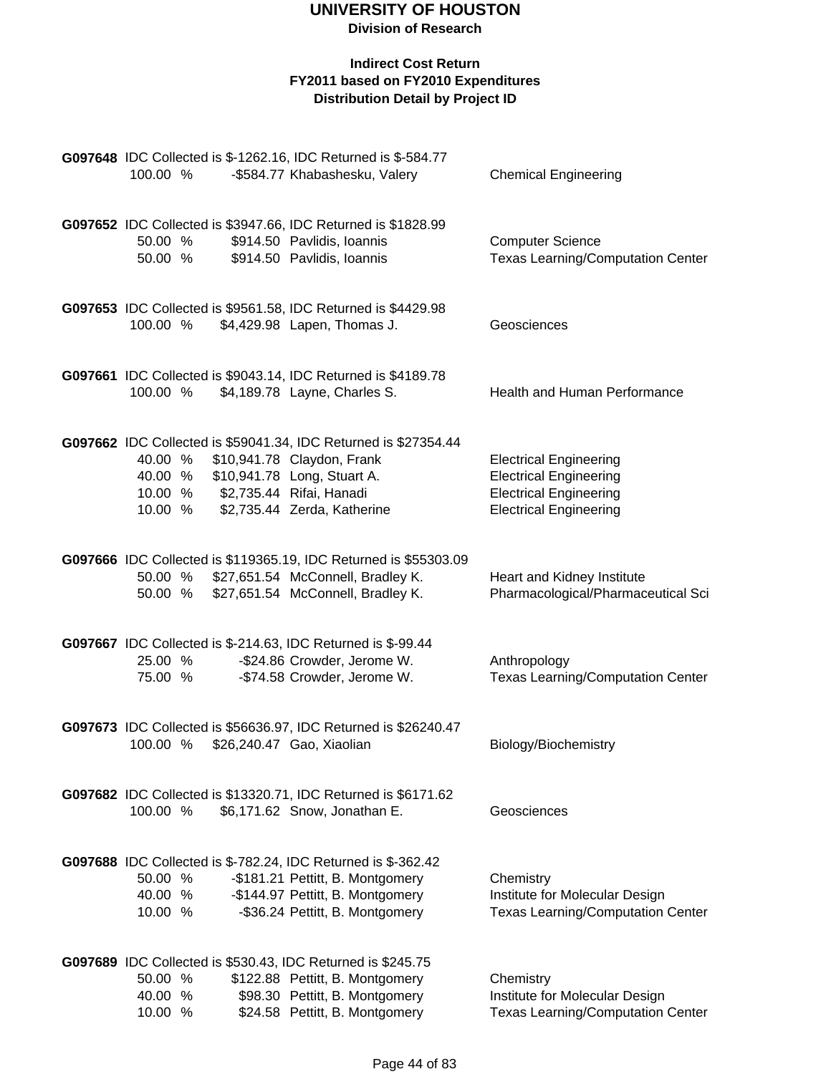| G097648 IDC Collected is \$-1262.16, IDC Returned is \$-584.77<br>100.00 %<br>-\$584.77 Khabashesku, Valery                                                                                                                | <b>Chemical Engineering</b>                                                                                                      |
|----------------------------------------------------------------------------------------------------------------------------------------------------------------------------------------------------------------------------|----------------------------------------------------------------------------------------------------------------------------------|
| G097652 IDC Collected is \$3947.66, IDC Returned is \$1828.99<br>\$914.50 Pavlidis, Ioannis<br>50.00 %<br>50.00 %<br>\$914.50 Pavlidis, Ioannis                                                                            | <b>Computer Science</b><br><b>Texas Learning/Computation Center</b>                                                              |
| G097653 IDC Collected is \$9561.58, IDC Returned is \$4429.98<br>100.00 %<br>\$4,429.98 Lapen, Thomas J.                                                                                                                   | Geosciences                                                                                                                      |
| G097661 IDC Collected is \$9043.14, IDC Returned is \$4189.78<br>\$4,189.78 Layne, Charles S.<br>100.00 %                                                                                                                  | Health and Human Performance                                                                                                     |
| G097662 IDC Collected is \$59041.34, IDC Returned is \$27354.44<br>40.00 % \$10,941.78 Claydon, Frank<br>40.00 % \$10,941.78 Long, Stuart A.<br>10.00 % \$2,735.44 Rifai, Hanadi<br>\$2,735.44 Zerda, Katherine<br>10.00 % | <b>Electrical Engineering</b><br><b>Electrical Engineering</b><br><b>Electrical Engineering</b><br><b>Electrical Engineering</b> |
| G097666 IDC Collected is \$119365.19, IDC Returned is \$55303.09<br>50.00 % \$27,651.54 McConnell, Bradley K.<br>50.00 % \$27,651.54 McConnell, Bradley K.                                                                 | Heart and Kidney Institute<br>Pharmacological/Pharmaceutical Sci                                                                 |
| G097667 IDC Collected is \$-214.63, IDC Returned is \$-99.44<br>25.00 %<br>-\$24.86 Crowder, Jerome W.<br>-\$74.58 Crowder, Jerome W.<br>75.00 %                                                                           | Anthropology<br><b>Texas Learning/Computation Center</b>                                                                         |
| G097673 IDC Collected is \$56636.97, IDC Returned is \$26240.47<br>100.00 %<br>\$26,240.47 Gao, Xiaolian                                                                                                                   | Biology/Biochemistry                                                                                                             |
| G097682 IDC Collected is \$13320.71, IDC Returned is \$6171.62<br>100.00 %<br>\$6,171.62 Snow, Jonathan E.                                                                                                                 | Geosciences                                                                                                                      |
| G097688 IDC Collected is \$-782.24, IDC Returned is \$-362.42<br>-\$181.21 Pettitt, B. Montgomery<br>50.00 %<br>-\$144.97 Pettitt, B. Montgomery<br>40.00 %<br>-\$36.24 Pettitt, B. Montgomery<br>10.00 %                  | Chemistry<br>Institute for Molecular Design<br><b>Texas Learning/Computation Center</b>                                          |
| G097689 IDC Collected is \$530.43, IDC Returned is \$245.75<br>50.00 %<br>\$122.88 Pettitt, B. Montgomery<br>\$98.30 Pettitt, B. Montgomery<br>40.00 %<br>\$24.58 Pettitt, B. Montgomery<br>10.00 %                        | Chemistry<br>Institute for Molecular Design<br><b>Texas Learning/Computation Center</b>                                          |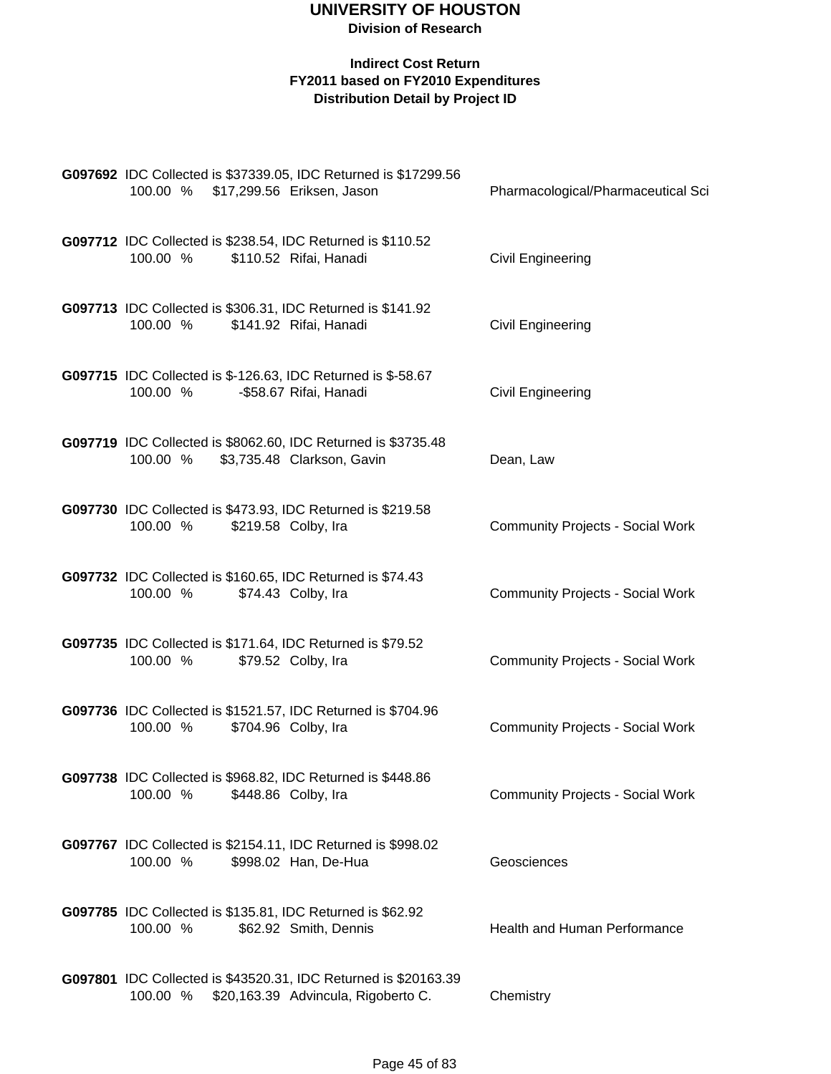| G097692 IDC Collected is \$37339.05, IDC Returned is \$17299.56<br>100.00 % \$17,299.56 Eriksen, Jason             | Pharmacological/Pharmaceutical Sci      |
|--------------------------------------------------------------------------------------------------------------------|-----------------------------------------|
| G097712 IDC Collected is \$238.54, IDC Returned is \$110.52<br>100.00 %<br>\$110.52 Rifai, Hanadi                  | <b>Civil Engineering</b>                |
| G097713 IDC Collected is \$306.31, IDC Returned is \$141.92<br>\$141.92 Rifai, Hanadi<br>100.00 %                  | Civil Engineering                       |
| G097715 IDC Collected is \$-126.63, IDC Returned is \$-58.67<br>100.00 %<br>-\$58.67 Rifai, Hanadi                 | <b>Civil Engineering</b>                |
| G097719 IDC Collected is \$8062.60, IDC Returned is \$3735.48<br>\$3,735.48 Clarkson, Gavin<br>100.00 %            | Dean, Law                               |
| G097730 IDC Collected is \$473.93, IDC Returned is \$219.58<br>\$219.58 Colby, Ira<br>100.00 %                     | <b>Community Projects - Social Work</b> |
| G097732 IDC Collected is \$160.65, IDC Returned is \$74.43<br>100.00 %<br>\$74.43 Colby, Ira                       | <b>Community Projects - Social Work</b> |
| G097735 IDC Collected is \$171.64, IDC Returned is \$79.52<br>\$79.52 Colby, Ira<br>100.00 %                       | <b>Community Projects - Social Work</b> |
| G097736 IDC Collected is \$1521.57, IDC Returned is \$704.96<br>100.00 %<br>\$704.96 Colby, Ira                    | <b>Community Projects - Social Work</b> |
| G097738 IDC Collected is \$968.82, IDC Returned is \$448.86<br>100.00 %<br>\$448.86 Colby, Ira                     | <b>Community Projects - Social Work</b> |
| G097767 IDC Collected is \$2154.11, IDC Returned is \$998.02<br>100.00 %<br>\$998.02 Han, De-Hua                   | Geosciences                             |
| G097785 IDC Collected is \$135.81, IDC Returned is \$62.92<br>100.00 %<br>\$62.92 Smith, Dennis                    | Health and Human Performance            |
| G097801 IDC Collected is \$43520.31, IDC Returned is \$20163.39<br>100.00 %<br>\$20,163.39 Advincula, Rigoberto C. | Chemistry                               |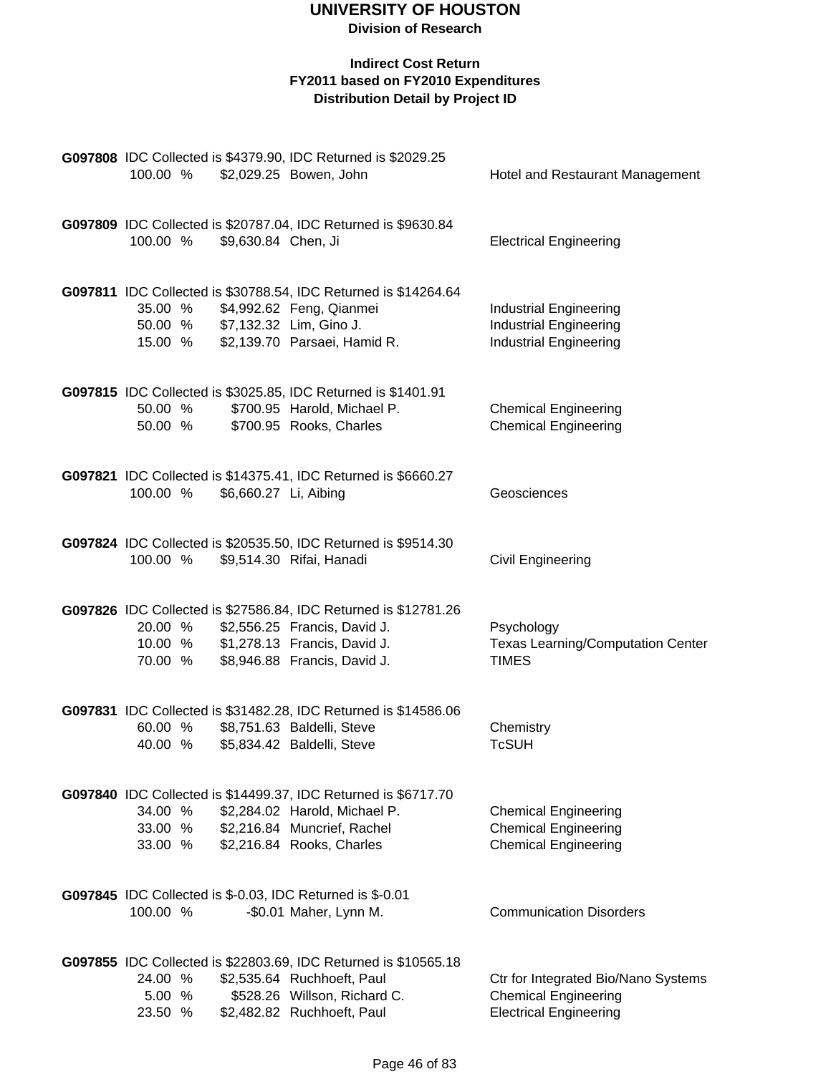| 100.00 %                      |                       | G097808 IDC Collected is \$4379.90, IDC Returned is \$2029.25<br>\$2,029.25 Bowen, John                                                                         | Hotel and Restaurant Management                                                                     |
|-------------------------------|-----------------------|-----------------------------------------------------------------------------------------------------------------------------------------------------------------|-----------------------------------------------------------------------------------------------------|
| 100.00 %                      | \$9,630.84 Chen, Ji   | G097809 IDC Collected is \$20787.04, IDC Returned is \$9630.84                                                                                                  | <b>Electrical Engineering</b>                                                                       |
| 35.00 %<br>50.00 %<br>15.00 % |                       | G097811 IDC Collected is \$30788.54, IDC Returned is \$14264.64<br>\$4,992.62 Feng, Qianmei<br>\$7,132.32 Lim, Gino J.<br>\$2,139.70 Parsaei, Hamid R.          | <b>Industrial Engineering</b><br><b>Industrial Engineering</b><br><b>Industrial Engineering</b>     |
| 50.00 %<br>50.00 %            |                       | G097815 IDC Collected is \$3025.85, IDC Returned is \$1401.91<br>\$700.95 Harold, Michael P.<br>\$700.95 Rooks, Charles                                         | <b>Chemical Engineering</b><br><b>Chemical Engineering</b>                                          |
| 100.00 %                      | \$6,660.27 Li, Aibing | G097821 IDC Collected is \$14375.41, IDC Returned is \$6660.27                                                                                                  | Geosciences                                                                                         |
| 100.00 %                      |                       | G097824 IDC Collected is \$20535.50, IDC Returned is \$9514.30<br>\$9,514.30 Rifai, Hanadi                                                                      | <b>Civil Engineering</b>                                                                            |
| 20.00 %<br>10.00 %<br>70.00 % |                       | G097826 IDC Collected is \$27586.84, IDC Returned is \$12781.26<br>\$2,556.25 Francis, David J.<br>\$1,278.13 Francis, David J.<br>\$8,946.88 Francis, David J. | Psychology<br><b>Texas Learning/Computation Center</b><br><b>TIMES</b>                              |
| 60.00 %<br>40.00 %            |                       | G097831 IDC Collected is \$31482.28, IDC Returned is \$14586.06<br>\$8,751.63 Baldelli, Steve<br>\$5,834.42 Baldelli, Steve                                     | Chemistry<br><b>TcSUH</b>                                                                           |
| 34.00 %<br>33.00 %<br>33.00 % |                       | G097840 IDC Collected is \$14499.37, IDC Returned is \$6717.70<br>\$2,284.02 Harold, Michael P.<br>\$2,216.84 Muncrief, Rachel<br>\$2,216.84 Rooks, Charles     | <b>Chemical Engineering</b><br><b>Chemical Engineering</b><br><b>Chemical Engineering</b>           |
| 100.00 %                      |                       | G097845 IDC Collected is \$-0.03, IDC Returned is \$-0.01<br>-\$0.01 Maher, Lynn M.                                                                             | <b>Communication Disorders</b>                                                                      |
| 24.00 %<br>5.00 %<br>23.50 %  |                       | G097855 IDC Collected is \$22803.69, IDC Returned is \$10565.18<br>\$2,535.64 Ruchhoeft, Paul<br>\$528.26 Willson, Richard C.<br>\$2,482.82 Ruchhoeft, Paul     | Ctr for Integrated Bio/Nano Systems<br><b>Chemical Engineering</b><br><b>Electrical Engineering</b> |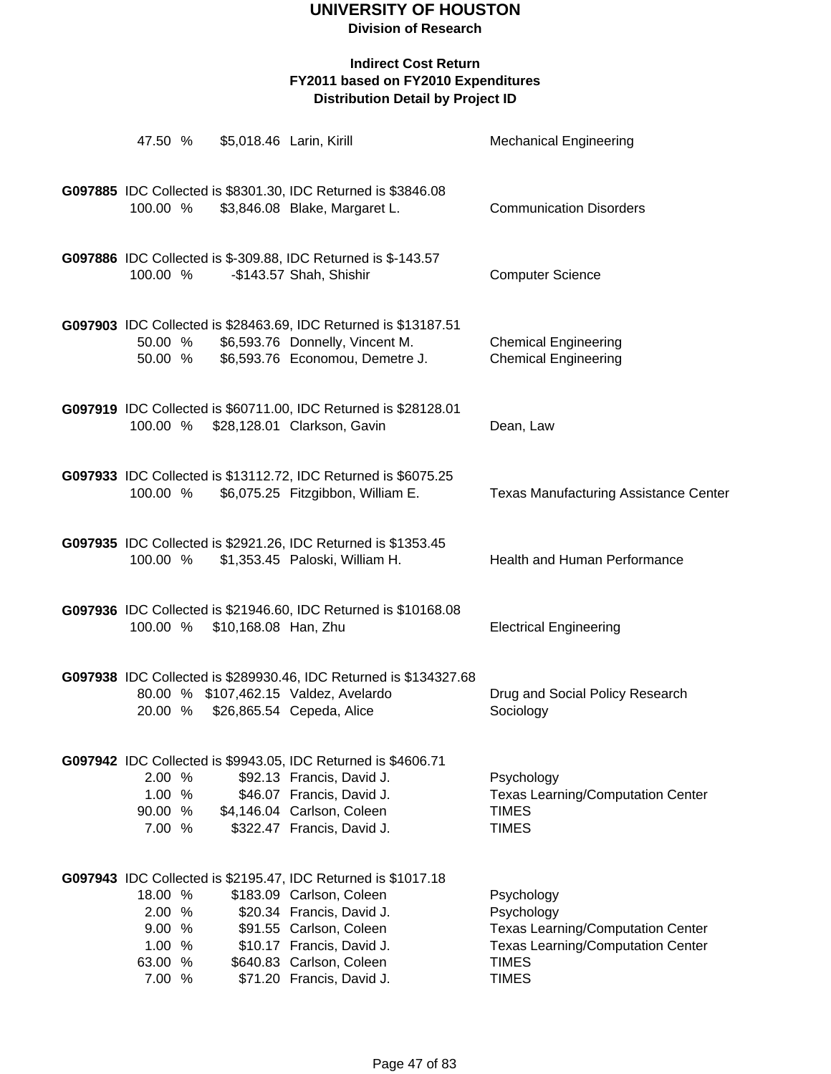| 47.50 %                                                  |                      | \$5,018.46 Larin, Kirill                                                                                                                                                                                                                | <b>Mechanical Engineering</b>                                                                                                                    |
|----------------------------------------------------------|----------------------|-----------------------------------------------------------------------------------------------------------------------------------------------------------------------------------------------------------------------------------------|--------------------------------------------------------------------------------------------------------------------------------------------------|
| 100.00 %                                                 |                      | G097885 IDC Collected is \$8301.30, IDC Returned is \$3846.08<br>\$3,846.08 Blake, Margaret L.                                                                                                                                          | <b>Communication Disorders</b>                                                                                                                   |
| 100.00 %                                                 |                      | G097886 IDC Collected is \$-309.88, IDC Returned is \$-143.57<br>-\$143.57 Shah, Shishir                                                                                                                                                | <b>Computer Science</b>                                                                                                                          |
| 50.00 %<br>50.00 %                                       |                      | G097903 IDC Collected is \$28463.69, IDC Returned is \$13187.51<br>\$6,593.76 Donnelly, Vincent M.<br>\$6,593.76 Economou, Demetre J.                                                                                                   | <b>Chemical Engineering</b><br><b>Chemical Engineering</b>                                                                                       |
|                                                          |                      | G097919 IDC Collected is \$60711.00, IDC Returned is \$28128.01<br>100.00 % \$28,128.01 Clarkson, Gavin                                                                                                                                 | Dean, Law                                                                                                                                        |
| 100.00 %                                                 |                      | G097933 IDC Collected is \$13112.72, IDC Returned is \$6075.25<br>\$6,075.25 Fitzgibbon, William E.                                                                                                                                     | <b>Texas Manufacturing Assistance Center</b>                                                                                                     |
| 100.00 %                                                 |                      | G097935 IDC Collected is \$2921.26, IDC Returned is \$1353.45<br>\$1,353.45 Paloski, William H.                                                                                                                                         | Health and Human Performance                                                                                                                     |
| 100.00 %                                                 | \$10,168.08 Han, Zhu | G097936 IDC Collected is \$21946.60, IDC Returned is \$10168.08                                                                                                                                                                         | <b>Electrical Engineering</b>                                                                                                                    |
|                                                          |                      | G097938 IDC Collected is \$289930.46, IDC Returned is \$134327.68<br>80.00 % \$107,462.15 Valdez, Avelardo<br>20.00 % \$26,865.54 Cepeda, Alice                                                                                         | Drug and Social Policy Research<br>Sociology                                                                                                     |
| 2.00 %<br>1.00%<br>90.00 %<br>7.00 %                     |                      | G097942 IDC Collected is \$9943.05, IDC Returned is \$4606.71<br>\$92.13 Francis, David J.<br>\$46.07 Francis, David J.<br>\$4,146.04 Carlson, Coleen<br>\$322.47 Francis, David J.                                                     | Psychology<br><b>Texas Learning/Computation Center</b><br><b>TIMES</b><br><b>TIMES</b>                                                           |
| 18.00 %<br>2.00%<br>9.00%<br>1.00 %<br>63.00 %<br>7.00 % |                      | G097943 IDC Collected is \$2195.47, IDC Returned is \$1017.18<br>\$183.09 Carlson, Coleen<br>\$20.34 Francis, David J.<br>\$91.55 Carlson, Coleen<br>\$10.17 Francis, David J.<br>\$640.83 Carlson, Coleen<br>\$71.20 Francis, David J. | Psychology<br>Psychology<br><b>Texas Learning/Computation Center</b><br><b>Texas Learning/Computation Center</b><br><b>TIMES</b><br><b>TIMES</b> |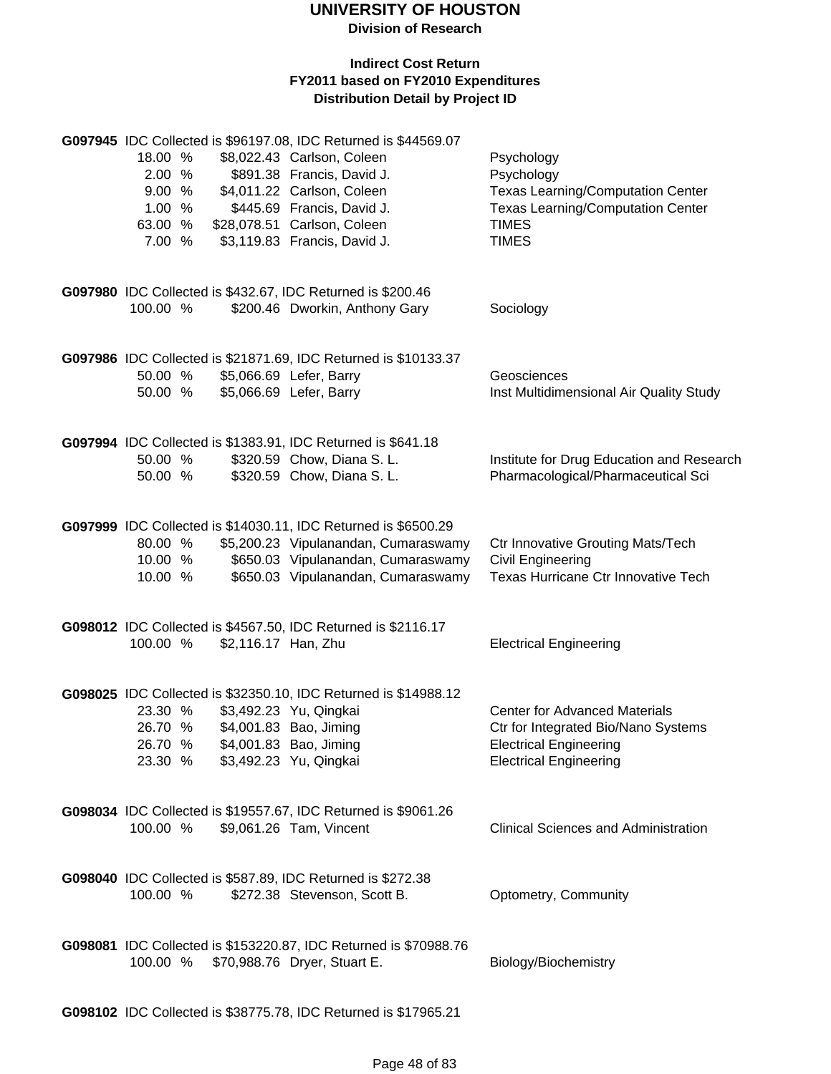**Division of Research**

| 18.00 %<br>2.00 %<br>9.00 %<br>1.00 %<br>63.00 %<br>7.00 %                                       | G097945 IDC Collected is \$96197.08, IDC Returned is \$44569.07<br>\$8,022.43 Carlson, Coleen<br>\$891.38 Francis, David J.<br>\$4,011.22 Carlson, Coleen<br>\$445.69 Francis, David J.<br>\$28,078.51 Carlson, Coleen<br>\$3,119.83 Francis, David J. | Psychology<br>Psychology<br><b>Texas Learning/Computation Center</b><br><b>Texas Learning/Computation Center</b><br><b>TIMES</b><br><b>TIMES</b> |
|--------------------------------------------------------------------------------------------------|--------------------------------------------------------------------------------------------------------------------------------------------------------------------------------------------------------------------------------------------------------|--------------------------------------------------------------------------------------------------------------------------------------------------|
| G097980 IDC Collected is \$432.67, IDC Returned is \$200.46<br>100.00 %                          | \$200.46 Dworkin, Anthony Gary                                                                                                                                                                                                                         | Sociology                                                                                                                                        |
| 50.00 %<br>50.00 %                                                                               | G097986 IDC Collected is \$21871.69, IDC Returned is \$10133.37<br>\$5,066.69 Lefer, Barry<br>\$5,066.69 Lefer, Barry                                                                                                                                  | Geosciences<br>Inst Multidimensional Air Quality Study                                                                                           |
| G097994 IDC Collected is \$1383.91, IDC Returned is \$641.18<br>50.00 %<br>50.00 %               | \$320.59 Chow, Diana S. L.<br>\$320.59 Chow, Diana S. L.                                                                                                                                                                                               | Institute for Drug Education and Research<br>Pharmacological/Pharmaceutical Sci                                                                  |
| 80.00 %<br>10.00 %<br>10.00 %                                                                    | G097999 IDC Collected is \$14030.11, IDC Returned is \$6500.29<br>\$5,200.23 Vipulanandan, Cumaraswamy<br>\$650.03 Vipulanandan, Cumaraswamy<br>\$650.03 Vipulanandan, Cumaraswamy                                                                     | <b>Ctr Innovative Grouting Mats/Tech</b><br><b>Civil Engineering</b><br>Texas Hurricane Ctr Innovative Tech                                      |
| G098012 IDC Collected is \$4567.50, IDC Returned is \$2116.17<br>100.00 %<br>\$2,116.17 Han, Zhu |                                                                                                                                                                                                                                                        | <b>Electrical Engineering</b>                                                                                                                    |
| 23.30 %<br>26.70 %<br>26.70 %<br>23.30 %                                                         | G098025 IDC Collected is \$32350.10, IDC Returned is \$14988.12<br>\$3,492.23 Yu, Qingkai<br>\$4,001.83 Bao, Jiming<br>\$4,001.83 Bao, Jiming<br>\$3,492.23 Yu, Qingkai                                                                                | <b>Center for Advanced Materials</b><br>Ctr for Integrated Bio/Nano Systems<br><b>Electrical Engineering</b><br><b>Electrical Engineering</b>    |
| 100.00 %                                                                                         | G098034 IDC Collected is \$19557.67, IDC Returned is \$9061.26<br>\$9,061.26 Tam, Vincent                                                                                                                                                              | <b>Clinical Sciences and Administration</b>                                                                                                      |
| G098040 IDC Collected is \$587.89, IDC Returned is \$272.38<br>100.00 %                          | \$272.38 Stevenson, Scott B.                                                                                                                                                                                                                           | Optometry, Community                                                                                                                             |
| 100.00 % \$70,988.76 Dryer, Stuart E.                                                            | G098081 IDC Collected is \$153220.87, IDC Returned is \$70988.76                                                                                                                                                                                       | Biology/Biochemistry                                                                                                                             |
|                                                                                                  | G098102 IDC Collected is \$38775.78, IDC Returned is \$17965.21                                                                                                                                                                                        |                                                                                                                                                  |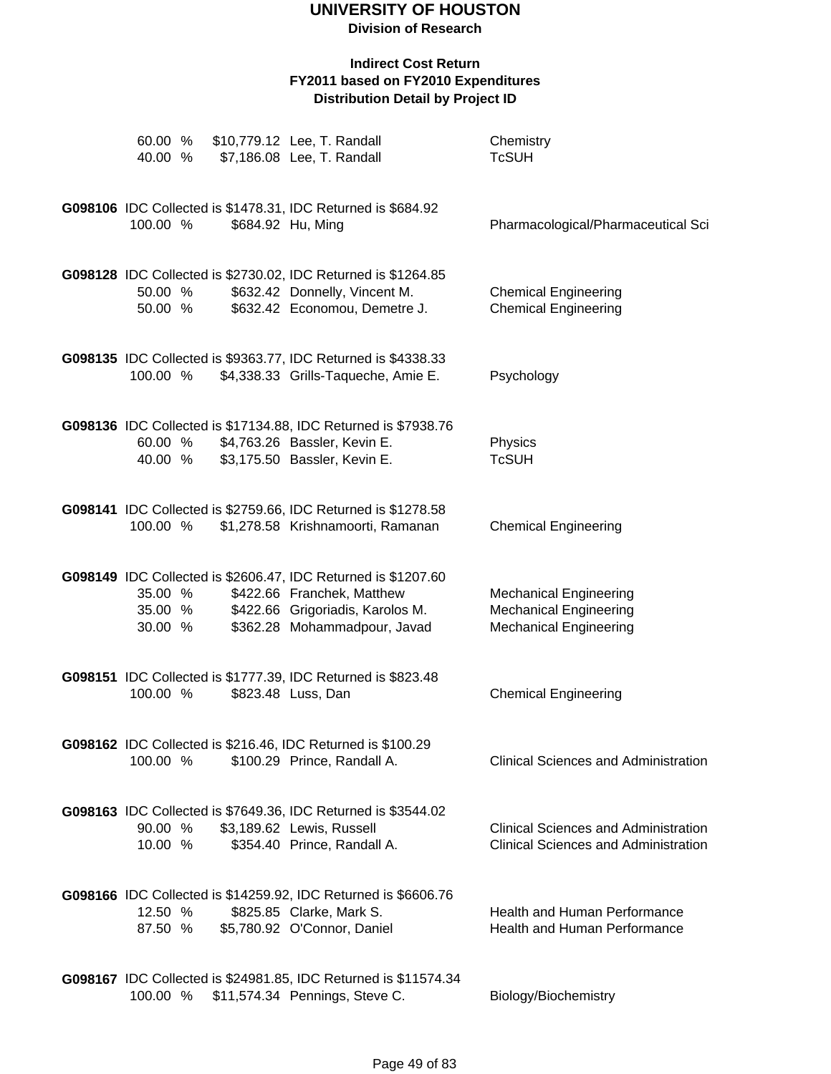| 60.00 %<br>40.00 %            |  | \$10,779.12 Lee, T. Randall<br>\$7,186.08 Lee, T. Randall                                                                                                       | Chemistry<br><b>TcSUH</b>                                                                       |
|-------------------------------|--|-----------------------------------------------------------------------------------------------------------------------------------------------------------------|-------------------------------------------------------------------------------------------------|
| 100.00 %                      |  | G098106 IDC Collected is \$1478.31, IDC Returned is \$684.92<br>\$684.92 Hu, Ming                                                                               | Pharmacological/Pharmaceutical Sci                                                              |
| 50.00 %<br>50.00 %            |  | G098128 IDC Collected is \$2730.02, IDC Returned is \$1264.85<br>\$632.42 Donnelly, Vincent M.<br>\$632.42 Economou, Demetre J.                                 | <b>Chemical Engineering</b><br><b>Chemical Engineering</b>                                      |
| 100.00 %                      |  | G098135 IDC Collected is \$9363.77, IDC Returned is \$4338.33<br>\$4,338.33 Grills-Taqueche, Amie E.                                                            | Psychology                                                                                      |
| 60.00 %<br>40.00 %            |  | G098136 IDC Collected is \$17134.88, IDC Returned is \$7938.76<br>\$4,763.26 Bassler, Kevin E.<br>\$3,175.50 Bassler, Kevin E.                                  | Physics<br><b>TcSUH</b>                                                                         |
| 100.00 %                      |  | G098141 IDC Collected is \$2759.66, IDC Returned is \$1278.58<br>\$1,278.58 Krishnamoorti, Ramanan                                                              | <b>Chemical Engineering</b>                                                                     |
| 35.00 %<br>35.00 %<br>30.00 % |  | G098149 IDC Collected is \$2606.47, IDC Returned is \$1207.60<br>\$422.66 Franchek, Matthew<br>\$422.66 Grigoriadis, Karolos M.<br>\$362.28 Mohammadpour, Javad | <b>Mechanical Engineering</b><br><b>Mechanical Engineering</b><br><b>Mechanical Engineering</b> |
| 100.00 %                      |  | G098151 IDC Collected is \$1777.39, IDC Returned is \$823.48<br>\$823.48 Luss, Dan                                                                              | <b>Chemical Engineering</b>                                                                     |
| 100.00 %                      |  | G098162 IDC Collected is \$216.46, IDC Returned is \$100.29<br>\$100.29 Prince, Randall A.                                                                      | Clinical Sciences and Administration                                                            |
| 90.00 %<br>10.00 %            |  | G098163 IDC Collected is \$7649.36, IDC Returned is \$3544.02<br>\$3,189.62 Lewis, Russell<br>\$354.40 Prince, Randall A.                                       | <b>Clinical Sciences and Administration</b><br><b>Clinical Sciences and Administration</b>      |
| 12.50 %<br>87.50 %            |  | G098166 IDC Collected is \$14259.92, IDC Returned is \$6606.76<br>\$825.85 Clarke, Mark S.<br>\$5,780.92 O'Connor, Daniel                                       | <b>Health and Human Performance</b><br>Health and Human Performance                             |
|                               |  | G098167 IDC Collected is \$24981.85, IDC Returned is \$11574.34<br>100.00 % \$11,574.34 Pennings, Steve C.                                                      | Biology/Biochemistry                                                                            |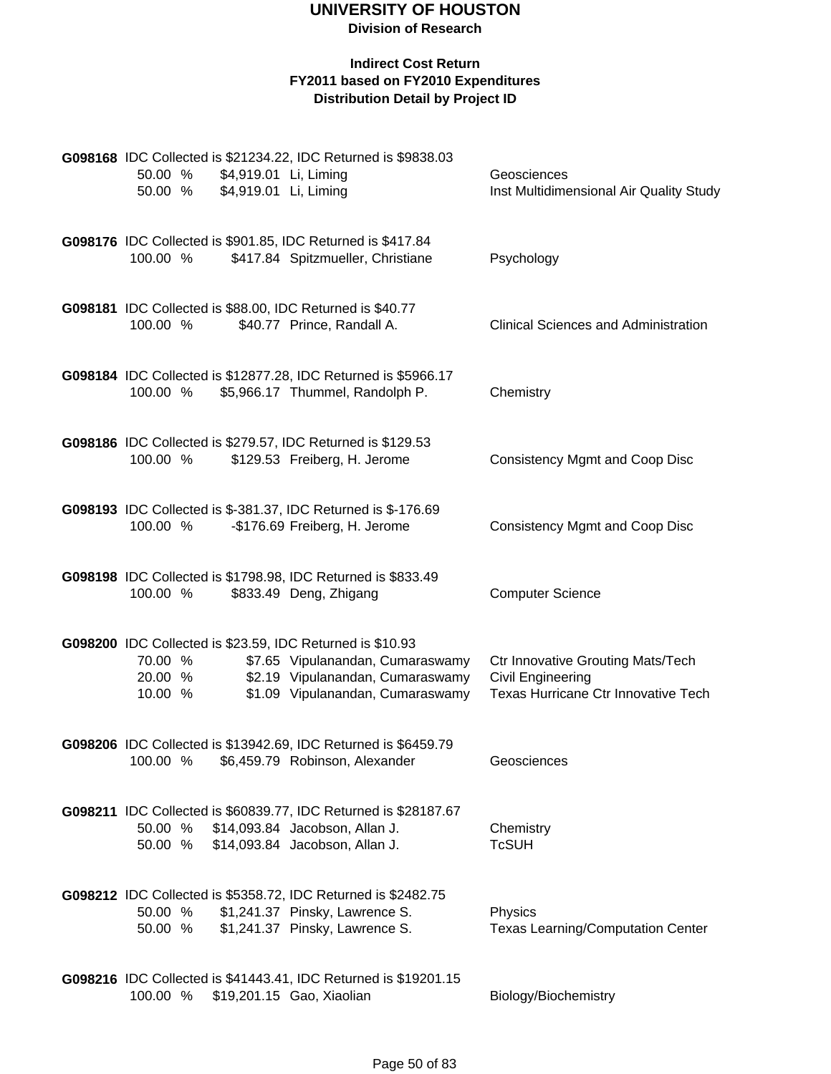**Division of Research**

| 50.00 %<br>50.00 %            | \$4,919.01 Li, Liming<br>\$4,919.01 Li, Liming | G098168 IDC Collected is \$21234.22, IDC Returned is \$9838.03                                                                                                        | Geosciences<br>Inst Multidimensional Air Quality Study                                               |
|-------------------------------|------------------------------------------------|-----------------------------------------------------------------------------------------------------------------------------------------------------------------------|------------------------------------------------------------------------------------------------------|
| 100.00 %                      |                                                | G098176 IDC Collected is \$901.85, IDC Returned is \$417.84<br>\$417.84 Spitzmueller, Christiane                                                                      | Psychology                                                                                           |
| 100.00 %                      |                                                | G098181 IDC Collected is \$88.00, IDC Returned is \$40.77<br>\$40.77 Prince, Randall A.                                                                               | <b>Clinical Sciences and Administration</b>                                                          |
| 100.00 %                      |                                                | G098184 IDC Collected is \$12877.28, IDC Returned is \$5966.17<br>\$5,966.17 Thummel, Randolph P.                                                                     | Chemistry                                                                                            |
| 100.00 %                      |                                                | G098186 IDC Collected is \$279.57, IDC Returned is \$129.53<br>\$129.53 Freiberg, H. Jerome                                                                           | <b>Consistency Mgmt and Coop Disc</b>                                                                |
| 100.00 %                      |                                                | G098193 IDC Collected is \$-381.37, IDC Returned is \$-176.69<br>-\$176.69 Freiberg, H. Jerome                                                                        | <b>Consistency Mgmt and Coop Disc</b>                                                                |
| 100.00 %                      |                                                | G098198 IDC Collected is \$1798.98, IDC Returned is \$833.49<br>\$833.49 Deng, Zhigang                                                                                | <b>Computer Science</b>                                                                              |
| 70.00 %<br>20.00 %<br>10.00 % |                                                | G098200 IDC Collected is \$23.59, IDC Returned is \$10.93<br>\$7.65 Vipulanandan, Cumaraswamy<br>\$2.19 Vipulanandan, Cumaraswamy<br>\$1.09 Vipulanandan, Cumaraswamy | <b>Ctr Innovative Grouting Mats/Tech</b><br>Civil Engineering<br>Texas Hurricane Ctr Innovative Tech |
| 100.00 %                      |                                                | G098206 IDC Collected is \$13942.69, IDC Returned is \$6459.79<br>\$6,459.79 Robinson, Alexander                                                                      | Geosciences                                                                                          |
| 50.00 %                       |                                                | G098211 IDC Collected is \$60839.77, IDC Returned is \$28187.67<br>50.00 % \$14,093.84 Jacobson, Allan J.<br>\$14,093.84 Jacobson, Allan J.                           | Chemistry<br><b>TcSUH</b>                                                                            |
| 50.00 %<br>50.00 %            |                                                | G098212 IDC Collected is \$5358.72, IDC Returned is \$2482.75<br>\$1,241.37 Pinsky, Lawrence S.<br>\$1,241.37 Pinsky, Lawrence S.                                     | Physics<br><b>Texas Learning/Computation Center</b>                                                  |
| 100.00 %                      |                                                | G098216 IDC Collected is \$41443.41, IDC Returned is \$19201.15<br>\$19,201.15 Gao, Xiaolian                                                                          | Biology/Biochemistry                                                                                 |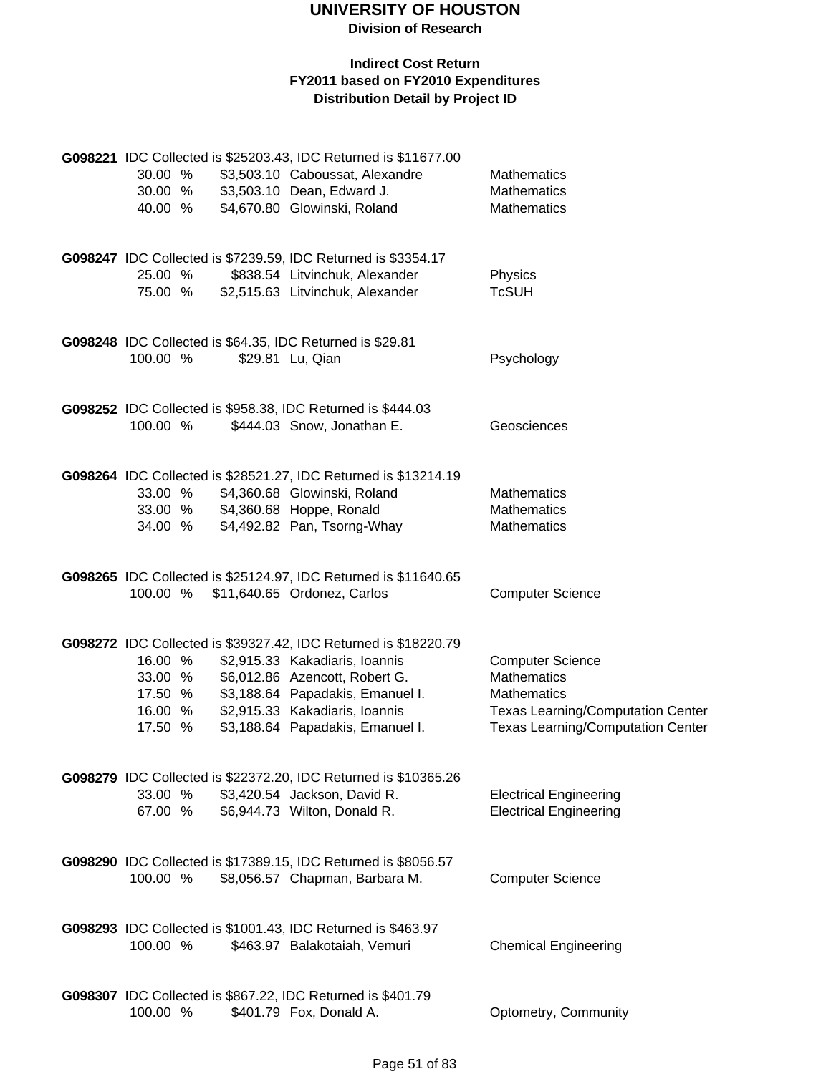| 30.00 %<br>30.00 %<br>40.00 %                       |  | G098221 IDC Collected is \$25203.43, IDC Returned is \$11677.00<br>\$3,503.10 Caboussat, Alexandre<br>\$3,503.10 Dean, Edward J.<br>\$4,670.80 Glowinski, Roland                                                                              | Mathematics<br><b>Mathematics</b><br>Mathematics                                                                                                            |
|-----------------------------------------------------|--|-----------------------------------------------------------------------------------------------------------------------------------------------------------------------------------------------------------------------------------------------|-------------------------------------------------------------------------------------------------------------------------------------------------------------|
| 25.00 %<br>75.00 %                                  |  | G098247 IDC Collected is \$7239.59, IDC Returned is \$3354.17<br>\$838.54 Litvinchuk, Alexander<br>\$2,515.63 Litvinchuk, Alexander                                                                                                           | Physics<br><b>TcSUH</b>                                                                                                                                     |
| 100.00 %                                            |  | G098248 IDC Collected is \$64.35, IDC Returned is \$29.81<br>\$29.81 Lu, Qian                                                                                                                                                                 | Psychology                                                                                                                                                  |
| 100.00 %                                            |  | G098252 IDC Collected is \$958.38, IDC Returned is \$444.03<br>\$444.03 Snow, Jonathan E.                                                                                                                                                     | Geosciences                                                                                                                                                 |
| 33.00 %<br>33.00 %<br>34.00 %                       |  | G098264 IDC Collected is \$28521.27, IDC Returned is \$13214.19<br>\$4,360.68 Glowinski, Roland<br>\$4,360.68 Hoppe, Ronald<br>\$4,492.82 Pan, Tsorng-Whay                                                                                    | <b>Mathematics</b><br><b>Mathematics</b><br><b>Mathematics</b>                                                                                              |
| 100.00 %                                            |  | G098265 IDC Collected is \$25124.97, IDC Returned is \$11640.65<br>\$11,640.65 Ordonez, Carlos                                                                                                                                                | <b>Computer Science</b>                                                                                                                                     |
| 16.00 %<br>33.00 %<br>17.50 %<br>16.00 %<br>17.50 % |  | G098272 IDC Collected is \$39327.42, IDC Returned is \$18220.79<br>\$2,915.33 Kakadiaris, Ioannis<br>\$6,012.86 Azencott, Robert G.<br>\$3,188.64 Papadakis, Emanuel I.<br>\$2,915.33 Kakadiaris, Ioannis<br>\$3,188.64 Papadakis, Emanuel I. | <b>Computer Science</b><br><b>Mathematics</b><br><b>Mathematics</b><br><b>Texas Learning/Computation Center</b><br><b>Texas Learning/Computation Center</b> |
| 33.00 %<br>67.00 %                                  |  | G098279 IDC Collected is \$22372.20, IDC Returned is \$10365.26<br>\$3,420.54 Jackson, David R.<br>\$6,944.73 Wilton, Donald R.                                                                                                               | <b>Electrical Engineering</b><br><b>Electrical Engineering</b>                                                                                              |
| 100.00 %                                            |  | G098290 IDC Collected is \$17389.15, IDC Returned is \$8056.57<br>\$8,056.57 Chapman, Barbara M.                                                                                                                                              | <b>Computer Science</b>                                                                                                                                     |
| 100.00 %                                            |  | G098293 IDC Collected is \$1001.43, IDC Returned is \$463.97<br>\$463.97 Balakotaiah, Vemuri                                                                                                                                                  | <b>Chemical Engineering</b>                                                                                                                                 |
| 100.00 %                                            |  | G098307 IDC Collected is \$867.22, IDC Returned is \$401.79<br>\$401.79 Fox, Donald A.                                                                                                                                                        | Optometry, Community                                                                                                                                        |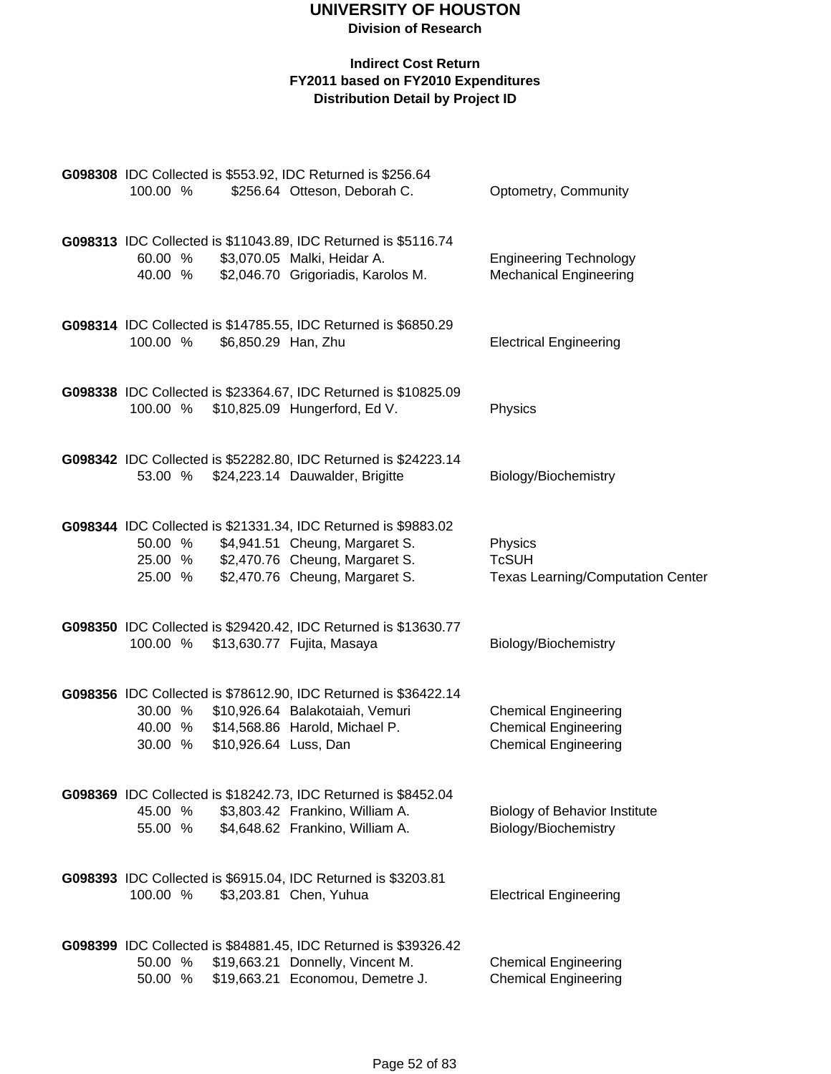|          |                       | G098308 IDC Collected is \$553.92, IDC Returned is \$256.64     |                                          |
|----------|-----------------------|-----------------------------------------------------------------|------------------------------------------|
| 100.00 % |                       | \$256.64 Otteson, Deborah C.                                    | Optometry, Community                     |
|          |                       | G098313 IDC Collected is \$11043.89, IDC Returned is \$5116.74  |                                          |
| 60.00 %  |                       | \$3,070.05 Malki, Heidar A.                                     | <b>Engineering Technology</b>            |
| 40.00 %  |                       | \$2,046.70 Grigoriadis, Karolos M.                              | <b>Mechanical Engineering</b>            |
|          |                       | G098314 IDC Collected is \$14785.55, IDC Returned is \$6850.29  |                                          |
| 100.00 % | \$6,850.29 Han, Zhu   |                                                                 | <b>Electrical Engineering</b>            |
|          |                       | G098338 IDC Collected is \$23364.67, IDC Returned is \$10825.09 |                                          |
|          |                       | 100.00 % \$10,825.09 Hungerford, Ed V.                          | Physics                                  |
|          |                       | G098342 IDC Collected is \$52282.80, IDC Returned is \$24223.14 |                                          |
| 53.00 %  |                       | \$24,223.14 Dauwalder, Brigitte                                 | Biology/Biochemistry                     |
|          |                       | G098344 IDC Collected is \$21331.34, IDC Returned is \$9883.02  |                                          |
|          |                       | 50.00 % \$4,941.51 Cheung, Margaret S.                          | Physics                                  |
|          |                       | 25.00 % \$2,470.76 Cheung, Margaret S.                          | <b>TcSUH</b>                             |
| 25.00 %  |                       | \$2,470.76 Cheung, Margaret S.                                  | <b>Texas Learning/Computation Center</b> |
|          |                       | G098350 IDC Collected is \$29420.42, IDC Returned is \$13630.77 |                                          |
|          |                       | 100.00 % \$13,630.77 Fujita, Masaya                             | Biology/Biochemistry                     |
|          |                       | G098356 IDC Collected is \$78612.90, IDC Returned is \$36422.14 |                                          |
| 30.00 %  |                       | \$10,926.64 Balakotaiah, Vemuri                                 | <b>Chemical Engineering</b>              |
|          |                       | 40.00 % \$14,568.86 Harold, Michael P.                          | <b>Chemical Engineering</b>              |
| 30.00 %  | \$10,926.64 Luss, Dan |                                                                 | <b>Chemical Engineering</b>              |
|          |                       | G098369 IDC Collected is \$18242.73, IDC Returned is \$8452.04  |                                          |
| 45.00 %  |                       | \$3,803.42 Frankino, William A.                                 | <b>Biology of Behavior Institute</b>     |
| 55.00 %  |                       | \$4,648.62 Frankino, William A.                                 | Biology/Biochemistry                     |
|          |                       | G098393 IDC Collected is \$6915.04, IDC Returned is \$3203.81   |                                          |
| 100.00 % |                       | \$3,203.81 Chen, Yuhua                                          | <b>Electrical Engineering</b>            |
|          |                       | G098399 IDC Collected is \$84881.45, IDC Returned is \$39326.42 |                                          |
| 50.00 %  |                       | \$19,663.21 Donnelly, Vincent M.                                | <b>Chemical Engineering</b>              |
| 50.00 %  |                       | \$19,663.21 Economou, Demetre J.                                | <b>Chemical Engineering</b>              |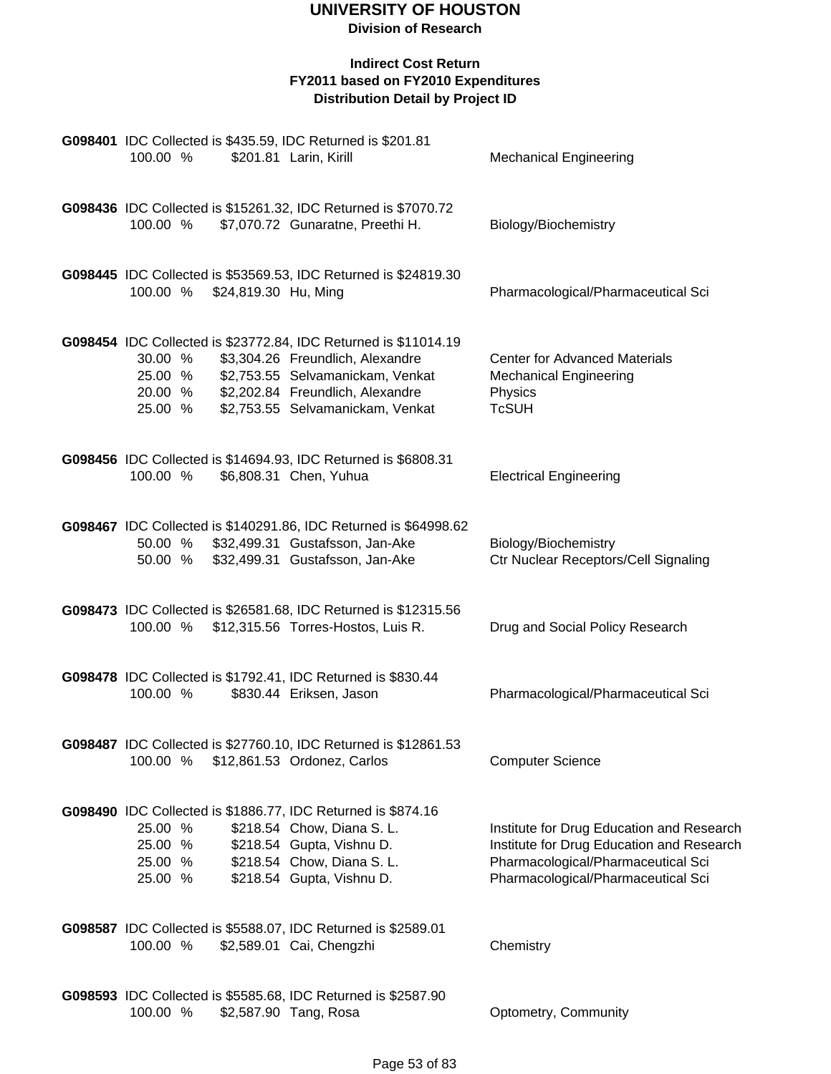| G098401 IDC Collected is \$435.59, IDC Returned is \$201.81<br>100.00 %                                  | \$201.81 Larin, Kirill                                                                                                                                                      | <b>Mechanical Engineering</b>                                                                                                                                      |
|----------------------------------------------------------------------------------------------------------|-----------------------------------------------------------------------------------------------------------------------------------------------------------------------------|--------------------------------------------------------------------------------------------------------------------------------------------------------------------|
| 100.00 %                                                                                                 | G098436 IDC Collected is \$15261.32, IDC Returned is \$7070.72<br>\$7,070.72 Gunaratne, Preethi H.                                                                          | Biology/Biochemistry                                                                                                                                               |
| 100.00 % \$24,819.30 Hu, Ming                                                                            | G098445 IDC Collected is \$53569.53, IDC Returned is \$24819.30                                                                                                             | Pharmacological/Pharmaceutical Sci                                                                                                                                 |
| 30.00 %<br>25.00 %<br>20.00 % \$2,202.84 Freundlich, Alexandre<br>25.00 %                                | G098454 IDC Collected is \$23772.84, IDC Returned is \$11014.19<br>\$3,304.26 Freundlich, Alexandre<br>\$2,753.55 Selvamanickam, Venkat<br>\$2,753.55 Selvamanickam, Venkat | <b>Center for Advanced Materials</b><br><b>Mechanical Engineering</b><br>Physics<br><b>TcSUH</b>                                                                   |
| 100.00 %                                                                                                 | G098456 IDC Collected is \$14694.93, IDC Returned is \$6808.31<br>\$6,808.31 Chen, Yuhua                                                                                    | <b>Electrical Engineering</b>                                                                                                                                      |
| 50.00 %<br>50.00 % \$32,499.31 Gustafsson, Jan-Ake                                                       | G098467 IDC Collected is \$140291.86, IDC Returned is \$64998.62<br>\$32,499.31 Gustafsson, Jan-Ake                                                                         | Biology/Biochemistry<br>Ctr Nuclear Receptors/Cell Signaling                                                                                                       |
| 100.00 %                                                                                                 | G098473 IDC Collected is \$26581.68, IDC Returned is \$12315.56<br>\$12,315.56 Torres-Hostos, Luis R.                                                                       | Drug and Social Policy Research                                                                                                                                    |
| G098478 IDC Collected is \$1792.41, IDC Returned is \$830.44<br>100.00 %                                 | \$830.44 Eriksen, Jason                                                                                                                                                     | Pharmacological/Pharmaceutical Sci                                                                                                                                 |
| 100.00 %                                                                                                 | G098487 IDC Collected is \$27760.10, IDC Returned is \$12861.53<br>\$12,861.53 Ordonez, Carlos                                                                              | <b>Computer Science</b>                                                                                                                                            |
| G098490 IDC Collected is \$1886.77, IDC Returned is \$874.16<br>25.00 %<br>25.00 %<br>25.00 %<br>25.00 % | \$218.54 Chow, Diana S. L.<br>\$218.54 Gupta, Vishnu D.<br>\$218.54 Chow, Diana S. L.<br>\$218.54 Gupta, Vishnu D.                                                          | Institute for Drug Education and Research<br>Institute for Drug Education and Research<br>Pharmacological/Pharmaceutical Sci<br>Pharmacological/Pharmaceutical Sci |
| G098587 IDC Collected is \$5588.07, IDC Returned is \$2589.01<br>100.00 %                                | \$2,589.01 Cai, Chengzhi                                                                                                                                                    | Chemistry                                                                                                                                                          |
| G098593 IDC Collected is \$5585.68, IDC Returned is \$2587.90<br>100.00 %                                | \$2,587.90 Tang, Rosa                                                                                                                                                       | Optometry, Community                                                                                                                                               |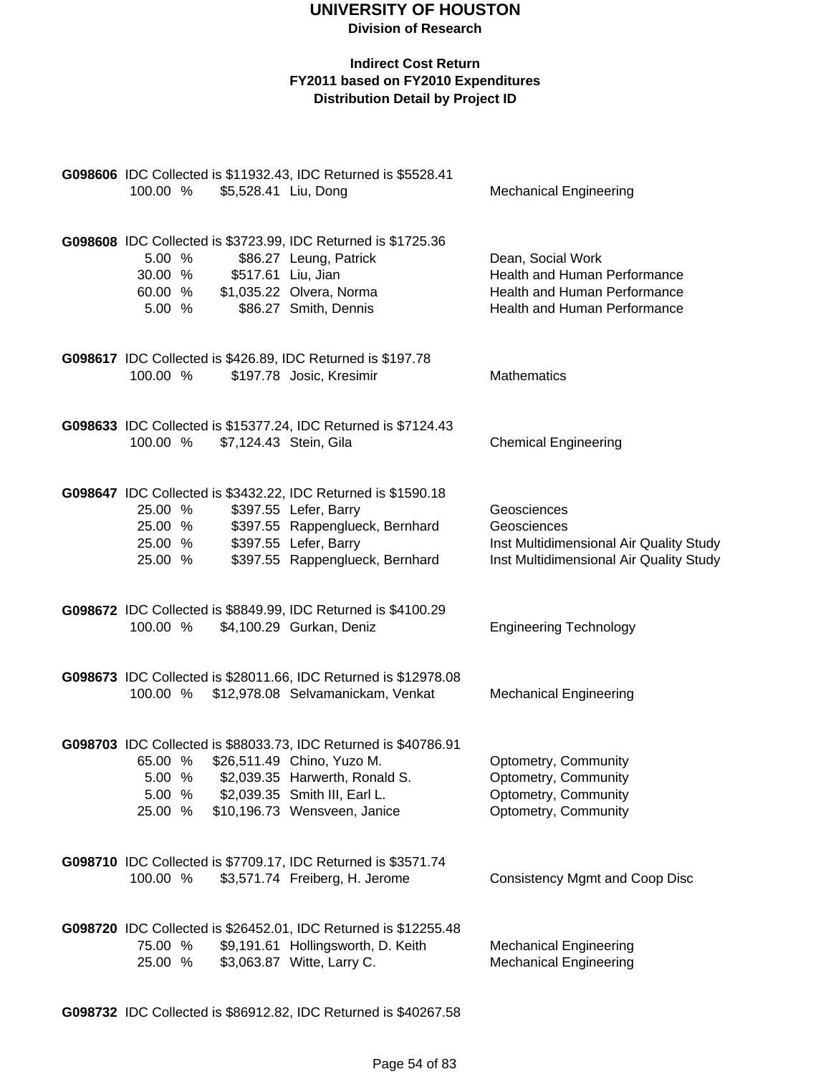#### **Indirect Cost Return FY2011 based on FY2010 Expenditures Distribution Detail by Project ID**

| 100.00 %                                 | \$5,528.41 Liu, Dong   | G098606 IDC Collected is \$11932.43, IDC Returned is \$5528.41                                                                                                                                   | <b>Mechanical Engineering</b>                                                                                     |
|------------------------------------------|------------------------|--------------------------------------------------------------------------------------------------------------------------------------------------------------------------------------------------|-------------------------------------------------------------------------------------------------------------------|
| 5.00 %<br>30.00 %<br>60.00 %<br>5.00 %   | \$517.61 Liu, Jian     | G098608 IDC Collected is \$3723.99, IDC Returned is \$1725.36<br>\$86.27 Leung, Patrick<br>\$1,035.22 Olvera, Norma<br>\$86.27 Smith, Dennis                                                     | Dean, Social Work<br>Health and Human Performance<br>Health and Human Performance<br>Health and Human Performance |
| 100.00 %                                 |                        | G098617 IDC Collected is \$426.89, IDC Returned is \$197.78<br>\$197.78 Josic, Kresimir                                                                                                          | <b>Mathematics</b>                                                                                                |
| 100.00 %                                 | \$7,124.43 Stein, Gila | G098633 IDC Collected is \$15377.24, IDC Returned is \$7124.43                                                                                                                                   | <b>Chemical Engineering</b>                                                                                       |
| 25.00 %<br>25.00 %<br>25.00 %<br>25.00 % |                        | G098647 IDC Collected is \$3432.22, IDC Returned is \$1590.18<br>\$397.55 Lefer, Barry<br>\$397.55 Rappenglueck, Bernhard<br>\$397.55 Lefer, Barry<br>\$397.55 Rappenglueck, Bernhard            | Geosciences<br>Geosciences<br>Inst Multidimensional Air Quality Study<br>Inst Multidimensional Air Quality Study  |
| 100.00 %                                 |                        | G098672 IDC Collected is \$8849.99, IDC Returned is \$4100.29<br>\$4,100.29 Gurkan, Deniz                                                                                                        | <b>Engineering Technology</b>                                                                                     |
|                                          |                        | G098673 IDC Collected is \$28011.66, IDC Returned is \$12978.08<br>100.00 % \$12,978.08 Selvamanickam, Venkat                                                                                    | <b>Mechanical Engineering</b>                                                                                     |
| 65.00 %<br>5.00 %<br>5.00 %<br>25.00 %   |                        | G098703 IDC Collected is \$88033.73, IDC Returned is \$40786.91<br>\$26,511.49 Chino, Yuzo M.<br>\$2,039.35 Harwerth, Ronald S.<br>\$2,039.35 Smith III, Earl L.<br>\$10,196.73 Wensveen, Janice | Optometry, Community<br>Optometry, Community<br>Optometry, Community<br>Optometry, Community                      |
| 100.00 %                                 |                        | G098710 IDC Collected is \$7709.17, IDC Returned is \$3571.74<br>\$3,571.74 Freiberg, H. Jerome                                                                                                  | <b>Consistency Mgmt and Coop Disc</b>                                                                             |
| 75.00 %<br>25.00 %                       |                        | G098720 IDC Collected is \$26452.01, IDC Returned is \$12255.48<br>\$9,191.61 Hollingsworth, D. Keith<br>\$3,063.87 Witte, Larry C.                                                              | <b>Mechanical Engineering</b><br><b>Mechanical Engineering</b>                                                    |

**G098732** IDC Collected is \$86912.82, IDC Returned is \$40267.58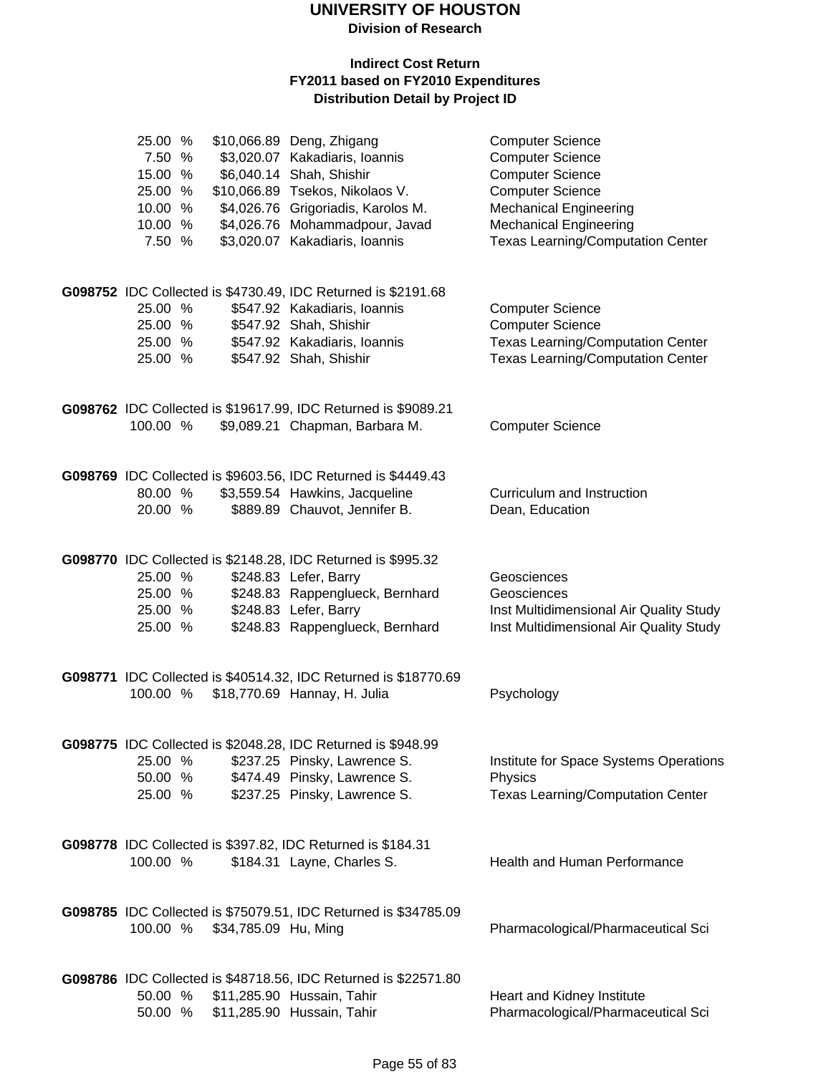**Division of Research**

| 25.00 %<br>7.50 %<br>15.00 %<br>25.00 %<br>10.00 %<br>10.00 %<br>7.50 % |                      | \$10,066.89 Deng, Zhigang<br>\$3,020.07 Kakadiaris, Ioannis<br>\$6,040.14 Shah, Shishir<br>\$10,066.89 Tsekos, Nikolaos V.<br>\$4,026.76 Grigoriadis, Karolos M.<br>\$4,026.76 Mohammadpour, Javad<br>\$3,020.07 Kakadiaris, Ioannis | <b>Computer Science</b><br><b>Computer Science</b><br><b>Computer Science</b><br><b>Computer Science</b><br><b>Mechanical Engineering</b><br><b>Mechanical Engineering</b><br><b>Texas Learning/Computation Center</b> |
|-------------------------------------------------------------------------|----------------------|--------------------------------------------------------------------------------------------------------------------------------------------------------------------------------------------------------------------------------------|------------------------------------------------------------------------------------------------------------------------------------------------------------------------------------------------------------------------|
| 25.00 %<br>25.00 %<br>25.00 %<br>25.00 %                                |                      | G098752 IDC Collected is \$4730.49, IDC Returned is \$2191.68<br>\$547.92 Kakadiaris, Ioannis<br>\$547.92 Shah, Shishir<br>\$547.92 Kakadiaris, Ioannis<br>\$547.92 Shah, Shishir                                                    | <b>Computer Science</b><br><b>Computer Science</b><br><b>Texas Learning/Computation Center</b><br><b>Texas Learning/Computation Center</b>                                                                             |
| 100.00 %                                                                |                      | G098762 IDC Collected is \$19617.99, IDC Returned is \$9089.21<br>\$9,089.21 Chapman, Barbara M.                                                                                                                                     | <b>Computer Science</b>                                                                                                                                                                                                |
| 80.00 %<br>20.00 %                                                      |                      | G098769 IDC Collected is \$9603.56, IDC Returned is \$4449.43<br>\$3,559.54 Hawkins, Jacqueline<br>\$889.89 Chauvot, Jennifer B.                                                                                                     | Curriculum and Instruction<br>Dean, Education                                                                                                                                                                          |
| 25.00 %<br>25.00 %<br>25.00 %<br>25.00 %                                |                      | G098770 IDC Collected is \$2148.28, IDC Returned is \$995.32<br>\$248.83 Lefer, Barry<br>\$248.83 Rappenglueck, Bernhard<br>\$248.83 Lefer, Barry<br>\$248.83 Rappenglueck, Bernhard                                                 | Geosciences<br>Geosciences<br>Inst Multidimensional Air Quality Study<br>Inst Multidimensional Air Quality Study                                                                                                       |
| 100.00 %                                                                |                      | G098771 IDC Collected is \$40514.32, IDC Returned is \$18770.69<br>\$18,770.69 Hannay, H. Julia                                                                                                                                      | Psychology                                                                                                                                                                                                             |
| 25.00 %<br>50.00 %<br>25.00 %                                           |                      | G098775 IDC Collected is \$2048.28, IDC Returned is \$948.99<br>\$237.25 Pinsky, Lawrence S.<br>\$474.49 Pinsky, Lawrence S.<br>\$237.25 Pinsky, Lawrence S.                                                                         | Institute for Space Systems Operations<br>Physics<br><b>Texas Learning/Computation Center</b>                                                                                                                          |
| 100.00 %                                                                |                      | G098778 IDC Collected is \$397.82, IDC Returned is \$184.31<br>\$184.31 Layne, Charles S.                                                                                                                                            | Health and Human Performance                                                                                                                                                                                           |
| 100.00 %                                                                | \$34,785.09 Hu, Ming | G098785 IDC Collected is \$75079.51, IDC Returned is \$34785.09                                                                                                                                                                      | Pharmacological/Pharmaceutical Sci                                                                                                                                                                                     |
| 50.00 %<br>50.00 %                                                      |                      | G098786 IDC Collected is \$48718.56, IDC Returned is \$22571.80<br>\$11,285.90 Hussain, Tahir<br>\$11,285.90 Hussain, Tahir                                                                                                          | Heart and Kidney Institute<br>Pharmacological/Pharmaceutical Sci                                                                                                                                                       |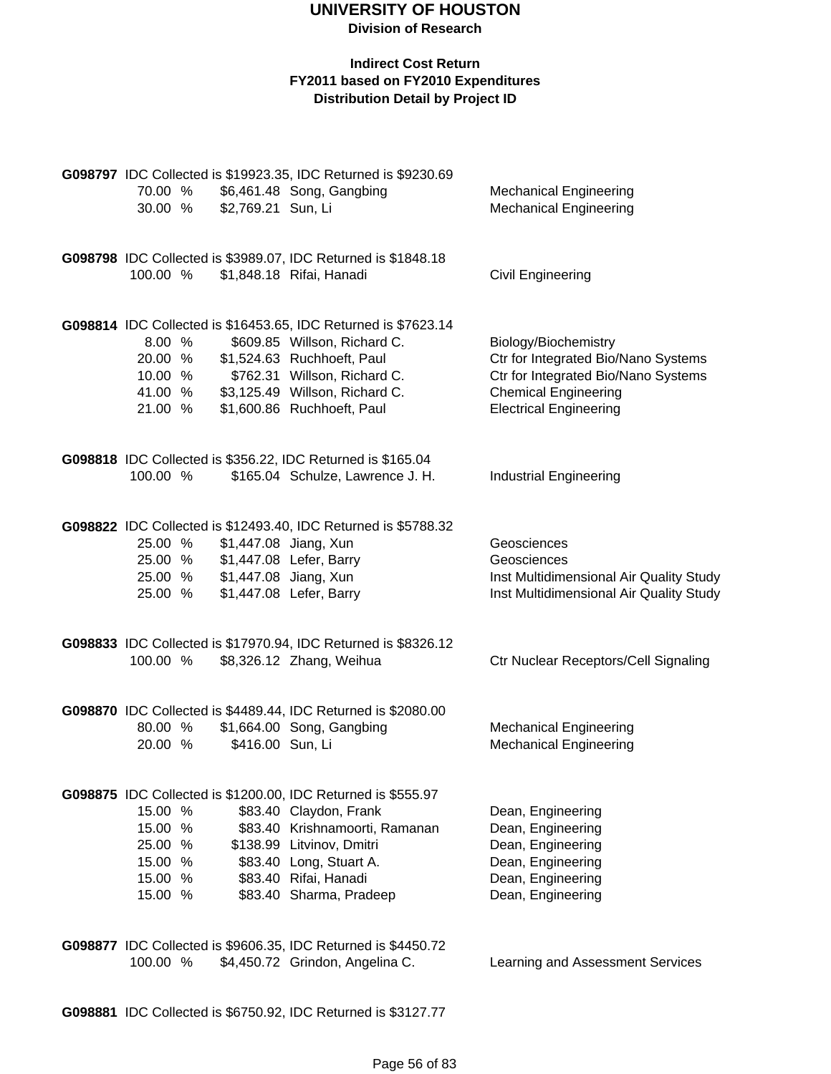#### **Indirect Cost Return FY2011 based on FY2010 Expenditures Distribution Detail by Project ID**

|          |                               | G098797 IDC Collected is \$19923.35, IDC Returned is \$9230.69 |                                         |
|----------|-------------------------------|----------------------------------------------------------------|-----------------------------------------|
| 70.00 %  |                               | \$6,461.48 Song, Gangbing                                      | <b>Mechanical Engineering</b>           |
| 30.00 %  | \$2,769.21 Sun, Li            |                                                                | <b>Mechanical Engineering</b>           |
|          |                               |                                                                |                                         |
|          |                               |                                                                |                                         |
|          |                               | G098798 IDC Collected is \$3989.07, IDC Returned is \$1848.18  |                                         |
| 100.00 % |                               | \$1,848.18 Rifai, Hanadi                                       | Civil Engineering                       |
|          |                               |                                                                |                                         |
|          |                               |                                                                |                                         |
|          |                               | G098814 IDC Collected is \$16453.65, IDC Returned is \$7623.14 |                                         |
| 8.00%    |                               | \$609.85 Willson, Richard C.                                   | Biology/Biochemistry                    |
| 20.00 %  |                               | \$1,524.63 Ruchhoeft, Paul                                     | Ctr for Integrated Bio/Nano Systems     |
| 10.00 %  |                               | \$762.31 Willson, Richard C.                                   | Ctr for Integrated Bio/Nano Systems     |
| 41.00 %  |                               | \$3,125.49 Willson, Richard C.                                 | <b>Chemical Engineering</b>             |
| 21.00 %  |                               | \$1,600.86 Ruchhoeft, Paul                                     | <b>Electrical Engineering</b>           |
|          |                               |                                                                |                                         |
|          |                               |                                                                |                                         |
|          |                               | G098818 IDC Collected is \$356.22, IDC Returned is \$165.04    |                                         |
| 100.00 % |                               | \$165.04 Schulze, Lawrence J. H.                               | <b>Industrial Engineering</b>           |
|          |                               |                                                                |                                         |
|          |                               | G098822 IDC Collected is \$12493.40, IDC Returned is \$5788.32 |                                         |
| 25.00 %  |                               | \$1,447.08 Jiang, Xun                                          | Geosciences                             |
|          |                               |                                                                |                                         |
|          |                               | 25.00 % \$1,447.08 Lefer, Barry                                | Geosciences                             |
|          | 25.00 % \$1,447.08 Jiang, Xun |                                                                | Inst Multidimensional Air Quality Study |
| 25.00 %  |                               | \$1,447.08 Lefer, Barry                                        | Inst Multidimensional Air Quality Study |
|          |                               |                                                                |                                         |
|          |                               | G098833 IDC Collected is \$17970.94, IDC Returned is \$8326.12 |                                         |
| 100.00 % |                               | \$8,326.12 Zhang, Weihua                                       | Ctr Nuclear Receptors/Cell Signaling    |
|          |                               |                                                                |                                         |
|          |                               |                                                                |                                         |
|          |                               | G098870 IDC Collected is \$4489.44, IDC Returned is \$2080.00  |                                         |
| 80.00 %  |                               | \$1,664.00 Song, Gangbing                                      | <b>Mechanical Engineering</b>           |
| 20.00 %  | \$416.00 Sun, Li              |                                                                | <b>Mechanical Engineering</b>           |
|          |                               |                                                                |                                         |
|          |                               |                                                                |                                         |
|          |                               | G098875 IDC Collected is \$1200.00, IDC Returned is \$555.97   |                                         |
| 15.00 %  |                               | \$83.40 Claydon, Frank                                         | Dean, Engineering                       |
| 15.00 %  |                               | \$83.40 Krishnamoorti, Ramanan                                 | Dean, Engineering                       |
| 25.00 %  |                               | \$138.99 Litvinov, Dmitri                                      | Dean, Engineering                       |
| 15.00 %  |                               | \$83.40 Long, Stuart A.                                        | Dean, Engineering                       |
| 15.00 %  |                               | \$83.40 Rifai, Hanadi                                          | Dean, Engineering                       |
| 15.00 %  |                               | \$83.40 Sharma, Pradeep                                        | Dean, Engineering                       |
|          |                               |                                                                |                                         |
|          |                               |                                                                |                                         |
|          |                               | G098877 IDC Collected is \$9606.35, IDC Returned is \$4450.72  |                                         |

**G098881** IDC Collected is \$6750.92, IDC Returned is \$3127.77

100.00 % \$4,450.72 Grindon, Angelina C. Learning and Assessment Services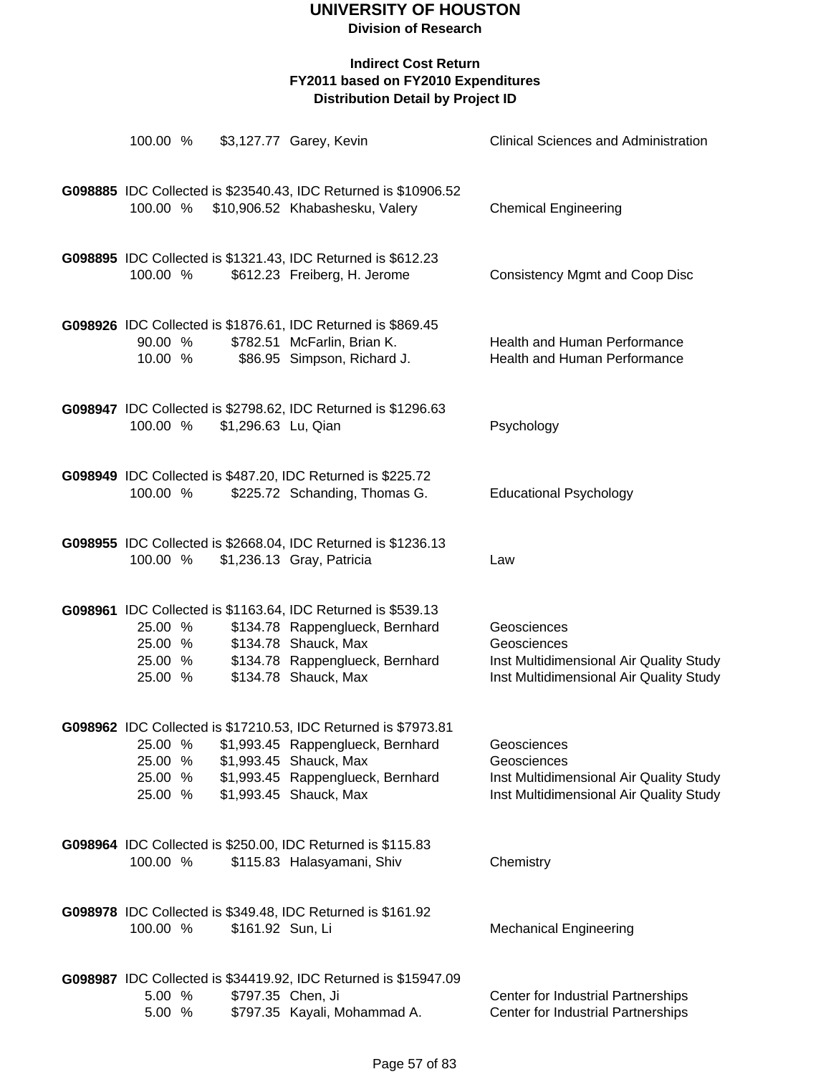| 100.00 %                                 |                     | \$3,127.77 Garey, Kevin                                                                                                                                                                      | <b>Clinical Sciences and Administration</b>                                                                      |
|------------------------------------------|---------------------|----------------------------------------------------------------------------------------------------------------------------------------------------------------------------------------------|------------------------------------------------------------------------------------------------------------------|
| 100.00 %                                 |                     | G098885 IDC Collected is \$23540.43, IDC Returned is \$10906.52<br>\$10,906.52 Khabashesku, Valery                                                                                           | <b>Chemical Engineering</b>                                                                                      |
| 100.00 %                                 |                     | G098895 IDC Collected is \$1321.43, IDC Returned is \$612.23<br>\$612.23 Freiberg, H. Jerome                                                                                                 | <b>Consistency Mgmt and Coop Disc</b>                                                                            |
| 90.00 %<br>10.00 %                       |                     | G098926 IDC Collected is \$1876.61, IDC Returned is \$869.45<br>\$782.51 McFarlin, Brian K.<br>\$86.95 Simpson, Richard J.                                                                   | Health and Human Performance<br>Health and Human Performance                                                     |
| 100.00 %                                 | \$1,296.63 Lu, Qian | G098947 IDC Collected is \$2798.62, IDC Returned is \$1296.63                                                                                                                                | Psychology                                                                                                       |
| 100.00 %                                 |                     | G098949 IDC Collected is \$487.20, IDC Returned is \$225.72<br>\$225.72 Schanding, Thomas G.                                                                                                 | <b>Educational Psychology</b>                                                                                    |
| 100.00 %                                 |                     | G098955 IDC Collected is \$2668.04, IDC Returned is \$1236.13<br>\$1,236.13 Gray, Patricia                                                                                                   | Law                                                                                                              |
| 25.00 %<br>25.00 %<br>25.00 %<br>25.00 % |                     | G098961 IDC Collected is \$1163.64, IDC Returned is \$539.13<br>\$134.78 Rappenglueck, Bernhard<br>\$134.78 Shauck, Max<br>\$134.78 Rappenglueck, Bernhard<br>\$134.78 Shauck, Max           | Geosciences<br>Geosciences<br>Inst Multidimensional Air Quality Study<br>Inst Multidimensional Air Quality Study |
| 25.00 %<br>25.00 %<br>25.00 %<br>25.00 % |                     | G098962 IDC Collected is \$17210.53, IDC Returned is \$7973.81<br>\$1,993.45 Rappenglueck, Bernhard<br>\$1,993.45 Shauck, Max<br>\$1,993.45 Rappenglueck, Bernhard<br>\$1,993.45 Shauck, Max | Geosciences<br>Geosciences<br>Inst Multidimensional Air Quality Study<br>Inst Multidimensional Air Quality Study |
| 100.00 %                                 |                     | G098964 IDC Collected is \$250.00, IDC Returned is \$115.83<br>\$115.83 Halasyamani, Shiv                                                                                                    | Chemistry                                                                                                        |
| 100.00 %                                 | \$161.92 Sun, Li    | G098978 IDC Collected is \$349.48, IDC Returned is \$161.92                                                                                                                                  | <b>Mechanical Engineering</b>                                                                                    |
| 5.00 %<br>5.00 %                         | \$797.35 Chen, Ji   | G098987 IDC Collected is \$34419.92, IDC Returned is \$15947.09<br>\$797.35 Kayali, Mohammad A.                                                                                              | Center for Industrial Partnerships<br>Center for Industrial Partnerships                                         |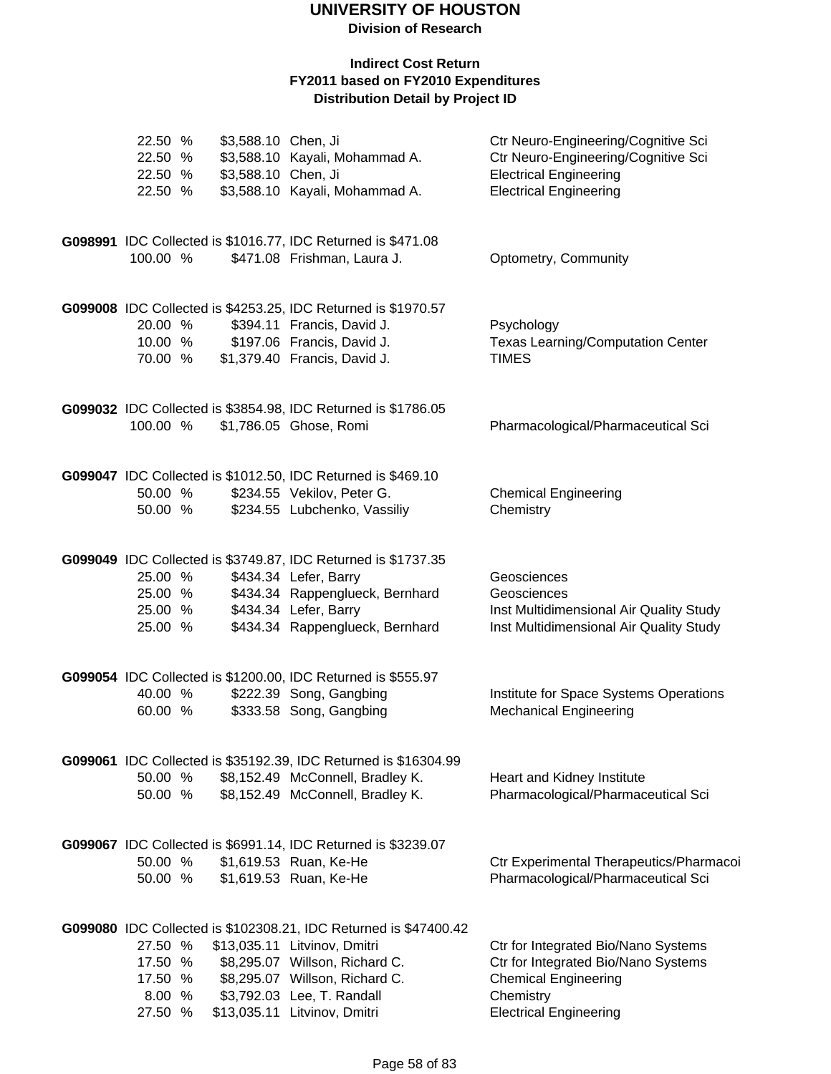**Division of Research**

| 22.50 %<br>22.50 %<br>22.50 %<br>22.50 %           | \$3,588.10 Chen, Ji<br>\$3,588.10 Chen, Ji | \$3,588.10 Kayali, Mohammad A.<br>\$3,588.10 Kayali, Mohammad A.                                                                                                                                                                   | Ctr Neuro-Engineering/Cognitive Sci<br>Ctr Neuro-Engineering/Cognitive Sci<br><b>Electrical Engineering</b><br><b>Electrical Engineering</b>            |
|----------------------------------------------------|--------------------------------------------|------------------------------------------------------------------------------------------------------------------------------------------------------------------------------------------------------------------------------------|---------------------------------------------------------------------------------------------------------------------------------------------------------|
| 100.00 %                                           |                                            | G098991 IDC Collected is \$1016.77, IDC Returned is \$471.08<br>\$471.08 Frishman, Laura J.                                                                                                                                        | Optometry, Community                                                                                                                                    |
| 20.00 %<br>10.00 %<br>70.00 %                      |                                            | G099008 IDC Collected is \$4253.25, IDC Returned is \$1970.57<br>\$394.11 Francis, David J.<br>\$197.06 Francis, David J.<br>\$1,379.40 Francis, David J.                                                                          | Psychology<br><b>Texas Learning/Computation Center</b><br><b>TIMES</b>                                                                                  |
| 100.00 %                                           |                                            | G099032 IDC Collected is \$3854.98, IDC Returned is \$1786.05<br>\$1,786.05 Ghose, Romi                                                                                                                                            | Pharmacological/Pharmaceutical Sci                                                                                                                      |
| 50.00 %<br>50.00 %                                 |                                            | G099047 IDC Collected is \$1012.50, IDC Returned is \$469.10<br>\$234.55 Vekilov, Peter G.<br>\$234.55 Lubchenko, Vassiliy                                                                                                         | <b>Chemical Engineering</b><br>Chemistry                                                                                                                |
| 25.00 %<br>25.00 %<br>25.00 %<br>25.00 %           |                                            | G099049 IDC Collected is \$3749.87, IDC Returned is \$1737.35<br>\$434.34 Lefer, Barry<br>\$434.34 Rappenglueck, Bernhard<br>\$434.34 Lefer, Barry<br>\$434.34 Rappenglueck, Bernhard                                              | Geosciences<br>Geosciences<br>Inst Multidimensional Air Quality Study<br>Inst Multidimensional Air Quality Study                                        |
| 40.00 %<br>60.00 %                                 |                                            | G099054 IDC Collected is \$1200.00, IDC Returned is \$555.97<br>\$222.39 Song, Gangbing<br>\$333.58 Song, Gangbing                                                                                                                 | Institute for Space Systems Operations<br><b>Mechanical Engineering</b>                                                                                 |
| 50.00 %<br>50.00 %                                 |                                            | G099061 IDC Collected is \$35192.39, IDC Returned is \$16304.99<br>\$8,152.49 McConnell, Bradley K.<br>\$8,152.49 McConnell, Bradley K.                                                                                            | Heart and Kidney Institute<br>Pharmacological/Pharmaceutical Sci                                                                                        |
| 50.00 %<br>50.00 %                                 |                                            | G099067 IDC Collected is \$6991.14, IDC Returned is \$3239.07<br>\$1,619.53 Ruan, Ke-He<br>\$1,619.53 Ruan, Ke-He                                                                                                                  | Ctr Experimental Therapeutics/Pharmacoi<br>Pharmacological/Pharmaceutical Sci                                                                           |
| 27.50 %<br>17.50 %<br>17.50 %<br>8.00 %<br>27.50 % |                                            | G099080 IDC Collected is \$102308.21, IDC Returned is \$47400.42<br>\$13,035.11 Litvinov, Dmitri<br>\$8,295.07 Willson, Richard C.<br>\$8,295.07 Willson, Richard C.<br>\$3,792.03 Lee, T. Randall<br>\$13,035.11 Litvinov, Dmitri | Ctr for Integrated Bio/Nano Systems<br>Ctr for Integrated Bio/Nano Systems<br><b>Chemical Engineering</b><br>Chemistry<br><b>Electrical Engineering</b> |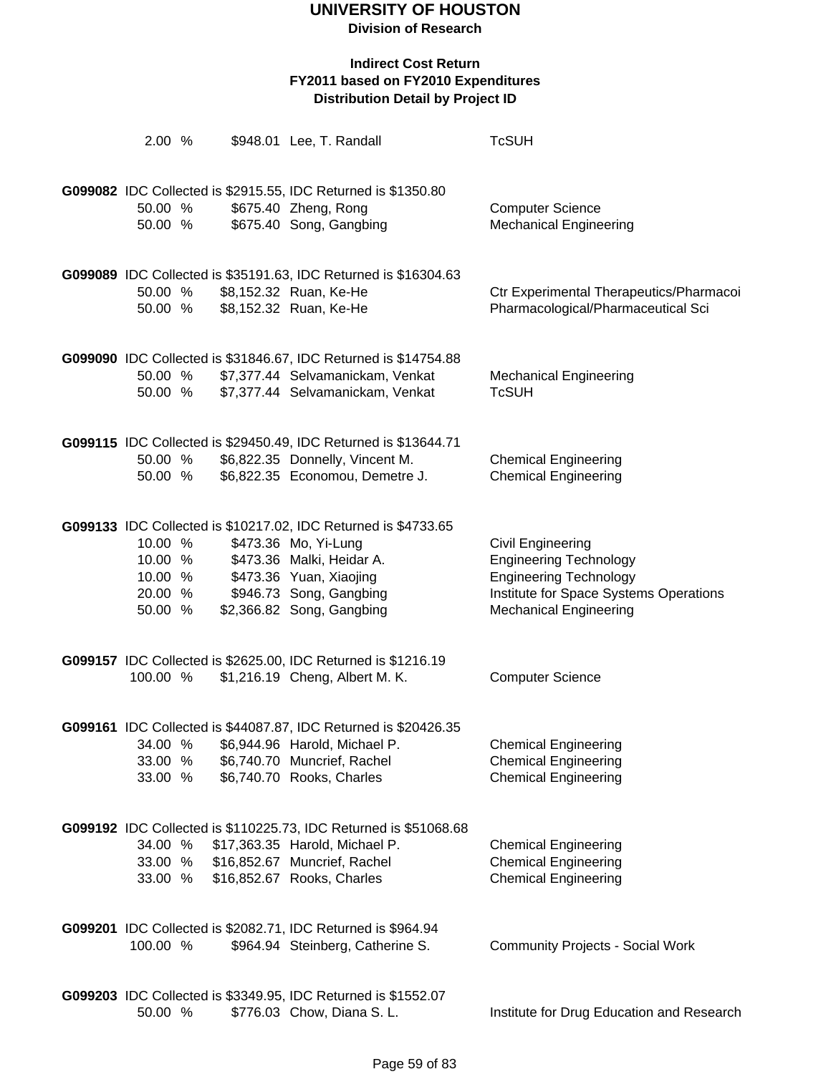| 2.00 %                                              |  | \$948.01 Lee, T. Randall                                                                                                                                                                               | <b>TcSUH</b>                                                                                                                                                          |
|-----------------------------------------------------|--|--------------------------------------------------------------------------------------------------------------------------------------------------------------------------------------------------------|-----------------------------------------------------------------------------------------------------------------------------------------------------------------------|
| 50.00 %<br>50.00 %                                  |  | G099082 IDC Collected is \$2915.55, IDC Returned is \$1350.80<br>\$675.40 Zheng, Rong<br>\$675.40 Song, Gangbing                                                                                       | <b>Computer Science</b><br><b>Mechanical Engineering</b>                                                                                                              |
| 50.00 %<br>50.00 %                                  |  | G099089 IDC Collected is \$35191.63, IDC Returned is \$16304.63<br>\$8,152.32 Ruan, Ke-He<br>\$8,152.32 Ruan, Ke-He                                                                                    | Ctr Experimental Therapeutics/Pharmacoi<br>Pharmacological/Pharmaceutical Sci                                                                                         |
| 50.00 %<br>50.00 %                                  |  | G099090 IDC Collected is \$31846.67, IDC Returned is \$14754.88<br>\$7,377.44 Selvamanickam, Venkat<br>\$7,377.44 Selvamanickam, Venkat                                                                | <b>Mechanical Engineering</b><br><b>TcSUH</b>                                                                                                                         |
| 50.00 %<br>50.00 %                                  |  | G099115 IDC Collected is \$29450.49, IDC Returned is \$13644.71<br>\$6,822.35 Donnelly, Vincent M.<br>\$6,822.35 Economou, Demetre J.                                                                  | <b>Chemical Engineering</b><br><b>Chemical Engineering</b>                                                                                                            |
| 10.00 %<br>10.00 %<br>10.00 %<br>20.00 %<br>50.00 % |  | G099133 IDC Collected is \$10217.02, IDC Returned is \$4733.65<br>\$473.36 Mo, Yi-Lung<br>\$473.36 Malki, Heidar A.<br>\$473.36 Yuan, Xiaojing<br>\$946.73 Song, Gangbing<br>\$2,366.82 Song, Gangbing | <b>Civil Engineering</b><br><b>Engineering Technology</b><br><b>Engineering Technology</b><br>Institute for Space Systems Operations<br><b>Mechanical Engineering</b> |
| 100.00 %                                            |  | G099157 IDC Collected is \$2625.00, IDC Returned is \$1216.19<br>\$1,216.19 Cheng, Albert M. K.                                                                                                        | <b>Computer Science</b>                                                                                                                                               |
| 34.00 %<br>33.00 %<br>33.00 %                       |  | G099161 IDC Collected is \$44087.87, IDC Returned is \$20426.35<br>\$6,944.96 Harold, Michael P.<br>\$6,740.70 Muncrief, Rachel<br>\$6,740.70 Rooks, Charles                                           | <b>Chemical Engineering</b><br><b>Chemical Engineering</b><br><b>Chemical Engineering</b>                                                                             |
| 34.00 %<br>33.00 %<br>33.00 %                       |  | G099192 IDC Collected is \$110225.73, IDC Returned is \$51068.68<br>\$17,363.35 Harold, Michael P.<br>\$16,852.67 Muncrief, Rachel<br>\$16,852.67 Rooks, Charles                                       | <b>Chemical Engineering</b><br><b>Chemical Engineering</b><br><b>Chemical Engineering</b>                                                                             |
| 100.00 %                                            |  | G099201 IDC Collected is \$2082.71, IDC Returned is \$964.94<br>\$964.94 Steinberg, Catherine S.                                                                                                       | <b>Community Projects - Social Work</b>                                                                                                                               |
| 50.00 %                                             |  | G099203 IDC Collected is \$3349.95, IDC Returned is \$1552.07<br>\$776.03 Chow, Diana S. L.                                                                                                            | Institute for Drug Education and Research                                                                                                                             |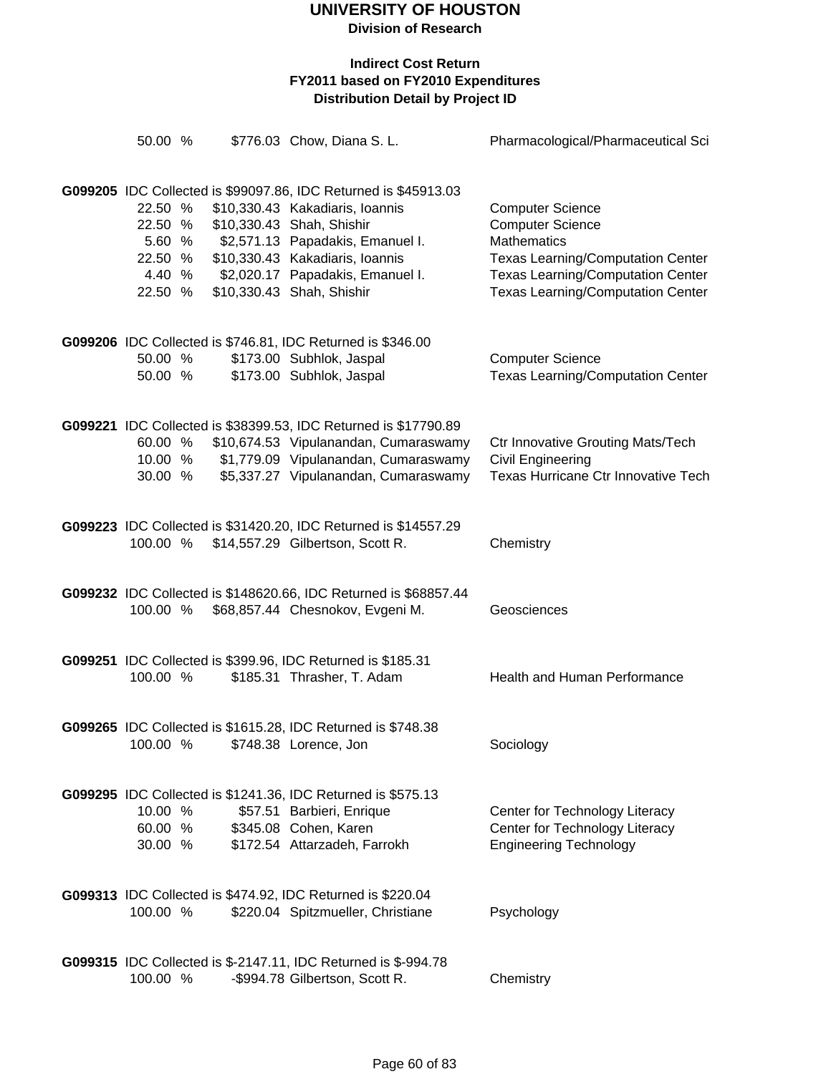| 50.00 %                                                      |  | \$776.03 Chow, Diana S. L.                                                                                                                                                                                                                                              | Pharmacological/Pharmaceutical Sci                                                                                                                                                                           |
|--------------------------------------------------------------|--|-------------------------------------------------------------------------------------------------------------------------------------------------------------------------------------------------------------------------------------------------------------------------|--------------------------------------------------------------------------------------------------------------------------------------------------------------------------------------------------------------|
| 22.50 %<br>22.50 %<br>5.60 %<br>22.50 %<br>4.40 %<br>22.50 % |  | G099205 IDC Collected is \$99097.86, IDC Returned is \$45913.03<br>\$10,330.43 Kakadiaris, Ioannis<br>\$10,330.43 Shah, Shishir<br>\$2,571.13 Papadakis, Emanuel I.<br>\$10,330.43 Kakadiaris, Ioannis<br>\$2,020.17 Papadakis, Emanuel I.<br>\$10,330.43 Shah, Shishir | <b>Computer Science</b><br><b>Computer Science</b><br><b>Mathematics</b><br><b>Texas Learning/Computation Center</b><br><b>Texas Learning/Computation Center</b><br><b>Texas Learning/Computation Center</b> |
| 50.00 %<br>50.00 %                                           |  | G099206 IDC Collected is \$746.81, IDC Returned is \$346.00<br>\$173.00 Subhlok, Jaspal<br>\$173.00 Subhlok, Jaspal                                                                                                                                                     | <b>Computer Science</b><br><b>Texas Learning/Computation Center</b>                                                                                                                                          |
| 60.00 %<br>10.00 %<br>30.00 %                                |  | G099221 IDC Collected is \$38399.53, IDC Returned is \$17790.89<br>\$10,674.53 Vipulanandan, Cumaraswamy<br>\$1,779.09 Vipulanandan, Cumaraswamy<br>\$5,337.27 Vipulanandan, Cumaraswamy                                                                                | <b>Ctr Innovative Grouting Mats/Tech</b><br>Civil Engineering<br>Texas Hurricane Ctr Innovative Tech                                                                                                         |
| 100.00 %                                                     |  | G099223 IDC Collected is \$31420.20, IDC Returned is \$14557.29<br>\$14,557.29 Gilbertson, Scott R.                                                                                                                                                                     | Chemistry                                                                                                                                                                                                    |
| 100.00 %                                                     |  | G099232 IDC Collected is \$148620.66, IDC Returned is \$68857.44<br>\$68,857.44 Chesnokov, Evgeni M.                                                                                                                                                                    | Geosciences                                                                                                                                                                                                  |
| 100.00 %                                                     |  | G099251 IDC Collected is \$399.96, IDC Returned is \$185.31<br>\$185.31 Thrasher, T. Adam                                                                                                                                                                               | <b>Health and Human Performance</b>                                                                                                                                                                          |
| 100.00 %                                                     |  | G099265 IDC Collected is \$1615.28, IDC Returned is \$748.38<br>\$748.38 Lorence, Jon                                                                                                                                                                                   | Sociology                                                                                                                                                                                                    |
| 10.00 %<br>60.00 %<br>30.00 %                                |  | G099295 IDC Collected is \$1241.36, IDC Returned is \$575.13<br>\$57.51 Barbieri, Enrique<br>\$345.08 Cohen, Karen<br>\$172.54 Attarzadeh, Farrokh                                                                                                                      | Center for Technology Literacy<br>Center for Technology Literacy<br><b>Engineering Technology</b>                                                                                                            |
| 100.00 %                                                     |  | G099313 IDC Collected is \$474.92, IDC Returned is \$220.04<br>\$220.04 Spitzmueller, Christiane                                                                                                                                                                        | Psychology                                                                                                                                                                                                   |
| 100.00 %                                                     |  | G099315 IDC Collected is \$-2147.11, IDC Returned is \$-994.78<br>-\$994.78 Gilbertson, Scott R.                                                                                                                                                                        | Chemistry                                                                                                                                                                                                    |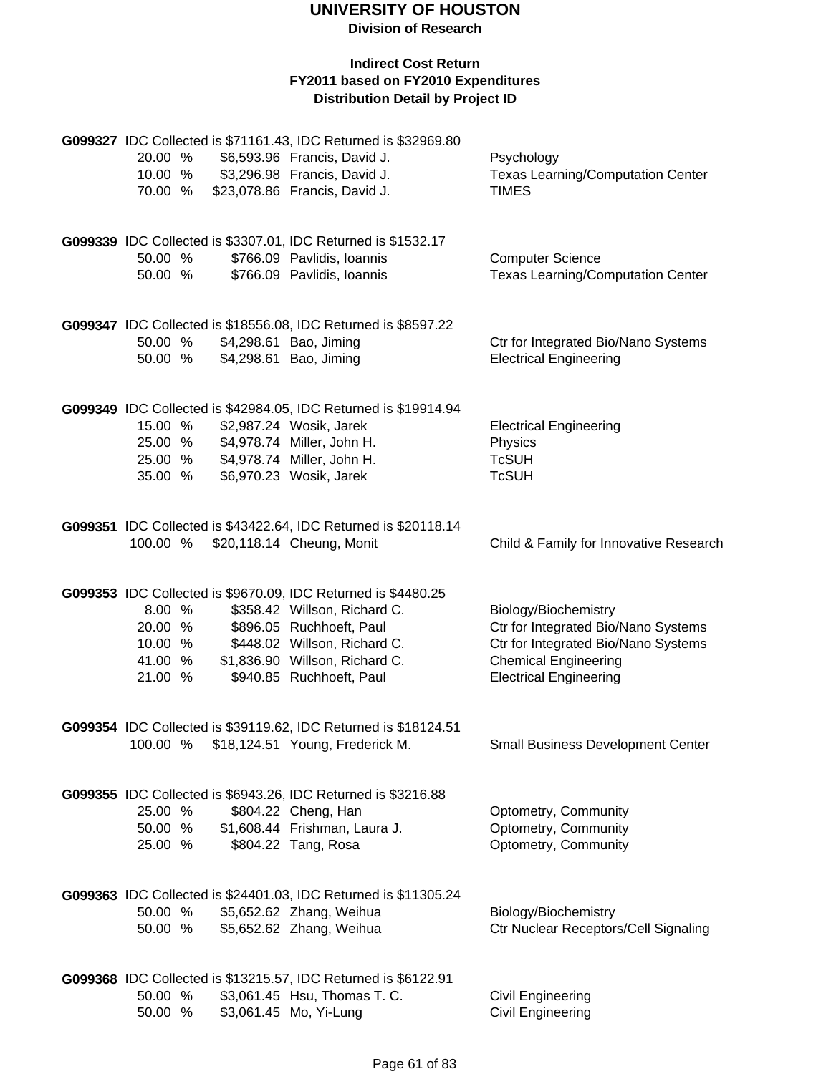**Division of Research**

|          |  | G099327 IDC Collected is \$71161.43, IDC Returned is \$32969.80                                |                                          |
|----------|--|------------------------------------------------------------------------------------------------|------------------------------------------|
| 20.00 %  |  | \$6,593.96 Francis, David J.                                                                   | Psychology                               |
| 10.00 %  |  | \$3,296.98 Francis, David J.                                                                   | <b>Texas Learning/Computation Center</b> |
| 70.00 %  |  | \$23,078.86 Francis, David J.                                                                  | <b>TIMES</b>                             |
|          |  |                                                                                                |                                          |
|          |  | G099339 IDC Collected is \$3307.01, IDC Returned is \$1532.17                                  |                                          |
| 50.00 %  |  | \$766.09 Pavlidis, Ioannis                                                                     | <b>Computer Science</b>                  |
| 50.00 %  |  | \$766.09 Pavlidis, Ioannis                                                                     | <b>Texas Learning/Computation Center</b> |
|          |  |                                                                                                |                                          |
|          |  | G099347 IDC Collected is \$18556.08, IDC Returned is \$8597.22                                 |                                          |
| 50.00 %  |  | \$4,298.61 Bao, Jiming                                                                         | Ctr for Integrated Bio/Nano Systems      |
| 50.00 %  |  | \$4,298.61 Bao, Jiming                                                                         | <b>Electrical Engineering</b>            |
|          |  |                                                                                                |                                          |
|          |  | G099349 IDC Collected is \$42984.05, IDC Returned is \$19914.94                                |                                          |
| 15.00 %  |  | \$2,987.24 Wosik, Jarek                                                                        | <b>Electrical Engineering</b>            |
| 25.00 %  |  | \$4,978.74 Miller, John H.                                                                     | Physics                                  |
| 25.00 %  |  | \$4,978.74 Miller, John H.                                                                     | <b>TcSUH</b>                             |
| 35.00 %  |  | \$6,970.23 Wosik, Jarek                                                                        | <b>TcSUH</b>                             |
|          |  |                                                                                                |                                          |
|          |  | G099351 IDC Collected is \$43422.64, IDC Returned is \$20118.14                                |                                          |
| 100.00 % |  | \$20,118.14 Cheung, Monit                                                                      | Child & Family for Innovative Research   |
|          |  |                                                                                                |                                          |
|          |  | G099353 IDC Collected is \$9670.09, IDC Returned is \$4480.25                                  |                                          |
| 8.00 %   |  | \$358.42 Willson, Richard C.                                                                   | Biology/Biochemistry                     |
| 20.00 %  |  | \$896.05 Ruchhoeft, Paul                                                                       | Ctr for Integrated Bio/Nano Systems      |
| 10.00 %  |  | \$448.02 Willson, Richard C.                                                                   | Ctr for Integrated Bio/Nano Systems      |
| 41.00 %  |  | \$1,836.90 Willson, Richard C.                                                                 | <b>Chemical Engineering</b>              |
| 21.00 %  |  | \$940.85 Ruchhoeft, Paul                                                                       | <b>Electrical Engineering</b>            |
|          |  |                                                                                                |                                          |
|          |  | G099354 IDC Collected is \$39119.62, IDC Returned is \$18124.51                                |                                          |
| 100.00 % |  | \$18,124.51 Young, Frederick M.                                                                | <b>Small Business Development Center</b> |
|          |  |                                                                                                |                                          |
|          |  | G099355 IDC Collected is \$6943.26, IDC Returned is \$3216.88                                  |                                          |
| 25.00 %  |  | \$804.22 Cheng, Han                                                                            | Optometry, Community                     |
| 50.00 %  |  | \$1,608.44 Frishman, Laura J.                                                                  | Optometry, Community                     |
| 25.00 %  |  | \$804.22 Tang, Rosa                                                                            | Optometry, Community                     |
|          |  |                                                                                                |                                          |
|          |  | G099363 IDC Collected is \$24401.03, IDC Returned is \$11305.24                                |                                          |
| 50.00 %  |  | \$5,652.62 Zhang, Weihua                                                                       | Biology/Biochemistry                     |
| 50.00 %  |  | \$5,652.62 Zhang, Weihua                                                                       | Ctr Nuclear Receptors/Cell Signaling     |
|          |  |                                                                                                |                                          |
| 50.00 %  |  | G099368 IDC Collected is \$13215.57, IDC Returned is \$6122.91<br>\$3,061.45 Hsu, Thomas T. C. |                                          |
| 50.00 %  |  | \$3,061.45 Mo, Yi-Lung                                                                         | Civil Engineering<br>Civil Engineering   |
|          |  |                                                                                                |                                          |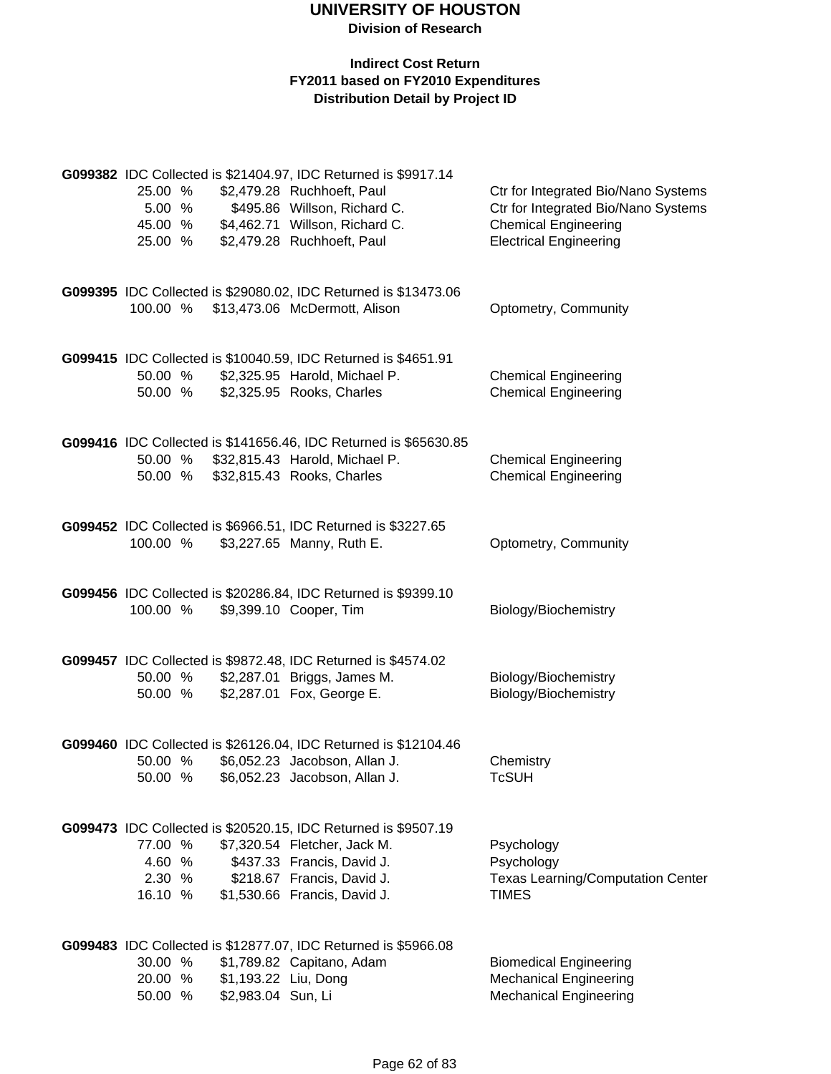|                  |        |                      | G099382 IDC Collected is \$21404.97, IDC Returned is \$9917.14                               |                                                        |
|------------------|--------|----------------------|----------------------------------------------------------------------------------------------|--------------------------------------------------------|
| 25.00 %          |        |                      | \$2,479.28 Ruchhoeft, Paul                                                                   | Ctr for Integrated Bio/Nano Systems                    |
|                  | 5.00 % |                      | \$495.86 Willson, Richard C.                                                                 | Ctr for Integrated Bio/Nano Systems                    |
| 45.00 %          |        |                      | \$4,462.71 Willson, Richard C.                                                               | <b>Chemical Engineering</b>                            |
| 25.00 %          |        |                      | \$2,479.28 Ruchhoeft, Paul                                                                   | <b>Electrical Engineering</b>                          |
|                  |        |                      |                                                                                              |                                                        |
|                  |        |                      | G099395 IDC Collected is \$29080.02, IDC Returned is \$13473.06                              |                                                        |
|                  |        |                      | 100.00 % \$13,473.06 McDermott, Alison                                                       | Optometry, Community                                   |
|                  |        |                      |                                                                                              |                                                        |
|                  |        |                      | G099415 IDC Collected is \$10040.59, IDC Returned is \$4651.91                               |                                                        |
| 50.00 %          |        |                      | \$2,325.95 Harold, Michael P.                                                                | <b>Chemical Engineering</b>                            |
| 50.00 %          |        |                      | \$2,325.95 Rooks, Charles                                                                    | <b>Chemical Engineering</b>                            |
|                  |        |                      | G099416 IDC Collected is \$141656.46, IDC Returned is \$65630.85                             |                                                        |
|                  |        |                      | 50.00 % \$32,815.43 Harold, Michael P.                                                       | <b>Chemical Engineering</b>                            |
| 50.00 %          |        |                      | \$32,815.43 Rooks, Charles                                                                   | <b>Chemical Engineering</b>                            |
|                  |        |                      |                                                                                              |                                                        |
|                  |        |                      | G099452 IDC Collected is \$6966.51, IDC Returned is \$3227.65                                |                                                        |
| 100.00 %         |        |                      | \$3,227.65 Manny, Ruth E.                                                                    | Optometry, Community                                   |
|                  |        |                      |                                                                                              |                                                        |
|                  |        |                      | G099456 IDC Collected is \$20286.84, IDC Returned is \$9399.10                               |                                                        |
| 100.00 %         |        |                      | \$9,399.10 Cooper, Tim                                                                       | Biology/Biochemistry                                   |
|                  |        |                      |                                                                                              |                                                        |
| 50.00 %          |        |                      | G099457 IDC Collected is \$9872.48, IDC Returned is \$4574.02<br>\$2,287.01 Briggs, James M. |                                                        |
| 50.00 %          |        |                      | \$2,287.01 Fox, George E.                                                                    | Biology/Biochemistry<br>Biology/Biochemistry           |
|                  |        |                      |                                                                                              |                                                        |
|                  |        |                      | G099460 IDC Collected is \$26126.04, IDC Returned is \$12104.46                              |                                                        |
| 50.00 %          |        |                      | \$6,052.23 Jacobson, Allan J.                                                                | Chemistry                                              |
| 50.00 %          |        |                      | \$6,052.23 Jacobson, Allan J.                                                                | TcSUH                                                  |
|                  |        |                      |                                                                                              |                                                        |
|                  |        |                      | G099473 IDC Collected is \$20520.15, IDC Returned is \$9507.19                               |                                                        |
| 77.00 %          |        |                      | \$7,320.54 Fletcher, Jack M.                                                                 | Psychology                                             |
| 4.60 %<br>2.30 % |        |                      | \$437.33 Francis, David J.<br>\$218.67 Francis, David J.                                     | Psychology<br><b>Texas Learning/Computation Center</b> |
| 16.10 %          |        |                      | \$1,530.66 Francis, David J.                                                                 | <b>TIMES</b>                                           |
|                  |        |                      |                                                                                              |                                                        |
|                  |        |                      | G099483 IDC Collected is \$12877.07, IDC Returned is \$5966.08                               |                                                        |
| 30.00 %          |        |                      | \$1,789.82 Capitano, Adam                                                                    | <b>Biomedical Engineering</b>                          |
| 20.00 %          |        | \$1,193.22 Liu, Dong |                                                                                              | <b>Mechanical Engineering</b>                          |
| 50.00 %          |        | \$2,983.04 Sun, Li   |                                                                                              | <b>Mechanical Engineering</b>                          |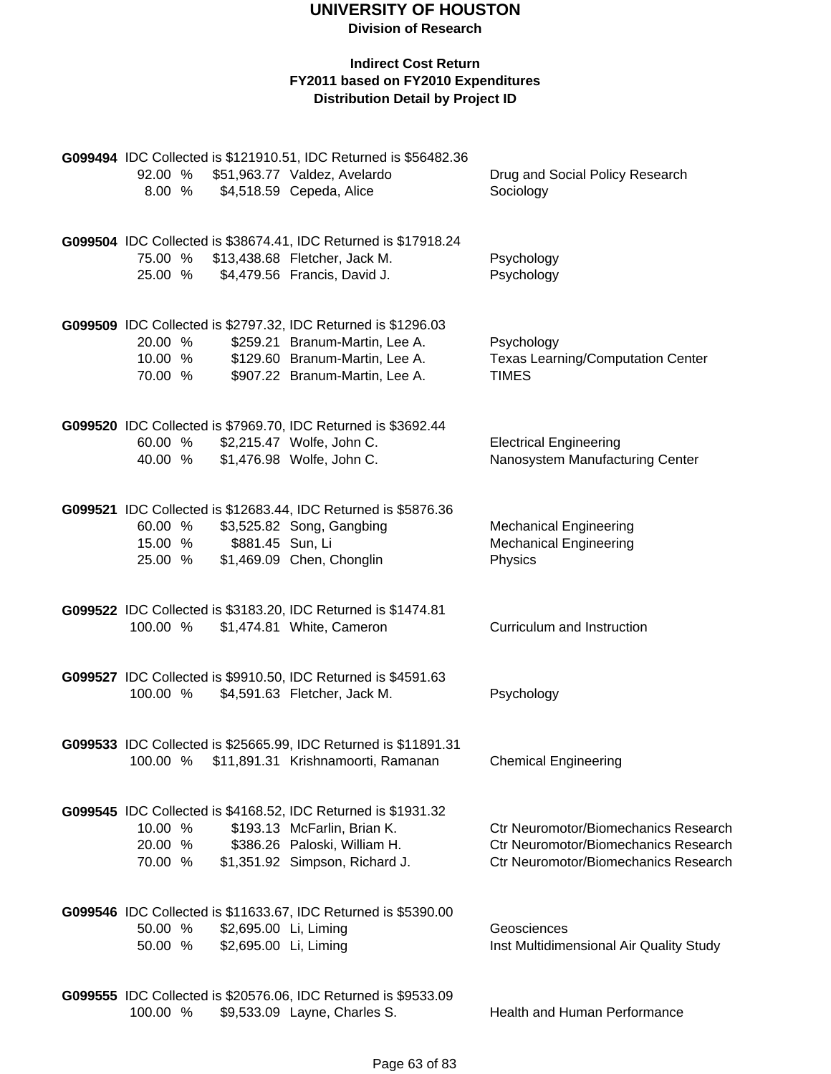**Division of Research**

| 8.00 %                        |                                                | G099494 IDC Collected is \$121910.51, IDC Returned is \$56482.36<br>92.00 % \$51,963.77 Valdez, Avelardo<br>\$4,518.59 Cepeda, Alice                                | Drug and Social Policy Research<br>Sociology                                                                                |
|-------------------------------|------------------------------------------------|---------------------------------------------------------------------------------------------------------------------------------------------------------------------|-----------------------------------------------------------------------------------------------------------------------------|
| 25.00 %                       |                                                | G099504 IDC Collected is \$38674.41, IDC Returned is \$17918.24<br>75.00 % \$13,438.68 Fletcher, Jack M.<br>\$4,479.56 Francis, David J.                            | Psychology<br>Psychology                                                                                                    |
| 20.00 %<br>10.00 %<br>70.00 % |                                                | G099509 IDC Collected is \$2797.32, IDC Returned is \$1296.03<br>\$259.21 Branum-Martin, Lee A.<br>\$129.60 Branum-Martin, Lee A.<br>\$907.22 Branum-Martin, Lee A. | Psychology<br><b>Texas Learning/Computation Center</b><br><b>TIMES</b>                                                      |
| 60.00 %<br>40.00 %            |                                                | G099520 IDC Collected is \$7969.70, IDC Returned is \$3692.44<br>\$2,215.47 Wolfe, John C.<br>\$1,476.98 Wolfe, John C.                                             | <b>Electrical Engineering</b><br>Nanosystem Manufacturing Center                                                            |
| 60.00 %<br>15.00 %<br>25.00 % | \$881.45 Sun, Li                               | G099521 IDC Collected is \$12683.44, IDC Returned is \$5876.36<br>\$3,525.82 Song, Gangbing<br>\$1,469.09 Chen, Chonglin                                            | <b>Mechanical Engineering</b><br><b>Mechanical Engineering</b><br>Physics                                                   |
| 100.00 %                      |                                                | G099522 IDC Collected is \$3183.20, IDC Returned is \$1474.81<br>\$1,474.81 White, Cameron                                                                          | Curriculum and Instruction                                                                                                  |
| 100.00 %                      |                                                | G099527 IDC Collected is \$9910.50, IDC Returned is \$4591.63<br>\$4,591.63 Fletcher, Jack M.                                                                       | Psychology                                                                                                                  |
| 100.00 %                      |                                                | G099533 IDC Collected is \$25665.99, IDC Returned is \$11891.31<br>\$11,891.31 Krishnamoorti, Ramanan                                                               | <b>Chemical Engineering</b>                                                                                                 |
| 10.00 %<br>20.00 %<br>70.00 % |                                                | G099545 IDC Collected is \$4168.52, IDC Returned is \$1931.32<br>\$193.13 McFarlin, Brian K.<br>\$386.26 Paloski, William H.<br>\$1,351.92 Simpson, Richard J.      | <b>Ctr Neuromotor/Biomechanics Research</b><br>Ctr Neuromotor/Biomechanics Research<br>Ctr Neuromotor/Biomechanics Research |
| 50.00 %<br>50.00 %            | \$2,695.00 Li, Liming<br>\$2,695.00 Li, Liming | G099546 IDC Collected is \$11633.67, IDC Returned is \$5390.00                                                                                                      | Geosciences<br>Inst Multidimensional Air Quality Study                                                                      |
| 100.00 %                      |                                                | G099555 IDC Collected is \$20576.06, IDC Returned is \$9533.09<br>\$9,533.09 Layne, Charles S.                                                                      | <b>Health and Human Performance</b>                                                                                         |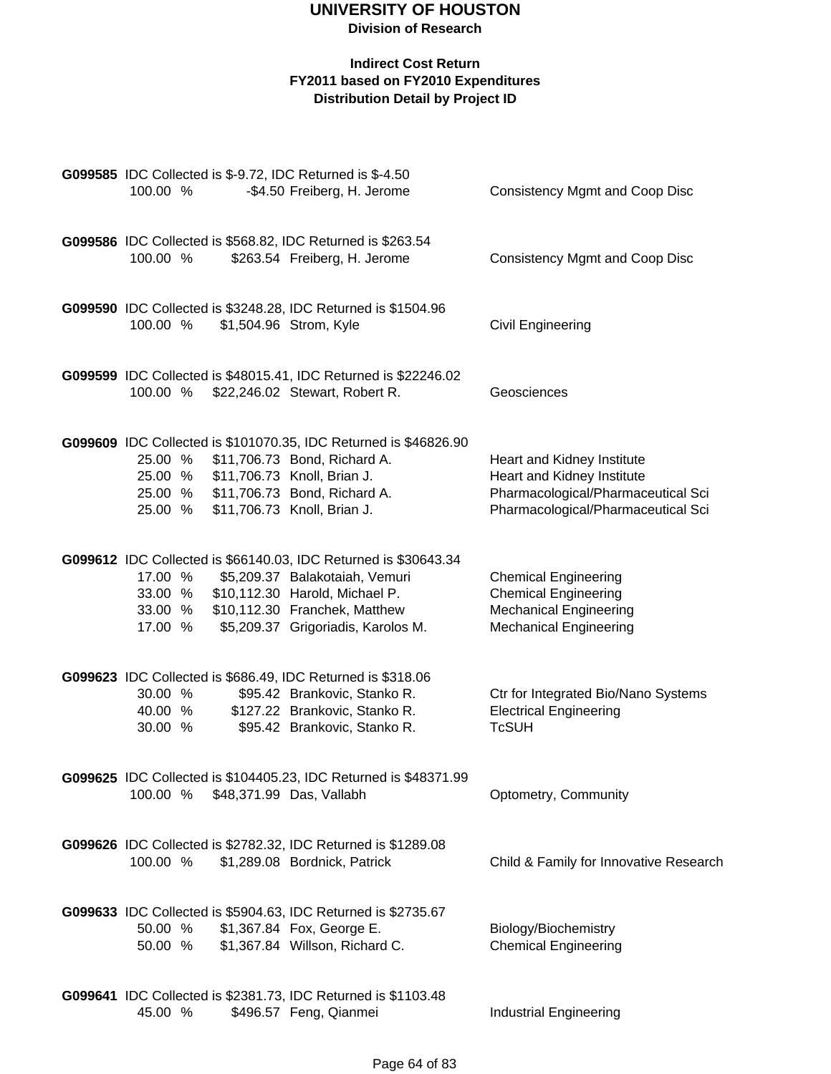|          |  | G099585 IDC Collected is \$-9.72, IDC Returned is \$-4.50                               |                                                     |
|----------|--|-----------------------------------------------------------------------------------------|-----------------------------------------------------|
| 100.00 % |  | -\$4.50 Freiberg, H. Jerome                                                             | <b>Consistency Mgmt and Coop Disc</b>               |
|          |  |                                                                                         |                                                     |
|          |  | G099586 IDC Collected is \$568.82, IDC Returned is \$263.54                             |                                                     |
| 100.00 % |  | \$263.54 Freiberg, H. Jerome                                                            | <b>Consistency Mgmt and Coop Disc</b>               |
|          |  |                                                                                         |                                                     |
|          |  |                                                                                         |                                                     |
| 100.00 % |  | G099590 IDC Collected is \$3248.28, IDC Returned is \$1504.96<br>\$1,504.96 Strom, Kyle | Civil Engineering                                   |
|          |  |                                                                                         |                                                     |
|          |  |                                                                                         |                                                     |
|          |  | G099599 IDC Collected is \$48015.41, IDC Returned is \$22246.02                         |                                                     |
| 100.00 % |  | \$22,246.02 Stewart, Robert R.                                                          | Geosciences                                         |
|          |  |                                                                                         |                                                     |
|          |  | G099609 IDC Collected is \$101070.35, IDC Returned is \$46826.90                        |                                                     |
| 25.00 %  |  | \$11,706.73 Bond, Richard A.                                                            | Heart and Kidney Institute                          |
|          |  | 25.00 % \$11,706.73 Knoll, Brian J.                                                     | Heart and Kidney Institute                          |
|          |  | 25.00 % \$11,706.73 Bond, Richard A.                                                    | Pharmacological/Pharmaceutical Sci                  |
| 25.00 %  |  | \$11,706.73 Knoll, Brian J.                                                             | Pharmacological/Pharmaceutical Sci                  |
|          |  |                                                                                         |                                                     |
|          |  | G099612 IDC Collected is \$66140.03, IDC Returned is \$30643.34                         |                                                     |
| 17.00 %  |  | \$5,209.37 Balakotaiah, Vemuri                                                          | <b>Chemical Engineering</b>                         |
| 33.00 %  |  | \$10,112.30 Harold, Michael P.                                                          | <b>Chemical Engineering</b>                         |
| 33.00 %  |  | \$10,112.30 Franchek, Matthew                                                           | <b>Mechanical Engineering</b>                       |
| 17.00 %  |  | \$5,209.37 Grigoriadis, Karolos M.                                                      | <b>Mechanical Engineering</b>                       |
|          |  |                                                                                         |                                                     |
|          |  | G099623 IDC Collected is \$686.49, IDC Returned is \$318.06                             |                                                     |
| 30.00 %  |  | \$95.42 Brankovic, Stanko R.                                                            | Ctr for Integrated Bio/Nano Systems                 |
| 40.00 %  |  | \$127.22 Brankovic, Stanko R.                                                           | <b>Electrical Engineering</b>                       |
| 30.00 %  |  | \$95.42 Brankovic, Stanko R.                                                            | <b>TcSUH</b>                                        |
|          |  |                                                                                         |                                                     |
|          |  | G099625 IDC Collected is \$104405.23, IDC Returned is \$48371.99                        |                                                     |
| 100.00 % |  | \$48,371.99 Das, Vallabh                                                                | Optometry, Community                                |
|          |  |                                                                                         |                                                     |
|          |  | G099626 IDC Collected is \$2782.32, IDC Returned is \$1289.08                           |                                                     |
| 100.00 % |  | \$1,289.08 Bordnick, Patrick                                                            | Child & Family for Innovative Research              |
|          |  |                                                                                         |                                                     |
|          |  |                                                                                         |                                                     |
| 50.00 %  |  | G099633 IDC Collected is \$5904.63, IDC Returned is \$2735.67                           |                                                     |
| 50.00 %  |  | \$1,367.84 Fox, George E.<br>\$1,367.84 Willson, Richard C.                             | Biology/Biochemistry<br><b>Chemical Engineering</b> |
|          |  |                                                                                         |                                                     |
|          |  |                                                                                         |                                                     |
|          |  | G099641 IDC Collected is \$2381.73, IDC Returned is \$1103.48                           |                                                     |
| 45.00 %  |  | \$496.57 Feng, Qianmei                                                                  | <b>Industrial Engineering</b>                       |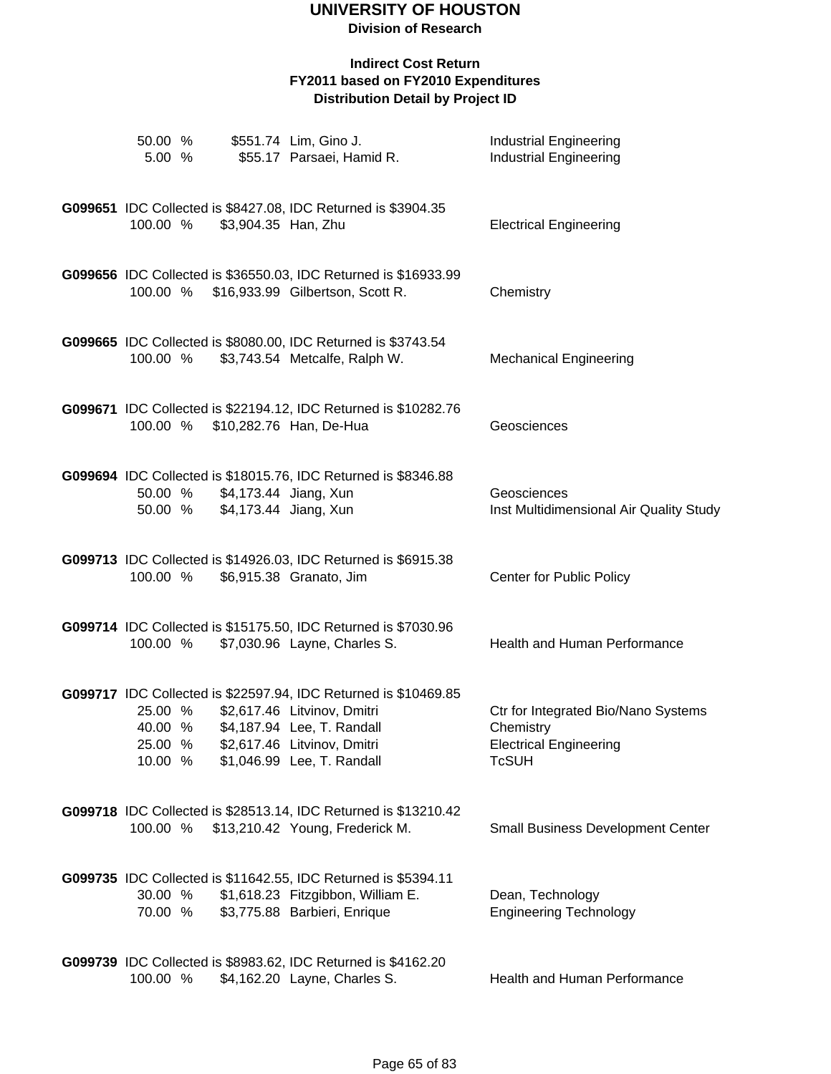| 50.00 %<br>5.00 %                        |                                                        | \$551.74 Lim, Gino J.<br>\$55.17 Parsaei, Hamid R.                                                                                                                                        | <b>Industrial Engineering</b><br><b>Industrial Engineering</b>                                    |
|------------------------------------------|--------------------------------------------------------|-------------------------------------------------------------------------------------------------------------------------------------------------------------------------------------------|---------------------------------------------------------------------------------------------------|
| 100.00 %                                 | \$3,904.35 Han, Zhu                                    | G099651 IDC Collected is \$8427.08, IDC Returned is \$3904.35                                                                                                                             | <b>Electrical Engineering</b>                                                                     |
|                                          |                                                        | G099656 IDC Collected is \$36550.03, IDC Returned is \$16933.99<br>100.00 % \$16,933.99 Gilbertson, Scott R.                                                                              | Chemistry                                                                                         |
|                                          |                                                        | G099665 IDC Collected is \$8080.00, IDC Returned is \$3743.54<br>100.00 % \$3,743.54 Metcalfe, Ralph W.                                                                                   | <b>Mechanical Engineering</b>                                                                     |
|                                          |                                                        | G099671 IDC Collected is \$22194.12, IDC Returned is \$10282.76<br>100.00 % \$10,282.76 Han, De-Hua                                                                                       | Geosciences                                                                                       |
| 50.00 %                                  | 50.00 % \$4,173.44 Jiang, Xun<br>\$4,173.44 Jiang, Xun | G099694 IDC Collected is \$18015.76, IDC Returned is \$8346.88                                                                                                                            | Geosciences<br>Inst Multidimensional Air Quality Study                                            |
| 100.00 %                                 |                                                        | G099713 IDC Collected is \$14926.03, IDC Returned is \$6915.38<br>\$6,915.38 Granato, Jim                                                                                                 | Center for Public Policy                                                                          |
| 100.00 %                                 |                                                        | G099714 IDC Collected is \$15175.50, IDC Returned is \$7030.96<br>\$7,030.96 Layne, Charles S.                                                                                            | Health and Human Performance                                                                      |
| 25.00 %<br>40.00 %<br>25.00 %<br>10.00 % |                                                        | G099717 IDC Collected is \$22597.94, IDC Returned is \$10469.85<br>\$2,617.46 Litvinov, Dmitri<br>\$4,187.94 Lee, T. Randall<br>\$2,617.46 Litvinov, Dmitri<br>\$1,046.99 Lee, T. Randall | Ctr for Integrated Bio/Nano Systems<br>Chemistry<br><b>Electrical Engineering</b><br><b>TcSUH</b> |
|                                          |                                                        | G099718 IDC Collected is \$28513.14, IDC Returned is \$13210.42<br>100.00 % \$13,210.42 Young, Frederick M.                                                                               | <b>Small Business Development Center</b>                                                          |
| 30.00 %<br>70.00 %                       |                                                        | G099735 IDC Collected is \$11642.55, IDC Returned is \$5394.11<br>\$1,618.23 Fitzgibbon, William E.<br>\$3,775.88 Barbieri, Enrique                                                       | Dean, Technology<br><b>Engineering Technology</b>                                                 |
| 100.00 %                                 |                                                        | G099739 IDC Collected is \$8983.62, IDC Returned is \$4162.20<br>\$4,162.20 Layne, Charles S.                                                                                             | <b>Health and Human Performance</b>                                                               |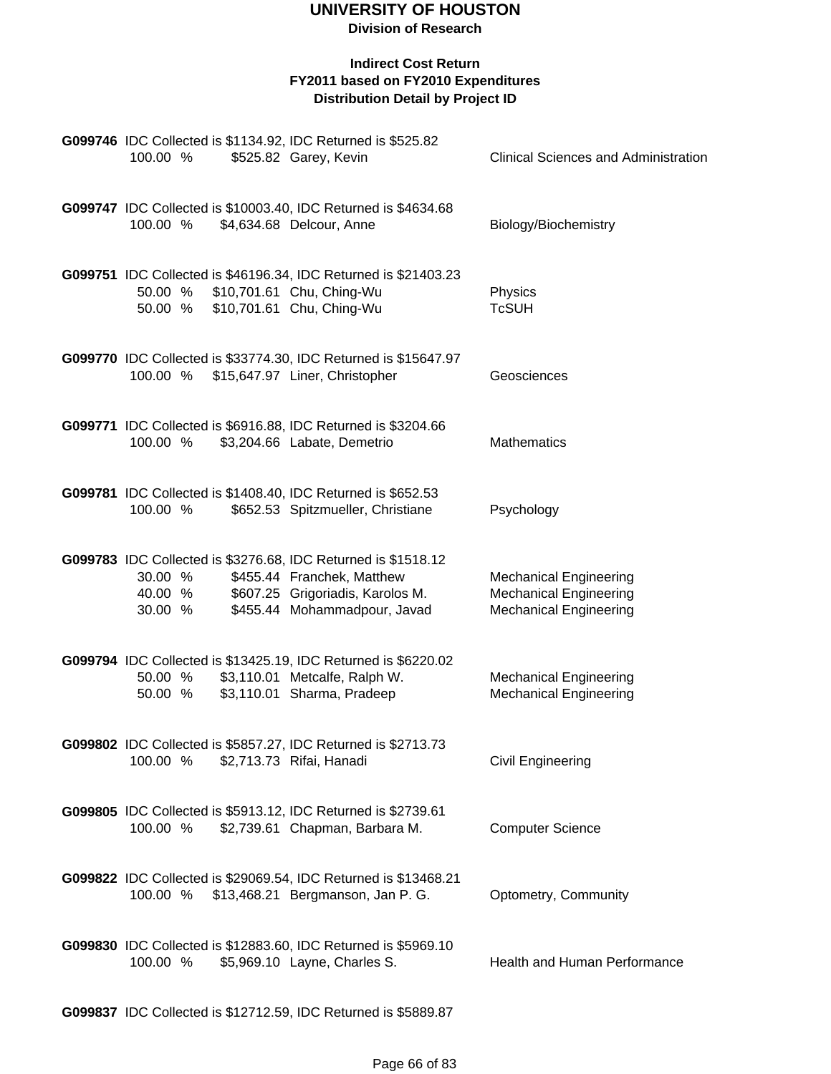| 100.00 %                      | G099746 IDC Collected is \$1134.92, IDC Returned is \$525.82<br>\$525.82 Garey, Kevin                                                                           | <b>Clinical Sciences and Administration</b>                                                     |
|-------------------------------|-----------------------------------------------------------------------------------------------------------------------------------------------------------------|-------------------------------------------------------------------------------------------------|
| 100.00 %                      | G099747 IDC Collected is \$10003.40, IDC Returned is \$4634.68<br>\$4,634.68 Delcour, Anne                                                                      | Biology/Biochemistry                                                                            |
| 50.00 %                       | G099751 IDC Collected is \$46196.34, IDC Returned is \$21403.23<br>50.00 % \$10,701.61 Chu, Ching-Wu<br>\$10,701.61 Chu, Ching-Wu                               | Physics<br><b>TcSUH</b>                                                                         |
| 100.00 %                      | G099770 IDC Collected is \$33774.30, IDC Returned is \$15647.97<br>\$15,647.97 Liner, Christopher                                                               | Geosciences                                                                                     |
| 100.00 %                      | G099771 IDC Collected is \$6916.88, IDC Returned is \$3204.66<br>\$3,204.66 Labate, Demetrio                                                                    | <b>Mathematics</b>                                                                              |
| 100.00 %                      | G099781 IDC Collected is \$1408.40, IDC Returned is \$652.53<br>\$652.53 Spitzmueller, Christiane                                                               | Psychology                                                                                      |
| 30.00 %<br>40.00 %<br>30.00 % | G099783 IDC Collected is \$3276.68, IDC Returned is \$1518.12<br>\$455.44 Franchek, Matthew<br>\$607.25 Grigoriadis, Karolos M.<br>\$455.44 Mohammadpour, Javad | <b>Mechanical Engineering</b><br><b>Mechanical Engineering</b><br><b>Mechanical Engineering</b> |
| 50.00 %<br>50.00 %            | G099794 IDC Collected is \$13425.19, IDC Returned is \$6220.02<br>\$3,110.01 Metcalfe, Ralph W.<br>\$3,110.01 Sharma, Pradeep                                   | <b>Mechanical Engineering</b><br><b>Mechanical Engineering</b>                                  |
| 100.00 %                      | G099802 IDC Collected is \$5857.27, IDC Returned is \$2713.73<br>\$2,713.73 Rifai, Hanadi                                                                       | <b>Civil Engineering</b>                                                                        |
| 100.00 %                      | G099805 IDC Collected is \$5913.12, IDC Returned is \$2739.61<br>\$2,739.61 Chapman, Barbara M.                                                                 | <b>Computer Science</b>                                                                         |
| 100.00 %                      | G099822 IDC Collected is \$29069.54, IDC Returned is \$13468.21<br>\$13,468.21 Bergmanson, Jan P. G.                                                            | Optometry, Community                                                                            |
| 100.00 %                      | G099830 IDC Collected is \$12883.60, IDC Returned is \$5969.10<br>\$5,969.10 Layne, Charles S.                                                                  | Health and Human Performance                                                                    |
|                               | G099837 IDC Collected is \$12712.59, IDC Returned is \$5889.87                                                                                                  |                                                                                                 |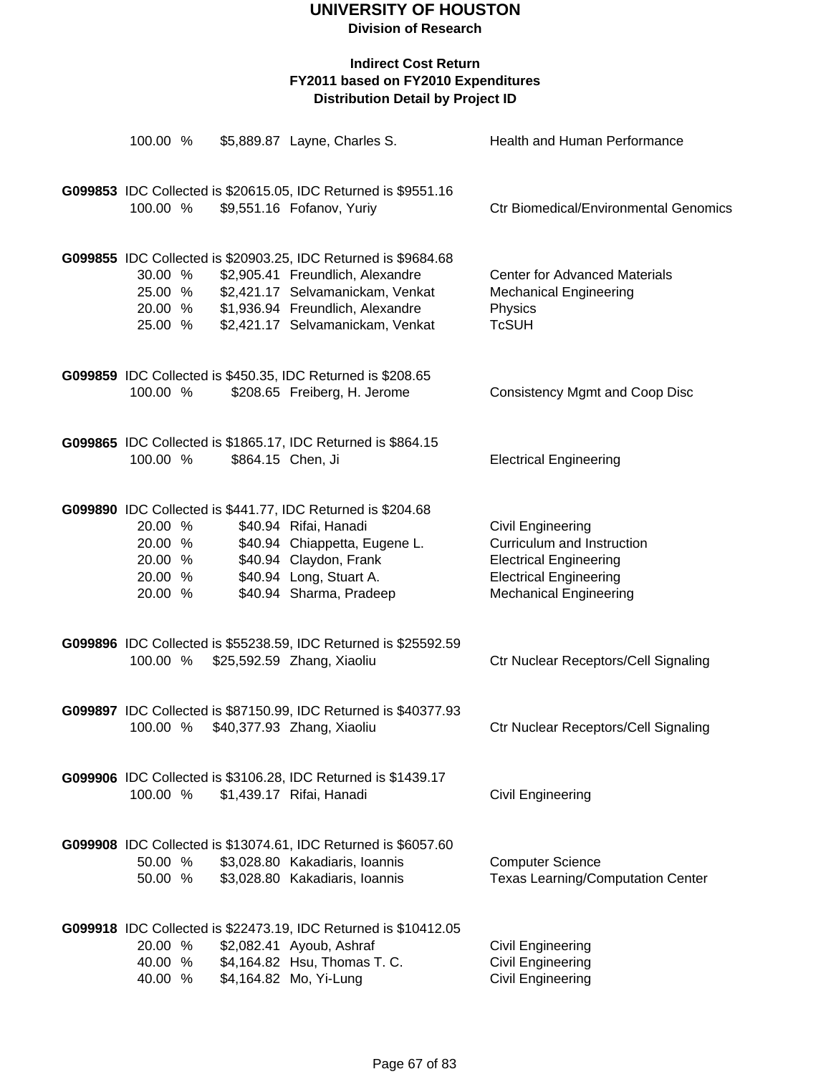| 100.00 %                                            |  | \$5,889.87 Layne, Charles S.                                                                                                                                                                                   | Health and Human Performance                                                                                                                       |
|-----------------------------------------------------|--|----------------------------------------------------------------------------------------------------------------------------------------------------------------------------------------------------------------|----------------------------------------------------------------------------------------------------------------------------------------------------|
| 100.00 %                                            |  | G099853 IDC Collected is \$20615.05, IDC Returned is \$9551.16<br>\$9,551.16 Fofanov, Yuriy                                                                                                                    | <b>Ctr Biomedical/Environmental Genomics</b>                                                                                                       |
| 30.00 %<br>25.00 %<br>20.00 %<br>25.00 %            |  | G099855 IDC Collected is \$20903.25, IDC Returned is \$9684.68<br>\$2,905.41 Freundlich, Alexandre<br>\$2,421.17 Selvamanickam, Venkat<br>\$1,936.94 Freundlich, Alexandre<br>\$2,421.17 Selvamanickam, Venkat | <b>Center for Advanced Materials</b><br><b>Mechanical Engineering</b><br>Physics<br><b>TcSUH</b>                                                   |
| 100.00 %                                            |  | G099859 IDC Collected is \$450.35, IDC Returned is \$208.65<br>\$208.65 Freiberg, H. Jerome                                                                                                                    | <b>Consistency Mgmt and Coop Disc</b>                                                                                                              |
| 100.00 %                                            |  | G099865 IDC Collected is \$1865.17, IDC Returned is \$864.15<br>\$864.15 Chen, Ji                                                                                                                              | <b>Electrical Engineering</b>                                                                                                                      |
| 20.00 %<br>20.00 %<br>20.00 %<br>20.00 %<br>20.00 % |  | G099890 IDC Collected is \$441.77, IDC Returned is \$204.68<br>\$40.94 Rifai, Hanadi<br>\$40.94 Chiappetta, Eugene L.<br>\$40.94 Claydon, Frank<br>\$40.94 Long, Stuart A.<br>\$40.94 Sharma, Pradeep          | Civil Engineering<br>Curriculum and Instruction<br><b>Electrical Engineering</b><br><b>Electrical Engineering</b><br><b>Mechanical Engineering</b> |
| 100.00 %                                            |  | G099896 IDC Collected is \$55238.59, IDC Returned is \$25592.59<br>\$25,592.59 Zhang, Xiaoliu                                                                                                                  | Ctr Nuclear Receptors/Cell Signaling                                                                                                               |
| 100.00 %                                            |  | G099897 IDC Collected is \$87150.99, IDC Returned is \$40377.93<br>\$40,377.93 Zhang, Xiaoliu                                                                                                                  | Ctr Nuclear Receptors/Cell Signaling                                                                                                               |
| 100.00 %                                            |  | G099906 IDC Collected is \$3106.28, IDC Returned is \$1439.17<br>\$1,439.17 Rifai, Hanadi                                                                                                                      | Civil Engineering                                                                                                                                  |
| 50.00 %<br>50.00 %                                  |  | G099908 IDC Collected is \$13074.61, IDC Returned is \$6057.60<br>\$3,028.80 Kakadiaris, Ioannis<br>\$3,028.80 Kakadiaris, Ioannis                                                                             | <b>Computer Science</b><br><b>Texas Learning/Computation Center</b>                                                                                |
| 20.00 %<br>40.00 %<br>40.00 %                       |  | G099918 IDC Collected is \$22473.19, IDC Returned is \$10412.05<br>\$2,082.41 Ayoub, Ashraf<br>\$4,164.82 Hsu, Thomas T. C.<br>\$4,164.82 Mo, Yi-Lung                                                          | Civil Engineering<br><b>Civil Engineering</b><br>Civil Engineering                                                                                 |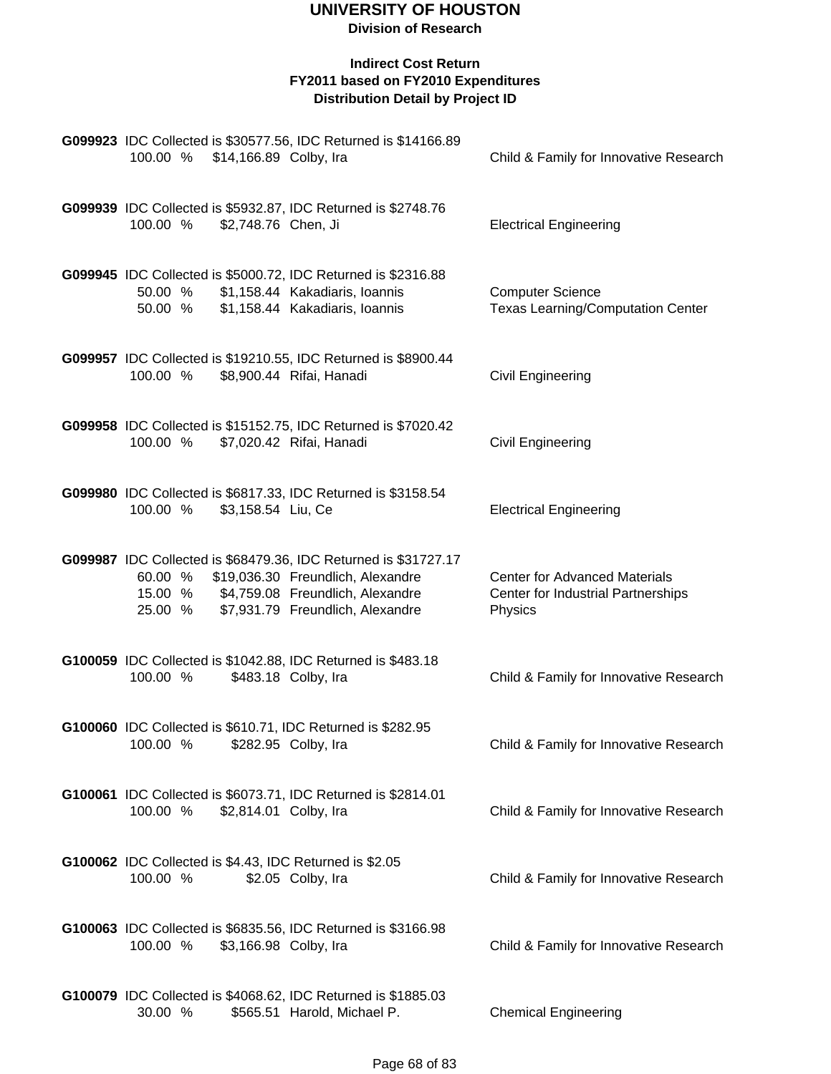| 100.00 % \$14,166.89 Colby, Ira                                                                    | G099923 IDC Collected is \$30577.56, IDC Returned is \$14166.89                                     | Child & Family for Innovative Research                                                |
|----------------------------------------------------------------------------------------------------|-----------------------------------------------------------------------------------------------------|---------------------------------------------------------------------------------------|
| G099939 IDC Collected is \$5932.87, IDC Returned is \$2748.76<br>100.00 %<br>\$2,748.76 Chen, Ji   |                                                                                                     | <b>Electrical Engineering</b>                                                         |
| G099945 IDC Collected is \$5000.72, IDC Returned is \$2316.88<br>50.00 %<br>50.00 %                | \$1,158.44 Kakadiaris, Ioannis<br>\$1,158.44 Kakadiaris, Ioannis                                    | <b>Computer Science</b><br><b>Texas Learning/Computation Center</b>                   |
| 100.00 %                                                                                           | G099957 IDC Collected is \$19210.55, IDC Returned is \$8900.44<br>\$8,900.44 Rifai, Hanadi          | <b>Civil Engineering</b>                                                              |
| 100.00 %                                                                                           | G099958 IDC Collected is \$15152.75, IDC Returned is \$7020.42<br>\$7,020.42 Rifai, Hanadi          | <b>Civil Engineering</b>                                                              |
| G099980 IDC Collected is \$6817.33, IDC Returned is \$3158.54<br>100.00 %<br>\$3,158.54 Liu, Ce    |                                                                                                     | <b>Electrical Engineering</b>                                                         |
| 60.00 % \$19,036.30 Freundlich, Alexandre<br>15.00 % \$4,759.08 Freundlich, Alexandre<br>25.00 %   | G099987 IDC Collected is \$68479.36, IDC Returned is \$31727.17<br>\$7,931.79 Freundlich, Alexandre | <b>Center for Advanced Materials</b><br>Center for Industrial Partnerships<br>Physics |
| G100059 IDC Collected is \$1042.88, IDC Returned is \$483.18<br>100.00 %                           | \$483.18 Colby, Ira                                                                                 | Child & Family for Innovative Research                                                |
| G100060 IDC Collected is \$610.71, IDC Returned is \$282.95<br>100.00 %                            | \$282.95 Colby, Ira                                                                                 | Child & Family for Innovative Research                                                |
| G100061 IDC Collected is \$6073.71, IDC Returned is \$2814.01<br>100.00 %<br>\$2,814.01 Colby, Ira |                                                                                                     | Child & Family for Innovative Research                                                |
| <b>G100062</b> IDC Collected is \$4.43, IDC Returned is \$2.05<br>100.00 %                         | \$2.05 Colby, Ira                                                                                   | Child & Family for Innovative Research                                                |
| G100063 IDC Collected is \$6835.56, IDC Returned is \$3166.98<br>100.00 %<br>\$3,166.98 Colby, Ira |                                                                                                     | Child & Family for Innovative Research                                                |
| G100079 IDC Collected is \$4068.62, IDC Returned is \$1885.03<br>30.00 %                           | \$565.51 Harold, Michael P.                                                                         | <b>Chemical Engineering</b>                                                           |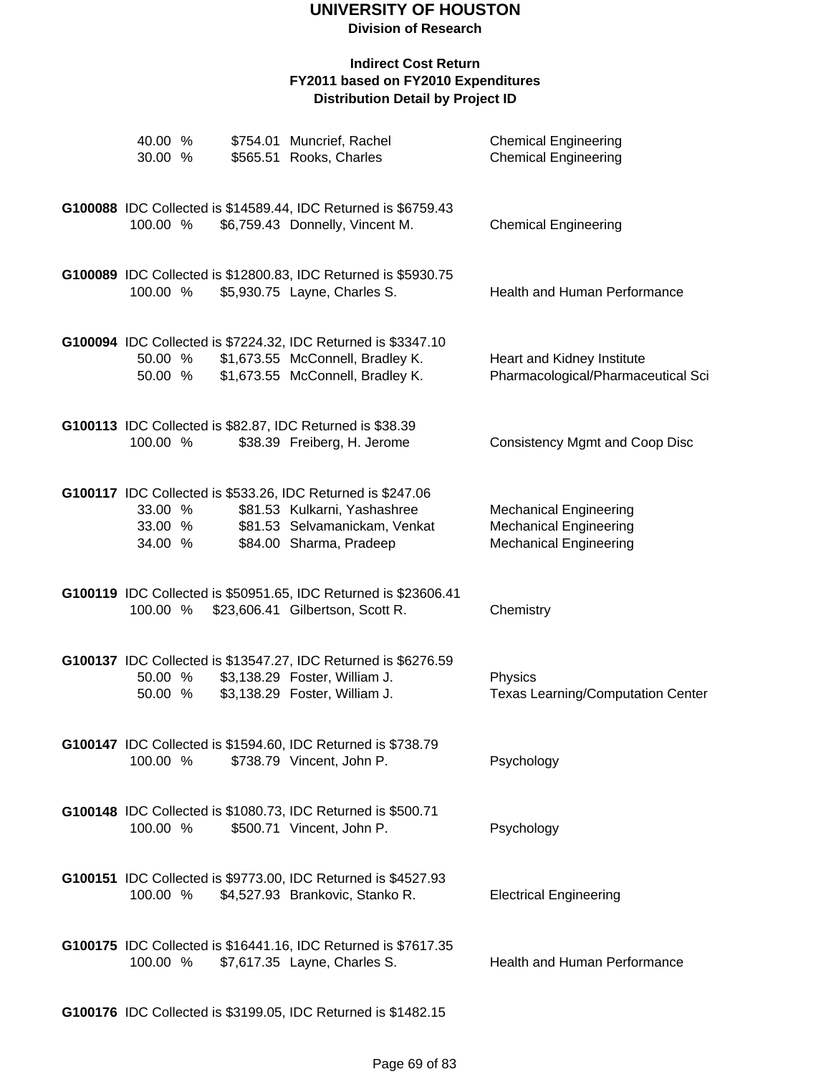#### **Indirect Cost Return FY2011 based on FY2010 Expenditures Distribution Detail by Project ID**

| 40.00 %<br>30.00 %            |  | \$754.01 Muncrief, Rachel<br>\$565.51 Rooks, Charles                                                                                                    | <b>Chemical Engineering</b><br><b>Chemical Engineering</b>                                      |
|-------------------------------|--|---------------------------------------------------------------------------------------------------------------------------------------------------------|-------------------------------------------------------------------------------------------------|
|                               |  |                                                                                                                                                         |                                                                                                 |
| 100.00 %                      |  | G100088 IDC Collected is \$14589.44, IDC Returned is \$6759.43<br>\$6,759.43 Donnelly, Vincent M.                                                       | <b>Chemical Engineering</b>                                                                     |
| 100.00 %                      |  | G100089 IDC Collected is \$12800.83, IDC Returned is \$5930.75<br>\$5,930.75 Layne, Charles S.                                                          | Health and Human Performance                                                                    |
| 50.00 %<br>50.00 %            |  | G100094 IDC Collected is \$7224.32, IDC Returned is \$3347.10<br>\$1,673.55 McConnell, Bradley K.<br>\$1,673.55 McConnell, Bradley K.                   | Heart and Kidney Institute<br>Pharmacological/Pharmaceutical Sci                                |
| 100.00 %                      |  | G100113 IDC Collected is \$82.87, IDC Returned is \$38.39<br>\$38.39 Freiberg, H. Jerome                                                                | <b>Consistency Mgmt and Coop Disc</b>                                                           |
| 33.00 %<br>33.00 %<br>34.00 % |  | G100117 IDC Collected is \$533.26, IDC Returned is \$247.06<br>\$81.53 Kulkarni, Yashashree<br>\$81.53 Selvamanickam, Venkat<br>\$84.00 Sharma, Pradeep | <b>Mechanical Engineering</b><br><b>Mechanical Engineering</b><br><b>Mechanical Engineering</b> |
| 100.00 %                      |  | G100119 IDC Collected is \$50951.65, IDC Returned is \$23606.41<br>\$23,606.41 Gilbertson, Scott R.                                                     | Chemistry                                                                                       |
| 50.00 %<br>50.00 %            |  | G100137 IDC Collected is \$13547.27, IDC Returned is \$6276.59<br>\$3,138.29 Foster, William J.<br>\$3,138.29 Foster, William J.                        | Physics<br><b>Texas Learning/Computation Center</b>                                             |
| 100.00 %                      |  | G100147 IDC Collected is \$1594.60, IDC Returned is \$738.79<br>\$738.79 Vincent, John P.                                                               | Psychology                                                                                      |
| 100.00 %                      |  | G100148 IDC Collected is \$1080.73, IDC Returned is \$500.71<br>\$500.71 Vincent, John P.                                                               | Psychology                                                                                      |
| 100.00 %                      |  | G100151 IDC Collected is \$9773.00, IDC Returned is \$4527.93<br>\$4,527.93 Brankovic, Stanko R.                                                        | <b>Electrical Engineering</b>                                                                   |
| 100.00 %                      |  | G100175 IDC Collected is \$16441.16, IDC Returned is \$7617.35<br>\$7,617.35 Layne, Charles S.                                                          | Health and Human Performance                                                                    |

**G100176** IDC Collected is \$3199.05, IDC Returned is \$1482.15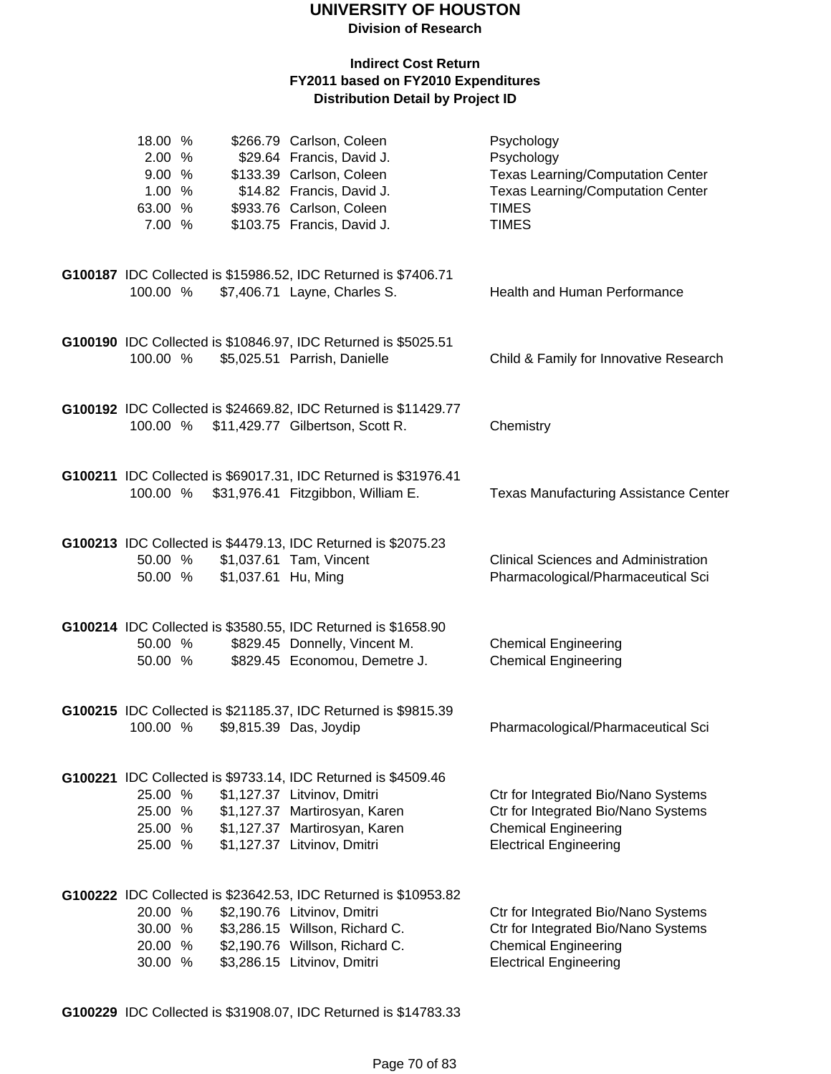#### **Indirect Cost Return FY2011 based on FY2010 Expenditures Distribution Detail by Project ID**

| 18.00 %<br>2.00 %<br>9.00 %<br>1.00 %<br>63.00 %<br>7.00 % |                     | \$266.79 Carlson, Coleen<br>\$29.64 Francis, David J.<br>\$133.39 Carlson, Coleen<br>\$14.82 Francis, David J.<br>\$933.76 Carlson, Coleen<br>\$103.75 Francis, David J.                          | Psychology<br>Psychology<br><b>Texas Learning/Computation Center</b><br><b>Texas Learning/Computation Center</b><br><b>TIMES</b><br><b>TIMES</b> |
|------------------------------------------------------------|---------------------|---------------------------------------------------------------------------------------------------------------------------------------------------------------------------------------------------|--------------------------------------------------------------------------------------------------------------------------------------------------|
| 100.00 %                                                   |                     | G100187 IDC Collected is \$15986.52, IDC Returned is \$7406.71<br>\$7,406.71 Layne, Charles S.                                                                                                    | Health and Human Performance                                                                                                                     |
| 100.00 %                                                   |                     | G100190 IDC Collected is \$10846.97, IDC Returned is \$5025.51<br>\$5,025.51 Parrish, Danielle                                                                                                    | Child & Family for Innovative Research                                                                                                           |
|                                                            |                     | G100192 IDC Collected is \$24669.82, IDC Returned is \$11429.77<br>100.00 % \$11,429.77 Gilbertson, Scott R.                                                                                      | Chemistry                                                                                                                                        |
| 100.00 %                                                   |                     | G100211 IDC Collected is \$69017.31, IDC Returned is \$31976.41<br>\$31,976.41 Fitzgibbon, William E.                                                                                             | <b>Texas Manufacturing Assistance Center</b>                                                                                                     |
| 50.00 %<br>50.00 %                                         | \$1,037.61 Hu, Ming | G100213 IDC Collected is \$4479.13, IDC Returned is \$2075.23<br>\$1,037.61 Tam, Vincent                                                                                                          | <b>Clinical Sciences and Administration</b><br>Pharmacological/Pharmaceutical Sci                                                                |
| 50.00 %<br>50.00 %                                         |                     | G100214 IDC Collected is \$3580.55, IDC Returned is \$1658.90<br>\$829.45 Donnelly, Vincent M.<br>\$829.45 Economou, Demetre J.                                                                   | <b>Chemical Engineering</b><br><b>Chemical Engineering</b>                                                                                       |
| 100.00 %                                                   |                     | G100215 IDC Collected is \$21185.37, IDC Returned is \$9815.39<br>\$9,815.39 Das, Joydip                                                                                                          | Pharmacological/Pharmaceutical Sci                                                                                                               |
| 25.00 %<br>25.00 %<br>25.00 %<br>25.00 %                   |                     | G100221 IDC Collected is \$9733.14, IDC Returned is \$4509.46<br>\$1,127.37 Litvinov, Dmitri<br>\$1,127.37 Martirosyan, Karen<br>\$1,127.37 Martirosyan, Karen<br>\$1,127.37 Litvinov, Dmitri     | Ctr for Integrated Bio/Nano Systems<br>Ctr for Integrated Bio/Nano Systems<br><b>Chemical Engineering</b><br><b>Electrical Engineering</b>       |
| 20.00 %<br>30.00 %<br>20.00 %<br>30.00 %                   |                     | G100222 IDC Collected is \$23642.53, IDC Returned is \$10953.82<br>\$2,190.76 Litvinov, Dmitri<br>\$3,286.15 Willson, Richard C.<br>\$2,190.76 Willson, Richard C.<br>\$3,286.15 Litvinov, Dmitri | Ctr for Integrated Bio/Nano Systems<br>Ctr for Integrated Bio/Nano Systems<br><b>Chemical Engineering</b><br><b>Electrical Engineering</b>       |

**G100229** IDC Collected is \$31908.07, IDC Returned is \$14783.33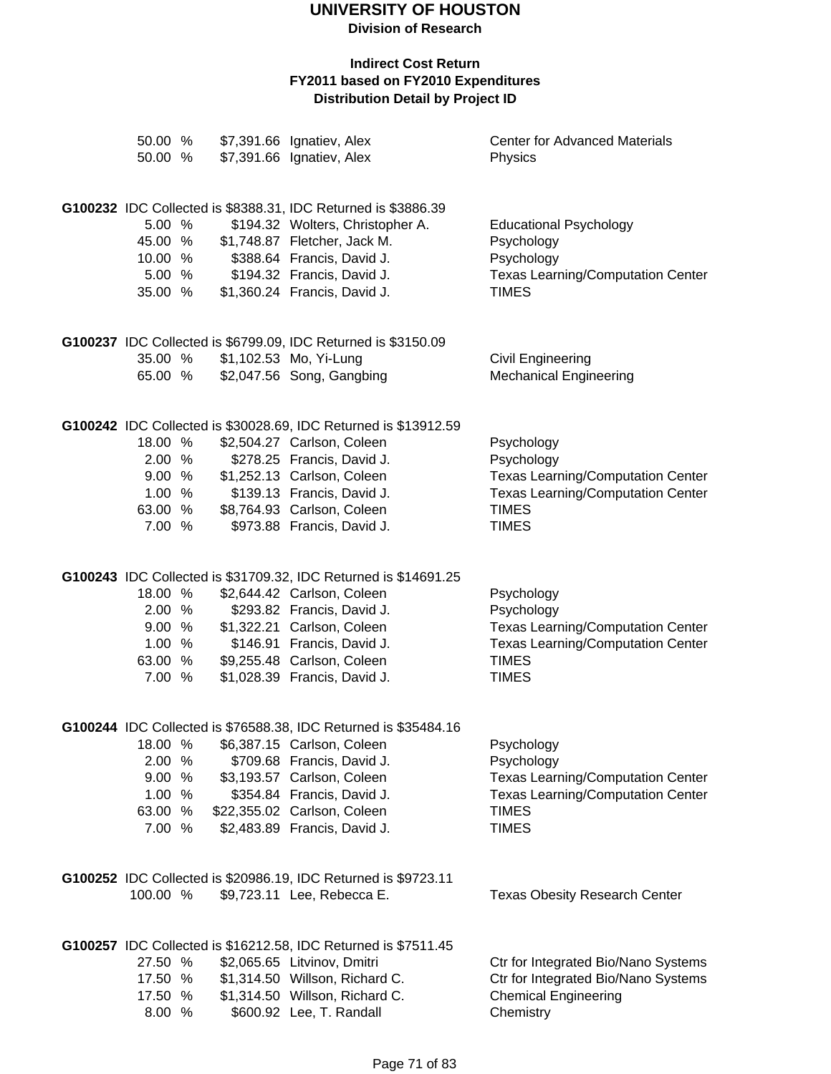**Division of Research**

| 50.00 %<br>50.00 %                                         |  | \$7,391.66 Ignatiev, Alex<br>\$7,391.66 Ignatiev, Alex                                                                                                                                                                                                 | <b>Center for Advanced Materials</b><br>Physics                                                                                                  |
|------------------------------------------------------------|--|--------------------------------------------------------------------------------------------------------------------------------------------------------------------------------------------------------------------------------------------------------|--------------------------------------------------------------------------------------------------------------------------------------------------|
| 5.00 %<br>45.00 %<br>10.00 %<br>5.00 %<br>35.00 %          |  | G100232 IDC Collected is \$8388.31, IDC Returned is \$3886.39<br>\$194.32 Wolters, Christopher A.<br>\$1,748.87 Fletcher, Jack M.<br>\$388.64 Francis, David J.<br>\$194.32 Francis, David J.<br>\$1,360.24 Francis, David J.                          | <b>Educational Psychology</b><br>Psychology<br>Psychology<br><b>Texas Learning/Computation Center</b><br><b>TIMES</b>                            |
| 35.00 %<br>65.00 %                                         |  | G100237 IDC Collected is \$6799.09, IDC Returned is \$3150.09<br>\$1,102.53 Mo, Yi-Lung<br>\$2,047.56 Song, Gangbing                                                                                                                                   | <b>Civil Engineering</b><br><b>Mechanical Engineering</b>                                                                                        |
| 18.00 %<br>2.00 %<br>9.00 %<br>1.00 %<br>63.00 %<br>7.00 % |  | G100242 IDC Collected is \$30028.69, IDC Returned is \$13912.59<br>\$2,504.27 Carlson, Coleen<br>\$278.25 Francis, David J.<br>\$1,252.13 Carlson, Coleen<br>\$139.13 Francis, David J.<br>\$8,764.93 Carlson, Coleen<br>\$973.88 Francis, David J.    | Psychology<br>Psychology<br><b>Texas Learning/Computation Center</b><br><b>Texas Learning/Computation Center</b><br><b>TIMES</b><br><b>TIMES</b> |
| 18.00 %<br>2.00 %<br>9.00%<br>1.00%<br>63.00 %<br>7.00 %   |  | G100243 IDC Collected is \$31709.32, IDC Returned is \$14691.25<br>\$2,644.42 Carlson, Coleen<br>\$293.82 Francis, David J.<br>\$1,322.21 Carlson, Coleen<br>\$146.91 Francis, David J.<br>\$9,255.48 Carlson, Coleen<br>\$1,028.39 Francis, David J.  | Psychology<br>Psychology<br><b>Texas Learning/Computation Center</b><br><b>Texas Learning/Computation Center</b><br><b>TIMES</b><br><b>TIMES</b> |
| 18.00 %<br>2.00 %<br>9.00 %<br>1.00%<br>63.00 %<br>7.00 %  |  | G100244 IDC Collected is \$76588.38, IDC Returned is \$35484.16<br>\$6,387.15 Carlson, Coleen<br>\$709.68 Francis, David J.<br>\$3,193.57 Carlson, Coleen<br>\$354.84 Francis, David J.<br>\$22,355.02 Carlson, Coleen<br>\$2,483.89 Francis, David J. | Psychology<br>Psychology<br><b>Texas Learning/Computation Center</b><br><b>Texas Learning/Computation Center</b><br><b>TIMES</b><br><b>TIMES</b> |
| 100.00 %                                                   |  | G100252 IDC Collected is \$20986.19, IDC Returned is \$9723.11<br>\$9,723.11 Lee, Rebecca E.                                                                                                                                                           | <b>Texas Obesity Research Center</b>                                                                                                             |
| 27.50 %<br>17.50 %<br>17.50 %<br>8.00 %                    |  | G100257 IDC Collected is \$16212.58, IDC Returned is \$7511.45<br>\$2,065.65 Litvinov, Dmitri<br>\$1,314.50 Willson, Richard C.<br>\$1,314.50 Willson, Richard C.<br>\$600.92 Lee, T. Randall                                                          | Ctr for Integrated Bio/Nano Systems<br>Ctr for Integrated Bio/Nano Systems<br><b>Chemical Engineering</b><br>Chemistry                           |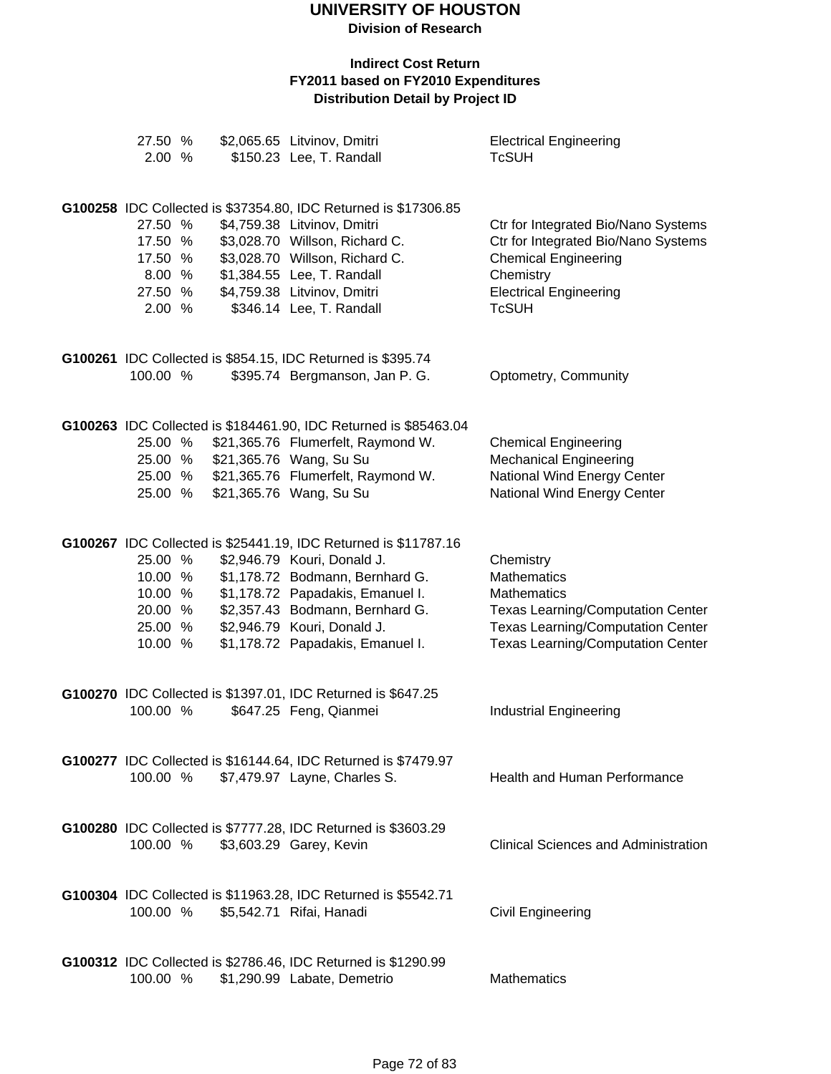| 27.50 %<br>2.00 %  |  | \$2,065.65 Litvinov, Dmitri<br>\$150.23 Lee, T. Randall          | <b>Electrical Engineering</b><br><b>TcSUH</b>                                        |
|--------------------|--|------------------------------------------------------------------|--------------------------------------------------------------------------------------|
|                    |  |                                                                  |                                                                                      |
|                    |  | G100258 IDC Collected is \$37354.80, IDC Returned is \$17306.85  |                                                                                      |
| 27.50 %            |  | \$4,759.38 Litvinov, Dmitri                                      | Ctr for Integrated Bio/Nano Systems                                                  |
| 17.50 %            |  | \$3,028.70 Willson, Richard C.                                   | Ctr for Integrated Bio/Nano Systems                                                  |
| 17.50 %            |  | \$3,028.70 Willson, Richard C.                                   | <b>Chemical Engineering</b>                                                          |
| 8.00 %<br>27.50 %  |  | \$1,384.55 Lee, T. Randall<br>\$4,759.38 Litvinov, Dmitri        | Chemistry<br><b>Electrical Engineering</b>                                           |
| 2.00 %             |  | \$346.14 Lee, T. Randall                                         | <b>TcSUH</b>                                                                         |
|                    |  |                                                                  |                                                                                      |
|                    |  | G100261 IDC Collected is \$854.15, IDC Returned is \$395.74      |                                                                                      |
| 100.00 %           |  | \$395.74 Bergmanson, Jan P. G.                                   | Optometry, Community                                                                 |
|                    |  |                                                                  |                                                                                      |
|                    |  | G100263 IDC Collected is \$184461.90, IDC Returned is \$85463.04 |                                                                                      |
| 25.00 %            |  | \$21,365.76 Flumerfelt, Raymond W.                               | <b>Chemical Engineering</b>                                                          |
| 25.00 %<br>25.00 % |  | \$21,365.76 Wang, Su Su<br>\$21,365.76 Flumerfelt, Raymond W.    | <b>Mechanical Engineering</b><br>National Wind Energy Center                         |
| 25.00 %            |  | \$21,365.76 Wang, Su Su                                          | National Wind Energy Center                                                          |
|                    |  |                                                                  |                                                                                      |
|                    |  | G100267 IDC Collected is \$25441.19, IDC Returned is \$11787.16  |                                                                                      |
| 25.00 %            |  | \$2,946.79 Kouri, Donald J.                                      | Chemistry                                                                            |
| 10.00 %            |  | \$1,178.72 Bodmann, Bernhard G.                                  | <b>Mathematics</b>                                                                   |
| 10.00 %            |  | \$1,178.72 Papadakis, Emanuel I.                                 | <b>Mathematics</b>                                                                   |
| 20.00 %<br>25.00 % |  | \$2,357.43 Bodmann, Bernhard G.<br>\$2,946.79 Kouri, Donald J.   | <b>Texas Learning/Computation Center</b><br><b>Texas Learning/Computation Center</b> |
| 10.00 %            |  | \$1,178.72 Papadakis, Emanuel I.                                 | <b>Texas Learning/Computation Center</b>                                             |
|                    |  |                                                                  |                                                                                      |
|                    |  | G100270 IDC Collected is \$1397.01, IDC Returned is \$647.25     |                                                                                      |
| 100.00 %           |  | \$647.25 Feng, Qianmei                                           | <b>Industrial Engineering</b>                                                        |
|                    |  |                                                                  |                                                                                      |
|                    |  | G100277 IDC Collected is \$16144.64, IDC Returned is \$7479.97   |                                                                                      |
| 100.00 %           |  | \$7,479.97 Layne, Charles S.                                     | <b>Health and Human Performance</b>                                                  |
|                    |  |                                                                  |                                                                                      |
|                    |  | G100280 IDC Collected is \$7777.28, IDC Returned is \$3603.29    |                                                                                      |
| 100.00 %           |  | \$3,603.29 Garey, Kevin                                          | <b>Clinical Sciences and Administration</b>                                          |
|                    |  |                                                                  |                                                                                      |
|                    |  | G100304 IDC Collected is \$11963.28, IDC Returned is \$5542.71   |                                                                                      |
| 100.00 %           |  | \$5,542.71 Rifai, Hanadi                                         | <b>Civil Engineering</b>                                                             |
|                    |  | G100312 IDC Collected is \$2786.46, IDC Returned is \$1290.99    |                                                                                      |
| 100.00 %           |  | \$1,290.99 Labate, Demetrio                                      | <b>Mathematics</b>                                                                   |
|                    |  |                                                                  |                                                                                      |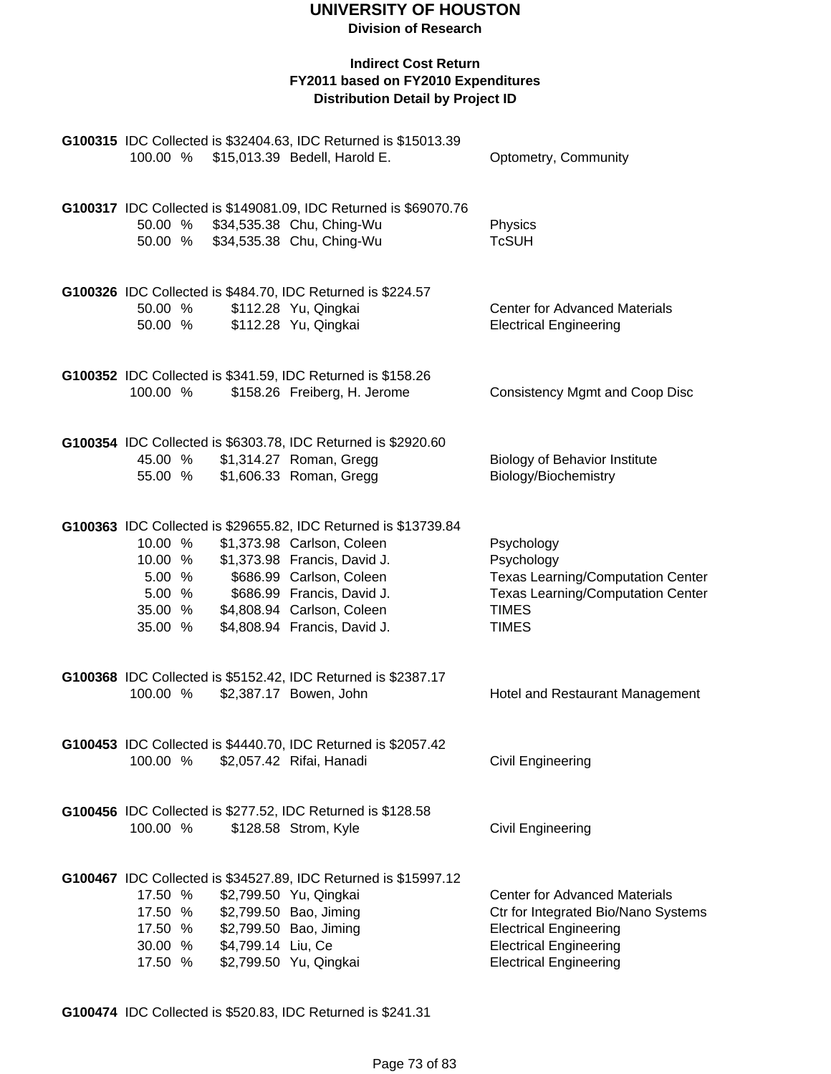**Division of Research**

#### **Indirect Cost Return FY2011 based on FY2010 Expenditures Distribution Detail by Project ID**

| 100.00 %                                                     |                    | G100315 IDC Collected is \$32404.63, IDC Returned is \$15013.39<br>\$15,013.39 Bedell, Harold E.                                                                                                                                                      | Optometry, Community                                                                                                                                                           |
|--------------------------------------------------------------|--------------------|-------------------------------------------------------------------------------------------------------------------------------------------------------------------------------------------------------------------------------------------------------|--------------------------------------------------------------------------------------------------------------------------------------------------------------------------------|
| 50.00 %                                                      |                    | G100317 IDC Collected is \$149081.09, IDC Returned is \$69070.76<br>50.00 % \$34,535.38 Chu, Ching-Wu<br>\$34,535.38 Chu, Ching-Wu                                                                                                                    | Physics<br><b>TcSUH</b>                                                                                                                                                        |
| 50.00 %<br>50.00 %                                           |                    | G100326 IDC Collected is \$484.70, IDC Returned is \$224.57<br>\$112.28 Yu, Qingkai<br>\$112.28 Yu, Qingkai                                                                                                                                           | <b>Center for Advanced Materials</b><br><b>Electrical Engineering</b>                                                                                                          |
| 100.00 %                                                     |                    | G100352 IDC Collected is \$341.59, IDC Returned is \$158.26<br>\$158.26 Freiberg, H. Jerome                                                                                                                                                           | <b>Consistency Mgmt and Coop Disc</b>                                                                                                                                          |
| 45.00 %<br>55.00 %                                           |                    | G100354 IDC Collected is \$6303.78, IDC Returned is \$2920.60<br>\$1,314.27 Roman, Gregg<br>\$1,606.33 Roman, Gregg                                                                                                                                   | <b>Biology of Behavior Institute</b><br>Biology/Biochemistry                                                                                                                   |
| 10.00 %<br>10.00 %<br>5.00 %<br>5.00 %<br>35.00 %<br>35.00 % |                    | G100363 IDC Collected is \$29655.82, IDC Returned is \$13739.84<br>\$1,373.98 Carlson, Coleen<br>\$1,373.98 Francis, David J.<br>\$686.99 Carlson, Coleen<br>\$686.99 Francis, David J.<br>\$4,808.94 Carlson, Coleen<br>\$4,808.94 Francis, David J. | Psychology<br>Psychology<br><b>Texas Learning/Computation Center</b><br><b>Texas Learning/Computation Center</b><br><b>TIMES</b><br><b>TIMES</b>                               |
| 100.00 %                                                     |                    | G100368 IDC Collected is \$5152.42, IDC Returned is \$2387.17<br>\$2,387.17 Bowen, John                                                                                                                                                               | Hotel and Restaurant Management                                                                                                                                                |
| 100.00 %                                                     |                    | G100453 IDC Collected is \$4440.70, IDC Returned is \$2057.42<br>\$2,057.42 Rifai, Hanadi                                                                                                                                                             | Civil Engineering                                                                                                                                                              |
| 100.00 %                                                     |                    | G100456 IDC Collected is \$277.52, IDC Returned is \$128.58<br>\$128.58 Strom, Kyle                                                                                                                                                                   | <b>Civil Engineering</b>                                                                                                                                                       |
| 17.50 %<br>17.50 %<br>17.50 %<br>30.00 %<br>17.50 %          | \$4,799.14 Liu, Ce | G100467 IDC Collected is \$34527.89, IDC Returned is \$15997.12<br>\$2,799.50 Yu, Qingkai<br>\$2,799.50 Bao, Jiming<br>\$2,799.50 Bao, Jiming<br>\$2,799.50 Yu, Qingkai                                                                               | <b>Center for Advanced Materials</b><br>Ctr for Integrated Bio/Nano Systems<br><b>Electrical Engineering</b><br><b>Electrical Engineering</b><br><b>Electrical Engineering</b> |

**G100474** IDC Collected is \$520.83, IDC Returned is \$241.31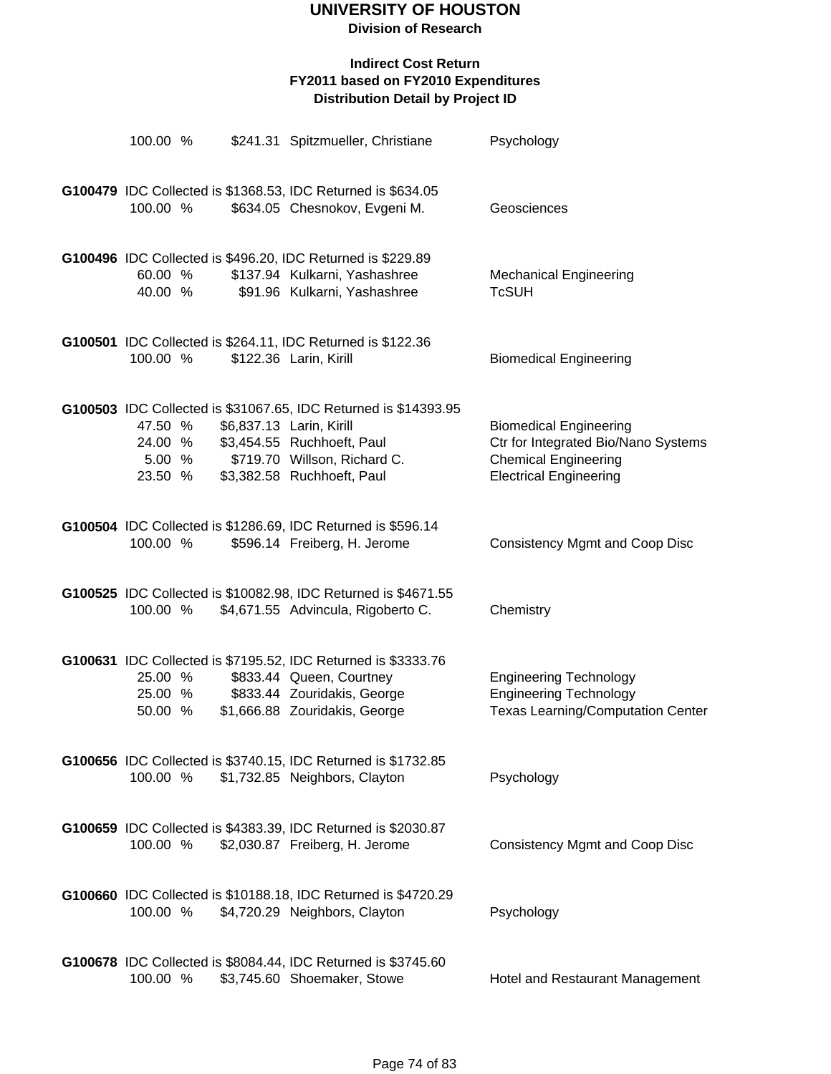**Division of Research**

| 100.00 %                                |                    | \$241.31 Spitzmueller, Christiane                                                                                                                                                       | Psychology                                                                                                                           |
|-----------------------------------------|--------------------|-----------------------------------------------------------------------------------------------------------------------------------------------------------------------------------------|--------------------------------------------------------------------------------------------------------------------------------------|
| 100.00 %                                |                    | G100479 IDC Collected is \$1368.53, IDC Returned is \$634.05<br>\$634.05 Chesnokov, Evgeni M.                                                                                           | Geosciences                                                                                                                          |
| 60.00 %                                 |                    | G100496 IDC Collected is \$496.20, IDC Returned is \$229.89<br>\$137.94 Kulkarni, Yashashree<br>40.00 % \$91.96 Kulkarni, Yashashree                                                    | <b>Mechanical Engineering</b><br><b>TcSUH</b>                                                                                        |
| 100.00 %                                |                    | G100501 IDC Collected is \$264.11, IDC Returned is \$122.36<br>\$122.36 Larin, Kirill                                                                                                   | <b>Biomedical Engineering</b>                                                                                                        |
| 47.50 %<br>24.00 %<br>5.00 %<br>23.50 % |                    | G100503 IDC Collected is \$31067.65, IDC Returned is \$14393.95<br>\$6,837.13 Larin, Kirill<br>\$3,454.55 Ruchhoeft, Paul<br>\$719.70 Willson, Richard C.<br>\$3,382.58 Ruchhoeft, Paul | <b>Biomedical Engineering</b><br>Ctr for Integrated Bio/Nano Systems<br><b>Chemical Engineering</b><br><b>Electrical Engineering</b> |
| 100.00 %                                |                    | G100504 IDC Collected is \$1286.69, IDC Returned is \$596.14<br>\$596.14 Freiberg, H. Jerome                                                                                            | <b>Consistency Mgmt and Coop Disc</b>                                                                                                |
| 100.00 %                                |                    | G100525 IDC Collected is \$10082.98, IDC Returned is \$4671.55<br>\$4,671.55 Advincula, Rigoberto C.                                                                                    | Chemistry                                                                                                                            |
| 50.00 %                                 | 25.00 %<br>25.00 % | G100631 IDC Collected is \$7195.52, IDC Returned is \$3333.76<br>\$833.44 Queen, Courtney<br>\$833.44 Zouridakis, George<br>\$1,666.88 Zouridakis, George                               | <b>Engineering Technology</b><br><b>Engineering Technology</b><br><b>Texas Learning/Computation Center</b>                           |
| 100.00 %                                |                    | G100656 IDC Collected is \$3740.15, IDC Returned is \$1732.85<br>\$1,732.85 Neighbors, Clayton                                                                                          | Psychology                                                                                                                           |
| 100.00 %                                |                    | G100659 IDC Collected is \$4383.39, IDC Returned is \$2030.87<br>\$2,030.87 Freiberg, H. Jerome                                                                                         | <b>Consistency Mgmt and Coop Disc</b>                                                                                                |
| 100.00 %                                |                    | G100660 IDC Collected is \$10188.18, IDC Returned is \$4720.29<br>\$4,720.29 Neighbors, Clayton                                                                                         | Psychology                                                                                                                           |
| 100.00 %                                |                    | G100678 IDC Collected is \$8084.44, IDC Returned is \$3745.60<br>\$3,745.60 Shoemaker, Stowe                                                                                            | Hotel and Restaurant Management                                                                                                      |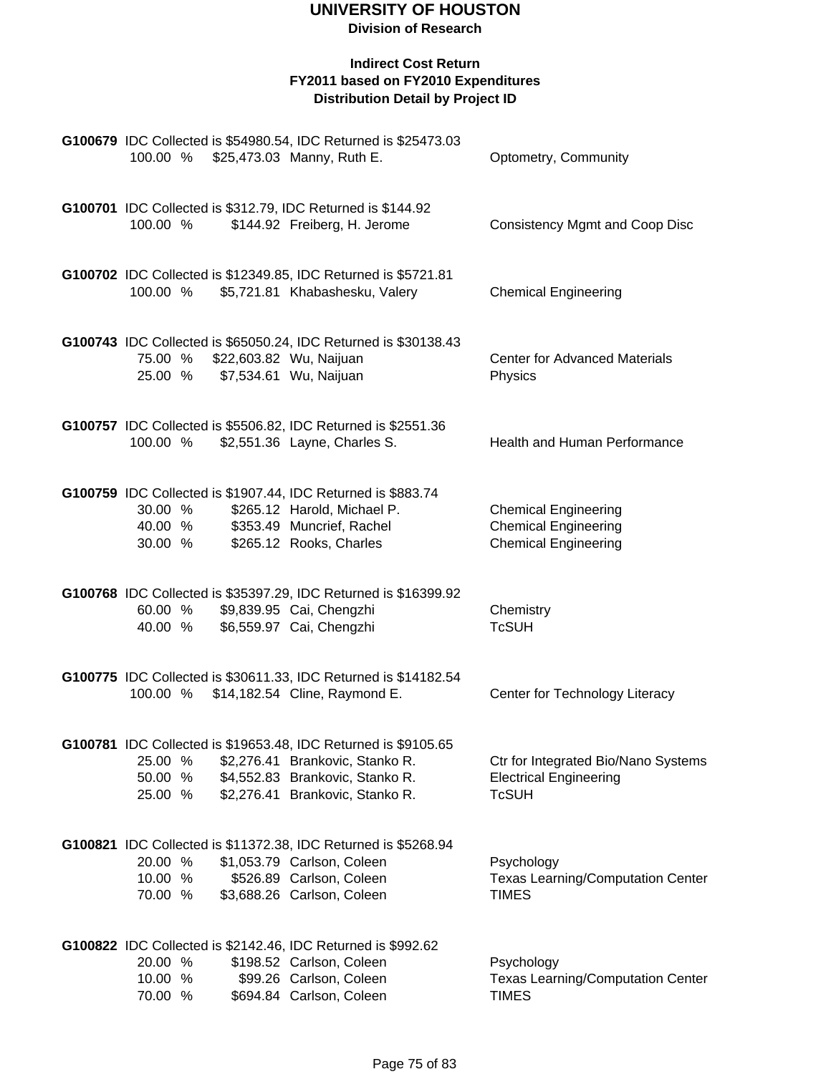|                               |  | G100679 IDC Collected is \$54980.54, IDC Returned is \$25473.03<br>100.00 % \$25,473.03 Manny, Ruth E.                                                                  | Optometry, Community                                                                      |
|-------------------------------|--|-------------------------------------------------------------------------------------------------------------------------------------------------------------------------|-------------------------------------------------------------------------------------------|
| 100.00 %                      |  | G100701 IDC Collected is \$312.79, IDC Returned is \$144.92<br>\$144.92 Freiberg, H. Jerome                                                                             | <b>Consistency Mgmt and Coop Disc</b>                                                     |
| 100.00 %                      |  | G100702 IDC Collected is \$12349.85, IDC Returned is \$5721.81<br>\$5,721.81 Khabashesku, Valery                                                                        | <b>Chemical Engineering</b>                                                               |
| 75.00 %<br>25.00 %            |  | G100743 IDC Collected is \$65050.24, IDC Returned is \$30138.43<br>\$22,603.82 Wu, Naijuan<br>\$7,534.61 Wu, Naijuan                                                    | <b>Center for Advanced Materials</b><br>Physics                                           |
| 100.00 %                      |  | G100757 IDC Collected is \$5506.82, IDC Returned is \$2551.36<br>\$2,551.36 Layne, Charles S.                                                                           | Health and Human Performance                                                              |
| 30.00 %<br>40.00 %<br>30.00 % |  | G100759 IDC Collected is \$1907.44, IDC Returned is \$883.74<br>\$265.12 Harold, Michael P.<br>\$353.49 Muncrief, Rachel<br>\$265.12 Rooks, Charles                     | <b>Chemical Engineering</b><br><b>Chemical Engineering</b><br><b>Chemical Engineering</b> |
| 60.00 %<br>40.00 %            |  | G100768 IDC Collected is \$35397.29, IDC Returned is \$16399.92<br>\$9,839.95 Cai, Chengzhi<br>\$6,559.97 Cai, Chengzhi                                                 | Chemistry<br><b>TcSUH</b>                                                                 |
| 100.00 %                      |  | G100775 IDC Collected is \$30611.33, IDC Returned is \$14182.54<br>\$14,182.54 Cline, Raymond E.                                                                        | Center for Technology Literacy                                                            |
| 25.00 %<br>50.00 %<br>25.00 % |  | G100781 IDC Collected is \$19653.48, IDC Returned is \$9105.65<br>\$2,276.41 Brankovic, Stanko R.<br>\$4,552.83 Brankovic, Stanko R.<br>\$2,276.41 Brankovic, Stanko R. | Ctr for Integrated Bio/Nano Systems<br><b>Electrical Engineering</b><br><b>TcSUH</b>      |
| 20.00 %<br>10.00 %<br>70.00 % |  | G100821 IDC Collected is \$11372.38, IDC Returned is \$5268.94<br>\$1,053.79 Carlson, Coleen<br>\$526.89 Carlson, Coleen<br>\$3,688.26 Carlson, Coleen                  | Psychology<br><b>Texas Learning/Computation Center</b><br><b>TIMES</b>                    |
| 20.00 %<br>10.00 %<br>70.00 % |  | G100822 IDC Collected is \$2142.46, IDC Returned is \$992.62<br>\$198.52 Carlson, Coleen<br>\$99.26 Carlson, Coleen<br>\$694.84 Carlson, Coleen                         | Psychology<br><b>Texas Learning/Computation Center</b><br><b>TIMES</b>                    |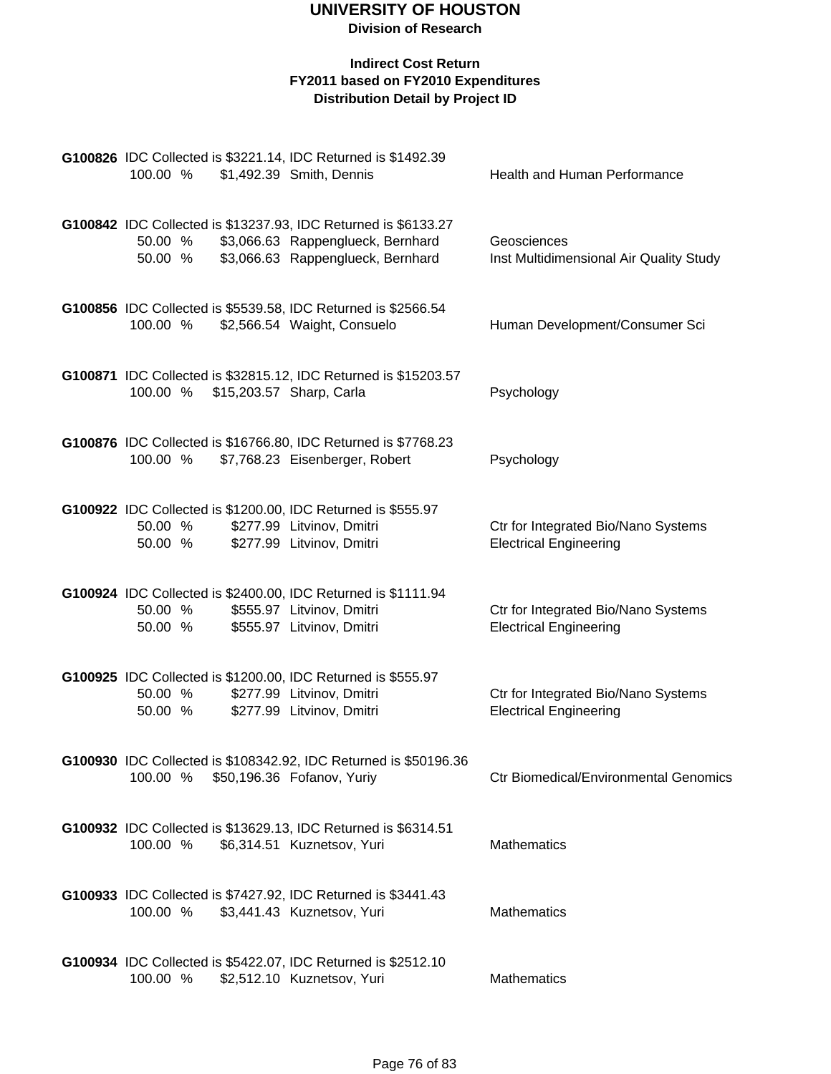| G100826 IDC Collected is \$3221.14, IDC Returned is \$1492.39<br>100.00 %           | \$1,492.39 Smith, Dennis                                                                                                                 | Health and Human Performance                                         |
|-------------------------------------------------------------------------------------|------------------------------------------------------------------------------------------------------------------------------------------|----------------------------------------------------------------------|
| 50.00 %<br>50.00 %                                                                  | G100842 IDC Collected is \$13237.93, IDC Returned is \$6133.27<br>\$3,066.63 Rappenglueck, Bernhard<br>\$3,066.63 Rappenglueck, Bernhard | Geosciences<br>Inst Multidimensional Air Quality Study               |
| G100856 IDC Collected is \$5539.58, IDC Returned is \$2566.54<br>100.00 %           | \$2,566.54 Waight, Consuelo                                                                                                              | Human Development/Consumer Sci                                       |
| 100.00 %                                                                            | G100871 IDC Collected is \$32815.12, IDC Returned is \$15203.57<br>\$15,203.57 Sharp, Carla                                              | Psychology                                                           |
| 100.00 %                                                                            | G100876 IDC Collected is \$16766.80, IDC Returned is \$7768.23<br>\$7,768.23 Eisenberger, Robert                                         | Psychology                                                           |
| G100922 IDC Collected is \$1200.00, IDC Returned is \$555.97<br>50.00 %<br>50.00 %  | \$277.99 Litvinov, Dmitri<br>\$277.99 Litvinov, Dmitri                                                                                   | Ctr for Integrated Bio/Nano Systems<br><b>Electrical Engineering</b> |
| G100924 IDC Collected is \$2400.00, IDC Returned is \$1111.94<br>50.00 %<br>50.00 % | \$555.97 Litvinov, Dmitri<br>\$555.97 Litvinov, Dmitri                                                                                   | Ctr for Integrated Bio/Nano Systems<br><b>Electrical Engineering</b> |
| G100925 IDC Collected is \$1200.00, IDC Returned is \$555.97<br>50.00 %<br>50.00 %  | \$277.99 Litvinov, Dmitri<br>\$277.99 Litvinov, Dmitri                                                                                   | Ctr for Integrated Bio/Nano Systems<br><b>Electrical Engineering</b> |
| 100.00 %                                                                            | G100930 IDC Collected is \$108342.92, IDC Returned is \$50196.36<br>\$50,196.36 Fofanov, Yuriy                                           | <b>Ctr Biomedical/Environmental Genomics</b>                         |
| 100.00 %                                                                            | G100932 IDC Collected is \$13629.13, IDC Returned is \$6314.51<br>\$6,314.51 Kuznetsov, Yuri                                             | Mathematics                                                          |
| G100933 IDC Collected is \$7427.92, IDC Returned is \$3441.43<br>100.00 %           | \$3,441.43 Kuznetsov, Yuri                                                                                                               | <b>Mathematics</b>                                                   |
| G100934 IDC Collected is \$5422.07, IDC Returned is \$2512.10<br>100.00 %           | \$2,512.10 Kuznetsov, Yuri                                                                                                               | Mathematics                                                          |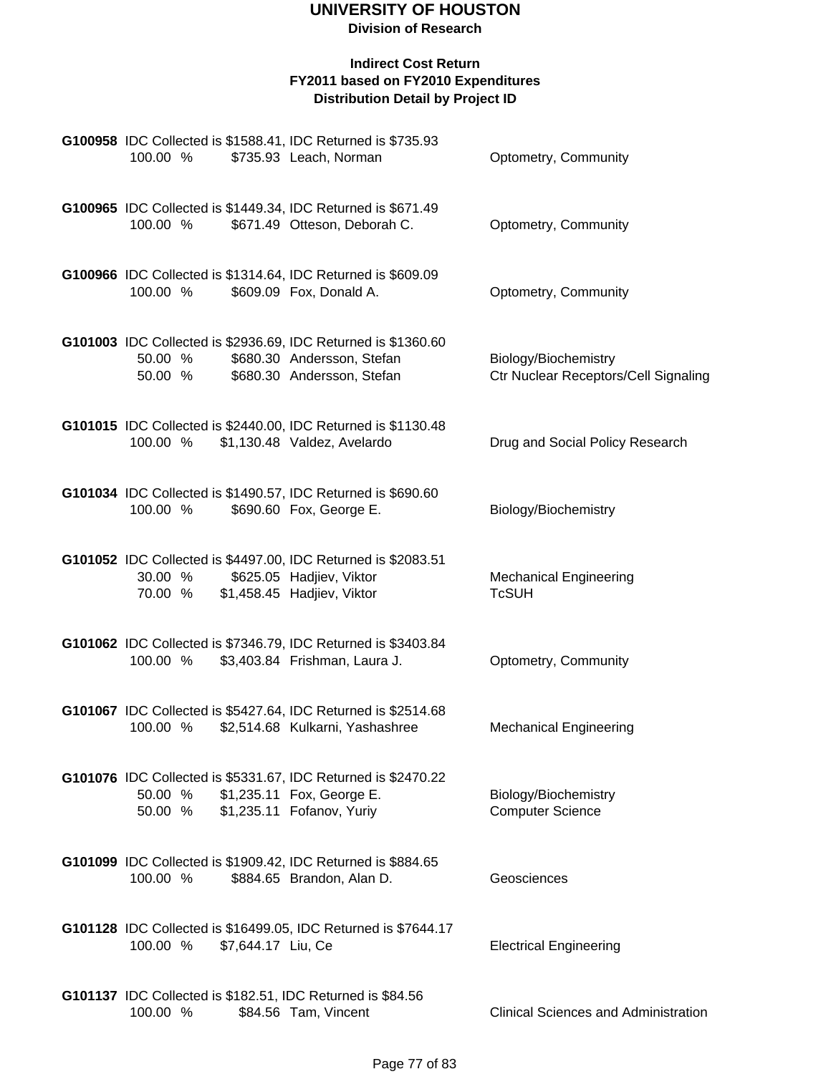**Division of Research**

| 100.00 %           | G100958 IDC Collected is \$1588.41, IDC Returned is \$735.93<br>\$735.93 Leach, Norman                                    | Optometry, Community                                         |
|--------------------|---------------------------------------------------------------------------------------------------------------------------|--------------------------------------------------------------|
| 100.00 %           | G100965 IDC Collected is \$1449.34, IDC Returned is \$671.49<br>\$671.49 Otteson, Deborah C.                              | Optometry, Community                                         |
| 100.00 %           | G100966 IDC Collected is \$1314.64, IDC Returned is \$609.09<br>\$609.09 Fox, Donald A.                                   | Optometry, Community                                         |
| 50.00 %<br>50.00 % | G101003 IDC Collected is \$2936.69, IDC Returned is \$1360.60<br>\$680.30 Andersson, Stefan<br>\$680.30 Andersson, Stefan | Biology/Biochemistry<br>Ctr Nuclear Receptors/Cell Signaling |
| 100.00 %           | G101015 IDC Collected is \$2440.00, IDC Returned is \$1130.48<br>\$1,130.48 Valdez, Avelardo                              | Drug and Social Policy Research                              |
| 100.00 %           | G101034 IDC Collected is \$1490.57, IDC Returned is \$690.60<br>\$690.60 Fox, George E.                                   | Biology/Biochemistry                                         |
| 30.00 %<br>70.00 % | G101052 IDC Collected is \$4497.00, IDC Returned is \$2083.51<br>\$625.05 Hadjiev, Viktor<br>\$1,458.45 Hadjiev, Viktor   | <b>Mechanical Engineering</b><br><b>TcSUH</b>                |
| 100.00 %           | G101062 IDC Collected is \$7346.79, IDC Returned is \$3403.84<br>\$3,403.84 Frishman, Laura J.                            | Optometry, Community                                         |
| 100.00 %           | G101067 IDC Collected is \$5427.64, IDC Returned is \$2514.68<br>\$2,514.68 Kulkarni, Yashashree                          | <b>Mechanical Engineering</b>                                |
| 50.00 %<br>50.00 % | G101076 IDC Collected is \$5331.67, IDC Returned is \$2470.22<br>\$1,235.11 Fox, George E.<br>\$1,235.11 Fofanov, Yuriy   | Biology/Biochemistry<br><b>Computer Science</b>              |
| 100.00 %           | G101099 IDC Collected is \$1909.42, IDC Returned is \$884.65<br>\$884.65 Brandon, Alan D.                                 | Geosciences                                                  |
| 100.00 %           | G101128 IDC Collected is \$16499.05, IDC Returned is \$7644.17<br>\$7,644.17 Liu, Ce                                      | <b>Electrical Engineering</b>                                |
| 100.00 %           | G101137 IDC Collected is \$182.51, IDC Returned is \$84.56<br>\$84.56 Tam, Vincent                                        | <b>Clinical Sciences and Administration</b>                  |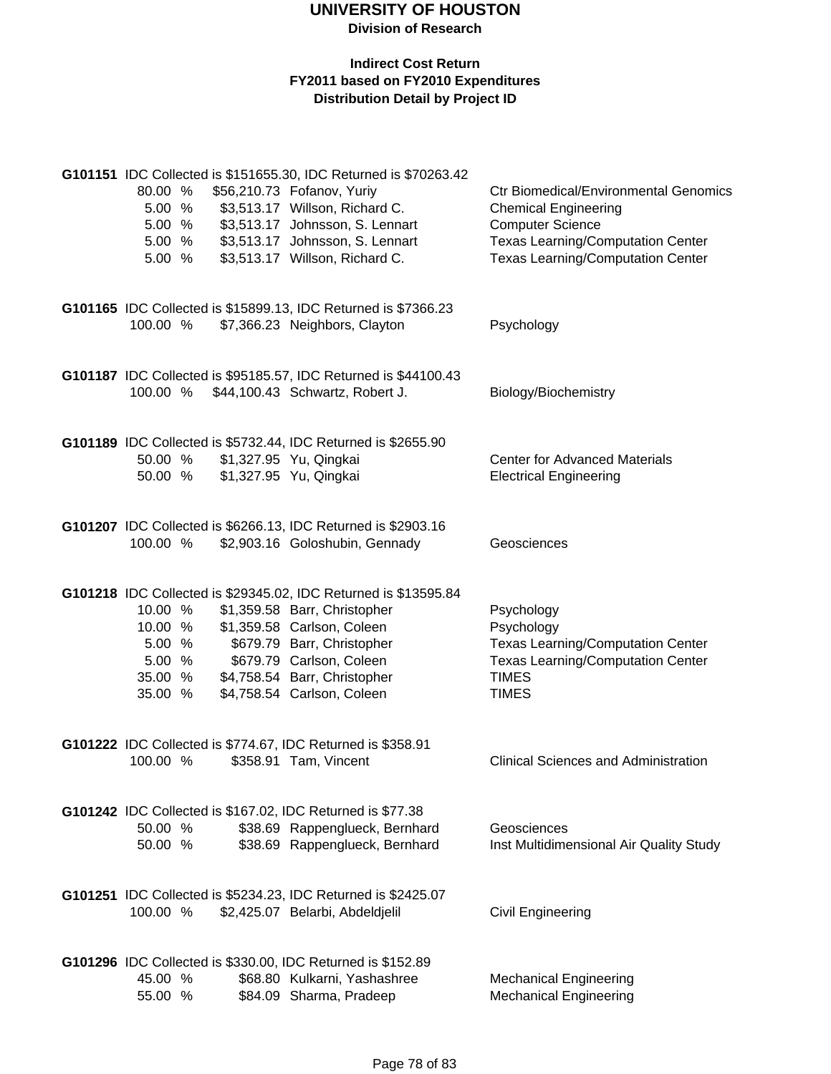| 80.00 %<br>5.00 %<br>5.00 %<br>5.00 %<br>5.00 %              |  | G101151 IDC Collected is \$151655.30, IDC Returned is \$70263.42<br>\$56,210.73 Fofanov, Yuriy<br>\$3,513.17 Willson, Richard C.<br>\$3,513.17 Johnsson, S. Lennart<br>\$3,513.17 Johnsson, S. Lennart<br>\$3,513.17 Willson, Richard C.              | <b>Ctr Biomedical/Environmental Genomics</b><br><b>Chemical Engineering</b><br><b>Computer Science</b><br><b>Texas Learning/Computation Center</b><br><b>Texas Learning/Computation Center</b> |
|--------------------------------------------------------------|--|-------------------------------------------------------------------------------------------------------------------------------------------------------------------------------------------------------------------------------------------------------|------------------------------------------------------------------------------------------------------------------------------------------------------------------------------------------------|
| 100.00 %                                                     |  | G101165 IDC Collected is \$15899.13, IDC Returned is \$7366.23<br>\$7,366.23 Neighbors, Clayton                                                                                                                                                       | Psychology                                                                                                                                                                                     |
| 100.00 %                                                     |  | G101187 IDC Collected is \$95185.57, IDC Returned is \$44100.43<br>\$44,100.43 Schwartz, Robert J.                                                                                                                                                    | Biology/Biochemistry                                                                                                                                                                           |
| 50.00 %<br>50.00 %                                           |  | G101189 IDC Collected is \$5732.44, IDC Returned is \$2655.90<br>\$1,327.95 Yu, Qingkai<br>\$1,327.95 Yu, Qingkai                                                                                                                                     | <b>Center for Advanced Materials</b><br><b>Electrical Engineering</b>                                                                                                                          |
| 100.00 %                                                     |  | G101207 IDC Collected is \$6266.13, IDC Returned is \$2903.16<br>\$2,903.16 Goloshubin, Gennady                                                                                                                                                       | Geosciences                                                                                                                                                                                    |
| 10.00 %<br>10.00 %<br>5.00 %<br>5.00 %<br>35.00 %<br>35.00 % |  | G101218 IDC Collected is \$29345.02, IDC Returned is \$13595.84<br>\$1,359.58 Barr, Christopher<br>\$1,359.58 Carlson, Coleen<br>\$679.79 Barr, Christopher<br>\$679.79 Carlson, Coleen<br>\$4,758.54 Barr, Christopher<br>\$4,758.54 Carlson, Coleen | Psychology<br>Psychology<br><b>Texas Learning/Computation Center</b><br><b>Texas Learning/Computation Center</b><br><b>TIMES</b><br><b>TIMES</b>                                               |
| 100.00 %                                                     |  | G101222 IDC Collected is \$774.67, IDC Returned is \$358.91<br>\$358.91 Tam, Vincent                                                                                                                                                                  | <b>Clinical Sciences and Administration</b>                                                                                                                                                    |
| 50.00 %<br>50.00 %                                           |  | G101242 IDC Collected is \$167.02, IDC Returned is \$77.38<br>\$38.69 Rappenglueck, Bernhard<br>\$38.69 Rappenglueck, Bernhard                                                                                                                        | Geosciences<br>Inst Multidimensional Air Quality Study                                                                                                                                         |
| 100.00 %                                                     |  | G101251 IDC Collected is \$5234.23, IDC Returned is \$2425.07<br>\$2,425.07 Belarbi, Abdeldjelil                                                                                                                                                      | <b>Civil Engineering</b>                                                                                                                                                                       |
| 45.00 %<br>55.00 %                                           |  | G101296 IDC Collected is \$330.00, IDC Returned is \$152.89<br>\$68.80 Kulkarni, Yashashree<br>\$84.09 Sharma, Pradeep                                                                                                                                | <b>Mechanical Engineering</b><br><b>Mechanical Engineering</b>                                                                                                                                 |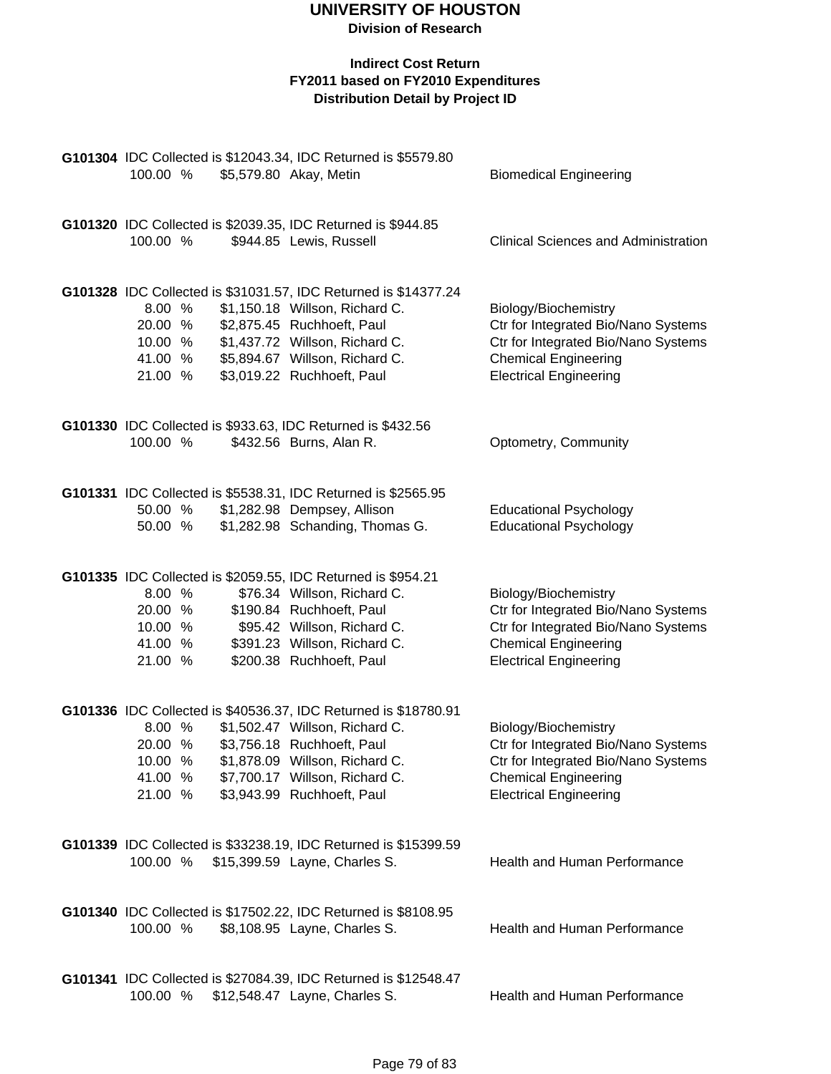| G101304 IDC Collected is \$12043.34, IDC Returned is \$5579.80 |  |  |                                                                                        |                                             |  |
|----------------------------------------------------------------|--|--|----------------------------------------------------------------------------------------|---------------------------------------------|--|
| 100.00 %                                                       |  |  | \$5,579.80 Akay, Metin                                                                 | <b>Biomedical Engineering</b>               |  |
|                                                                |  |  |                                                                                        |                                             |  |
|                                                                |  |  |                                                                                        |                                             |  |
|                                                                |  |  | G101320 IDC Collected is \$2039.35, IDC Returned is \$944.85                           |                                             |  |
| 100.00 %                                                       |  |  | \$944.85 Lewis, Russell                                                                | <b>Clinical Sciences and Administration</b> |  |
|                                                                |  |  |                                                                                        |                                             |  |
|                                                                |  |  |                                                                                        |                                             |  |
|                                                                |  |  | G101328 IDC Collected is \$31031.57, IDC Returned is \$14377.24                        |                                             |  |
| 8.00 %                                                         |  |  | \$1,150.18 Willson, Richard C.                                                         | Biology/Biochemistry                        |  |
| 20.00 %                                                        |  |  | \$2,875.45 Ruchhoeft, Paul                                                             | Ctr for Integrated Bio/Nano Systems         |  |
| 10.00 %                                                        |  |  | \$1,437.72 Willson, Richard C.                                                         | Ctr for Integrated Bio/Nano Systems         |  |
| 41.00 %                                                        |  |  | \$5,894.67 Willson, Richard C.                                                         | <b>Chemical Engineering</b>                 |  |
| 21.00 %                                                        |  |  | \$3,019.22 Ruchhoeft, Paul                                                             | <b>Electrical Engineering</b>               |  |
|                                                                |  |  |                                                                                        |                                             |  |
|                                                                |  |  |                                                                                        |                                             |  |
| 100.00 %                                                       |  |  | G101330 IDC Collected is \$933.63, IDC Returned is \$432.56<br>\$432.56 Burns, Alan R. |                                             |  |
|                                                                |  |  |                                                                                        | Optometry, Community                        |  |
|                                                                |  |  |                                                                                        |                                             |  |
|                                                                |  |  | G101331 IDC Collected is \$5538.31, IDC Returned is \$2565.95                          |                                             |  |
| 50.00 %                                                        |  |  | \$1,282.98 Dempsey, Allison                                                            | <b>Educational Psychology</b>               |  |
| 50.00 %                                                        |  |  | \$1,282.98 Schanding, Thomas G.                                                        | <b>Educational Psychology</b>               |  |
|                                                                |  |  |                                                                                        |                                             |  |
|                                                                |  |  |                                                                                        |                                             |  |
|                                                                |  |  | G101335 IDC Collected is \$2059.55, IDC Returned is \$954.21                           |                                             |  |
| 8.00 %                                                         |  |  | \$76.34 Willson, Richard C.                                                            | Biology/Biochemistry                        |  |
| 20.00 %                                                        |  |  | \$190.84 Ruchhoeft, Paul                                                               | Ctr for Integrated Bio/Nano Systems         |  |
| 10.00 %                                                        |  |  | \$95.42 Willson, Richard C.                                                            | Ctr for Integrated Bio/Nano Systems         |  |
| 41.00 %                                                        |  |  | \$391.23 Willson, Richard C.                                                           | <b>Chemical Engineering</b>                 |  |
| 21.00 %                                                        |  |  | \$200.38 Ruchhoeft, Paul                                                               | <b>Electrical Engineering</b>               |  |
|                                                                |  |  |                                                                                        |                                             |  |
|                                                                |  |  |                                                                                        |                                             |  |
|                                                                |  |  | G101336 IDC Collected is \$40536.37, IDC Returned is \$18780.91                        |                                             |  |
| 8.00 %                                                         |  |  | \$1,502.47 Willson, Richard C.                                                         | Biology/Biochemistry                        |  |
| 20.00 %                                                        |  |  | \$3,756.18 Ruchhoeft, Paul                                                             | Ctr for Integrated Bio/Nano Systems         |  |
| 10.00 %                                                        |  |  | \$1,878.09 Willson, Richard C.                                                         | Ctr for Integrated Bio/Nano Systems         |  |
| 41.00 %                                                        |  |  | \$7,700.17 Willson, Richard C.                                                         | <b>Chemical Engineering</b>                 |  |
| 21.00 %                                                        |  |  | \$3,943.99 Ruchhoeft, Paul                                                             | <b>Electrical Engineering</b>               |  |
|                                                                |  |  |                                                                                        |                                             |  |
|                                                                |  |  | G101339 IDC Collected is \$33238.19, IDC Returned is \$15399.59                        |                                             |  |
| 100.00 %                                                       |  |  | \$15,399.59 Layne, Charles S.                                                          | <b>Health and Human Performance</b>         |  |
|                                                                |  |  |                                                                                        |                                             |  |
|                                                                |  |  |                                                                                        |                                             |  |
|                                                                |  |  | G101340 IDC Collected is \$17502.22, IDC Returned is \$8108.95                         |                                             |  |
| 100.00 %                                                       |  |  | \$8,108.95 Layne, Charles S.                                                           | <b>Health and Human Performance</b>         |  |
|                                                                |  |  |                                                                                        |                                             |  |
|                                                                |  |  |                                                                                        |                                             |  |
|                                                                |  |  | G101341 IDC Collected is \$27084.39, IDC Returned is \$12548.47                        |                                             |  |
| 100.00 %                                                       |  |  | \$12,548.47 Layne, Charles S.                                                          | <b>Health and Human Performance</b>         |  |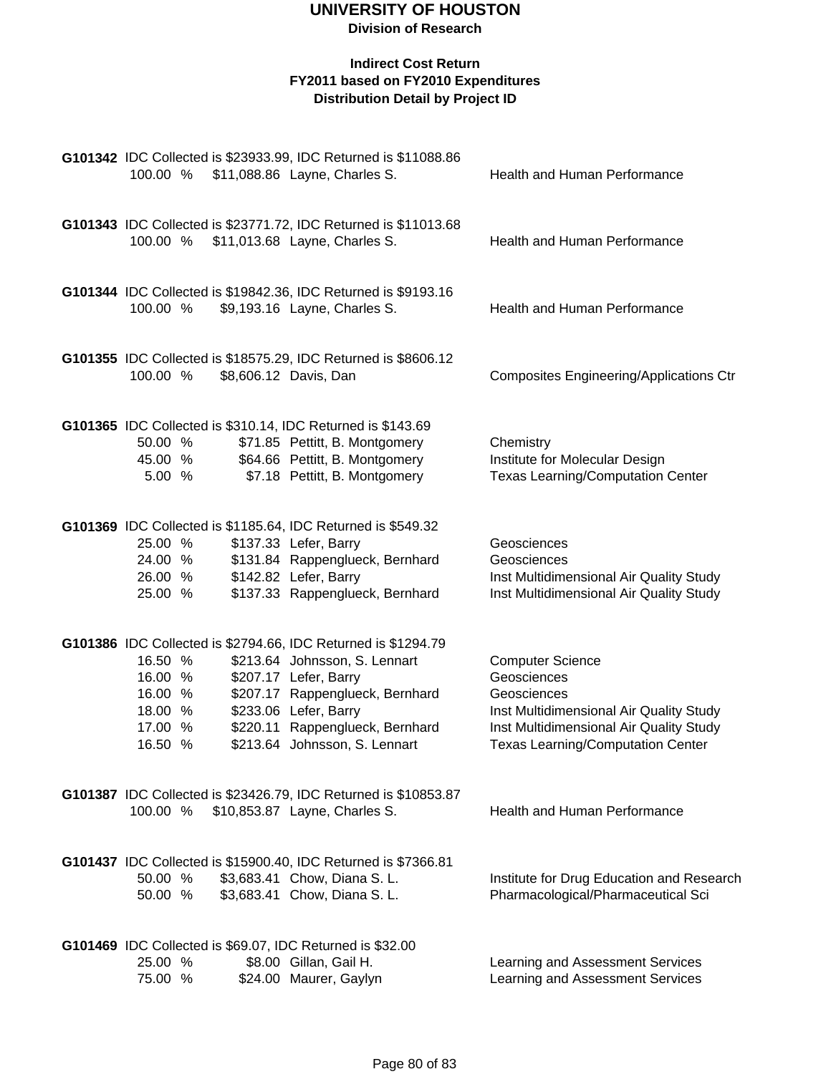| 100.00 %                                                       | G101342 IDC Collected is \$23933.99, IDC Returned is \$11088.86<br>\$11,088.86 Layne, Charles S.                                                                                                                                                        | <b>Health and Human Performance</b>                                                                                                                                                     |
|----------------------------------------------------------------|---------------------------------------------------------------------------------------------------------------------------------------------------------------------------------------------------------------------------------------------------------|-----------------------------------------------------------------------------------------------------------------------------------------------------------------------------------------|
| 100.00 %                                                       | G101343 IDC Collected is \$23771.72, IDC Returned is \$11013.68<br>\$11,013.68 Layne, Charles S.                                                                                                                                                        | <b>Health and Human Performance</b>                                                                                                                                                     |
| 100.00 %                                                       | G101344 IDC Collected is \$19842.36, IDC Returned is \$9193.16<br>\$9,193.16 Layne, Charles S.                                                                                                                                                          | Health and Human Performance                                                                                                                                                            |
| 100.00 %                                                       | G101355 IDC Collected is \$18575.29, IDC Returned is \$8606.12<br>\$8,606.12 Davis, Dan                                                                                                                                                                 | <b>Composites Engineering/Applications Ctr</b>                                                                                                                                          |
| 50.00 %<br>45.00 %<br>5.00 %                                   | G101365 IDC Collected is \$310.14, IDC Returned is \$143.69<br>\$71.85 Pettitt, B. Montgomery<br>\$64.66 Pettitt, B. Montgomery<br>\$7.18 Pettitt, B. Montgomery                                                                                        | Chemistry<br>Institute for Molecular Design<br><b>Texas Learning/Computation Center</b>                                                                                                 |
| 25.00 %<br>24.00 %<br>26.00 %<br>25.00 %                       | G101369 IDC Collected is \$1185.64, IDC Returned is \$549.32<br>\$137.33 Lefer, Barry<br>\$131.84 Rappenglueck, Bernhard<br>\$142.82 Lefer, Barry<br>\$137.33 Rappenglueck, Bernhard                                                                    | Geosciences<br>Geosciences<br>Inst Multidimensional Air Quality Study<br>Inst Multidimensional Air Quality Study                                                                        |
| 16.50 %<br>16.00 %<br>16.00 %<br>18.00 %<br>17.00 %<br>16.50 % | G101386 IDC Collected is \$2794.66, IDC Returned is \$1294.79<br>\$213.64 Johnsson, S. Lennart<br>\$207.17 Lefer, Barry<br>\$207.17 Rappenglueck, Bernhard<br>\$233.06 Lefer, Barry<br>\$220.11 Rappenglueck, Bernhard<br>\$213.64 Johnsson, S. Lennart | <b>Computer Science</b><br>Geosciences<br>Geosciences<br>Inst Multidimensional Air Quality Study<br>Inst Multidimensional Air Quality Study<br><b>Texas Learning/Computation Center</b> |
| 100.00 %                                                       | G101387 IDC Collected is \$23426.79, IDC Returned is \$10853.87<br>\$10,853.87 Layne, Charles S.                                                                                                                                                        | <b>Health and Human Performance</b>                                                                                                                                                     |
| 50.00 %<br>50.00 %                                             | G101437 IDC Collected is \$15900.40, IDC Returned is \$7366.81<br>\$3,683.41 Chow, Diana S. L.<br>\$3,683.41 Chow, Diana S. L.                                                                                                                          | Institute for Drug Education and Research<br>Pharmacological/Pharmaceutical Sci                                                                                                         |
| 25.00 %<br>75.00 %                                             | G101469 IDC Collected is \$69.07, IDC Returned is \$32.00<br>\$8.00 Gillan, Gail H.<br>\$24.00 Maurer, Gaylyn                                                                                                                                           | Learning and Assessment Services<br>Learning and Assessment Services                                                                                                                    |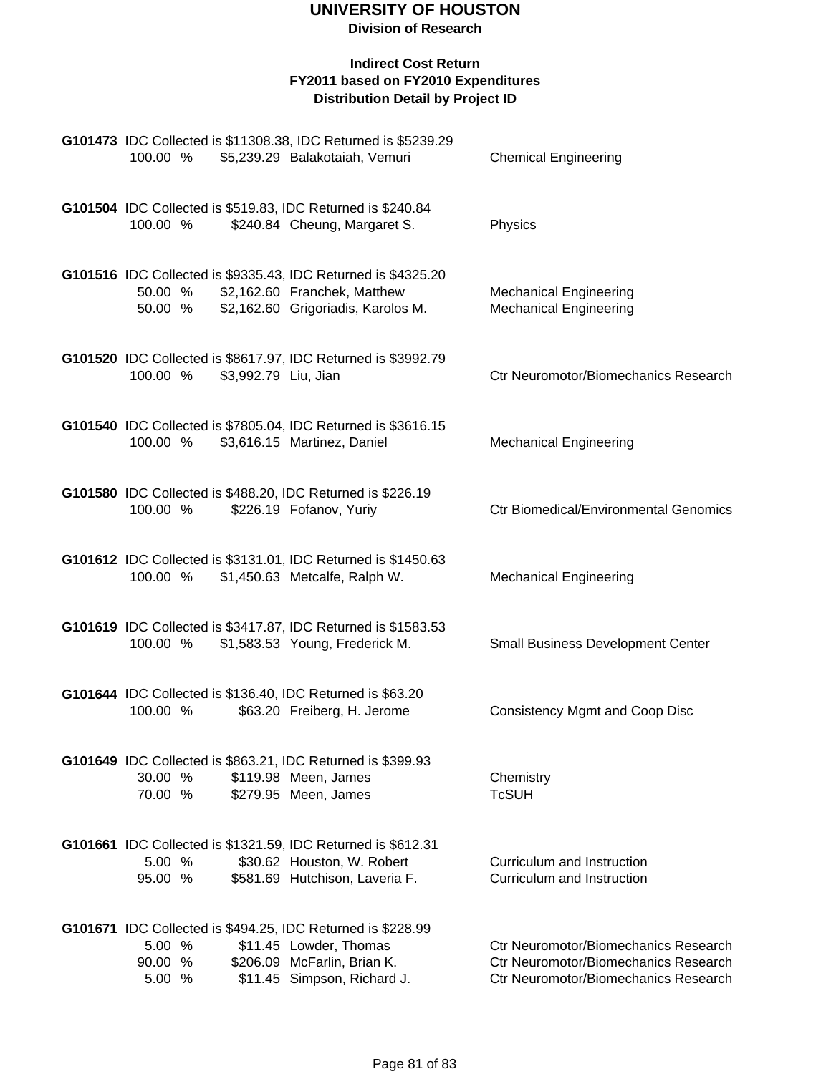**Division of Research**

| 100.00 %                                                                                          | G101473 IDC Collected is \$11308.38, IDC Returned is \$5239.29<br>\$5,239.29 Balakotaiah, Vemuri                                    | <b>Chemical Engineering</b>                                                                                                 |
|---------------------------------------------------------------------------------------------------|-------------------------------------------------------------------------------------------------------------------------------------|-----------------------------------------------------------------------------------------------------------------------------|
| G101504 IDC Collected is \$519.83, IDC Returned is \$240.84<br>100.00 %                           | \$240.84 Cheung, Margaret S.                                                                                                        | Physics                                                                                                                     |
| 50.00 %<br>50.00 %                                                                                | G101516 IDC Collected is \$9335.43, IDC Returned is \$4325.20<br>\$2,162.60 Franchek, Matthew<br>\$2,162.60 Grigoriadis, Karolos M. | <b>Mechanical Engineering</b><br><b>Mechanical Engineering</b>                                                              |
| \$3,992.79 Liu, Jian<br>100.00 %                                                                  | G101520 IDC Collected is \$8617.97, IDC Returned is \$3992.79                                                                       | Ctr Neuromotor/Biomechanics Research                                                                                        |
| 100.00 %                                                                                          | G101540 IDC Collected is \$7805.04, IDC Returned is \$3616.15<br>\$3,616.15 Martinez, Daniel                                        | <b>Mechanical Engineering</b>                                                                                               |
| G101580 IDC Collected is \$488.20, IDC Returned is \$226.19<br>100.00 %                           | \$226.19 Fofanov, Yuriy                                                                                                             | <b>Ctr Biomedical/Environmental Genomics</b>                                                                                |
| 100.00 %                                                                                          | G101612 IDC Collected is \$3131.01, IDC Returned is \$1450.63<br>\$1,450.63 Metcalfe, Ralph W.                                      | <b>Mechanical Engineering</b>                                                                                               |
| 100.00 %                                                                                          | G101619 IDC Collected is \$3417.87, IDC Returned is \$1583.53<br>\$1,583.53 Young, Frederick M.                                     | <b>Small Business Development Center</b>                                                                                    |
| G101644 IDC Collected is \$136.40, IDC Returned is \$63.20<br>100.00 %                            | \$63.20 Freiberg, H. Jerome                                                                                                         | <b>Consistency Mgmt and Coop Disc</b>                                                                                       |
| G101649 IDC Collected is \$863.21, IDC Returned is \$399.93<br>30.00 %<br>70.00 %                 | \$119.98 Meen, James<br>\$279.95 Meen, James                                                                                        | Chemistry<br><b>TcSUH</b>                                                                                                   |
| G101661 IDC Collected is \$1321.59, IDC Returned is \$612.31<br>5.00 %<br>95.00 %                 | \$30.62 Houston, W. Robert<br>\$581.69 Hutchison, Laveria F.                                                                        | Curriculum and Instruction<br>Curriculum and Instruction                                                                    |
| <b>G101671</b> IDC Collected is \$494.25, IDC Returned is \$228.99<br>5.00 %<br>90.00 %<br>5.00 % | \$11.45 Lowder, Thomas<br>\$206.09 McFarlin, Brian K.<br>\$11.45 Simpson, Richard J.                                                | <b>Ctr Neuromotor/Biomechanics Research</b><br>Ctr Neuromotor/Biomechanics Research<br>Ctr Neuromotor/Biomechanics Research |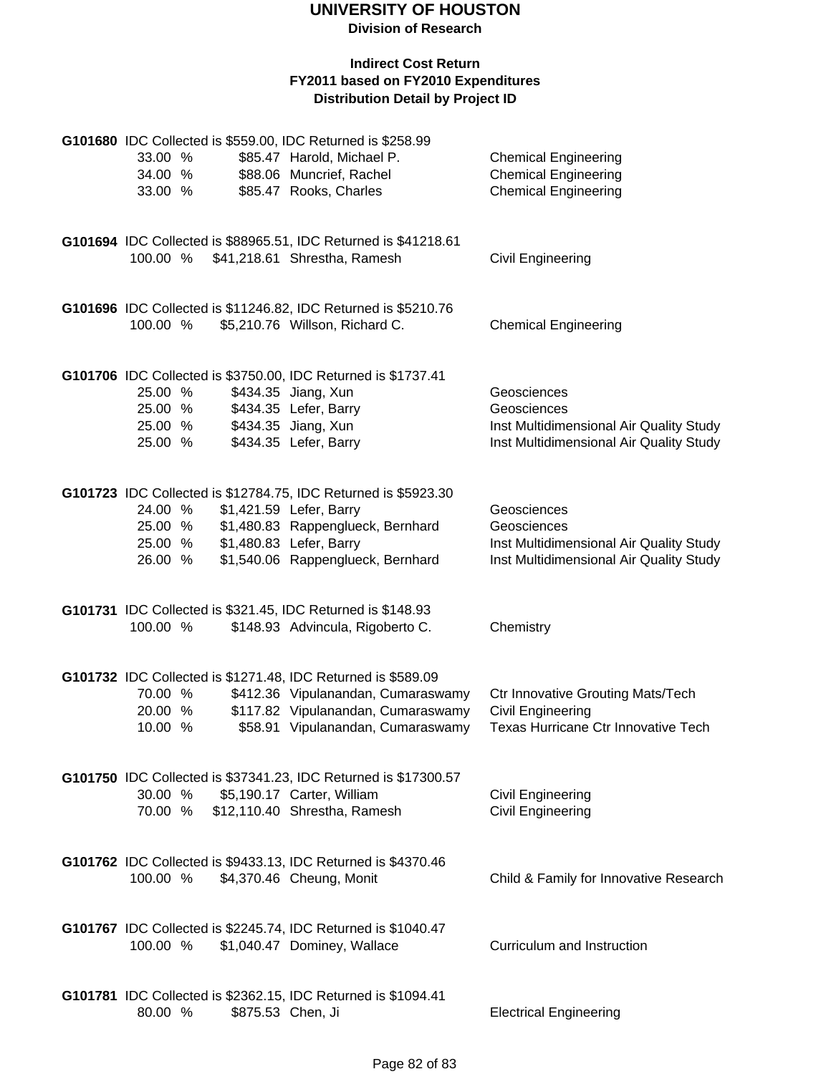| 33.00 %<br>34.00 %<br>33.00 %            | G101680 IDC Collected is \$559.00, IDC Returned is \$258.99<br>\$85.47 Harold, Michael P.<br>\$88.06 Muncrief, Rachel<br>\$85.47 Rooks, Charles                                                | <b>Chemical Engineering</b><br><b>Chemical Engineering</b><br><b>Chemical Engineering</b>                        |
|------------------------------------------|------------------------------------------------------------------------------------------------------------------------------------------------------------------------------------------------|------------------------------------------------------------------------------------------------------------------|
|                                          | G101694 IDC Collected is \$88965.51, IDC Returned is \$41218.61<br>100.00 % \$41,218.61 Shrestha, Ramesh                                                                                       | Civil Engineering                                                                                                |
| 100.00 %                                 | G101696 IDC Collected is \$11246.82, IDC Returned is \$5210.76<br>\$5,210.76 Willson, Richard C.                                                                                               | <b>Chemical Engineering</b>                                                                                      |
| 25.00 %<br>25.00 %<br>25.00 %<br>25.00 % | G101706 IDC Collected is \$3750.00, IDC Returned is \$1737.41<br>\$434.35 Jiang, Xun<br>\$434.35 Lefer, Barry<br>\$434.35 Jiang, Xun<br>\$434.35 Lefer, Barry                                  | Geosciences<br>Geosciences<br>Inst Multidimensional Air Quality Study<br>Inst Multidimensional Air Quality Study |
| 24.00 %<br>25.00 %<br>25.00 %<br>26.00 % | G101723 IDC Collected is \$12784.75, IDC Returned is \$5923.30<br>\$1,421.59 Lefer, Barry<br>\$1,480.83 Rappenglueck, Bernhard<br>\$1,480.83 Lefer, Barry<br>\$1,540.06 Rappenglueck, Bernhard | Geosciences<br>Geosciences<br>Inst Multidimensional Air Quality Study<br>Inst Multidimensional Air Quality Study |
| 100.00 %                                 | G101731 IDC Collected is \$321.45, IDC Returned is \$148.93<br>\$148.93 Advincula, Rigoberto C.                                                                                                | Chemistry                                                                                                        |
| 70.00 %<br>20.00 %<br>10.00 %            | G101732 IDC Collected is \$1271.48, IDC Returned is \$589.09<br>\$412.36 Vipulanandan, Cumaraswamy<br>\$117.82 Vipulanandan, Cumaraswamy<br>\$58.91 Vipulanandan, Cumaraswamy                  | <b>Ctr Innovative Grouting Mats/Tech</b><br>Civil Engineering<br>Texas Hurricane Ctr Innovative Tech             |
| 30.00 %                                  | G101750 IDC Collected is \$37341.23, IDC Returned is \$17300.57<br>\$5,190.17 Carter, William<br>70.00 % \$12,110.40 Shrestha, Ramesh                                                          | <b>Civil Engineering</b><br><b>Civil Engineering</b>                                                             |
| 100.00 %                                 | G101762 IDC Collected is \$9433.13, IDC Returned is \$4370.46<br>\$4,370.46 Cheung, Monit                                                                                                      | Child & Family for Innovative Research                                                                           |
| 100.00 %                                 | G101767 IDC Collected is \$2245.74, IDC Returned is \$1040.47<br>\$1,040.47 Dominey, Wallace                                                                                                   | Curriculum and Instruction                                                                                       |
| 80.00 %                                  | G101781 IDC Collected is \$2362.15, IDC Returned is \$1094.41<br>\$875.53 Chen, Ji                                                                                                             | <b>Electrical Engineering</b>                                                                                    |